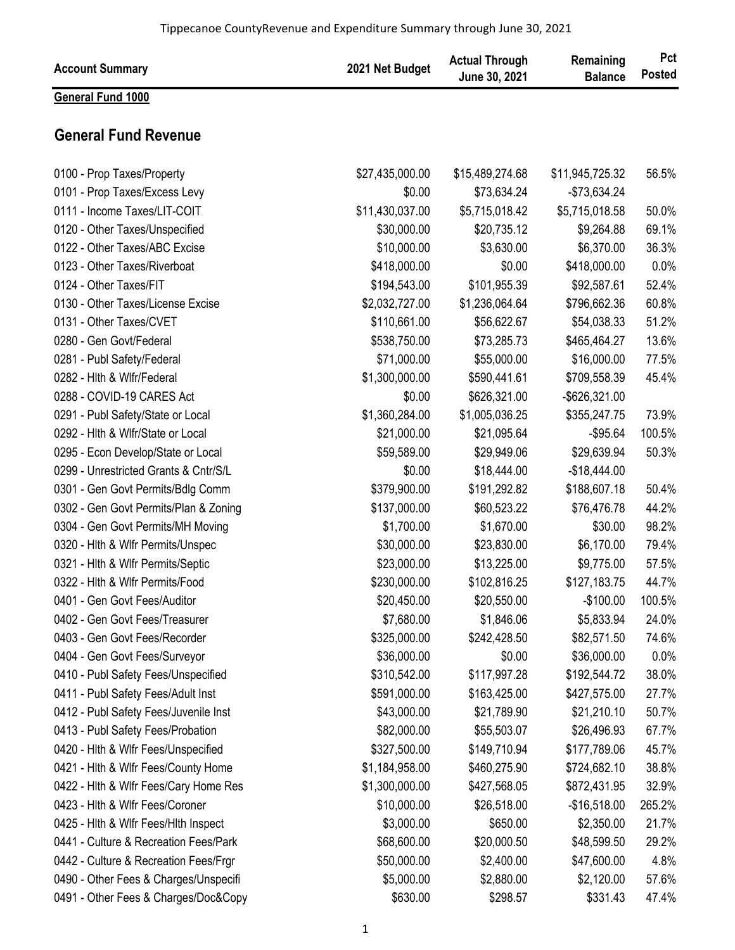| <b>Account Summary</b>                | 2021 Net Budget | <b>Actual Through</b><br>June 30, 2021 | Remaining<br><b>Balance</b> | Pct<br><b>Posted</b> |
|---------------------------------------|-----------------|----------------------------------------|-----------------------------|----------------------|
| <b>General Fund 1000</b>              |                 |                                        |                             |                      |
| <b>General Fund Revenue</b>           |                 |                                        |                             |                      |
| 0100 - Prop Taxes/Property            | \$27,435,000.00 | \$15,489,274.68                        | \$11,945,725.32             | 56.5%                |
| 0101 - Prop Taxes/Excess Levy         | \$0.00          | \$73,634.24                            | $-$73,634.24$               |                      |
| 0111 - Income Taxes/LIT-COIT          | \$11,430,037.00 | \$5,715,018.42                         | \$5,715,018.58              | 50.0%                |
| 0120 - Other Taxes/Unspecified        | \$30,000.00     | \$20,735.12                            | \$9,264.88                  | 69.1%                |
| 0122 - Other Taxes/ABC Excise         | \$10,000.00     | \$3,630.00                             | \$6,370.00                  | 36.3%                |
| 0123 - Other Taxes/Riverboat          | \$418,000.00    | \$0.00                                 | \$418,000.00                | 0.0%                 |
| 0124 - Other Taxes/FIT                | \$194,543.00    | \$101,955.39                           | \$92,587.61                 | 52.4%                |
| 0130 - Other Taxes/License Excise     | \$2,032,727.00  | \$1,236,064.64                         | \$796,662.36                | 60.8%                |
| 0131 - Other Taxes/CVET               | \$110,661.00    | \$56,622.67                            | \$54,038.33                 | 51.2%                |
| 0280 - Gen Govt/Federal               | \$538,750.00    | \$73,285.73                            | \$465,464.27                | 13.6%                |
| 0281 - Publ Safety/Federal            | \$71,000.00     | \$55,000.00                            | \$16,000.00                 | 77.5%                |
| 0282 - Hith & Wifr/Federal            | \$1,300,000.00  | \$590,441.61                           | \$709,558.39                | 45.4%                |
| 0288 - COVID-19 CARES Act             | \$0.00          | \$626,321.00                           | -\$626,321.00               |                      |
| 0291 - Publ Safety/State or Local     | \$1,360,284.00  | \$1,005,036.25                         | \$355,247.75                | 73.9%                |
| 0292 - Hith & Wifr/State or Local     | \$21,000.00     | \$21,095.64                            | $-$95.64$                   | 100.5%               |
| 0295 - Econ Develop/State or Local    | \$59,589.00     | \$29,949.06                            | \$29,639.94                 | 50.3%                |
| 0299 - Unrestricted Grants & Cntr/S/L | \$0.00          | \$18,444.00                            | $-$18,444.00$               |                      |
| 0301 - Gen Govt Permits/Bdlg Comm     | \$379,900.00    | \$191,292.82                           | \$188,607.18                | 50.4%                |
| 0302 - Gen Govt Permits/Plan & Zoning | \$137,000.00    | \$60,523.22                            | \$76,476.78                 | 44.2%                |
| 0304 - Gen Govt Permits/MH Moving     | \$1,700.00      | \$1,670.00                             | \$30.00                     | 98.2%                |
| 0320 - Hith & Wifr Permits/Unspec     | \$30,000.00     | \$23,830.00                            | \$6,170.00                  | 79.4%                |
| 0321 - Hith & Wifr Permits/Septic     | \$23,000.00     | \$13,225.00                            | \$9,775.00                  | 57.5%                |
| 0322 - Hith & Wifr Permits/Food       | \$230,000.00    | \$102,816.25                           | \$127,183.75                | 44.7%                |
| 0401 - Gen Govt Fees/Auditor          | \$20,450.00     | \$20,550.00                            | $-$100.00$                  | 100.5%               |
| 0402 - Gen Govt Fees/Treasurer        | \$7,680.00      | \$1,846.06                             | \$5,833.94                  | 24.0%                |
| 0403 - Gen Govt Fees/Recorder         | \$325,000.00    | \$242,428.50                           | \$82,571.50                 | 74.6%                |
| 0404 - Gen Govt Fees/Surveyor         | \$36,000.00     | \$0.00                                 | \$36,000.00                 | 0.0%                 |
| 0410 - Publ Safety Fees/Unspecified   | \$310,542.00    | \$117,997.28                           | \$192,544.72                | 38.0%                |
| 0411 - Publ Safety Fees/Adult Inst    | \$591,000.00    | \$163,425.00                           | \$427,575.00                | 27.7%                |
| 0412 - Publ Safety Fees/Juvenile Inst | \$43,000.00     | \$21,789.90                            | \$21,210.10                 | 50.7%                |
| 0413 - Publ Safety Fees/Probation     | \$82,000.00     | \$55,503.07                            | \$26,496.93                 | 67.7%                |
| 0420 - Hith & Wifr Fees/Unspecified   | \$327,500.00    | \$149,710.94                           | \$177,789.06                | 45.7%                |
| 0421 - Hith & Wifr Fees/County Home   | \$1,184,958.00  | \$460,275.90                           | \$724,682.10                | 38.8%                |
| 0422 - Hith & Wifr Fees/Cary Home Res | \$1,300,000.00  | \$427,568.05                           | \$872,431.95                | 32.9%                |
| 0423 - Hith & Wifr Fees/Coroner       | \$10,000.00     | \$26,518.00                            | $-$16,518.00$               | 265.2%               |
| 0425 - Hith & Wifr Fees/Hith Inspect  | \$3,000.00      | \$650.00                               | \$2,350.00                  | 21.7%                |
| 0441 - Culture & Recreation Fees/Park | \$68,600.00     | \$20,000.50                            | \$48,599.50                 | 29.2%                |
| 0442 - Culture & Recreation Fees/Frgr | \$50,000.00     | \$2,400.00                             | \$47,600.00                 | 4.8%                 |
| 0490 - Other Fees & Charges/Unspecifi | \$5,000.00      | \$2,880.00                             | \$2,120.00                  | 57.6%                |
| 0491 - Other Fees & Charges/Doc&Copy  | \$630.00        | \$298.57                               | \$331.43                    | 47.4%                |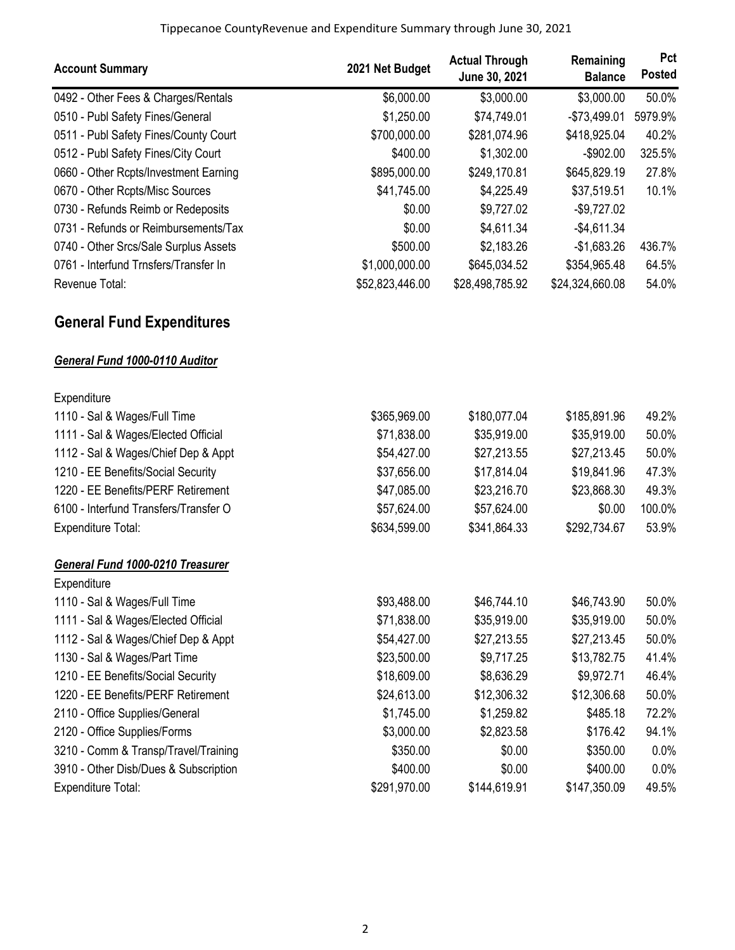| <b>Account Summary</b>                          | 2021 Net Budget | <b>Actual Through</b><br>June 30, 2021 | Remaining<br><b>Balance</b> | Pct<br><b>Posted</b> |
|-------------------------------------------------|-----------------|----------------------------------------|-----------------------------|----------------------|
| 0492 - Other Fees & Charges/Rentals             | \$6,000.00      | \$3,000.00                             | \$3,000.00                  | 50.0%                |
| 0510 - Publ Safety Fines/General                | \$1,250.00      | \$74,749.01                            | $-$73,499.01$               | 5979.9%              |
| 0511 - Publ Safety Fines/County Court           | \$700,000.00    | \$281,074.96                           | \$418,925.04                | 40.2%                |
| 0512 - Publ Safety Fines/City Court             | \$400.00        | \$1,302.00                             | $-$902.00$                  | 325.5%               |
| 0660 - Other Rcpts/Investment Earning           | \$895,000.00    | \$249,170.81                           | \$645,829.19                | 27.8%                |
| 0670 - Other Rcpts/Misc Sources                 | \$41,745.00     | \$4,225.49                             | \$37,519.51                 | 10.1%                |
| 0730 - Refunds Reimb or Redeposits              | \$0.00          | \$9,727.02                             | $-$9,727.02$                |                      |
| 0731 - Refunds or Reimbursements/Tax            | \$0.00          | \$4,611.34                             | $-$4,611.34$                |                      |
| 0740 - Other Srcs/Sale Surplus Assets           | \$500.00        | \$2,183.26                             | $-$1,683.26$                | 436.7%               |
| 0761 - Interfund Trnsfers/Transfer In           | \$1,000,000.00  | \$645,034.52                           | \$354,965.48                | 64.5%                |
| Revenue Total:                                  | \$52,823,446.00 | \$28,498,785.92                        | \$24,324,660.08             | 54.0%                |
| <b>General Fund Expenditures</b>                |                 |                                        |                             |                      |
| General Fund 1000-0110 Auditor                  |                 |                                        |                             |                      |
| Expenditure                                     |                 |                                        |                             |                      |
| 1110 - Sal & Wages/Full Time                    | \$365,969.00    | \$180,077.04                           | \$185,891.96                | 49.2%                |
| 1111 - Sal & Wages/Elected Official             | \$71,838.00     | \$35,919.00                            | \$35,919.00                 | 50.0%                |
| 1112 - Sal & Wages/Chief Dep & Appt             | \$54,427.00     | \$27,213.55                            | \$27,213.45                 | 50.0%                |
| 1210 - EE Benefits/Social Security              | \$37,656.00     | \$17,814.04                            | \$19,841.96                 | 47.3%                |
| 1220 - EE Benefits/PERF Retirement              | \$47,085.00     | \$23,216.70                            | \$23,868.30                 | 49.3%                |
| 6100 - Interfund Transfers/Transfer O           | \$57,624.00     | \$57,624.00                            | \$0.00                      | 100.0%               |
| Expenditure Total:                              | \$634,599.00    | \$341,864.33                           | \$292,734.67                | 53.9%                |
| General Fund 1000-0210 Treasurer<br>Expenditure |                 |                                        |                             |                      |
| 1110 - Sal & Wages/Full Time                    | \$93,488.00     | \$46,744.10                            | \$46,743.90                 | 50.0%                |
| 1111 - Sal & Wages/Elected Official             | \$71,838.00     | \$35,919.00                            | \$35,919.00                 | 50.0%                |
| 1112 - Sal & Wages/Chief Dep & Appt             | \$54,427.00     | \$27,213.55                            | \$27,213.45                 | 50.0%                |
| 1130 - Sal & Wages/Part Time                    | \$23,500.00     | \$9,717.25                             | \$13,782.75                 | 41.4%                |
| 1210 - EE Benefits/Social Security              | \$18,609.00     | \$8,636.29                             | \$9,972.71                  | 46.4%                |
| 1220 - EE Benefits/PERF Retirement              | \$24,613.00     | \$12,306.32                            | \$12,306.68                 | 50.0%                |
| 2110 - Office Supplies/General                  | \$1,745.00      | \$1,259.82                             | \$485.18                    | 72.2%                |
| 2120 - Office Supplies/Forms                    | \$3,000.00      | \$2,823.58                             | \$176.42                    | 94.1%                |
| 3210 - Comm & Transp/Travel/Training            | \$350.00        | \$0.00                                 | \$350.00                    | 0.0%                 |
| 3910 - Other Disb/Dues & Subscription           | \$400.00        | \$0.00                                 | \$400.00                    | 0.0%                 |
| <b>Expenditure Total:</b>                       | \$291,970.00    | \$144,619.91                           | \$147,350.09                | 49.5%                |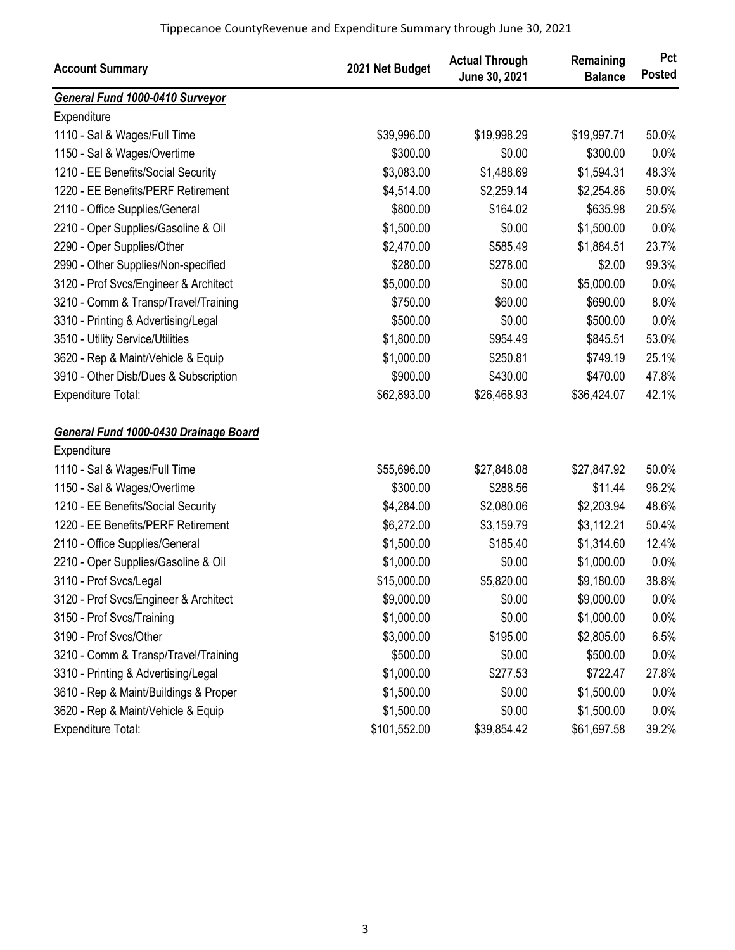| <b>Account Summary</b>                | 2021 Net Budget | <b>Actual Through</b><br>June 30, 2021 | Remaining<br><b>Balance</b> | Pct<br><b>Posted</b> |
|---------------------------------------|-----------------|----------------------------------------|-----------------------------|----------------------|
| General Fund 1000-0410 Surveyor       |                 |                                        |                             |                      |
| Expenditure                           |                 |                                        |                             |                      |
| 1110 - Sal & Wages/Full Time          | \$39,996.00     | \$19,998.29                            | \$19,997.71                 | 50.0%                |
| 1150 - Sal & Wages/Overtime           | \$300.00        | \$0.00                                 | \$300.00                    | 0.0%                 |
| 1210 - EE Benefits/Social Security    | \$3,083.00      | \$1,488.69                             | \$1,594.31                  | 48.3%                |
| 1220 - EE Benefits/PERF Retirement    | \$4,514.00      | \$2,259.14                             | \$2,254.86                  | 50.0%                |
| 2110 - Office Supplies/General        | \$800.00        | \$164.02                               | \$635.98                    | 20.5%                |
| 2210 - Oper Supplies/Gasoline & Oil   | \$1,500.00      | \$0.00                                 | \$1,500.00                  | 0.0%                 |
| 2290 - Oper Supplies/Other            | \$2,470.00      | \$585.49                               | \$1,884.51                  | 23.7%                |
| 2990 - Other Supplies/Non-specified   | \$280.00        | \$278.00                               | \$2.00                      | 99.3%                |
| 3120 - Prof Svcs/Engineer & Architect | \$5,000.00      | \$0.00                                 | \$5,000.00                  | 0.0%                 |
| 3210 - Comm & Transp/Travel/Training  | \$750.00        | \$60.00                                | \$690.00                    | 8.0%                 |
| 3310 - Printing & Advertising/Legal   | \$500.00        | \$0.00                                 | \$500.00                    | 0.0%                 |
| 3510 - Utility Service/Utilities      | \$1,800.00      | \$954.49                               | \$845.51                    | 53.0%                |
| 3620 - Rep & Maint/Vehicle & Equip    | \$1,000.00      | \$250.81                               | \$749.19                    | 25.1%                |
| 3910 - Other Disb/Dues & Subscription | \$900.00        | \$430.00                               | \$470.00                    | 47.8%                |
| <b>Expenditure Total:</b>             | \$62,893.00     | \$26,468.93                            | \$36,424.07                 | 42.1%                |
| General Fund 1000-0430 Drainage Board |                 |                                        |                             |                      |
| Expenditure                           |                 |                                        |                             |                      |
| 1110 - Sal & Wages/Full Time          | \$55,696.00     | \$27,848.08                            | \$27,847.92                 | 50.0%                |
| 1150 - Sal & Wages/Overtime           | \$300.00        | \$288.56                               | \$11.44                     | 96.2%                |
| 1210 - EE Benefits/Social Security    | \$4,284.00      | \$2,080.06                             | \$2,203.94                  | 48.6%                |
| 1220 - EE Benefits/PERF Retirement    | \$6,272.00      | \$3,159.79                             | \$3,112.21                  | 50.4%                |
| 2110 - Office Supplies/General        | \$1,500.00      | \$185.40                               | \$1,314.60                  | 12.4%                |
| 2210 - Oper Supplies/Gasoline & Oil   | \$1,000.00      | \$0.00                                 | \$1,000.00                  | 0.0%                 |
| 3110 - Prof Svcs/Legal                | \$15,000.00     | \$5,820.00                             | \$9,180.00                  | 38.8%                |
| 3120 - Prof Svcs/Engineer & Architect | \$9,000.00      | \$0.00                                 | \$9,000.00                  | $0.0\%$              |
| 3150 - Prof Svcs/Training             | \$1,000.00      | \$0.00                                 | \$1,000.00                  | 0.0%                 |
| 3190 - Prof Svcs/Other                | \$3,000.00      | \$195.00                               | \$2,805.00                  | 6.5%                 |
| 3210 - Comm & Transp/Travel/Training  | \$500.00        | \$0.00                                 | \$500.00                    | 0.0%                 |
| 3310 - Printing & Advertising/Legal   | \$1,000.00      | \$277.53                               | \$722.47                    | 27.8%                |
| 3610 - Rep & Maint/Buildings & Proper | \$1,500.00      | \$0.00                                 | \$1,500.00                  | 0.0%                 |
| 3620 - Rep & Maint/Vehicle & Equip    | \$1,500.00      | \$0.00                                 | \$1,500.00                  | 0.0%                 |
| Expenditure Total:                    | \$101,552.00    | \$39,854.42                            | \$61,697.58                 | 39.2%                |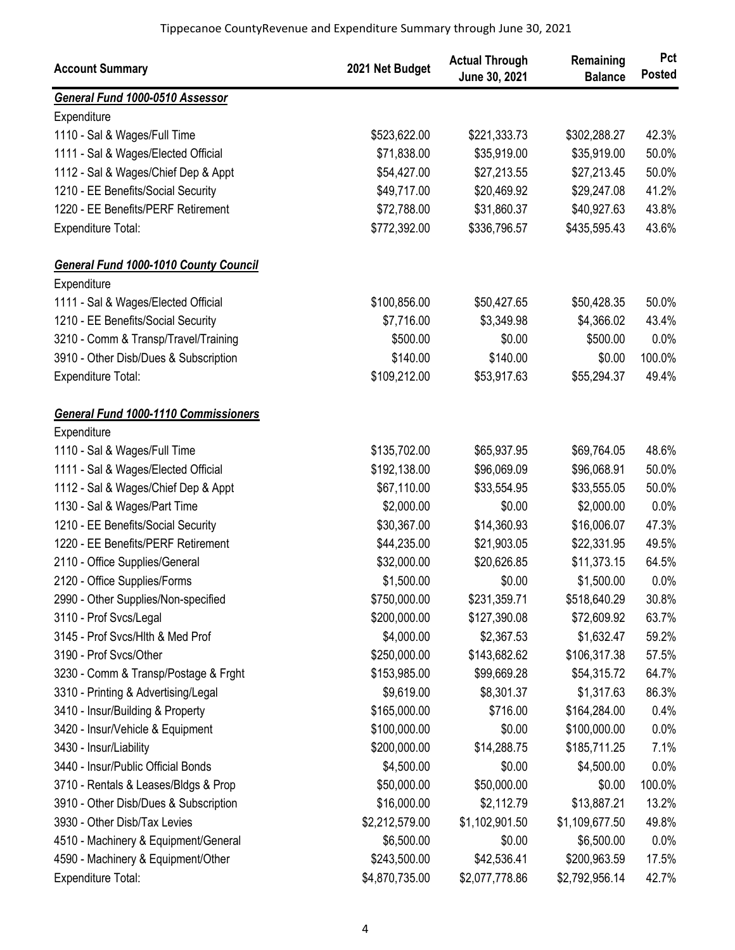| <b>Account Summary</b>                       | 2021 Net Budget | <b>Actual Through</b><br>June 30, 2021 | Remaining<br><b>Balance</b> | Pct<br><b>Posted</b> |
|----------------------------------------------|-----------------|----------------------------------------|-----------------------------|----------------------|
| General Fund 1000-0510 Assessor              |                 |                                        |                             |                      |
| Expenditure                                  |                 |                                        |                             |                      |
| 1110 - Sal & Wages/Full Time                 | \$523,622.00    | \$221,333.73                           | \$302,288.27                | 42.3%                |
| 1111 - Sal & Wages/Elected Official          | \$71,838.00     | \$35,919.00                            | \$35,919.00                 | 50.0%                |
| 1112 - Sal & Wages/Chief Dep & Appt          | \$54,427.00     | \$27,213.55                            | \$27,213.45                 | 50.0%                |
| 1210 - EE Benefits/Social Security           | \$49,717.00     | \$20,469.92                            | \$29,247.08                 | 41.2%                |
| 1220 - EE Benefits/PERF Retirement           | \$72,788.00     | \$31,860.37                            | \$40,927.63                 | 43.8%                |
| Expenditure Total:                           | \$772,392.00    | \$336,796.57                           | \$435,595.43                | 43.6%                |
| <b>General Fund 1000-1010 County Council</b> |                 |                                        |                             |                      |
| Expenditure                                  |                 |                                        |                             |                      |
| 1111 - Sal & Wages/Elected Official          | \$100,856.00    | \$50,427.65                            | \$50,428.35                 | 50.0%                |
| 1210 - EE Benefits/Social Security           | \$7,716.00      | \$3,349.98                             | \$4,366.02                  | 43.4%                |
| 3210 - Comm & Transp/Travel/Training         | \$500.00        | \$0.00                                 | \$500.00                    | 0.0%                 |
| 3910 - Other Disb/Dues & Subscription        | \$140.00        | \$140.00                               | \$0.00                      | 100.0%               |
| Expenditure Total:                           | \$109,212.00    | \$53,917.63                            | \$55,294.37                 | 49.4%                |
| <b>General Fund 1000-1110 Commissioners</b>  |                 |                                        |                             |                      |
| Expenditure                                  |                 |                                        |                             |                      |
| 1110 - Sal & Wages/Full Time                 | \$135,702.00    | \$65,937.95                            | \$69,764.05                 | 48.6%                |
| 1111 - Sal & Wages/Elected Official          | \$192,138.00    | \$96,069.09                            | \$96,068.91                 | 50.0%                |
| 1112 - Sal & Wages/Chief Dep & Appt          | \$67,110.00     | \$33,554.95                            | \$33,555.05                 | 50.0%                |
| 1130 - Sal & Wages/Part Time                 | \$2,000.00      | \$0.00                                 | \$2,000.00                  | 0.0%                 |
| 1210 - EE Benefits/Social Security           | \$30,367.00     | \$14,360.93                            | \$16,006.07                 | 47.3%                |
| 1220 - EE Benefits/PERF Retirement           | \$44,235.00     | \$21,903.05                            | \$22,331.95                 | 49.5%                |
| 2110 - Office Supplies/General               | \$32,000.00     | \$20,626.85                            | \$11,373.15                 | 64.5%                |
| 2120 - Office Supplies/Forms                 | \$1,500.00      | \$0.00                                 | \$1,500.00                  | 0.0%                 |
| 2990 - Other Supplies/Non-specified          | \$750,000.00    | \$231,359.71                           | \$518,640.29                | 30.8%                |
| 3110 - Prof Svcs/Legal                       | \$200,000.00    | \$127,390.08                           | \$72,609.92                 | 63.7%                |
| 3145 - Prof Svcs/Hlth & Med Prof             | \$4,000.00      | \$2,367.53                             | \$1,632.47                  | 59.2%                |
| 3190 - Prof Svcs/Other                       | \$250,000.00    | \$143,682.62                           | \$106,317.38                | 57.5%                |
| 3230 - Comm & Transp/Postage & Frght         | \$153,985.00    | \$99,669.28                            | \$54,315.72                 | 64.7%                |
| 3310 - Printing & Advertising/Legal          | \$9,619.00      | \$8,301.37                             | \$1,317.63                  | 86.3%                |
| 3410 - Insur/Building & Property             | \$165,000.00    | \$716.00                               | \$164,284.00                | 0.4%                 |
| 3420 - Insur/Vehicle & Equipment             | \$100,000.00    | \$0.00                                 | \$100,000.00                | 0.0%                 |
| 3430 - Insur/Liability                       | \$200,000.00    | \$14,288.75                            | \$185,711.25                | 7.1%                 |
| 3440 - Insur/Public Official Bonds           | \$4,500.00      | \$0.00                                 | \$4,500.00                  | 0.0%                 |
| 3710 - Rentals & Leases/Bldgs & Prop         | \$50,000.00     | \$50,000.00                            | \$0.00                      | 100.0%               |
| 3910 - Other Disb/Dues & Subscription        | \$16,000.00     | \$2,112.79                             | \$13,887.21                 | 13.2%                |
| 3930 - Other Disb/Tax Levies                 | \$2,212,579.00  | \$1,102,901.50                         | \$1,109,677.50              | 49.8%                |
| 4510 - Machinery & Equipment/General         | \$6,500.00      | \$0.00                                 | \$6,500.00                  | 0.0%                 |
| 4590 - Machinery & Equipment/Other           | \$243,500.00    | \$42,536.41                            | \$200,963.59                | 17.5%                |
| Expenditure Total:                           | \$4,870,735.00  | \$2,077,778.86                         | \$2,792,956.14              | 42.7%                |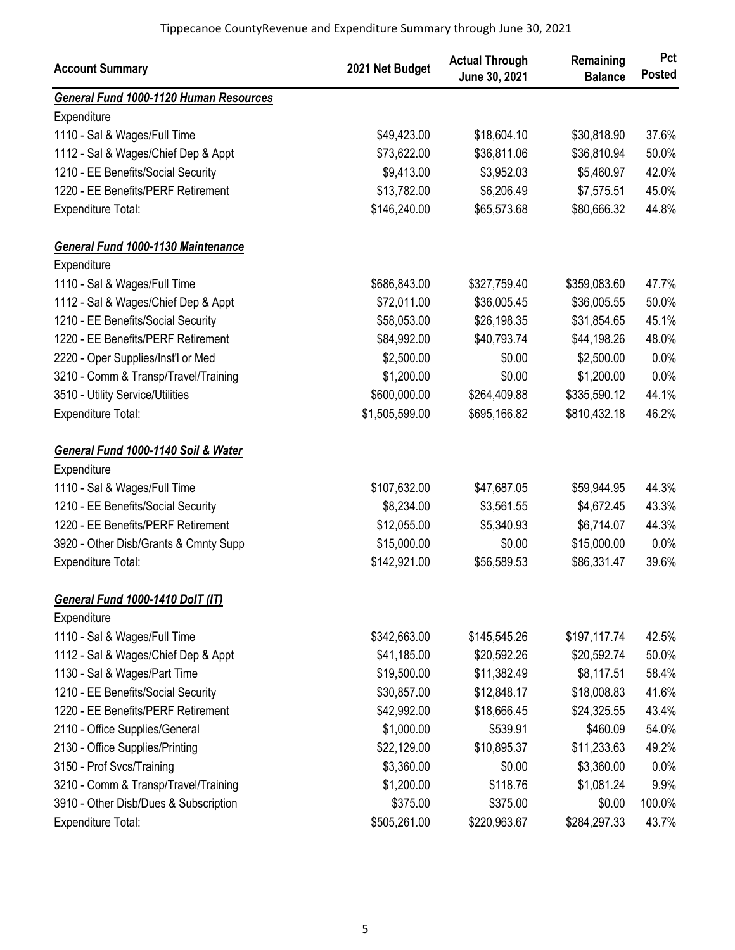| <b>Account Summary</b>                        | 2021 Net Budget | <b>Actual Through</b><br>June 30, 2021 | Remaining<br><b>Balance</b> | Pct<br><b>Posted</b> |
|-----------------------------------------------|-----------------|----------------------------------------|-----------------------------|----------------------|
| <b>General Fund 1000-1120 Human Resources</b> |                 |                                        |                             |                      |
| Expenditure                                   |                 |                                        |                             |                      |
| 1110 - Sal & Wages/Full Time                  | \$49,423.00     | \$18,604.10                            | \$30,818.90                 | 37.6%                |
| 1112 - Sal & Wages/Chief Dep & Appt           | \$73,622.00     | \$36,811.06                            | \$36,810.94                 | 50.0%                |
| 1210 - EE Benefits/Social Security            | \$9,413.00      | \$3,952.03                             | \$5,460.97                  | 42.0%                |
| 1220 - EE Benefits/PERF Retirement            | \$13,782.00     | \$6,206.49                             | \$7,575.51                  | 45.0%                |
| <b>Expenditure Total:</b>                     | \$146,240.00    | \$65,573.68                            | \$80,666.32                 | 44.8%                |
| <b>General Fund 1000-1130 Maintenance</b>     |                 |                                        |                             |                      |
| Expenditure                                   |                 |                                        |                             |                      |
| 1110 - Sal & Wages/Full Time                  | \$686,843.00    | \$327,759.40                           | \$359,083.60                | 47.7%                |
| 1112 - Sal & Wages/Chief Dep & Appt           | \$72,011.00     | \$36,005.45                            | \$36,005.55                 | 50.0%                |
| 1210 - EE Benefits/Social Security            | \$58,053.00     | \$26,198.35                            | \$31,854.65                 | 45.1%                |
| 1220 - EE Benefits/PERF Retirement            | \$84,992.00     | \$40,793.74                            | \$44,198.26                 | 48.0%                |
| 2220 - Oper Supplies/Inst'l or Med            | \$2,500.00      | \$0.00                                 | \$2,500.00                  | 0.0%                 |
| 3210 - Comm & Transp/Travel/Training          | \$1,200.00      | \$0.00                                 | \$1,200.00                  | 0.0%                 |
| 3510 - Utility Service/Utilities              | \$600,000.00    | \$264,409.88                           | \$335,590.12                | 44.1%                |
| Expenditure Total:                            | \$1,505,599.00  | \$695,166.82                           | \$810,432.18                | 46.2%                |
| General Fund 1000-1140 Soil & Water           |                 |                                        |                             |                      |
| Expenditure                                   |                 |                                        |                             |                      |
| 1110 - Sal & Wages/Full Time                  | \$107,632.00    | \$47,687.05                            | \$59,944.95                 | 44.3%                |
| 1210 - EE Benefits/Social Security            | \$8,234.00      | \$3,561.55                             | \$4,672.45                  | 43.3%                |
| 1220 - EE Benefits/PERF Retirement            | \$12,055.00     | \$5,340.93                             | \$6,714.07                  | 44.3%                |
| 3920 - Other Disb/Grants & Cmnty Supp         | \$15,000.00     | \$0.00                                 | \$15,000.00                 | 0.0%                 |
| <b>Expenditure Total:</b>                     | \$142,921.00    | \$56,589.53                            | \$86,331.47                 | 39.6%                |
| General Fund 1000-1410 DolT (IT)              |                 |                                        |                             |                      |
| Expenditure                                   |                 |                                        |                             |                      |
| 1110 - Sal & Wages/Full Time                  | \$342,663.00    | \$145,545.26                           | \$197,117.74                | 42.5%                |
| 1112 - Sal & Wages/Chief Dep & Appt           | \$41,185.00     | \$20,592.26                            | \$20,592.74                 | 50.0%                |
| 1130 - Sal & Wages/Part Time                  | \$19,500.00     | \$11,382.49                            | \$8,117.51                  | 58.4%                |
| 1210 - EE Benefits/Social Security            | \$30,857.00     | \$12,848.17                            | \$18,008.83                 | 41.6%                |
| 1220 - EE Benefits/PERF Retirement            | \$42,992.00     | \$18,666.45                            | \$24,325.55                 | 43.4%                |
| 2110 - Office Supplies/General                | \$1,000.00      | \$539.91                               | \$460.09                    | 54.0%                |
| 2130 - Office Supplies/Printing               | \$22,129.00     | \$10,895.37                            | \$11,233.63                 | 49.2%                |
| 3150 - Prof Svcs/Training                     | \$3,360.00      | \$0.00                                 | \$3,360.00                  | 0.0%                 |
| 3210 - Comm & Transp/Travel/Training          | \$1,200.00      | \$118.76                               | \$1,081.24                  | 9.9%                 |
| 3910 - Other Disb/Dues & Subscription         | \$375.00        | \$375.00                               | \$0.00                      | 100.0%               |
| Expenditure Total:                            | \$505,261.00    | \$220,963.67                           | \$284,297.33                | 43.7%                |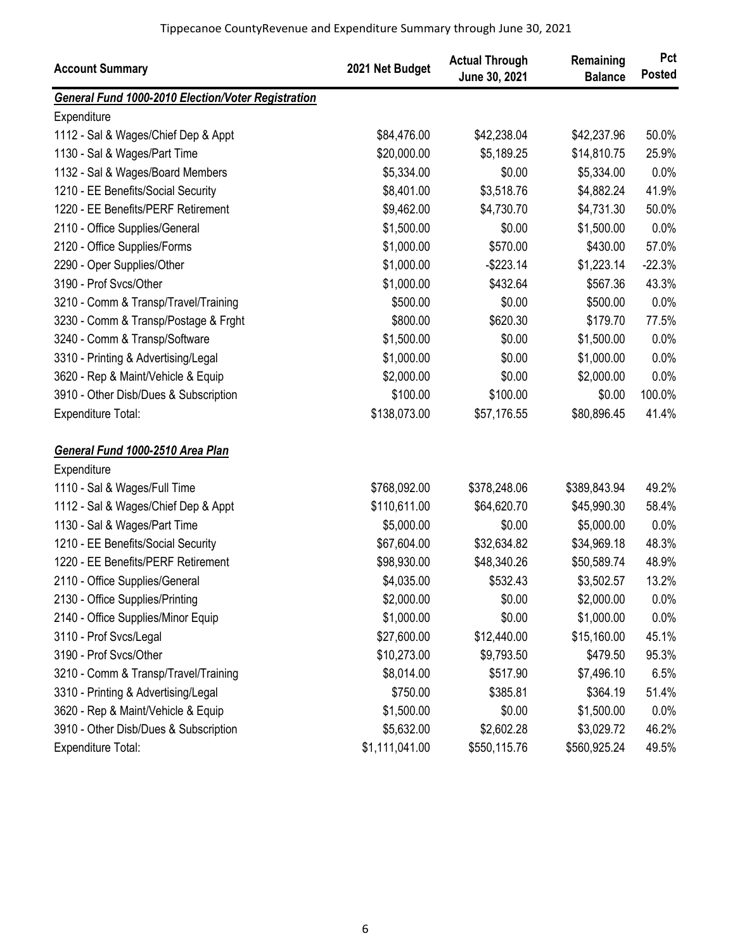| <b>Account Summary</b>                                    | 2021 Net Budget | <b>Actual Through</b><br>June 30, 2021 | Remaining<br><b>Balance</b> | Pct<br><b>Posted</b> |
|-----------------------------------------------------------|-----------------|----------------------------------------|-----------------------------|----------------------|
| <b>General Fund 1000-2010 Election/Voter Registration</b> |                 |                                        |                             |                      |
| Expenditure                                               |                 |                                        |                             |                      |
| 1112 - Sal & Wages/Chief Dep & Appt                       | \$84,476.00     | \$42,238.04                            | \$42,237.96                 | 50.0%                |
| 1130 - Sal & Wages/Part Time                              | \$20,000.00     | \$5,189.25                             | \$14,810.75                 | 25.9%                |
| 1132 - Sal & Wages/Board Members                          | \$5,334.00      | \$0.00                                 | \$5,334.00                  | 0.0%                 |
| 1210 - EE Benefits/Social Security                        | \$8,401.00      | \$3,518.76                             | \$4,882.24                  | 41.9%                |
| 1220 - EE Benefits/PERF Retirement                        | \$9,462.00      | \$4,730.70                             | \$4,731.30                  | 50.0%                |
| 2110 - Office Supplies/General                            | \$1,500.00      | \$0.00                                 | \$1,500.00                  | 0.0%                 |
| 2120 - Office Supplies/Forms                              | \$1,000.00      | \$570.00                               | \$430.00                    | 57.0%                |
| 2290 - Oper Supplies/Other                                | \$1,000.00      | $-$223.14$                             | \$1,223.14                  | $-22.3%$             |
| 3190 - Prof Svcs/Other                                    | \$1,000.00      | \$432.64                               | \$567.36                    | 43.3%                |
| 3210 - Comm & Transp/Travel/Training                      | \$500.00        | \$0.00                                 | \$500.00                    | 0.0%                 |
| 3230 - Comm & Transp/Postage & Frght                      | \$800.00        | \$620.30                               | \$179.70                    | 77.5%                |
| 3240 - Comm & Transp/Software                             | \$1,500.00      | \$0.00                                 | \$1,500.00                  | 0.0%                 |
| 3310 - Printing & Advertising/Legal                       | \$1,000.00      | \$0.00                                 | \$1,000.00                  | 0.0%                 |
| 3620 - Rep & Maint/Vehicle & Equip                        | \$2,000.00      | \$0.00                                 | \$2,000.00                  | 0.0%                 |
| 3910 - Other Disb/Dues & Subscription                     | \$100.00        | \$100.00                               | \$0.00                      | 100.0%               |
| Expenditure Total:                                        | \$138,073.00    | \$57,176.55                            | \$80,896.45                 | 41.4%                |
| General Fund 1000-2510 Area Plan                          |                 |                                        |                             |                      |
| Expenditure                                               |                 |                                        |                             |                      |
| 1110 - Sal & Wages/Full Time                              | \$768,092.00    | \$378,248.06                           | \$389,843.94                | 49.2%                |
| 1112 - Sal & Wages/Chief Dep & Appt                       | \$110,611.00    | \$64,620.70                            | \$45,990.30                 | 58.4%                |
| 1130 - Sal & Wages/Part Time                              | \$5,000.00      | \$0.00                                 | \$5,000.00                  | 0.0%                 |
| 1210 - EE Benefits/Social Security                        | \$67,604.00     | \$32,634.82                            | \$34,969.18                 | 48.3%                |
| 1220 - EE Benefits/PERF Retirement                        | \$98,930.00     | \$48,340.26                            | \$50,589.74                 | 48.9%                |
| 2110 - Office Supplies/General                            | \$4,035.00      | \$532.43                               | \$3,502.57                  | 13.2%                |
| 2130 - Office Supplies/Printing                           | \$2,000.00      | \$0.00                                 | \$2,000.00                  | $0.0\%$              |
| 2140 - Office Supplies/Minor Equip                        | \$1,000.00      | \$0.00                                 | \$1,000.00                  | 0.0%                 |
| 3110 - Prof Svcs/Legal                                    | \$27,600.00     | \$12,440.00                            | \$15,160.00                 | 45.1%                |
| 3190 - Prof Svcs/Other                                    | \$10,273.00     | \$9,793.50                             | \$479.50                    | 95.3%                |
| 3210 - Comm & Transp/Travel/Training                      | \$8,014.00      | \$517.90                               | \$7,496.10                  | 6.5%                 |
| 3310 - Printing & Advertising/Legal                       | \$750.00        | \$385.81                               | \$364.19                    | 51.4%                |
| 3620 - Rep & Maint/Vehicle & Equip                        | \$1,500.00      | \$0.00                                 | \$1,500.00                  | 0.0%                 |
| 3910 - Other Disb/Dues & Subscription                     | \$5,632.00      | \$2,602.28                             | \$3,029.72                  | 46.2%                |
| Expenditure Total:                                        | \$1,111,041.00  | \$550,115.76                           | \$560,925.24                | 49.5%                |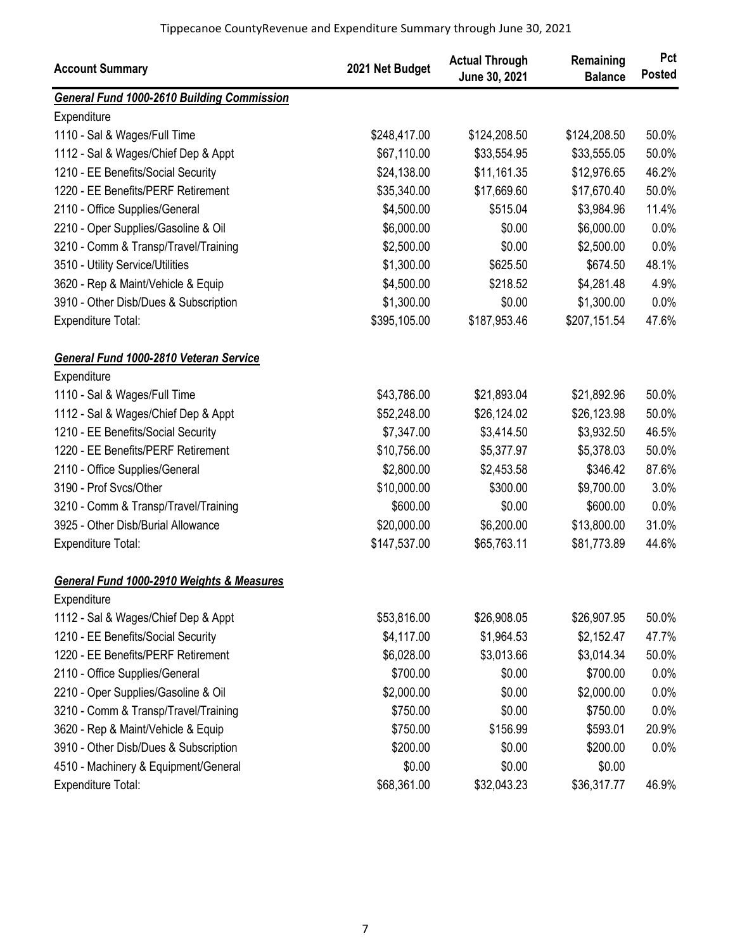| <b>Account Summary</b>                            | 2021 Net Budget | <b>Actual Through</b><br>June 30, 2021 | Remaining<br><b>Balance</b> | Pct<br><b>Posted</b> |
|---------------------------------------------------|-----------------|----------------------------------------|-----------------------------|----------------------|
| <b>General Fund 1000-2610 Building Commission</b> |                 |                                        |                             |                      |
| Expenditure                                       |                 |                                        |                             |                      |
| 1110 - Sal & Wages/Full Time                      | \$248,417.00    | \$124,208.50                           | \$124,208.50                | 50.0%                |
| 1112 - Sal & Wages/Chief Dep & Appt               | \$67,110.00     | \$33,554.95                            | \$33,555.05                 | 50.0%                |
| 1210 - EE Benefits/Social Security                | \$24,138.00     | \$11,161.35                            | \$12,976.65                 | 46.2%                |
| 1220 - EE Benefits/PERF Retirement                | \$35,340.00     | \$17,669.60                            | \$17,670.40                 | 50.0%                |
| 2110 - Office Supplies/General                    | \$4,500.00      | \$515.04                               | \$3,984.96                  | 11.4%                |
| 2210 - Oper Supplies/Gasoline & Oil               | \$6,000.00      | \$0.00                                 | \$6,000.00                  | 0.0%                 |
| 3210 - Comm & Transp/Travel/Training              | \$2,500.00      | \$0.00                                 | \$2,500.00                  | 0.0%                 |
| 3510 - Utility Service/Utilities                  | \$1,300.00      | \$625.50                               | \$674.50                    | 48.1%                |
| 3620 - Rep & Maint/Vehicle & Equip                | \$4,500.00      | \$218.52                               | \$4,281.48                  | 4.9%                 |
| 3910 - Other Disb/Dues & Subscription             | \$1,300.00      | \$0.00                                 | \$1,300.00                  | 0.0%                 |
| Expenditure Total:                                | \$395,105.00    | \$187,953.46                           | \$207,151.54                | 47.6%                |
| General Fund 1000-2810 Veteran Service            |                 |                                        |                             |                      |
| Expenditure                                       |                 |                                        |                             |                      |
| 1110 - Sal & Wages/Full Time                      | \$43,786.00     | \$21,893.04                            | \$21,892.96                 | 50.0%                |
| 1112 - Sal & Wages/Chief Dep & Appt               | \$52,248.00     | \$26,124.02                            | \$26,123.98                 | 50.0%                |
| 1210 - EE Benefits/Social Security                | \$7,347.00      | \$3,414.50                             | \$3,932.50                  | 46.5%                |
| 1220 - EE Benefits/PERF Retirement                | \$10,756.00     | \$5,377.97                             | \$5,378.03                  | 50.0%                |
| 2110 - Office Supplies/General                    | \$2,800.00      | \$2,453.58                             | \$346.42                    | 87.6%                |
| 3190 - Prof Svcs/Other                            | \$10,000.00     | \$300.00                               | \$9,700.00                  | 3.0%                 |
| 3210 - Comm & Transp/Travel/Training              | \$600.00        | \$0.00                                 | \$600.00                    | 0.0%                 |
| 3925 - Other Disb/Burial Allowance                | \$20,000.00     | \$6,200.00                             | \$13,800.00                 | 31.0%                |
| Expenditure Total:                                | \$147,537.00    | \$65,763.11                            | \$81,773.89                 | 44.6%                |
| General Fund 1000-2910 Weights & Measures         |                 |                                        |                             |                      |
| Expenditure                                       |                 |                                        |                             |                      |
| 1112 - Sal & Wages/Chief Dep & Appt               | \$53,816.00     | \$26,908.05                            | \$26,907.95                 | 50.0%                |
| 1210 - EE Benefits/Social Security                | \$4,117.00      | \$1,964.53                             | \$2,152.47                  | 47.7%                |
| 1220 - EE Benefits/PERF Retirement                | \$6,028.00      | \$3,013.66                             | \$3,014.34                  | 50.0%                |
| 2110 - Office Supplies/General                    | \$700.00        | \$0.00                                 | \$700.00                    | 0.0%                 |
| 2210 - Oper Supplies/Gasoline & Oil               | \$2,000.00      | \$0.00                                 | \$2,000.00                  | 0.0%                 |
| 3210 - Comm & Transp/Travel/Training              | \$750.00        | \$0.00                                 | \$750.00                    | 0.0%                 |
| 3620 - Rep & Maint/Vehicle & Equip                | \$750.00        | \$156.99                               | \$593.01                    | 20.9%                |
| 3910 - Other Disb/Dues & Subscription             | \$200.00        | \$0.00                                 | \$200.00                    | 0.0%                 |
| 4510 - Machinery & Equipment/General              | \$0.00          | \$0.00                                 | \$0.00                      |                      |
| <b>Expenditure Total:</b>                         | \$68,361.00     | \$32,043.23                            | \$36,317.77                 | 46.9%                |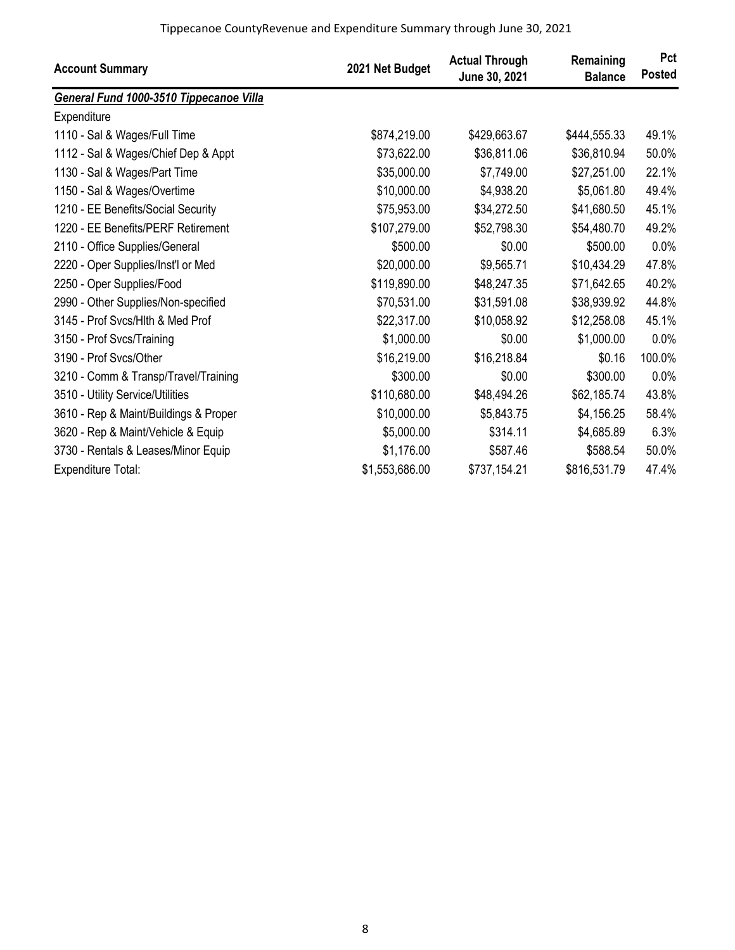| <b>Account Summary</b>                  | 2021 Net Budget | <b>Actual Through</b><br>June 30, 2021 | Remaining<br><b>Balance</b> | Pct<br><b>Posted</b> |
|-----------------------------------------|-----------------|----------------------------------------|-----------------------------|----------------------|
| General Fund 1000-3510 Tippecanoe Villa |                 |                                        |                             |                      |
| Expenditure                             |                 |                                        |                             |                      |
| 1110 - Sal & Wages/Full Time            | \$874,219.00    | \$429,663.67                           | \$444,555.33                | 49.1%                |
| 1112 - Sal & Wages/Chief Dep & Appt     | \$73,622.00     | \$36,811.06                            | \$36,810.94                 | 50.0%                |
| 1130 - Sal & Wages/Part Time            | \$35,000.00     | \$7,749.00                             | \$27,251.00                 | 22.1%                |
| 1150 - Sal & Wages/Overtime             | \$10,000.00     | \$4,938.20                             | \$5,061.80                  | 49.4%                |
| 1210 - EE Benefits/Social Security      | \$75,953.00     | \$34,272.50                            | \$41,680.50                 | 45.1%                |
| 1220 - EE Benefits/PERF Retirement      | \$107,279.00    | \$52,798.30                            | \$54,480.70                 | 49.2%                |
| 2110 - Office Supplies/General          | \$500.00        | \$0.00                                 | \$500.00                    | 0.0%                 |
| 2220 - Oper Supplies/Inst'l or Med      | \$20,000.00     | \$9,565.71                             | \$10,434.29                 | 47.8%                |
| 2250 - Oper Supplies/Food               | \$119,890.00    | \$48,247.35                            | \$71,642.65                 | 40.2%                |
| 2990 - Other Supplies/Non-specified     | \$70,531.00     | \$31,591.08                            | \$38,939.92                 | 44.8%                |
| 3145 - Prof Svcs/Hlth & Med Prof        | \$22,317.00     | \$10,058.92                            | \$12,258.08                 | 45.1%                |
| 3150 - Prof Svcs/Training               | \$1,000.00      | \$0.00                                 | \$1,000.00                  | 0.0%                 |
| 3190 - Prof Svcs/Other                  | \$16,219.00     | \$16,218.84                            | \$0.16                      | 100.0%               |
| 3210 - Comm & Transp/Travel/Training    | \$300.00        | \$0.00                                 | \$300.00                    | 0.0%                 |
| 3510 - Utility Service/Utilities        | \$110,680.00    | \$48,494.26                            | \$62,185.74                 | 43.8%                |
| 3610 - Rep & Maint/Buildings & Proper   | \$10,000.00     | \$5,843.75                             | \$4,156.25                  | 58.4%                |
| 3620 - Rep & Maint/Vehicle & Equip      | \$5,000.00      | \$314.11                               | \$4,685.89                  | 6.3%                 |
| 3730 - Rentals & Leases/Minor Equip     | \$1,176.00      | \$587.46                               | \$588.54                    | 50.0%                |
| <b>Expenditure Total:</b>               | \$1,553,686.00  | \$737,154.21                           | \$816,531.79                | 47.4%                |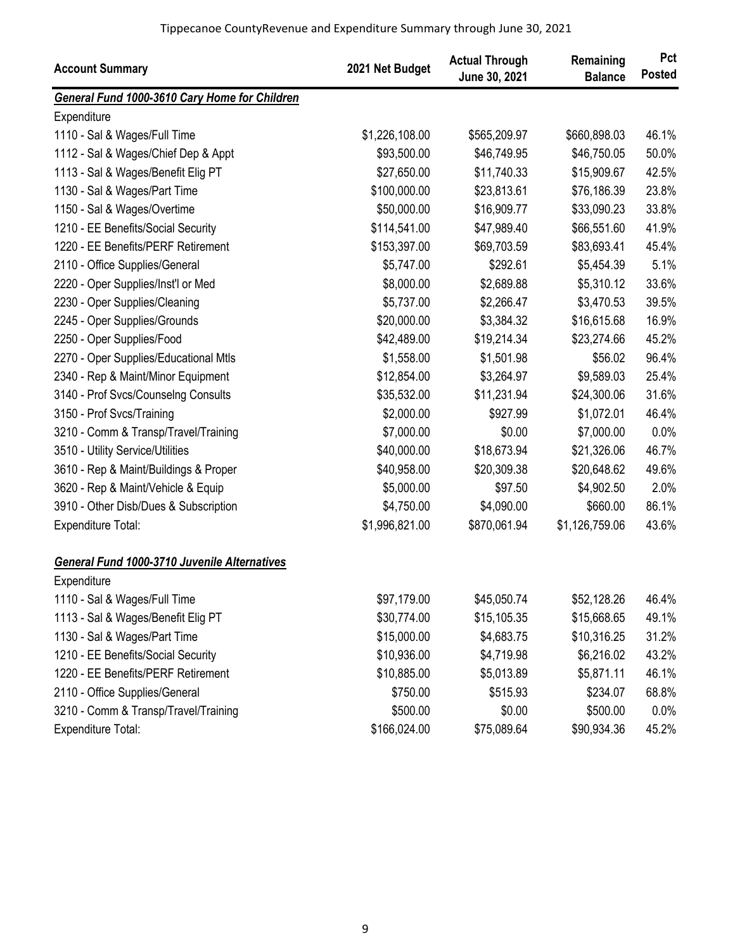| <b>Account Summary</b>                              | 2021 Net Budget | <b>Actual Through</b><br>June 30, 2021 | Remaining<br><b>Balance</b> | Pct<br><b>Posted</b> |
|-----------------------------------------------------|-----------------|----------------------------------------|-----------------------------|----------------------|
| General Fund 1000-3610 Cary Home for Children       |                 |                                        |                             |                      |
| Expenditure                                         |                 |                                        |                             |                      |
| 1110 - Sal & Wages/Full Time                        | \$1,226,108.00  | \$565,209.97                           | \$660,898.03                | 46.1%                |
| 1112 - Sal & Wages/Chief Dep & Appt                 | \$93,500.00     | \$46,749.95                            | \$46,750.05                 | 50.0%                |
| 1113 - Sal & Wages/Benefit Elig PT                  | \$27,650.00     | \$11,740.33                            | \$15,909.67                 | 42.5%                |
| 1130 - Sal & Wages/Part Time                        | \$100,000.00    | \$23,813.61                            | \$76,186.39                 | 23.8%                |
| 1150 - Sal & Wages/Overtime                         | \$50,000.00     | \$16,909.77                            | \$33,090.23                 | 33.8%                |
| 1210 - EE Benefits/Social Security                  | \$114,541.00    | \$47,989.40                            | \$66,551.60                 | 41.9%                |
| 1220 - EE Benefits/PERF Retirement                  | \$153,397.00    | \$69,703.59                            | \$83,693.41                 | 45.4%                |
| 2110 - Office Supplies/General                      | \$5,747.00      | \$292.61                               | \$5,454.39                  | 5.1%                 |
| 2220 - Oper Supplies/Inst'l or Med                  | \$8,000.00      | \$2,689.88                             | \$5,310.12                  | 33.6%                |
| 2230 - Oper Supplies/Cleaning                       | \$5,737.00      | \$2,266.47                             | \$3,470.53                  | 39.5%                |
| 2245 - Oper Supplies/Grounds                        | \$20,000.00     | \$3,384.32                             | \$16,615.68                 | 16.9%                |
| 2250 - Oper Supplies/Food                           | \$42,489.00     | \$19,214.34                            | \$23,274.66                 | 45.2%                |
| 2270 - Oper Supplies/Educational Mtls               | \$1,558.00      | \$1,501.98                             | \$56.02                     | 96.4%                |
| 2340 - Rep & Maint/Minor Equipment                  | \$12,854.00     | \$3,264.97                             | \$9,589.03                  | 25.4%                |
| 3140 - Prof Svcs/Counselng Consults                 | \$35,532.00     | \$11,231.94                            | \$24,300.06                 | 31.6%                |
| 3150 - Prof Svcs/Training                           | \$2,000.00      | \$927.99                               | \$1,072.01                  | 46.4%                |
| 3210 - Comm & Transp/Travel/Training                | \$7,000.00      | \$0.00                                 | \$7,000.00                  | 0.0%                 |
| 3510 - Utility Service/Utilities                    | \$40,000.00     | \$18,673.94                            | \$21,326.06                 | 46.7%                |
| 3610 - Rep & Maint/Buildings & Proper               | \$40,958.00     | \$20,309.38                            | \$20,648.62                 | 49.6%                |
| 3620 - Rep & Maint/Vehicle & Equip                  | \$5,000.00      | \$97.50                                | \$4,902.50                  | 2.0%                 |
| 3910 - Other Disb/Dues & Subscription               | \$4,750.00      | \$4,090.00                             | \$660.00                    | 86.1%                |
| Expenditure Total:                                  | \$1,996,821.00  | \$870,061.94                           | \$1,126,759.06              | 43.6%                |
| <b>General Fund 1000-3710 Juvenile Alternatives</b> |                 |                                        |                             |                      |
| Expenditure                                         |                 |                                        |                             |                      |
| 1110 - Sal & Wages/Full Time                        | \$97,179.00     | \$45,050.74                            | \$52,128.26                 | 46.4%                |
| 1113 - Sal & Wages/Benefit Elig PT                  | \$30,774.00     | \$15,105.35                            | \$15,668.65                 | 49.1%                |
| 1130 - Sal & Wages/Part Time                        | \$15,000.00     | \$4,683.75                             | \$10,316.25                 | 31.2%                |
| 1210 - EE Benefits/Social Security                  | \$10,936.00     | \$4,719.98                             | \$6,216.02                  | 43.2%                |
| 1220 - EE Benefits/PERF Retirement                  | \$10,885.00     | \$5,013.89                             | \$5,871.11                  | 46.1%                |
| 2110 - Office Supplies/General                      | \$750.00        | \$515.93                               | \$234.07                    | 68.8%                |
| 3210 - Comm & Transp/Travel/Training                | \$500.00        | \$0.00                                 | \$500.00                    | 0.0%                 |
| Expenditure Total:                                  | \$166,024.00    | \$75,089.64                            | \$90,934.36                 | 45.2%                |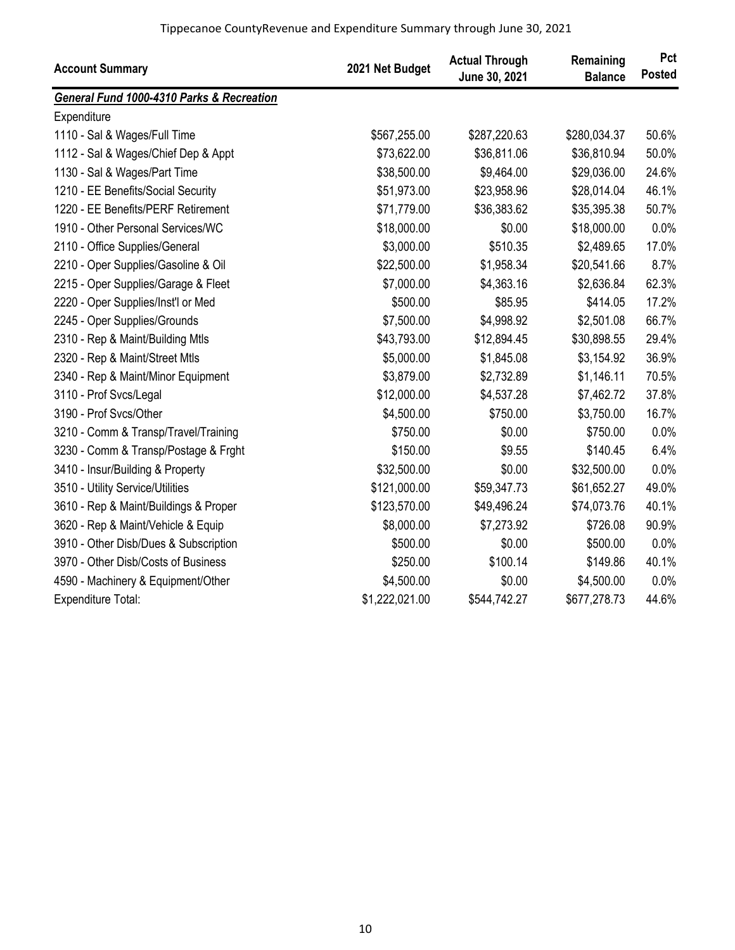| <b>Account Summary</b>                               | 2021 Net Budget | <b>Actual Through</b><br>June 30, 2021 | Remaining<br><b>Balance</b> | Pct<br><b>Posted</b> |
|------------------------------------------------------|-----------------|----------------------------------------|-----------------------------|----------------------|
| <b>General Fund 1000-4310 Parks &amp; Recreation</b> |                 |                                        |                             |                      |
| Expenditure                                          |                 |                                        |                             |                      |
| 1110 - Sal & Wages/Full Time                         | \$567,255.00    | \$287,220.63                           | \$280,034.37                | 50.6%                |
| 1112 - Sal & Wages/Chief Dep & Appt                  | \$73,622.00     | \$36,811.06                            | \$36,810.94                 | 50.0%                |
| 1130 - Sal & Wages/Part Time                         | \$38,500.00     | \$9,464.00                             | \$29,036.00                 | 24.6%                |
| 1210 - EE Benefits/Social Security                   | \$51,973.00     | \$23,958.96                            | \$28,014.04                 | 46.1%                |
| 1220 - EE Benefits/PERF Retirement                   | \$71,779.00     | \$36,383.62                            | \$35,395.38                 | 50.7%                |
| 1910 - Other Personal Services/WC                    | \$18,000.00     | \$0.00                                 | \$18,000.00                 | 0.0%                 |
| 2110 - Office Supplies/General                       | \$3,000.00      | \$510.35                               | \$2,489.65                  | 17.0%                |
| 2210 - Oper Supplies/Gasoline & Oil                  | \$22,500.00     | \$1,958.34                             | \$20,541.66                 | 8.7%                 |
| 2215 - Oper Supplies/Garage & Fleet                  | \$7,000.00      | \$4,363.16                             | \$2,636.84                  | 62.3%                |
| 2220 - Oper Supplies/Inst'l or Med                   | \$500.00        | \$85.95                                | \$414.05                    | 17.2%                |
| 2245 - Oper Supplies/Grounds                         | \$7,500.00      | \$4,998.92                             | \$2,501.08                  | 66.7%                |
| 2310 - Rep & Maint/Building Mtls                     | \$43,793.00     | \$12,894.45                            | \$30,898.55                 | 29.4%                |
| 2320 - Rep & Maint/Street Mtls                       | \$5,000.00      | \$1,845.08                             | \$3,154.92                  | 36.9%                |
| 2340 - Rep & Maint/Minor Equipment                   | \$3,879.00      | \$2,732.89                             | \$1,146.11                  | 70.5%                |
| 3110 - Prof Svcs/Legal                               | \$12,000.00     | \$4,537.28                             | \$7,462.72                  | 37.8%                |
| 3190 - Prof Svcs/Other                               | \$4,500.00      | \$750.00                               | \$3,750.00                  | 16.7%                |
| 3210 - Comm & Transp/Travel/Training                 | \$750.00        | \$0.00                                 | \$750.00                    | 0.0%                 |
| 3230 - Comm & Transp/Postage & Frght                 | \$150.00        | \$9.55                                 | \$140.45                    | 6.4%                 |
| 3410 - Insur/Building & Property                     | \$32,500.00     | \$0.00                                 | \$32,500.00                 | 0.0%                 |
| 3510 - Utility Service/Utilities                     | \$121,000.00    | \$59,347.73                            | \$61,652.27                 | 49.0%                |
| 3610 - Rep & Maint/Buildings & Proper                | \$123,570.00    | \$49,496.24                            | \$74,073.76                 | 40.1%                |
| 3620 - Rep & Maint/Vehicle & Equip                   | \$8,000.00      | \$7,273.92                             | \$726.08                    | 90.9%                |
| 3910 - Other Disb/Dues & Subscription                | \$500.00        | \$0.00                                 | \$500.00                    | 0.0%                 |
| 3970 - Other Disb/Costs of Business                  | \$250.00        | \$100.14                               | \$149.86                    | 40.1%                |
| 4590 - Machinery & Equipment/Other                   | \$4,500.00      | \$0.00                                 | \$4,500.00                  | 0.0%                 |
| <b>Expenditure Total:</b>                            | \$1,222,021.00  | \$544,742.27                           | \$677,278.73                | 44.6%                |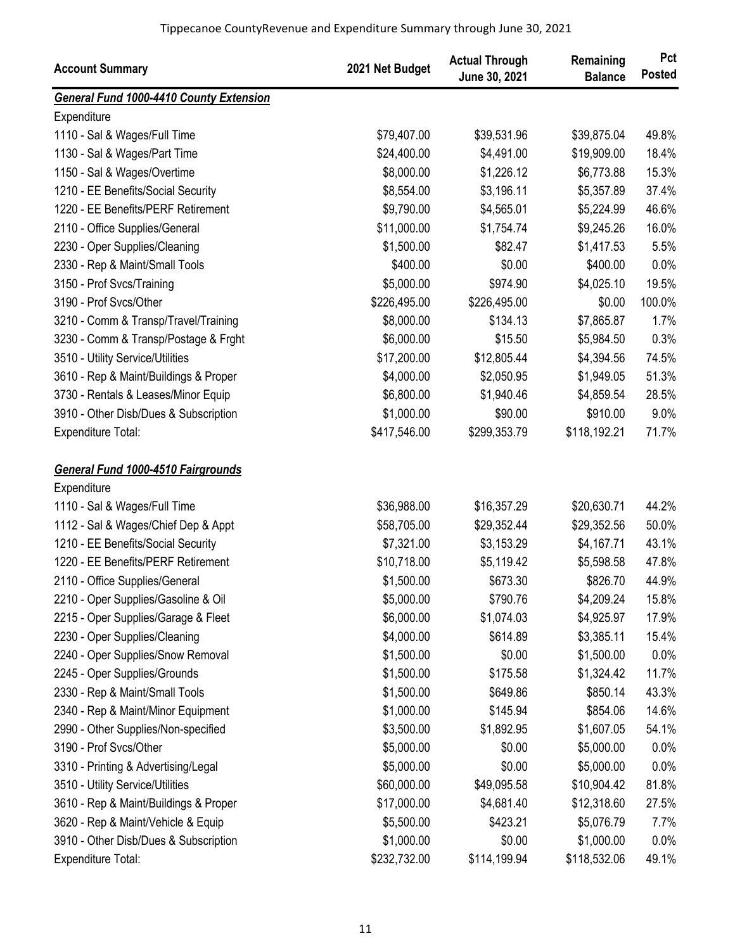| <b>Account Summary</b>                         | 2021 Net Budget | <b>Actual Through</b><br>June 30, 2021 | Remaining<br><b>Balance</b> | Pct<br><b>Posted</b> |
|------------------------------------------------|-----------------|----------------------------------------|-----------------------------|----------------------|
| <b>General Fund 1000-4410 County Extension</b> |                 |                                        |                             |                      |
| Expenditure                                    |                 |                                        |                             |                      |
| 1110 - Sal & Wages/Full Time                   | \$79,407.00     | \$39,531.96                            | \$39,875.04                 | 49.8%                |
| 1130 - Sal & Wages/Part Time                   | \$24,400.00     | \$4,491.00                             | \$19,909.00                 | 18.4%                |
| 1150 - Sal & Wages/Overtime                    | \$8,000.00      | \$1,226.12                             | \$6,773.88                  | 15.3%                |
| 1210 - EE Benefits/Social Security             | \$8,554.00      | \$3,196.11                             | \$5,357.89                  | 37.4%                |
| 1220 - EE Benefits/PERF Retirement             | \$9,790.00      | \$4,565.01                             | \$5,224.99                  | 46.6%                |
| 2110 - Office Supplies/General                 | \$11,000.00     | \$1,754.74                             | \$9,245.26                  | 16.0%                |
| 2230 - Oper Supplies/Cleaning                  | \$1,500.00      | \$82.47                                | \$1,417.53                  | 5.5%                 |
| 2330 - Rep & Maint/Small Tools                 | \$400.00        | \$0.00                                 | \$400.00                    | 0.0%                 |
| 3150 - Prof Svcs/Training                      | \$5,000.00      | \$974.90                               | \$4,025.10                  | 19.5%                |
| 3190 - Prof Svcs/Other                         | \$226,495.00    | \$226,495.00                           | \$0.00                      | 100.0%               |
| 3210 - Comm & Transp/Travel/Training           | \$8,000.00      | \$134.13                               | \$7,865.87                  | 1.7%                 |
| 3230 - Comm & Transp/Postage & Frght           | \$6,000.00      | \$15.50                                | \$5,984.50                  | 0.3%                 |
| 3510 - Utility Service/Utilities               | \$17,200.00     | \$12,805.44                            | \$4,394.56                  | 74.5%                |
| 3610 - Rep & Maint/Buildings & Proper          | \$4,000.00      | \$2,050.95                             | \$1,949.05                  | 51.3%                |
| 3730 - Rentals & Leases/Minor Equip            | \$6,800.00      | \$1,940.46                             | \$4,859.54                  | 28.5%                |
| 3910 - Other Disb/Dues & Subscription          | \$1,000.00      | \$90.00                                | \$910.00                    | 9.0%                 |
| Expenditure Total:                             | \$417,546.00    | \$299,353.79                           | \$118,192.21                | 71.7%                |
| <b>General Fund 1000-4510 Fairgrounds</b>      |                 |                                        |                             |                      |
| Expenditure                                    |                 |                                        |                             |                      |
| 1110 - Sal & Wages/Full Time                   | \$36,988.00     | \$16,357.29                            | \$20,630.71                 | 44.2%                |
| 1112 - Sal & Wages/Chief Dep & Appt            | \$58,705.00     | \$29,352.44                            | \$29,352.56                 | 50.0%                |
| 1210 - EE Benefits/Social Security             | \$7,321.00      | \$3,153.29                             | \$4,167.71                  | 43.1%                |
| 1220 - EE Benefits/PERF Retirement             | \$10,718.00     | \$5,119.42                             | \$5,598.58                  | 47.8%                |
| 2110 - Office Supplies/General                 | \$1,500.00      | \$673.30                               | \$826.70                    | 44.9%                |
| 2210 - Oper Supplies/Gasoline & Oil            | \$5,000.00      | \$790.76                               | \$4,209.24                  | 15.8%                |
| 2215 - Oper Supplies/Garage & Fleet            | \$6,000.00      | \$1,074.03                             | \$4,925.97                  | 17.9%                |
| 2230 - Oper Supplies/Cleaning                  | \$4,000.00      | \$614.89                               | \$3,385.11                  | 15.4%                |
| 2240 - Oper Supplies/Snow Removal              | \$1,500.00      | \$0.00                                 | \$1,500.00                  | 0.0%                 |
| 2245 - Oper Supplies/Grounds                   | \$1,500.00      | \$175.58                               | \$1,324.42                  | 11.7%                |
| 2330 - Rep & Maint/Small Tools                 | \$1,500.00      | \$649.86                               | \$850.14                    | 43.3%                |
| 2340 - Rep & Maint/Minor Equipment             | \$1,000.00      | \$145.94                               | \$854.06                    | 14.6%                |
| 2990 - Other Supplies/Non-specified            | \$3,500.00      | \$1,892.95                             | \$1,607.05                  | 54.1%                |
| 3190 - Prof Svcs/Other                         | \$5,000.00      | \$0.00                                 | \$5,000.00                  | 0.0%                 |
| 3310 - Printing & Advertising/Legal            | \$5,000.00      | \$0.00                                 | \$5,000.00                  | 0.0%                 |
| 3510 - Utility Service/Utilities               | \$60,000.00     | \$49,095.58                            | \$10,904.42                 | 81.8%                |
| 3610 - Rep & Maint/Buildings & Proper          | \$17,000.00     | \$4,681.40                             | \$12,318.60                 | 27.5%                |
| 3620 - Rep & Maint/Vehicle & Equip             | \$5,500.00      | \$423.21                               | \$5,076.79                  | 7.7%                 |
| 3910 - Other Disb/Dues & Subscription          | \$1,000.00      | \$0.00                                 | \$1,000.00                  | 0.0%                 |
| Expenditure Total:                             | \$232,732.00    | \$114,199.94                           | \$118,532.06                | 49.1%                |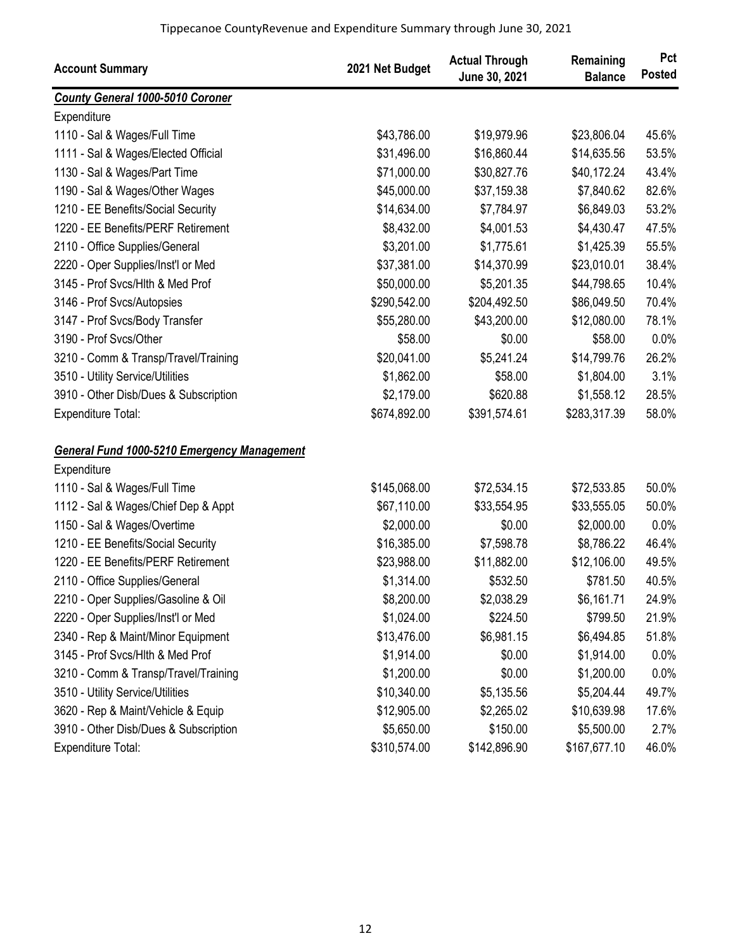| <b>Account Summary</b>                             | 2021 Net Budget | <b>Actual Through</b><br>June 30, 2021 | Remaining<br><b>Balance</b> | Pct<br><b>Posted</b> |
|----------------------------------------------------|-----------------|----------------------------------------|-----------------------------|----------------------|
| <b>County General 1000-5010 Coroner</b>            |                 |                                        |                             |                      |
| Expenditure                                        |                 |                                        |                             |                      |
| 1110 - Sal & Wages/Full Time                       | \$43,786.00     | \$19,979.96                            | \$23,806.04                 | 45.6%                |
| 1111 - Sal & Wages/Elected Official                | \$31,496.00     | \$16,860.44                            | \$14,635.56                 | 53.5%                |
| 1130 - Sal & Wages/Part Time                       | \$71,000.00     | \$30,827.76                            | \$40,172.24                 | 43.4%                |
| 1190 - Sal & Wages/Other Wages                     | \$45,000.00     | \$37,159.38                            | \$7,840.62                  | 82.6%                |
| 1210 - EE Benefits/Social Security                 | \$14,634.00     | \$7,784.97                             | \$6,849.03                  | 53.2%                |
| 1220 - EE Benefits/PERF Retirement                 | \$8,432.00      | \$4,001.53                             | \$4,430.47                  | 47.5%                |
| 2110 - Office Supplies/General                     | \$3,201.00      | \$1,775.61                             | \$1,425.39                  | 55.5%                |
| 2220 - Oper Supplies/Inst'l or Med                 | \$37,381.00     | \$14,370.99                            | \$23,010.01                 | 38.4%                |
| 3145 - Prof Svcs/Hlth & Med Prof                   | \$50,000.00     | \$5,201.35                             | \$44,798.65                 | 10.4%                |
| 3146 - Prof Svcs/Autopsies                         | \$290,542.00    | \$204,492.50                           | \$86,049.50                 | 70.4%                |
| 3147 - Prof Svcs/Body Transfer                     | \$55,280.00     | \$43,200.00                            | \$12,080.00                 | 78.1%                |
| 3190 - Prof Svcs/Other                             | \$58.00         | \$0.00                                 | \$58.00                     | 0.0%                 |
| 3210 - Comm & Transp/Travel/Training               | \$20,041.00     | \$5,241.24                             | \$14,799.76                 | 26.2%                |
| 3510 - Utility Service/Utilities                   | \$1,862.00      | \$58.00                                | \$1,804.00                  | 3.1%                 |
| 3910 - Other Disb/Dues & Subscription              | \$2,179.00      | \$620.88                               | \$1,558.12                  | 28.5%                |
| Expenditure Total:                                 | \$674,892.00    | \$391,574.61                           | \$283,317.39                | 58.0%                |
| <b>General Fund 1000-5210 Emergency Management</b> |                 |                                        |                             |                      |
| Expenditure                                        |                 |                                        |                             |                      |
| 1110 - Sal & Wages/Full Time                       | \$145,068.00    | \$72,534.15                            | \$72,533.85                 | 50.0%                |
| 1112 - Sal & Wages/Chief Dep & Appt                | \$67,110.00     | \$33,554.95                            | \$33,555.05                 | 50.0%                |
| 1150 - Sal & Wages/Overtime                        | \$2,000.00      | \$0.00                                 | \$2,000.00                  | 0.0%                 |
| 1210 - EE Benefits/Social Security                 | \$16,385.00     | \$7,598.78                             | \$8,786.22                  | 46.4%                |
| 1220 - EE Benefits/PERF Retirement                 | \$23,988.00     | \$11,882.00                            | \$12,106.00                 | 49.5%                |
| 2110 - Office Supplies/General                     | \$1,314.00      | \$532.50                               | \$781.50                    | 40.5%                |
| 2210 - Oper Supplies/Gasoline & Oil                | \$8,200.00      | \$2,038.29                             | \$6,161.71                  | 24.9%                |
| 2220 - Oper Supplies/Inst'l or Med                 | \$1,024.00      | \$224.50                               | \$799.50                    | 21.9%                |
| 2340 - Rep & Maint/Minor Equipment                 | \$13,476.00     | \$6,981.15                             | \$6,494.85                  | 51.8%                |
| 3145 - Prof Svcs/Hlth & Med Prof                   | \$1,914.00      | \$0.00                                 | \$1,914.00                  | 0.0%                 |
| 3210 - Comm & Transp/Travel/Training               | \$1,200.00      | \$0.00                                 | \$1,200.00                  | 0.0%                 |
| 3510 - Utility Service/Utilities                   | \$10,340.00     | \$5,135.56                             | \$5,204.44                  | 49.7%                |
| 3620 - Rep & Maint/Vehicle & Equip                 | \$12,905.00     | \$2,265.02                             | \$10,639.98                 | 17.6%                |
| 3910 - Other Disb/Dues & Subscription              | \$5,650.00      | \$150.00                               | \$5,500.00                  | 2.7%                 |
| Expenditure Total:                                 | \$310,574.00    | \$142,896.90                           | \$167,677.10                | 46.0%                |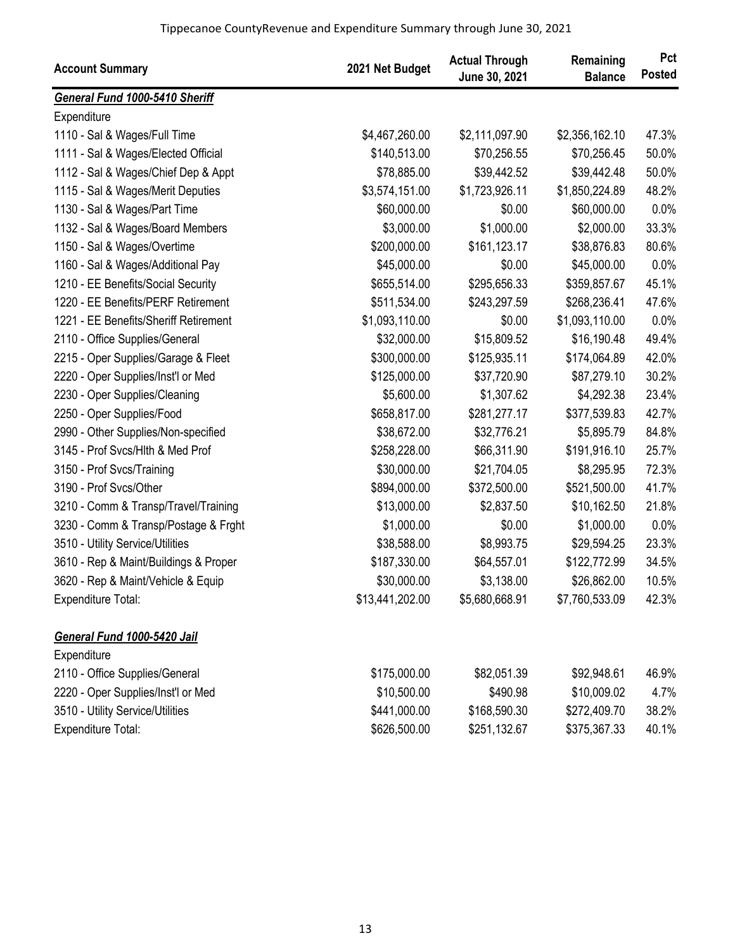| <b>Account Summary</b>                | 2021 Net Budget | <b>Actual Through</b><br>June 30, 2021 | Remaining<br><b>Balance</b> | Pct<br><b>Posted</b> |
|---------------------------------------|-----------------|----------------------------------------|-----------------------------|----------------------|
| General Fund 1000-5410 Sheriff        |                 |                                        |                             |                      |
| Expenditure                           |                 |                                        |                             |                      |
| 1110 - Sal & Wages/Full Time          | \$4,467,260.00  | \$2,111,097.90                         | \$2,356,162.10              | 47.3%                |
| 1111 - Sal & Wages/Elected Official   | \$140,513.00    | \$70,256.55                            | \$70,256.45                 | 50.0%                |
| 1112 - Sal & Wages/Chief Dep & Appt   | \$78,885.00     | \$39,442.52                            | \$39,442.48                 | 50.0%                |
| 1115 - Sal & Wages/Merit Deputies     | \$3,574,151.00  | \$1,723,926.11                         | \$1,850,224.89              | 48.2%                |
| 1130 - Sal & Wages/Part Time          | \$60,000.00     | \$0.00                                 | \$60,000.00                 | 0.0%                 |
| 1132 - Sal & Wages/Board Members      | \$3,000.00      | \$1,000.00                             | \$2,000.00                  | 33.3%                |
| 1150 - Sal & Wages/Overtime           | \$200,000.00    | \$161,123.17                           | \$38,876.83                 | 80.6%                |
| 1160 - Sal & Wages/Additional Pay     | \$45,000.00     | \$0.00                                 | \$45,000.00                 | 0.0%                 |
| 1210 - EE Benefits/Social Security    | \$655,514.00    | \$295,656.33                           | \$359,857.67                | 45.1%                |
| 1220 - EE Benefits/PERF Retirement    | \$511,534.00    | \$243,297.59                           | \$268,236.41                | 47.6%                |
| 1221 - EE Benefits/Sheriff Retirement | \$1,093,110.00  | \$0.00                                 | \$1,093,110.00              | 0.0%                 |
| 2110 - Office Supplies/General        | \$32,000.00     | \$15,809.52                            | \$16,190.48                 | 49.4%                |
| 2215 - Oper Supplies/Garage & Fleet   | \$300,000.00    | \$125,935.11                           | \$174,064.89                | 42.0%                |
| 2220 - Oper Supplies/Inst'l or Med    | \$125,000.00    | \$37,720.90                            | \$87,279.10                 | 30.2%                |
| 2230 - Oper Supplies/Cleaning         | \$5,600.00      | \$1,307.62                             | \$4,292.38                  | 23.4%                |
| 2250 - Oper Supplies/Food             | \$658,817.00    | \$281,277.17                           | \$377,539.83                | 42.7%                |
| 2990 - Other Supplies/Non-specified   | \$38,672.00     | \$32,776.21                            | \$5,895.79                  | 84.8%                |
| 3145 - Prof Svcs/Hlth & Med Prof      | \$258,228.00    | \$66,311.90                            | \$191,916.10                | 25.7%                |
| 3150 - Prof Svcs/Training             | \$30,000.00     | \$21,704.05                            | \$8,295.95                  | 72.3%                |
| 3190 - Prof Svcs/Other                | \$894,000.00    | \$372,500.00                           | \$521,500.00                | 41.7%                |
| 3210 - Comm & Transp/Travel/Training  | \$13,000.00     | \$2,837.50                             | \$10,162.50                 | 21.8%                |
| 3230 - Comm & Transp/Postage & Frght  | \$1,000.00      | \$0.00                                 | \$1,000.00                  | 0.0%                 |
| 3510 - Utility Service/Utilities      | \$38,588.00     | \$8,993.75                             | \$29,594.25                 | 23.3%                |
| 3610 - Rep & Maint/Buildings & Proper | \$187,330.00    | \$64,557.01                            | \$122,772.99                | 34.5%                |
| 3620 - Rep & Maint/Vehicle & Equip    | \$30,000.00     | \$3,138.00                             | \$26,862.00                 | 10.5%                |
| Expenditure Total:                    | \$13,441,202.00 | \$5,680,668.91                         | \$7,760,533.09              | 42.3%                |
| General Fund 1000-5420 Jail           |                 |                                        |                             |                      |
| Expenditure                           |                 |                                        |                             |                      |
| 2110 - Office Supplies/General        | \$175,000.00    | \$82,051.39                            | \$92,948.61                 | 46.9%                |
| 2220 - Oper Supplies/Inst'l or Med    | \$10,500.00     | \$490.98                               | \$10,009.02                 | 4.7%                 |
| 3510 - Utility Service/Utilities      | \$441,000.00    | \$168,590.30                           | \$272,409.70                | 38.2%                |
| Expenditure Total:                    | \$626,500.00    | \$251,132.67                           | \$375,367.33                | 40.1%                |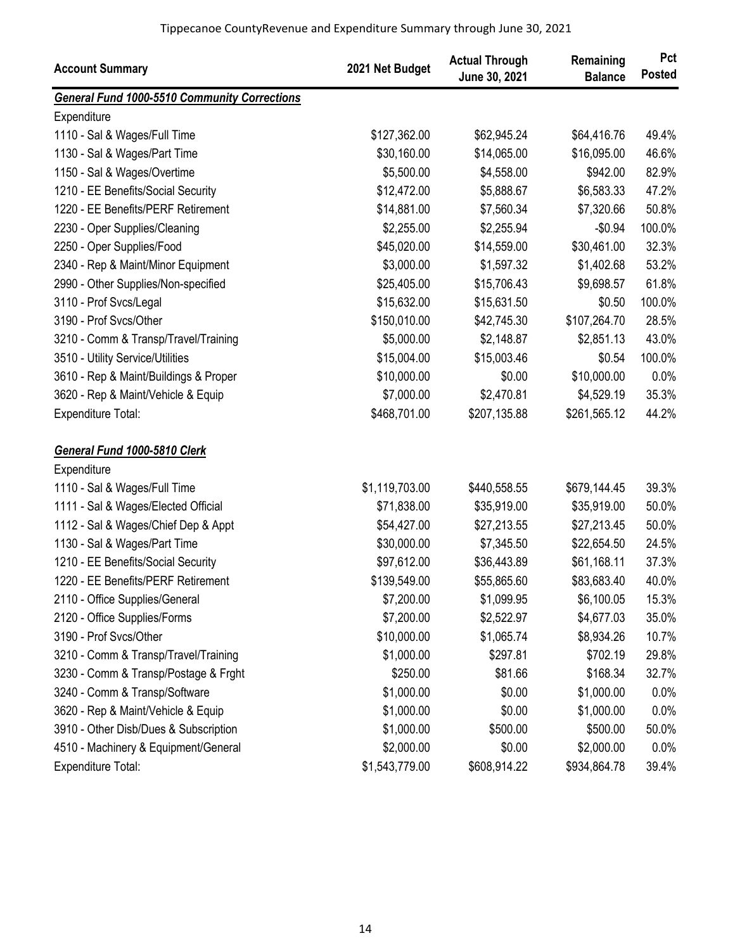| <b>Account Summary</b>                              | 2021 Net Budget | <b>Actual Through</b><br>June 30, 2021 | Remaining<br><b>Balance</b> | Pct<br><b>Posted</b> |
|-----------------------------------------------------|-----------------|----------------------------------------|-----------------------------|----------------------|
| <b>General Fund 1000-5510 Community Corrections</b> |                 |                                        |                             |                      |
| Expenditure                                         |                 |                                        |                             |                      |
| 1110 - Sal & Wages/Full Time                        | \$127,362.00    | \$62,945.24                            | \$64,416.76                 | 49.4%                |
| 1130 - Sal & Wages/Part Time                        | \$30,160.00     | \$14,065.00                            | \$16,095.00                 | 46.6%                |
| 1150 - Sal & Wages/Overtime                         | \$5,500.00      | \$4,558.00                             | \$942.00                    | 82.9%                |
| 1210 - EE Benefits/Social Security                  | \$12,472.00     | \$5,888.67                             | \$6,583.33                  | 47.2%                |
| 1220 - EE Benefits/PERF Retirement                  | \$14,881.00     | \$7,560.34                             | \$7,320.66                  | 50.8%                |
| 2230 - Oper Supplies/Cleaning                       | \$2,255.00      | \$2,255.94                             | $-$0.94$                    | 100.0%               |
| 2250 - Oper Supplies/Food                           | \$45,020.00     | \$14,559.00                            | \$30,461.00                 | 32.3%                |
| 2340 - Rep & Maint/Minor Equipment                  | \$3,000.00      | \$1,597.32                             | \$1,402.68                  | 53.2%                |
| 2990 - Other Supplies/Non-specified                 | \$25,405.00     | \$15,706.43                            | \$9,698.57                  | 61.8%                |
| 3110 - Prof Svcs/Legal                              | \$15,632.00     | \$15,631.50                            | \$0.50                      | 100.0%               |
| 3190 - Prof Svcs/Other                              | \$150,010.00    | \$42,745.30                            | \$107,264.70                | 28.5%                |
| 3210 - Comm & Transp/Travel/Training                | \$5,000.00      | \$2,148.87                             | \$2,851.13                  | 43.0%                |
| 3510 - Utility Service/Utilities                    | \$15,004.00     | \$15,003.46                            | \$0.54                      | 100.0%               |
| 3610 - Rep & Maint/Buildings & Proper               | \$10,000.00     | \$0.00                                 | \$10,000.00                 | 0.0%                 |
| 3620 - Rep & Maint/Vehicle & Equip                  | \$7,000.00      | \$2,470.81                             | \$4,529.19                  | 35.3%                |
| Expenditure Total:                                  | \$468,701.00    | \$207,135.88                           | \$261,565.12                | 44.2%                |
| General Fund 1000-5810 Clerk                        |                 |                                        |                             |                      |
| Expenditure                                         |                 |                                        |                             |                      |
| 1110 - Sal & Wages/Full Time                        | \$1,119,703.00  | \$440,558.55                           | \$679,144.45                | 39.3%                |
| 1111 - Sal & Wages/Elected Official                 | \$71,838.00     | \$35,919.00                            | \$35,919.00                 | 50.0%                |
| 1112 - Sal & Wages/Chief Dep & Appt                 | \$54,427.00     | \$27,213.55                            | \$27,213.45                 | 50.0%                |
| 1130 - Sal & Wages/Part Time                        | \$30,000.00     | \$7,345.50                             | \$22,654.50                 | 24.5%                |
| 1210 - EE Benefits/Social Security                  | \$97,612.00     | \$36,443.89                            | \$61,168.11                 | 37.3%                |
| 1220 - EE Benefits/PERF Retirement                  | \$139,549.00    | \$55,865.60                            | \$83,683.40                 | 40.0%                |
| 2110 - Office Supplies/General                      | \$7,200.00      | \$1,099.95                             | \$6,100.05                  | 15.3%                |
| 2120 - Office Supplies/Forms                        | \$7,200.00      | \$2,522.97                             | \$4,677.03                  | 35.0%                |
| 3190 - Prof Svcs/Other                              | \$10,000.00     | \$1,065.74                             | \$8,934.26                  | 10.7%                |
| 3210 - Comm & Transp/Travel/Training                | \$1,000.00      | \$297.81                               | \$702.19                    | 29.8%                |
| 3230 - Comm & Transp/Postage & Frght                | \$250.00        | \$81.66                                | \$168.34                    | 32.7%                |
| 3240 - Comm & Transp/Software                       | \$1,000.00      | \$0.00                                 | \$1,000.00                  | 0.0%                 |
| 3620 - Rep & Maint/Vehicle & Equip                  | \$1,000.00      | \$0.00                                 | \$1,000.00                  | 0.0%                 |
| 3910 - Other Disb/Dues & Subscription               | \$1,000.00      | \$500.00                               | \$500.00                    | 50.0%                |
| 4510 - Machinery & Equipment/General                | \$2,000.00      | \$0.00                                 | \$2,000.00                  | 0.0%                 |
| <b>Expenditure Total:</b>                           | \$1,543,779.00  | \$608,914.22                           | \$934,864.78                | 39.4%                |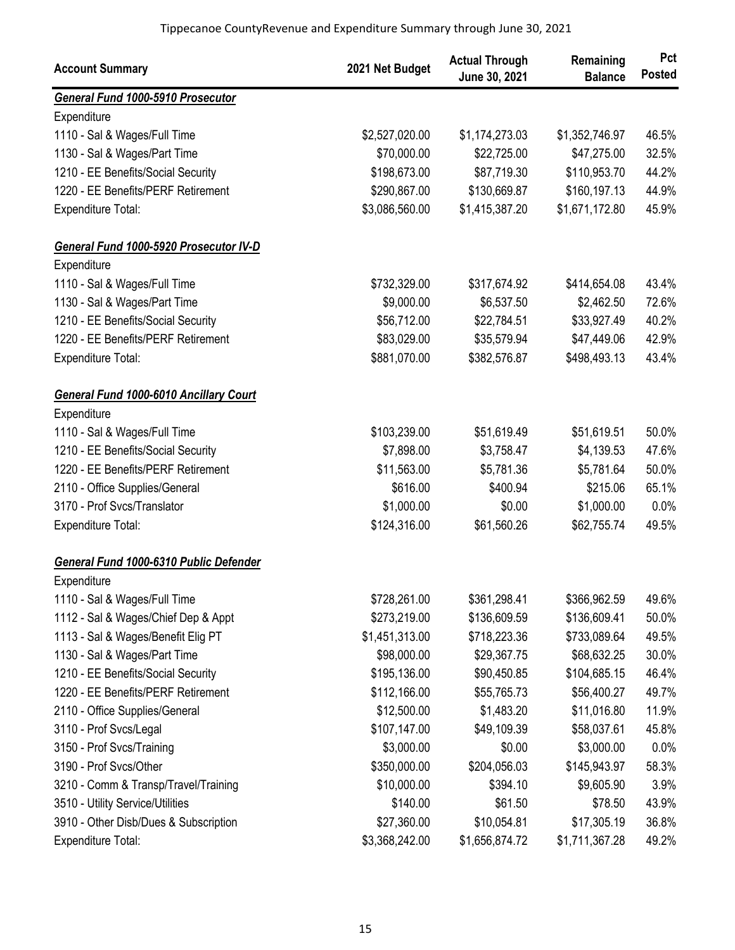| <b>Account Summary</b>                        | 2021 Net Budget | <b>Actual Through</b><br>June 30, 2021 | Remaining<br><b>Balance</b> | Pct<br><b>Posted</b> |
|-----------------------------------------------|-----------------|----------------------------------------|-----------------------------|----------------------|
| General Fund 1000-5910 Prosecutor             |                 |                                        |                             |                      |
| Expenditure                                   |                 |                                        |                             |                      |
| 1110 - Sal & Wages/Full Time                  | \$2,527,020.00  | \$1,174,273.03                         | \$1,352,746.97              | 46.5%                |
| 1130 - Sal & Wages/Part Time                  | \$70,000.00     | \$22,725.00                            | \$47,275.00                 | 32.5%                |
| 1210 - EE Benefits/Social Security            | \$198,673.00    | \$87,719.30                            | \$110,953.70                | 44.2%                |
| 1220 - EE Benefits/PERF Retirement            | \$290,867.00    | \$130,669.87                           | \$160,197.13                | 44.9%                |
| <b>Expenditure Total:</b>                     | \$3,086,560.00  | \$1,415,387.20                         | \$1,671,172.80              | 45.9%                |
| General Fund 1000-5920 Prosecutor IV-D        |                 |                                        |                             |                      |
| Expenditure                                   |                 |                                        |                             |                      |
| 1110 - Sal & Wages/Full Time                  | \$732,329.00    | \$317,674.92                           | \$414,654.08                | 43.4%                |
| 1130 - Sal & Wages/Part Time                  | \$9,000.00      | \$6,537.50                             | \$2,462.50                  | 72.6%                |
| 1210 - EE Benefits/Social Security            | \$56,712.00     | \$22,784.51                            | \$33,927.49                 | 40.2%                |
| 1220 - EE Benefits/PERF Retirement            | \$83,029.00     | \$35,579.94                            | \$47,449.06                 | 42.9%                |
| Expenditure Total:                            | \$881,070.00    | \$382,576.87                           | \$498,493.13                | 43.4%                |
| <b>General Fund 1000-6010 Ancillary Court</b> |                 |                                        |                             |                      |
| Expenditure                                   |                 |                                        |                             |                      |
| 1110 - Sal & Wages/Full Time                  | \$103,239.00    | \$51,619.49                            | \$51,619.51                 | 50.0%                |
| 1210 - EE Benefits/Social Security            | \$7,898.00      | \$3,758.47                             | \$4,139.53                  | 47.6%                |
| 1220 - EE Benefits/PERF Retirement            | \$11,563.00     | \$5,781.36                             | \$5,781.64                  | 50.0%                |
| 2110 - Office Supplies/General                | \$616.00        | \$400.94                               | \$215.06                    | 65.1%                |
| 3170 - Prof Svcs/Translator                   | \$1,000.00      | \$0.00                                 | \$1,000.00                  | 0.0%                 |
| <b>Expenditure Total:</b>                     | \$124,316.00    | \$61,560.26                            | \$62,755.74                 | 49.5%                |
| General Fund 1000-6310 Public Defender        |                 |                                        |                             |                      |
| Expenditure                                   |                 |                                        |                             |                      |
| 1110 - Sal & Wages/Full Time                  | \$728,261.00    | \$361,298.41                           | \$366,962.59                | 49.6%                |
| 1112 - Sal & Wages/Chief Dep & Appt           | \$273,219.00    | \$136,609.59                           | \$136,609.41                | 50.0%                |
| 1113 - Sal & Wages/Benefit Elig PT            | \$1,451,313.00  | \$718,223.36                           | \$733,089.64                | 49.5%                |
| 1130 - Sal & Wages/Part Time                  | \$98,000.00     | \$29,367.75                            | \$68,632.25                 | 30.0%                |
| 1210 - EE Benefits/Social Security            | \$195,136.00    | \$90,450.85                            | \$104,685.15                | 46.4%                |
| 1220 - EE Benefits/PERF Retirement            | \$112,166.00    | \$55,765.73                            | \$56,400.27                 | 49.7%                |
| 2110 - Office Supplies/General                | \$12,500.00     | \$1,483.20                             | \$11,016.80                 | 11.9%                |
| 3110 - Prof Svcs/Legal                        | \$107,147.00    | \$49,109.39                            | \$58,037.61                 | 45.8%                |
| 3150 - Prof Svcs/Training                     | \$3,000.00      | \$0.00                                 | \$3,000.00                  | 0.0%                 |
| 3190 - Prof Svcs/Other                        | \$350,000.00    | \$204,056.03                           | \$145,943.97                | 58.3%                |
| 3210 - Comm & Transp/Travel/Training          | \$10,000.00     | \$394.10                               | \$9,605.90                  | 3.9%                 |
| 3510 - Utility Service/Utilities              | \$140.00        | \$61.50                                | \$78.50                     | 43.9%                |
| 3910 - Other Disb/Dues & Subscription         | \$27,360.00     | \$10,054.81                            | \$17,305.19                 | 36.8%                |
| Expenditure Total:                            | \$3,368,242.00  | \$1,656,874.72                         | \$1,711,367.28              | 49.2%                |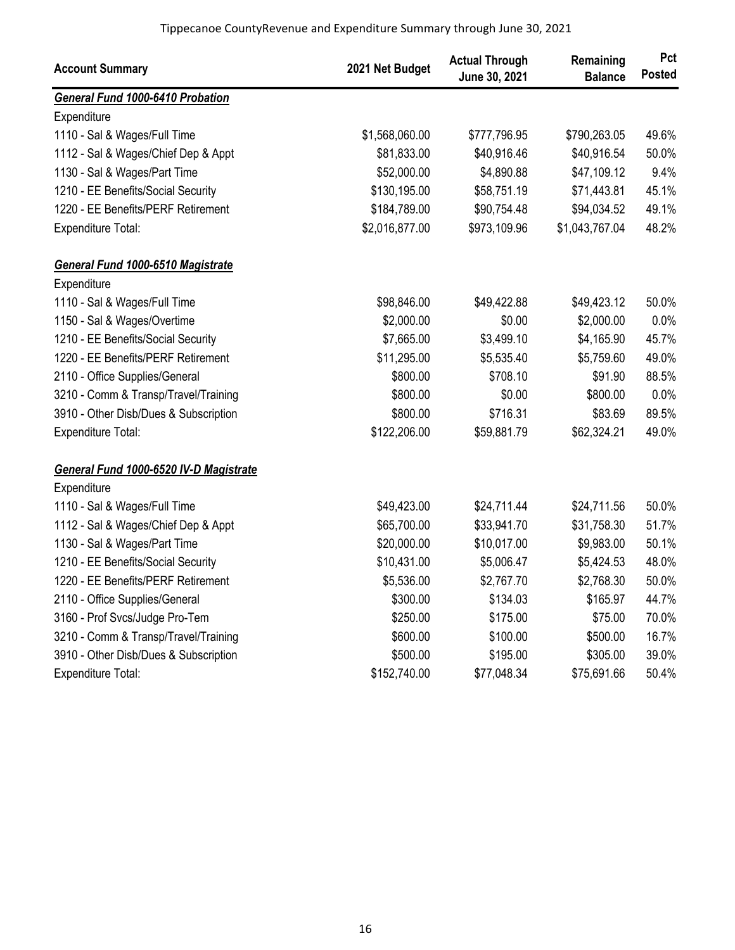| <b>Account Summary</b>                 | 2021 Net Budget | <b>Actual Through</b><br>June 30, 2021 | Remaining<br><b>Balance</b> | Pct<br><b>Posted</b> |
|----------------------------------------|-----------------|----------------------------------------|-----------------------------|----------------------|
| General Fund 1000-6410 Probation       |                 |                                        |                             |                      |
| Expenditure                            |                 |                                        |                             |                      |
| 1110 - Sal & Wages/Full Time           | \$1,568,060.00  | \$777,796.95                           | \$790,263.05                | 49.6%                |
| 1112 - Sal & Wages/Chief Dep & Appt    | \$81,833.00     | \$40,916.46                            | \$40,916.54                 | 50.0%                |
| 1130 - Sal & Wages/Part Time           | \$52,000.00     | \$4,890.88                             | \$47,109.12                 | 9.4%                 |
| 1210 - EE Benefits/Social Security     | \$130,195.00    | \$58,751.19                            | \$71,443.81                 | 45.1%                |
| 1220 - EE Benefits/PERF Retirement     | \$184,789.00    | \$90,754.48                            | \$94,034.52                 | 49.1%                |
| Expenditure Total:                     | \$2,016,877.00  | \$973,109.96                           | \$1,043,767.04              | 48.2%                |
| General Fund 1000-6510 Magistrate      |                 |                                        |                             |                      |
| Expenditure                            |                 |                                        |                             |                      |
| 1110 - Sal & Wages/Full Time           | \$98,846.00     | \$49,422.88                            | \$49,423.12                 | 50.0%                |
| 1150 - Sal & Wages/Overtime            | \$2,000.00      | \$0.00                                 | \$2,000.00                  | 0.0%                 |
| 1210 - EE Benefits/Social Security     | \$7,665.00      | \$3,499.10                             | \$4,165.90                  | 45.7%                |
| 1220 - EE Benefits/PERF Retirement     | \$11,295.00     | \$5,535.40                             | \$5,759.60                  | 49.0%                |
| 2110 - Office Supplies/General         | \$800.00        | \$708.10                               | \$91.90                     | 88.5%                |
| 3210 - Comm & Transp/Travel/Training   | \$800.00        | \$0.00                                 | \$800.00                    | 0.0%                 |
| 3910 - Other Disb/Dues & Subscription  | \$800.00        | \$716.31                               | \$83.69                     | 89.5%                |
| Expenditure Total:                     | \$122,206.00    | \$59,881.79                            | \$62,324.21                 | 49.0%                |
| General Fund 1000-6520 IV-D Magistrate |                 |                                        |                             |                      |
| Expenditure                            |                 |                                        |                             |                      |
| 1110 - Sal & Wages/Full Time           | \$49,423.00     | \$24,711.44                            | \$24,711.56                 | 50.0%                |
| 1112 - Sal & Wages/Chief Dep & Appt    | \$65,700.00     | \$33,941.70                            | \$31,758.30                 | 51.7%                |
| 1130 - Sal & Wages/Part Time           | \$20,000.00     | \$10,017.00                            | \$9,983.00                  | 50.1%                |
| 1210 - EE Benefits/Social Security     | \$10,431.00     | \$5,006.47                             | \$5,424.53                  | 48.0%                |
| 1220 - EE Benefits/PERF Retirement     | \$5,536.00      | \$2,767.70                             | \$2,768.30                  | 50.0%                |
| 2110 - Office Supplies/General         | \$300.00        | \$134.03                               | \$165.97                    | 44.7%                |
| 3160 - Prof Svcs/Judge Pro-Tem         | \$250.00        | \$175.00                               | \$75.00                     | 70.0%                |
| 3210 - Comm & Transp/Travel/Training   | \$600.00        | \$100.00                               | \$500.00                    | 16.7%                |
| 3910 - Other Disb/Dues & Subscription  | \$500.00        | \$195.00                               | \$305.00                    | 39.0%                |
| Expenditure Total:                     | \$152,740.00    | \$77,048.34                            | \$75,691.66                 | 50.4%                |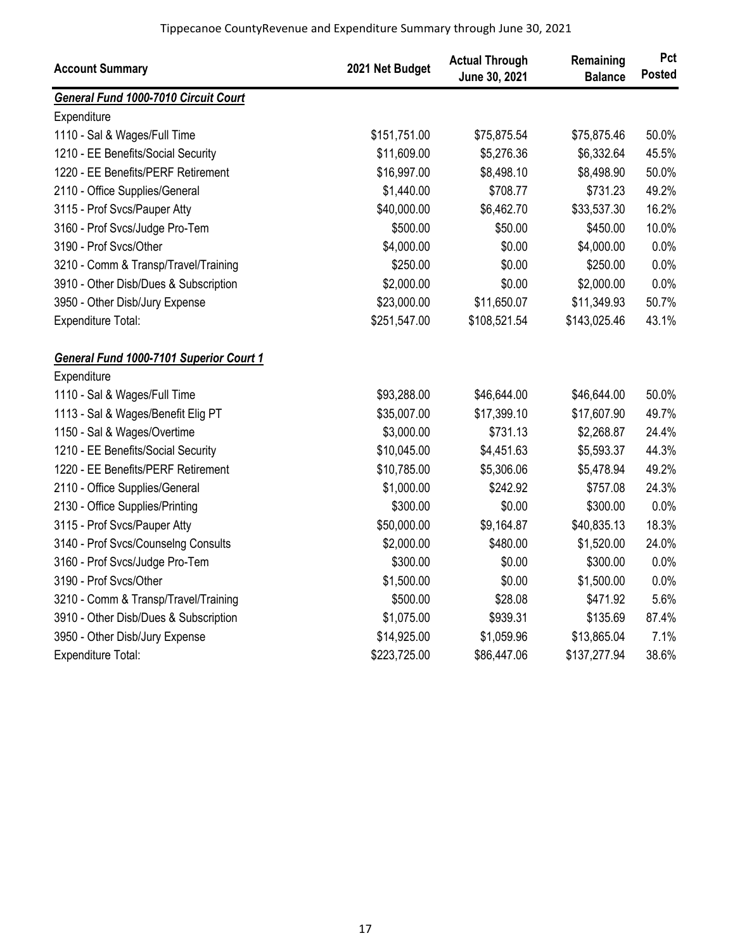| <b>Account Summary</b>                      | 2021 Net Budget | <b>Actual Through</b><br>June 30, 2021 | Remaining<br><b>Balance</b> | Pct<br><b>Posted</b> |
|---------------------------------------------|-----------------|----------------------------------------|-----------------------------|----------------------|
| <b>General Fund 1000-7010 Circuit Court</b> |                 |                                        |                             |                      |
| Expenditure                                 |                 |                                        |                             |                      |
| 1110 - Sal & Wages/Full Time                | \$151,751.00    | \$75,875.54                            | \$75,875.46                 | 50.0%                |
| 1210 - EE Benefits/Social Security          | \$11,609.00     | \$5,276.36                             | \$6,332.64                  | 45.5%                |
| 1220 - EE Benefits/PERF Retirement          | \$16,997.00     | \$8,498.10                             | \$8,498.90                  | 50.0%                |
| 2110 - Office Supplies/General              | \$1,440.00      | \$708.77                               | \$731.23                    | 49.2%                |
| 3115 - Prof Svcs/Pauper Atty                | \$40,000.00     | \$6,462.70                             | \$33,537.30                 | 16.2%                |
| 3160 - Prof Svcs/Judge Pro-Tem              | \$500.00        | \$50.00                                | \$450.00                    | 10.0%                |
| 3190 - Prof Svcs/Other                      | \$4,000.00      | \$0.00                                 | \$4,000.00                  | 0.0%                 |
| 3210 - Comm & Transp/Travel/Training        | \$250.00        | \$0.00                                 | \$250.00                    | 0.0%                 |
| 3910 - Other Disb/Dues & Subscription       | \$2,000.00      | \$0.00                                 | \$2,000.00                  | 0.0%                 |
| 3950 - Other Disb/Jury Expense              | \$23,000.00     | \$11,650.07                            | \$11,349.93                 | 50.7%                |
| Expenditure Total:                          | \$251,547.00    | \$108,521.54                           | \$143,025.46                | 43.1%                |
| General Fund 1000-7101 Superior Court 1     |                 |                                        |                             |                      |
| Expenditure                                 |                 |                                        |                             |                      |
| 1110 - Sal & Wages/Full Time                | \$93,288.00     | \$46,644.00                            | \$46,644.00                 | 50.0%                |
| 1113 - Sal & Wages/Benefit Elig PT          | \$35,007.00     | \$17,399.10                            | \$17,607.90                 | 49.7%                |
| 1150 - Sal & Wages/Overtime                 | \$3,000.00      | \$731.13                               | \$2,268.87                  | 24.4%                |
| 1210 - EE Benefits/Social Security          | \$10,045.00     | \$4,451.63                             | \$5,593.37                  | 44.3%                |
| 1220 - EE Benefits/PERF Retirement          | \$10,785.00     | \$5,306.06                             | \$5,478.94                  | 49.2%                |
| 2110 - Office Supplies/General              | \$1,000.00      | \$242.92                               | \$757.08                    | 24.3%                |
| 2130 - Office Supplies/Printing             | \$300.00        | \$0.00                                 | \$300.00                    | 0.0%                 |
| 3115 - Prof Svcs/Pauper Atty                | \$50,000.00     | \$9,164.87                             | \$40,835.13                 | 18.3%                |
| 3140 - Prof Svcs/Counselng Consults         | \$2,000.00      | \$480.00                               | \$1,520.00                  | 24.0%                |
| 3160 - Prof Svcs/Judge Pro-Tem              | \$300.00        | \$0.00                                 | \$300.00                    | 0.0%                 |
| 3190 - Prof Svcs/Other                      | \$1,500.00      | \$0.00                                 | \$1,500.00                  | 0.0%                 |
| 3210 - Comm & Transp/Travel/Training        | \$500.00        | \$28.08                                | \$471.92                    | 5.6%                 |
| 3910 - Other Disb/Dues & Subscription       | \$1,075.00      | \$939.31                               | \$135.69                    | 87.4%                |
| 3950 - Other Disb/Jury Expense              | \$14,925.00     | \$1,059.96                             | \$13,865.04                 | 7.1%                 |
| Expenditure Total:                          | \$223,725.00    | \$86,447.06                            | \$137,277.94                | 38.6%                |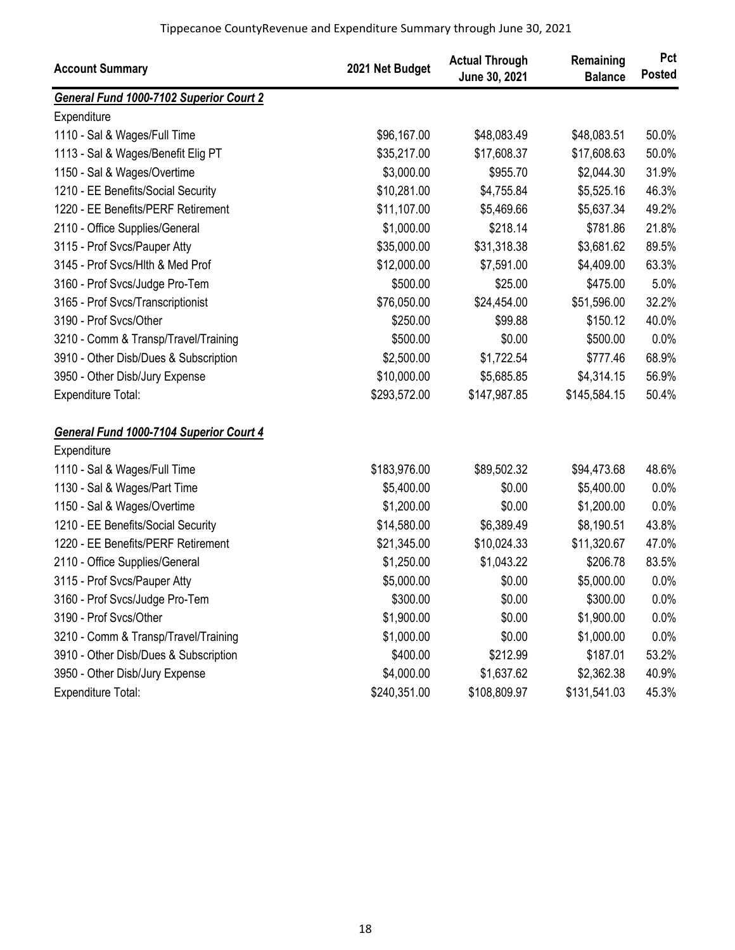| <b>Account Summary</b>                         | 2021 Net Budget | <b>Actual Through</b><br>June 30, 2021 | Remaining<br><b>Balance</b> | Pct<br><b>Posted</b> |
|------------------------------------------------|-----------------|----------------------------------------|-----------------------------|----------------------|
| <b>General Fund 1000-7102 Superior Court 2</b> |                 |                                        |                             |                      |
| Expenditure                                    |                 |                                        |                             |                      |
| 1110 - Sal & Wages/Full Time                   | \$96,167.00     | \$48,083.49                            | \$48,083.51                 | 50.0%                |
| 1113 - Sal & Wages/Benefit Elig PT             | \$35,217.00     | \$17,608.37                            | \$17,608.63                 | 50.0%                |
| 1150 - Sal & Wages/Overtime                    | \$3,000.00      | \$955.70                               | \$2,044.30                  | 31.9%                |
| 1210 - EE Benefits/Social Security             | \$10,281.00     | \$4,755.84                             | \$5,525.16                  | 46.3%                |
| 1220 - EE Benefits/PERF Retirement             | \$11,107.00     | \$5,469.66                             | \$5,637.34                  | 49.2%                |
| 2110 - Office Supplies/General                 | \$1,000.00      | \$218.14                               | \$781.86                    | 21.8%                |
| 3115 - Prof Svcs/Pauper Atty                   | \$35,000.00     | \$31,318.38                            | \$3,681.62                  | 89.5%                |
| 3145 - Prof Svcs/Hlth & Med Prof               | \$12,000.00     | \$7,591.00                             | \$4,409.00                  | 63.3%                |
| 3160 - Prof Svcs/Judge Pro-Tem                 | \$500.00        | \$25.00                                | \$475.00                    | 5.0%                 |
| 3165 - Prof Svcs/Transcriptionist              | \$76,050.00     | \$24,454.00                            | \$51,596.00                 | 32.2%                |
| 3190 - Prof Svcs/Other                         | \$250.00        | \$99.88                                | \$150.12                    | 40.0%                |
| 3210 - Comm & Transp/Travel/Training           | \$500.00        | \$0.00                                 | \$500.00                    | 0.0%                 |
| 3910 - Other Disb/Dues & Subscription          | \$2,500.00      | \$1,722.54                             | \$777.46                    | 68.9%                |
| 3950 - Other Disb/Jury Expense                 | \$10,000.00     | \$5,685.85                             | \$4,314.15                  | 56.9%                |
| <b>Expenditure Total:</b>                      | \$293,572.00    | \$147,987.85                           | \$145,584.15                | 50.4%                |
| General Fund 1000-7104 Superior Court 4        |                 |                                        |                             |                      |
| Expenditure                                    |                 |                                        |                             |                      |
| 1110 - Sal & Wages/Full Time                   | \$183,976.00    | \$89,502.32                            | \$94,473.68                 | 48.6%                |
| 1130 - Sal & Wages/Part Time                   | \$5,400.00      | \$0.00                                 | \$5,400.00                  | 0.0%                 |
| 1150 - Sal & Wages/Overtime                    | \$1,200.00      | \$0.00                                 | \$1,200.00                  | 0.0%                 |
| 1210 - EE Benefits/Social Security             | \$14,580.00     | \$6,389.49                             | \$8,190.51                  | 43.8%                |
| 1220 - EE Benefits/PERF Retirement             | \$21,345.00     | \$10,024.33                            | \$11,320.67                 | 47.0%                |
| 2110 - Office Supplies/General                 | \$1,250.00      | \$1,043.22                             | \$206.78                    | 83.5%                |
| 3115 - Prof Svcs/Pauper Atty                   | \$5,000.00      | \$0.00                                 | \$5,000.00                  | 0.0%                 |
| 3160 - Prof Svcs/Judge Pro-Tem                 | \$300.00        | \$0.00                                 | \$300.00                    | 0.0%                 |
| 3190 - Prof Svcs/Other                         | \$1,900.00      | \$0.00                                 | \$1,900.00                  | 0.0%                 |
| 3210 - Comm & Transp/Travel/Training           | \$1,000.00      | \$0.00                                 | \$1,000.00                  | 0.0%                 |
| 3910 - Other Disb/Dues & Subscription          | \$400.00        | \$212.99                               | \$187.01                    | 53.2%                |
| 3950 - Other Disb/Jury Expense                 | \$4,000.00      | \$1,637.62                             | \$2,362.38                  | 40.9%                |
| Expenditure Total:                             | \$240,351.00    | \$108,809.97                           | \$131,541.03                | 45.3%                |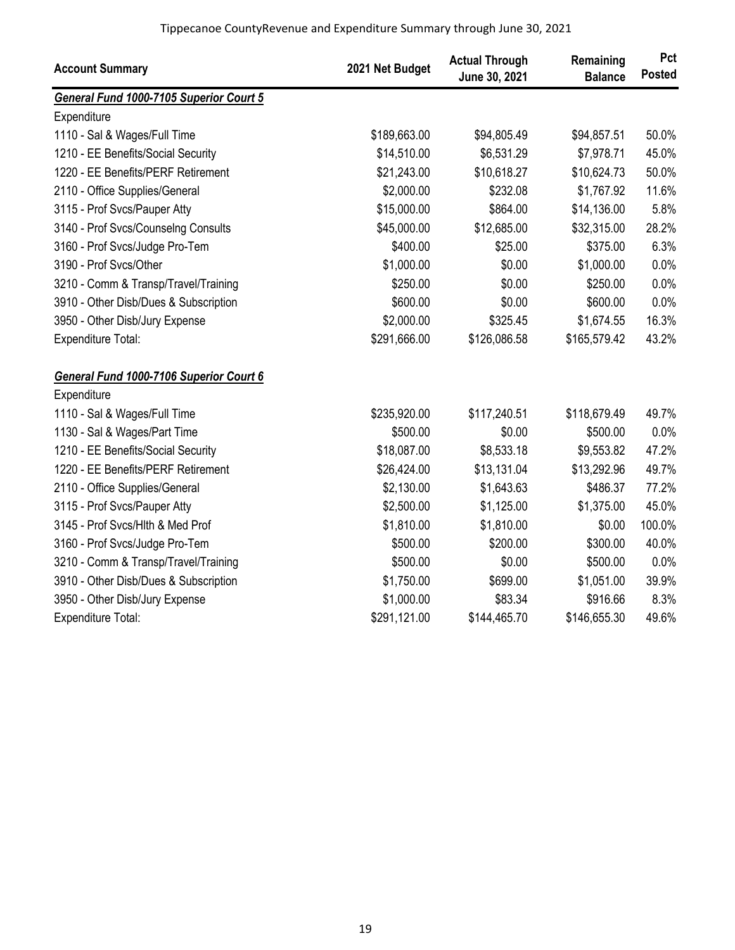| <b>Account Summary</b>                  | 2021 Net Budget | <b>Actual Through</b><br>June 30, 2021 | Remaining<br><b>Balance</b> | Pct<br><b>Posted</b> |
|-----------------------------------------|-----------------|----------------------------------------|-----------------------------|----------------------|
| General Fund 1000-7105 Superior Court 5 |                 |                                        |                             |                      |
| Expenditure                             |                 |                                        |                             |                      |
| 1110 - Sal & Wages/Full Time            | \$189,663.00    | \$94,805.49                            | \$94,857.51                 | 50.0%                |
| 1210 - EE Benefits/Social Security      | \$14,510.00     | \$6,531.29                             | \$7,978.71                  | 45.0%                |
| 1220 - EE Benefits/PERF Retirement      | \$21,243.00     | \$10,618.27                            | \$10,624.73                 | 50.0%                |
| 2110 - Office Supplies/General          | \$2,000.00      | \$232.08                               | \$1,767.92                  | 11.6%                |
| 3115 - Prof Svcs/Pauper Atty            | \$15,000.00     | \$864.00                               | \$14,136.00                 | 5.8%                 |
| 3140 - Prof Svcs/Counselng Consults     | \$45,000.00     | \$12,685.00                            | \$32,315.00                 | 28.2%                |
| 3160 - Prof Svcs/Judge Pro-Tem          | \$400.00        | \$25.00                                | \$375.00                    | 6.3%                 |
| 3190 - Prof Svcs/Other                  | \$1,000.00      | \$0.00                                 | \$1,000.00                  | 0.0%                 |
| 3210 - Comm & Transp/Travel/Training    | \$250.00        | \$0.00                                 | \$250.00                    | 0.0%                 |
| 3910 - Other Disb/Dues & Subscription   | \$600.00        | \$0.00                                 | \$600.00                    | 0.0%                 |
| 3950 - Other Disb/Jury Expense          | \$2,000.00      | \$325.45                               | \$1,674.55                  | 16.3%                |
| Expenditure Total:                      | \$291,666.00    | \$126,086.58                           | \$165,579.42                | 43.2%                |
| General Fund 1000-7106 Superior Court 6 |                 |                                        |                             |                      |
| Expenditure                             |                 |                                        |                             |                      |
| 1110 - Sal & Wages/Full Time            | \$235,920.00    | \$117,240.51                           | \$118,679.49                | 49.7%                |
| 1130 - Sal & Wages/Part Time            | \$500.00        | \$0.00                                 | \$500.00                    | 0.0%                 |
| 1210 - EE Benefits/Social Security      | \$18,087.00     | \$8,533.18                             | \$9,553.82                  | 47.2%                |
| 1220 - EE Benefits/PERF Retirement      | \$26,424.00     | \$13,131.04                            | \$13,292.96                 | 49.7%                |
| 2110 - Office Supplies/General          | \$2,130.00      | \$1,643.63                             | \$486.37                    | 77.2%                |
| 3115 - Prof Svcs/Pauper Atty            | \$2,500.00      | \$1,125.00                             | \$1,375.00                  | 45.0%                |
| 3145 - Prof Svcs/Hlth & Med Prof        | \$1,810.00      | \$1,810.00                             | \$0.00                      | 100.0%               |
| 3160 - Prof Svcs/Judge Pro-Tem          | \$500.00        | \$200.00                               | \$300.00                    | 40.0%                |
| 3210 - Comm & Transp/Travel/Training    | \$500.00        | \$0.00                                 | \$500.00                    | 0.0%                 |
| 3910 - Other Disb/Dues & Subscription   | \$1,750.00      | \$699.00                               | \$1,051.00                  | 39.9%                |
| 3950 - Other Disb/Jury Expense          | \$1,000.00      | \$83.34                                | \$916.66                    | 8.3%                 |
| Expenditure Total:                      | \$291,121.00    | \$144,465.70                           | \$146,655.30                | 49.6%                |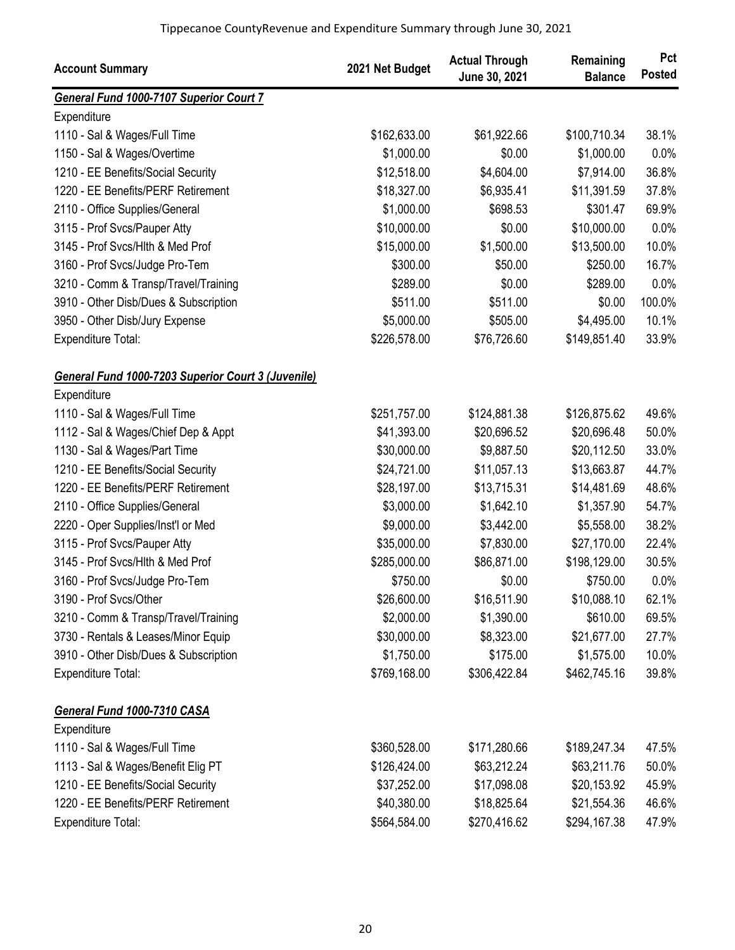| <b>Account Summary</b>                             | 2021 Net Budget | <b>Actual Through</b><br>June 30, 2021 | Remaining<br><b>Balance</b> | Pct<br><b>Posted</b> |
|----------------------------------------------------|-----------------|----------------------------------------|-----------------------------|----------------------|
| <b>General Fund 1000-7107 Superior Court 7</b>     |                 |                                        |                             |                      |
| Expenditure                                        |                 |                                        |                             |                      |
| 1110 - Sal & Wages/Full Time                       | \$162,633.00    | \$61,922.66                            | \$100,710.34                | 38.1%                |
| 1150 - Sal & Wages/Overtime                        | \$1,000.00      | \$0.00                                 | \$1,000.00                  | 0.0%                 |
| 1210 - EE Benefits/Social Security                 | \$12,518.00     | \$4,604.00                             | \$7,914.00                  | 36.8%                |
| 1220 - EE Benefits/PERF Retirement                 | \$18,327.00     | \$6,935.41                             | \$11,391.59                 | 37.8%                |
| 2110 - Office Supplies/General                     | \$1,000.00      | \$698.53                               | \$301.47                    | 69.9%                |
| 3115 - Prof Svcs/Pauper Atty                       | \$10,000.00     | \$0.00                                 | \$10,000.00                 | 0.0%                 |
| 3145 - Prof Svcs/Hlth & Med Prof                   | \$15,000.00     | \$1,500.00                             | \$13,500.00                 | 10.0%                |
| 3160 - Prof Svcs/Judge Pro-Tem                     | \$300.00        | \$50.00                                | \$250.00                    | 16.7%                |
| 3210 - Comm & Transp/Travel/Training               | \$289.00        | \$0.00                                 | \$289.00                    | 0.0%                 |
| 3910 - Other Disb/Dues & Subscription              | \$511.00        | \$511.00                               | \$0.00                      | 100.0%               |
| 3950 - Other Disb/Jury Expense                     | \$5,000.00      | \$505.00                               | \$4,495.00                  | 10.1%                |
| <b>Expenditure Total:</b>                          | \$226,578.00    | \$76,726.60                            | \$149,851.40                | 33.9%                |
| General Fund 1000-7203 Superior Court 3 (Juvenile) |                 |                                        |                             |                      |
| Expenditure                                        |                 |                                        |                             |                      |
| 1110 - Sal & Wages/Full Time                       | \$251,757.00    | \$124,881.38                           | \$126,875.62                | 49.6%                |
| 1112 - Sal & Wages/Chief Dep & Appt                | \$41,393.00     | \$20,696.52                            | \$20,696.48                 | 50.0%                |
| 1130 - Sal & Wages/Part Time                       | \$30,000.00     | \$9,887.50                             | \$20,112.50                 | 33.0%                |
| 1210 - EE Benefits/Social Security                 | \$24,721.00     | \$11,057.13                            | \$13,663.87                 | 44.7%                |
| 1220 - EE Benefits/PERF Retirement                 | \$28,197.00     | \$13,715.31                            | \$14,481.69                 | 48.6%                |
| 2110 - Office Supplies/General                     | \$3,000.00      | \$1,642.10                             | \$1,357.90                  | 54.7%                |
| 2220 - Oper Supplies/Inst'l or Med                 | \$9,000.00      | \$3,442.00                             | \$5,558.00                  | 38.2%                |
| 3115 - Prof Svcs/Pauper Atty                       | \$35,000.00     | \$7,830.00                             | \$27,170.00                 | 22.4%                |
| 3145 - Prof Svcs/Hlth & Med Prof                   | \$285,000.00    | \$86,871.00                            | \$198,129.00                | 30.5%                |
| 3160 - Prof Svcs/Judge Pro-Tem                     | \$750.00        | \$0.00                                 | \$750.00                    | 0.0%                 |
| 3190 - Prof Svcs/Other                             | \$26,600.00     | \$16,511.90                            | \$10,088.10                 | 62.1%                |
| 3210 - Comm & Transp/Travel/Training               | \$2,000.00      | \$1,390.00                             | \$610.00                    | 69.5%                |
| 3730 - Rentals & Leases/Minor Equip                | \$30,000.00     | \$8,323.00                             | \$21,677.00                 | 27.7%                |
| 3910 - Other Disb/Dues & Subscription              | \$1,750.00      | \$175.00                               | \$1,575.00                  | 10.0%                |
| Expenditure Total:                                 | \$769,168.00    | \$306,422.84                           | \$462,745.16                | 39.8%                |
| General Fund 1000-7310 CASA                        |                 |                                        |                             |                      |
| Expenditure                                        |                 |                                        |                             |                      |
| 1110 - Sal & Wages/Full Time                       | \$360,528.00    | \$171,280.66                           | \$189,247.34                | 47.5%                |
| 1113 - Sal & Wages/Benefit Elig PT                 | \$126,424.00    | \$63,212.24                            | \$63,211.76                 | 50.0%                |
| 1210 - EE Benefits/Social Security                 | \$37,252.00     | \$17,098.08                            | \$20,153.92                 | 45.9%                |
| 1220 - EE Benefits/PERF Retirement                 | \$40,380.00     | \$18,825.64                            | \$21,554.36                 | 46.6%                |
| Expenditure Total:                                 | \$564,584.00    | \$270,416.62                           | \$294,167.38                | 47.9%                |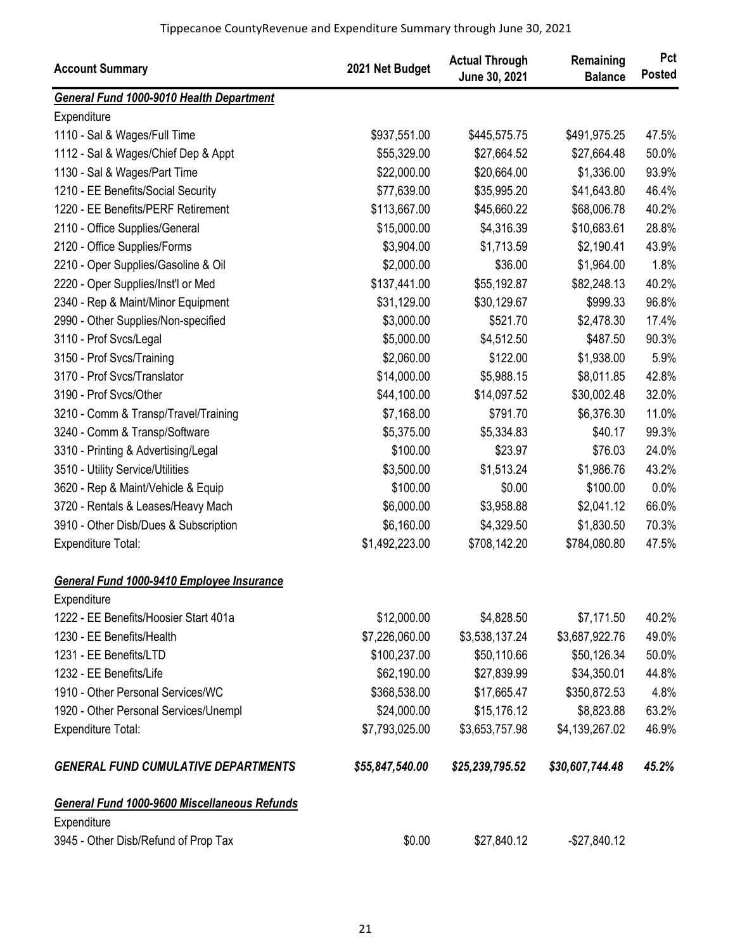| <b>Account Summary</b>                       | 2021 Net Budget | <b>Actual Through</b><br>June 30, 2021 | Remaining<br><b>Balance</b> | Pct<br><b>Posted</b> |
|----------------------------------------------|-----------------|----------------------------------------|-----------------------------|----------------------|
| General Fund 1000-9010 Health Department     |                 |                                        |                             |                      |
| Expenditure                                  |                 |                                        |                             |                      |
| 1110 - Sal & Wages/Full Time                 | \$937,551.00    | \$445,575.75                           | \$491,975.25                | 47.5%                |
| 1112 - Sal & Wages/Chief Dep & Appt          | \$55,329.00     | \$27,664.52                            | \$27,664.48                 | 50.0%                |
| 1130 - Sal & Wages/Part Time                 | \$22,000.00     | \$20,664.00                            | \$1,336.00                  | 93.9%                |
| 1210 - EE Benefits/Social Security           | \$77,639.00     | \$35,995.20                            | \$41,643.80                 | 46.4%                |
| 1220 - EE Benefits/PERF Retirement           | \$113,667.00    | \$45,660.22                            | \$68,006.78                 | 40.2%                |
| 2110 - Office Supplies/General               | \$15,000.00     | \$4,316.39                             | \$10,683.61                 | 28.8%                |
| 2120 - Office Supplies/Forms                 | \$3,904.00      | \$1,713.59                             | \$2,190.41                  | 43.9%                |
| 2210 - Oper Supplies/Gasoline & Oil          | \$2,000.00      | \$36.00                                | \$1,964.00                  | 1.8%                 |
| 2220 - Oper Supplies/Inst'l or Med           | \$137,441.00    | \$55,192.87                            | \$82,248.13                 | 40.2%                |
| 2340 - Rep & Maint/Minor Equipment           | \$31,129.00     | \$30,129.67                            | \$999.33                    | 96.8%                |
| 2990 - Other Supplies/Non-specified          | \$3,000.00      | \$521.70                               | \$2,478.30                  | 17.4%                |
| 3110 - Prof Svcs/Legal                       | \$5,000.00      | \$4,512.50                             | \$487.50                    | 90.3%                |
| 3150 - Prof Svcs/Training                    | \$2,060.00      | \$122.00                               | \$1,938.00                  | 5.9%                 |
| 3170 - Prof Svcs/Translator                  | \$14,000.00     | \$5,988.15                             | \$8,011.85                  | 42.8%                |
| 3190 - Prof Svcs/Other                       | \$44,100.00     | \$14,097.52                            | \$30,002.48                 | 32.0%                |
| 3210 - Comm & Transp/Travel/Training         | \$7,168.00      | \$791.70                               | \$6,376.30                  | 11.0%                |
| 3240 - Comm & Transp/Software                | \$5,375.00      | \$5,334.83                             | \$40.17                     | 99.3%                |
| 3310 - Printing & Advertising/Legal          | \$100.00        | \$23.97                                | \$76.03                     | 24.0%                |
| 3510 - Utility Service/Utilities             | \$3,500.00      | \$1,513.24                             | \$1,986.76                  | 43.2%                |
| 3620 - Rep & Maint/Vehicle & Equip           | \$100.00        | \$0.00                                 | \$100.00                    | 0.0%                 |
| 3720 - Rentals & Leases/Heavy Mach           | \$6,000.00      | \$3,958.88                             | \$2,041.12                  | 66.0%                |
| 3910 - Other Disb/Dues & Subscription        | \$6,160.00      | \$4,329.50                             | \$1,830.50                  | 70.3%                |
| Expenditure Total:                           | \$1,492,223.00  | \$708,142.20                           | \$784,080.80                | 47.5%                |
| General Fund 1000-9410 Employee Insurance    |                 |                                        |                             |                      |
| Expenditure                                  |                 |                                        |                             |                      |
| 1222 - EE Benefits/Hoosier Start 401a        | \$12,000.00     | \$4,828.50                             | \$7,171.50                  | 40.2%                |
| 1230 - EE Benefits/Health                    | \$7,226,060.00  | \$3,538,137.24                         | \$3,687,922.76              | 49.0%                |
| 1231 - EE Benefits/LTD                       | \$100,237.00    | \$50,110.66                            | \$50,126.34                 | 50.0%                |
| 1232 - EE Benefits/Life                      | \$62,190.00     | \$27,839.99                            | \$34,350.01                 | 44.8%                |
| 1910 - Other Personal Services/WC            | \$368,538.00    | \$17,665.47                            | \$350,872.53                | 4.8%                 |
| 1920 - Other Personal Services/Unempl        | \$24,000.00     | \$15,176.12                            | \$8,823.88                  | 63.2%                |
| Expenditure Total:                           | \$7,793,025.00  | \$3,653,757.98                         | \$4,139,267.02              | 46.9%                |
| <b>GENERAL FUND CUMULATIVE DEPARTMENTS</b>   | \$55,847,540.00 | \$25,239,795.52                        | \$30,607,744.48             | 45.2%                |
| General Fund 1000-9600 Miscellaneous Refunds |                 |                                        |                             |                      |
| Expenditure                                  |                 |                                        |                             |                      |
| 3945 - Other Disb/Refund of Prop Tax         | \$0.00          | \$27,840.12                            | $-$27,840.12$               |                      |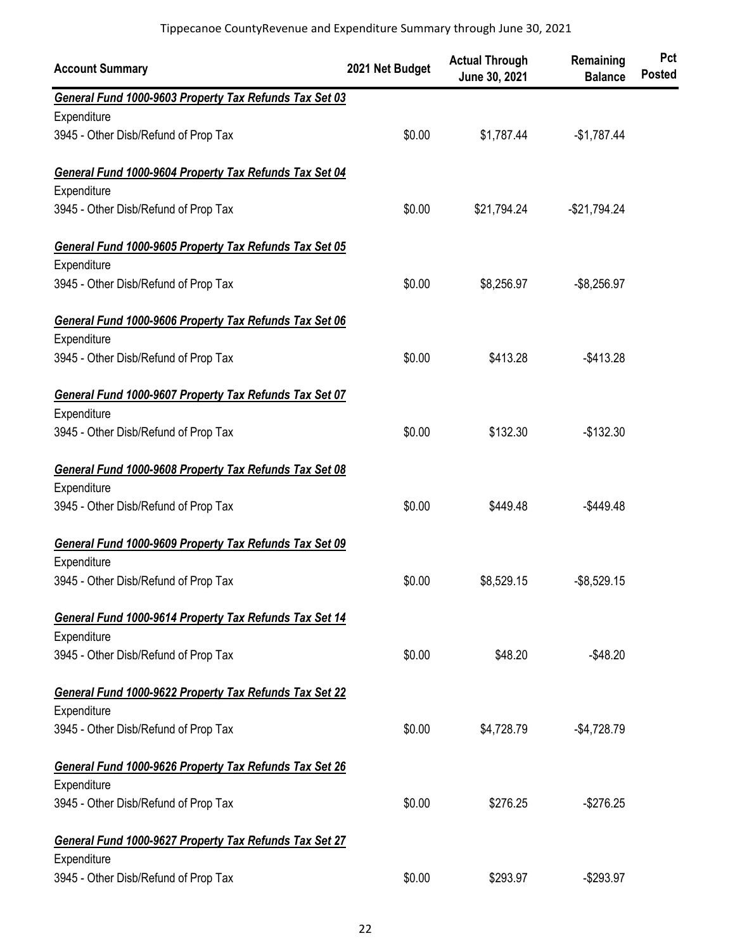| <b>Account Summary</b>                                 | 2021 Net Budget | <b>Actual Through</b><br>June 30, 2021 | Remaining<br><b>Balance</b> | Pct<br><b>Posted</b> |
|--------------------------------------------------------|-----------------|----------------------------------------|-----------------------------|----------------------|
| General Fund 1000-9603 Property Tax Refunds Tax Set 03 |                 |                                        |                             |                      |
| Expenditure                                            |                 |                                        |                             |                      |
| 3945 - Other Disb/Refund of Prop Tax                   | \$0.00          | \$1,787.44                             | $-$1,787.44$                |                      |
| General Fund 1000-9604 Property Tax Refunds Tax Set 04 |                 |                                        |                             |                      |
| Expenditure                                            |                 |                                        |                             |                      |
| 3945 - Other Disb/Refund of Prop Tax                   | \$0.00          | \$21,794.24                            | $-$21,794.24$               |                      |
| General Fund 1000-9605 Property Tax Refunds Tax Set 05 |                 |                                        |                             |                      |
| Expenditure                                            |                 |                                        |                             |                      |
| 3945 - Other Disb/Refund of Prop Tax                   | \$0.00          | \$8,256.97                             | $-$8,256.97$                |                      |
| General Fund 1000-9606 Property Tax Refunds Tax Set 06 |                 |                                        |                             |                      |
| Expenditure                                            |                 |                                        |                             |                      |
| 3945 - Other Disb/Refund of Prop Tax                   | \$0.00          | \$413.28                               | $-$413.28$                  |                      |
| General Fund 1000-9607 Property Tax Refunds Tax Set 07 |                 |                                        |                             |                      |
| Expenditure                                            |                 |                                        |                             |                      |
| 3945 - Other Disb/Refund of Prop Tax                   | \$0.00          | \$132.30                               | $-$132.30$                  |                      |
| General Fund 1000-9608 Property Tax Refunds Tax Set 08 |                 |                                        |                             |                      |
| Expenditure                                            |                 |                                        |                             |                      |
| 3945 - Other Disb/Refund of Prop Tax                   | \$0.00          | \$449.48                               | $-$449.48$                  |                      |
| General Fund 1000-9609 Property Tax Refunds Tax Set 09 |                 |                                        |                             |                      |
| Expenditure                                            |                 |                                        |                             |                      |
| 3945 - Other Disb/Refund of Prop Tax                   | \$0.00          | \$8,529.15                             | $-$8,529.15$                |                      |
| General Fund 1000-9614 Property Tax Refunds Tax Set 14 |                 |                                        |                             |                      |
| Expenditure                                            |                 |                                        |                             |                      |
| 3945 - Other Disb/Refund of Prop Tax                   | \$0.00          | \$48.20                                | $-$48.20$                   |                      |
| General Fund 1000-9622 Property Tax Refunds Tax Set 22 |                 |                                        |                             |                      |
| Expenditure                                            |                 |                                        |                             |                      |
| 3945 - Other Disb/Refund of Prop Tax                   | \$0.00          | \$4,728.79                             | $-$4,728.79$                |                      |
| General Fund 1000-9626 Property Tax Refunds Tax Set 26 |                 |                                        |                             |                      |
| Expenditure                                            |                 |                                        |                             |                      |
| 3945 - Other Disb/Refund of Prop Tax                   | \$0.00          | \$276.25                               | $-$276.25$                  |                      |
| General Fund 1000-9627 Property Tax Refunds Tax Set 27 |                 |                                        |                             |                      |
| Expenditure                                            |                 |                                        |                             |                      |
| 3945 - Other Disb/Refund of Prop Tax                   | \$0.00          | \$293.97                               | $-$293.97$                  |                      |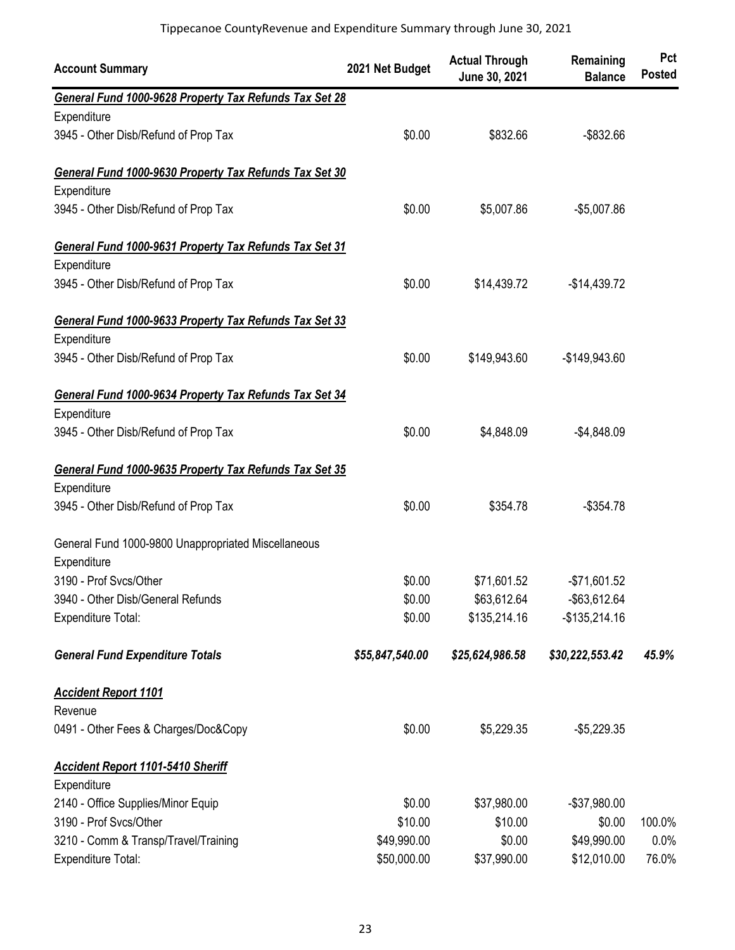| <b>Account Summary</b>                                 | 2021 Net Budget | <b>Actual Through</b><br>June 30, 2021 | Remaining<br><b>Balance</b> | Pct<br><b>Posted</b> |
|--------------------------------------------------------|-----------------|----------------------------------------|-----------------------------|----------------------|
| General Fund 1000-9628 Property Tax Refunds Tax Set 28 |                 |                                        |                             |                      |
| Expenditure                                            |                 |                                        |                             |                      |
| 3945 - Other Disb/Refund of Prop Tax                   | \$0.00          | \$832.66                               | $-$ \$832.66                |                      |
| General Fund 1000-9630 Property Tax Refunds Tax Set 30 |                 |                                        |                             |                      |
| Expenditure                                            |                 |                                        |                             |                      |
| 3945 - Other Disb/Refund of Prop Tax                   | \$0.00          | \$5,007.86                             | $-$5,007.86$                |                      |
| General Fund 1000-9631 Property Tax Refunds Tax Set 31 |                 |                                        |                             |                      |
| Expenditure                                            |                 |                                        |                             |                      |
| 3945 - Other Disb/Refund of Prop Tax                   | \$0.00          | \$14,439.72                            | $-$14,439.72$               |                      |
| General Fund 1000-9633 Property Tax Refunds Tax Set 33 |                 |                                        |                             |                      |
| Expenditure                                            |                 |                                        |                             |                      |
| 3945 - Other Disb/Refund of Prop Tax                   | \$0.00          | \$149,943.60                           | -\$149,943.60               |                      |
| General Fund 1000-9634 Property Tax Refunds Tax Set 34 |                 |                                        |                             |                      |
| Expenditure                                            |                 |                                        |                             |                      |
| 3945 - Other Disb/Refund of Prop Tax                   | \$0.00          | \$4,848.09                             | $-$4,848.09$                |                      |
| General Fund 1000-9635 Property Tax Refunds Tax Set 35 |                 |                                        |                             |                      |
| Expenditure                                            |                 |                                        |                             |                      |
| 3945 - Other Disb/Refund of Prop Tax                   | \$0.00          | \$354.78                               | $-$354.78$                  |                      |
| General Fund 1000-9800 Unappropriated Miscellaneous    |                 |                                        |                             |                      |
| Expenditure                                            |                 |                                        |                             |                      |
| 3190 - Prof Svcs/Other                                 | \$0.00          | \$71,601.52                            | $-$71,601.52$               |                      |
| 3940 - Other Disb/General Refunds                      | \$0.00          | \$63,612.64                            | -\$63,612.64                |                      |
| Expenditure Total:                                     | \$0.00          | \$135,214.16                           | $-$135,214.16$              |                      |
| <b>General Fund Expenditure Totals</b>                 | \$55,847,540.00 | \$25,624,986.58                        | \$30,222,553.42             | 45.9%                |
| <b>Accident Report 1101</b>                            |                 |                                        |                             |                      |
| Revenue                                                |                 |                                        |                             |                      |
| 0491 - Other Fees & Charges/Doc&Copy                   | \$0.00          | \$5,229.35                             | $-$5,229.35$                |                      |
| <b>Accident Report 1101-5410 Sheriff</b>               |                 |                                        |                             |                      |
| Expenditure                                            |                 |                                        |                             |                      |
| 2140 - Office Supplies/Minor Equip                     | \$0.00          | \$37,980.00                            | $-$37,980.00$               |                      |
| 3190 - Prof Svcs/Other                                 | \$10.00         | \$10.00                                | \$0.00                      | 100.0%               |
| 3210 - Comm & Transp/Travel/Training                   | \$49,990.00     | \$0.00                                 | \$49,990.00                 | 0.0%                 |
| <b>Expenditure Total:</b>                              | \$50,000.00     | \$37,990.00                            | \$12,010.00                 | 76.0%                |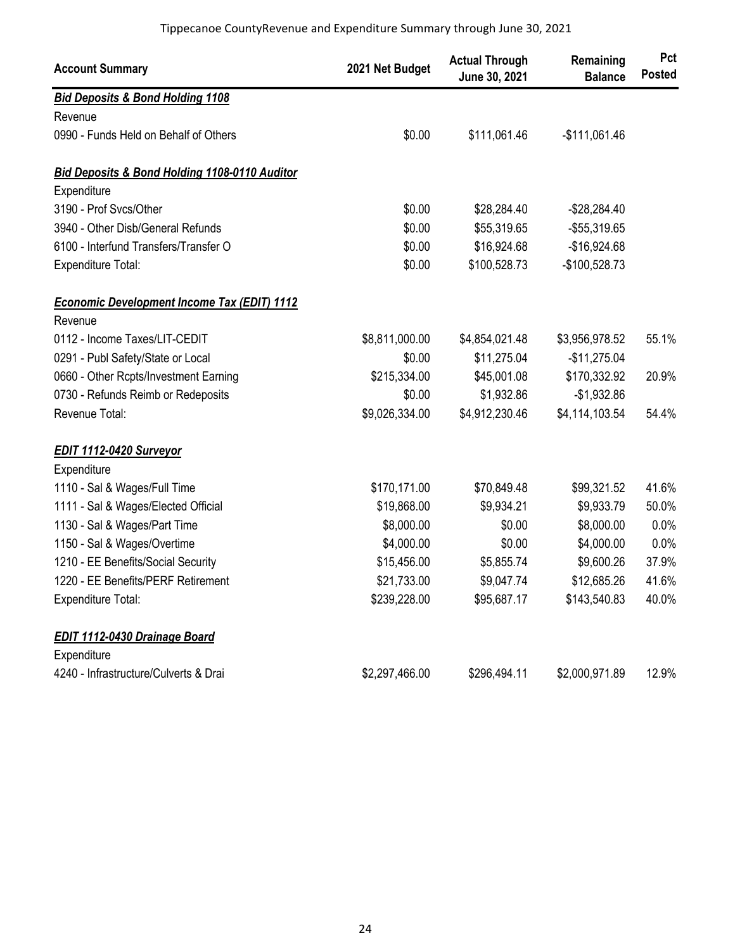| <b>Account Summary</b>                                   | 2021 Net Budget | <b>Actual Through</b><br>June 30, 2021 | Remaining<br><b>Balance</b> | Pct<br><b>Posted</b> |
|----------------------------------------------------------|-----------------|----------------------------------------|-----------------------------|----------------------|
| <b>Bid Deposits &amp; Bond Holding 1108</b>              |                 |                                        |                             |                      |
| Revenue                                                  |                 |                                        |                             |                      |
| 0990 - Funds Held on Behalf of Others                    | \$0.00          | \$111,061.46                           | $-$111,061.46$              |                      |
| <b>Bid Deposits &amp; Bond Holding 1108-0110 Auditor</b> |                 |                                        |                             |                      |
| Expenditure                                              |                 |                                        |                             |                      |
| 3190 - Prof Svcs/Other                                   | \$0.00          | \$28,284.40                            | $-$28,284.40$               |                      |
| 3940 - Other Disb/General Refunds                        | \$0.00          | \$55,319.65                            | -\$55,319.65                |                      |
| 6100 - Interfund Transfers/Transfer O                    | \$0.00          | \$16,924.68                            | $-$16,924.68$               |                      |
| <b>Expenditure Total:</b>                                | \$0.00          | \$100,528.73                           | -\$100,528.73               |                      |
| <b>Economic Development Income Tax (EDIT) 1112</b>       |                 |                                        |                             |                      |
| Revenue                                                  |                 |                                        |                             |                      |
| 0112 - Income Taxes/LIT-CEDIT                            | \$8,811,000.00  | \$4,854,021.48                         | \$3,956,978.52              | 55.1%                |
| 0291 - Publ Safety/State or Local                        | \$0.00          | \$11,275.04                            | $-$11,275.04$               |                      |
| 0660 - Other Rcpts/Investment Earning                    | \$215,334.00    | \$45,001.08                            | \$170,332.92                | 20.9%                |
| 0730 - Refunds Reimb or Redeposits                       | \$0.00          | \$1,932.86                             | $-$1,932.86$                |                      |
| Revenue Total:                                           | \$9,026,334.00  | \$4,912,230.46                         | \$4,114,103.54              | 54.4%                |
| EDIT 1112-0420 Surveyor                                  |                 |                                        |                             |                      |
| Expenditure                                              |                 |                                        |                             |                      |
| 1110 - Sal & Wages/Full Time                             | \$170,171.00    | \$70,849.48                            | \$99,321.52                 | 41.6%                |
| 1111 - Sal & Wages/Elected Official                      | \$19,868.00     | \$9,934.21                             | \$9,933.79                  | 50.0%                |
| 1130 - Sal & Wages/Part Time                             | \$8,000.00      | \$0.00                                 | \$8,000.00                  | 0.0%                 |
| 1150 - Sal & Wages/Overtime                              | \$4,000.00      | \$0.00                                 | \$4,000.00                  | 0.0%                 |
| 1210 - EE Benefits/Social Security                       | \$15,456.00     | \$5,855.74                             | \$9,600.26                  | 37.9%                |
| 1220 - EE Benefits/PERF Retirement                       | \$21,733.00     | \$9,047.74                             | \$12,685.26                 | 41.6%                |
| <b>Expenditure Total:</b>                                | \$239,228.00    | \$95,687.17                            | \$143,540.83                | 40.0%                |
| EDIT 1112-0430 Drainage Board                            |                 |                                        |                             |                      |
| Expenditure                                              |                 |                                        |                             |                      |
| 4240 - Infrastructure/Culverts & Drai                    | \$2,297,466.00  | \$296,494.11                           | \$2,000,971.89              | 12.9%                |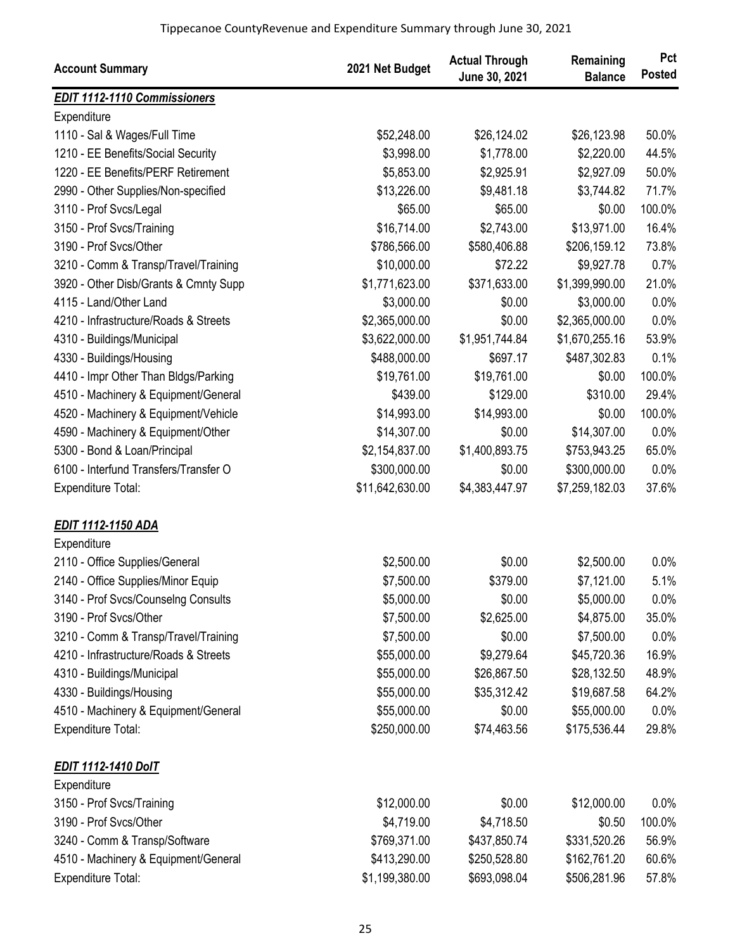| <b>Account Summary</b>                | 2021 Net Budget | <b>Actual Through</b><br>June 30, 2021 | Remaining<br><b>Balance</b> | Pct<br><b>Posted</b> |
|---------------------------------------|-----------------|----------------------------------------|-----------------------------|----------------------|
| <b>EDIT 1112-1110 Commissioners</b>   |                 |                                        |                             |                      |
| Expenditure                           |                 |                                        |                             |                      |
| 1110 - Sal & Wages/Full Time          | \$52,248.00     | \$26,124.02                            | \$26,123.98                 | 50.0%                |
| 1210 - EE Benefits/Social Security    | \$3,998.00      | \$1,778.00                             | \$2,220.00                  | 44.5%                |
| 1220 - EE Benefits/PERF Retirement    | \$5,853.00      | \$2,925.91                             | \$2,927.09                  | 50.0%                |
| 2990 - Other Supplies/Non-specified   | \$13,226.00     | \$9,481.18                             | \$3,744.82                  | 71.7%                |
| 3110 - Prof Svcs/Legal                | \$65.00         | \$65.00                                | \$0.00                      | 100.0%               |
| 3150 - Prof Svcs/Training             | \$16,714.00     | \$2,743.00                             | \$13,971.00                 | 16.4%                |
| 3190 - Prof Svcs/Other                | \$786,566.00    | \$580,406.88                           | \$206,159.12                | 73.8%                |
| 3210 - Comm & Transp/Travel/Training  | \$10,000.00     | \$72.22                                | \$9,927.78                  | 0.7%                 |
| 3920 - Other Disb/Grants & Cmnty Supp | \$1,771,623.00  | \$371,633.00                           | \$1,399,990.00              | 21.0%                |
| 4115 - Land/Other Land                | \$3,000.00      | \$0.00                                 | \$3,000.00                  | 0.0%                 |
| 4210 - Infrastructure/Roads & Streets | \$2,365,000.00  | \$0.00                                 | \$2,365,000.00              | 0.0%                 |
| 4310 - Buildings/Municipal            | \$3,622,000.00  | \$1,951,744.84                         | \$1,670,255.16              | 53.9%                |
| 4330 - Buildings/Housing              | \$488,000.00    | \$697.17                               | \$487,302.83                | 0.1%                 |
| 4410 - Impr Other Than Bldgs/Parking  | \$19,761.00     | \$19,761.00                            | \$0.00                      | 100.0%               |
| 4510 - Machinery & Equipment/General  | \$439.00        | \$129.00                               | \$310.00                    | 29.4%                |
| 4520 - Machinery & Equipment/Vehicle  | \$14,993.00     | \$14,993.00                            | \$0.00                      | 100.0%               |
| 4590 - Machinery & Equipment/Other    | \$14,307.00     | \$0.00                                 | \$14,307.00                 | 0.0%                 |
| 5300 - Bond & Loan/Principal          | \$2,154,837.00  | \$1,400,893.75                         | \$753,943.25                | 65.0%                |
| 6100 - Interfund Transfers/Transfer O | \$300,000.00    | \$0.00                                 | \$300,000.00                | 0.0%                 |
| Expenditure Total:                    | \$11,642,630.00 | \$4,383,447.97                         | \$7,259,182.03              | 37.6%                |
| EDIT 1112-1150 ADA                    |                 |                                        |                             |                      |
| Expenditure                           |                 |                                        |                             |                      |
| 2110 - Office Supplies/General        | \$2,500.00      | \$0.00                                 | \$2,500.00                  | 0.0%                 |
| 2140 - Office Supplies/Minor Equip    | \$7,500.00      | \$379.00                               | \$7,121.00                  | 5.1%                 |
| 3140 - Prof Svcs/Counselng Consults   | \$5,000.00      | \$0.00                                 | \$5,000.00                  | $0.0\%$              |
| 3190 - Prof Svcs/Other                | \$7,500.00      | \$2,625.00                             | \$4,875.00                  | 35.0%                |
| 3210 - Comm & Transp/Travel/Training  | \$7,500.00      | \$0.00                                 | \$7,500.00                  | 0.0%                 |
| 4210 - Infrastructure/Roads & Streets | \$55,000.00     | \$9,279.64                             | \$45,720.36                 | 16.9%                |
| 4310 - Buildings/Municipal            | \$55,000.00     | \$26,867.50                            | \$28,132.50                 | 48.9%                |
| 4330 - Buildings/Housing              | \$55,000.00     | \$35,312.42                            | \$19,687.58                 | 64.2%                |
| 4510 - Machinery & Equipment/General  | \$55,000.00     | \$0.00                                 | \$55,000.00                 | 0.0%                 |
| Expenditure Total:                    | \$250,000.00    | \$74,463.56                            | \$175,536.44                | 29.8%                |
| <b>EDIT 1112-1410 DoIT</b>            |                 |                                        |                             |                      |
| Expenditure                           |                 |                                        |                             |                      |
| 3150 - Prof Svcs/Training             | \$12,000.00     | \$0.00                                 | \$12,000.00                 | 0.0%                 |
| 3190 - Prof Svcs/Other                | \$4,719.00      | \$4,718.50                             | \$0.50                      | 100.0%               |
| 3240 - Comm & Transp/Software         | \$769,371.00    | \$437,850.74                           | \$331,520.26                | 56.9%                |
| 4510 - Machinery & Equipment/General  | \$413,290.00    | \$250,528.80                           | \$162,761.20                | 60.6%                |
| Expenditure Total:                    | \$1,199,380.00  | \$693,098.04                           | \$506,281.96                | 57.8%                |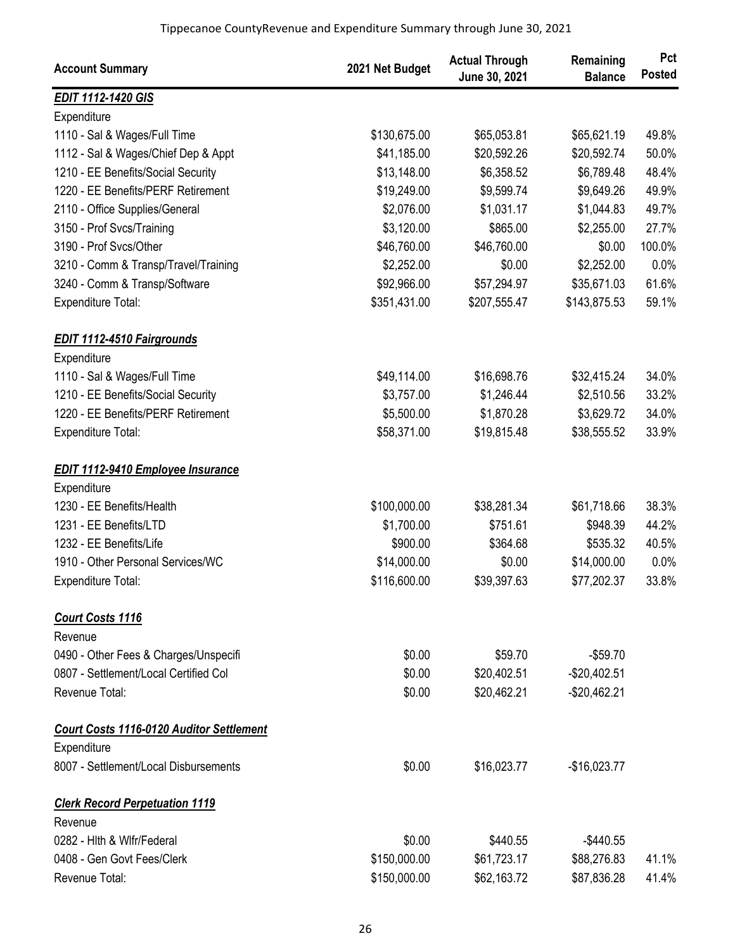| <b>Account Summary</b>                                                         | 2021 Net Budget | <b>Actual Through</b><br>June 30, 2021 | Remaining<br><b>Balance</b> | Pct<br><b>Posted</b> |
|--------------------------------------------------------------------------------|-----------------|----------------------------------------|-----------------------------|----------------------|
| <b>EDIT 1112-1420 GIS</b>                                                      |                 |                                        |                             |                      |
| Expenditure                                                                    |                 |                                        |                             |                      |
| 1110 - Sal & Wages/Full Time                                                   | \$130,675.00    | \$65,053.81                            | \$65,621.19                 | 49.8%                |
| 1112 - Sal & Wages/Chief Dep & Appt                                            | \$41,185.00     | \$20,592.26                            | \$20,592.74                 | 50.0%                |
| 1210 - EE Benefits/Social Security                                             | \$13,148.00     | \$6,358.52                             | \$6,789.48                  | 48.4%                |
| 1220 - EE Benefits/PERF Retirement                                             | \$19,249.00     | \$9,599.74                             | \$9,649.26                  | 49.9%                |
| 2110 - Office Supplies/General                                                 | \$2,076.00      | \$1,031.17                             | \$1,044.83                  | 49.7%                |
| 3150 - Prof Svcs/Training                                                      | \$3,120.00      | \$865.00                               | \$2,255.00                  | 27.7%                |
| 3190 - Prof Svcs/Other                                                         | \$46,760.00     | \$46,760.00                            | \$0.00                      | 100.0%               |
| 3210 - Comm & Transp/Travel/Training                                           | \$2,252.00      | \$0.00                                 | \$2,252.00                  | 0.0%                 |
| 3240 - Comm & Transp/Software                                                  | \$92,966.00     | \$57,294.97                            | \$35,671.03                 | 61.6%                |
| Expenditure Total:                                                             | \$351,431.00    | \$207,555.47                           | \$143,875.53                | 59.1%                |
| <b>EDIT 1112-4510 Fairgrounds</b>                                              |                 |                                        |                             |                      |
| Expenditure                                                                    |                 |                                        |                             |                      |
| 1110 - Sal & Wages/Full Time                                                   | \$49,114.00     | \$16,698.76                            | \$32,415.24                 | 34.0%                |
| 1210 - EE Benefits/Social Security                                             | \$3,757.00      | \$1,246.44                             | \$2,510.56                  | 33.2%                |
| 1220 - EE Benefits/PERF Retirement                                             | \$5,500.00      | \$1,870.28                             | \$3,629.72                  | 34.0%                |
| <b>Expenditure Total:</b>                                                      | \$58,371.00     | \$19,815.48                            | \$38,555.52                 | 33.9%                |
| <b>EDIT 1112-9410 Employee Insurance</b>                                       |                 |                                        |                             |                      |
| Expenditure                                                                    |                 |                                        |                             |                      |
| 1230 - EE Benefits/Health                                                      | \$100,000.00    | \$38,281.34                            | \$61,718.66                 | 38.3%                |
| 1231 - EE Benefits/LTD                                                         | \$1,700.00      | \$751.61                               | \$948.39                    | 44.2%                |
| 1232 - EE Benefits/Life                                                        | \$900.00        | \$364.68                               | \$535.32                    | 40.5%                |
| 1910 - Other Personal Services/WC                                              | \$14,000.00     | \$0.00                                 | \$14,000.00                 | 0.0%                 |
| <b>Expenditure Total:</b>                                                      | \$116,600.00    | \$39,397.63                            | \$77,202.37                 | 33.8%                |
| <b>Court Costs 1116</b><br>Revenue                                             |                 |                                        |                             |                      |
|                                                                                | \$0.00          | \$59.70                                | $-$59.70$                   |                      |
| 0490 - Other Fees & Charges/Unspecifi<br>0807 - Settlement/Local Certified Col | \$0.00          |                                        |                             |                      |
|                                                                                |                 | \$20,402.51                            | -\$20,402.51                |                      |
| Revenue Total:                                                                 | \$0.00          | \$20,462.21                            | $-$20,462.21$               |                      |
| <b>Court Costs 1116-0120 Auditor Settlement</b>                                |                 |                                        |                             |                      |
| Expenditure                                                                    |                 |                                        |                             |                      |
| 8007 - Settlement/Local Disbursements                                          | \$0.00          | \$16,023.77                            | $-$16,023.77$               |                      |
| <b>Clerk Record Perpetuation 1119</b>                                          |                 |                                        |                             |                      |
| Revenue                                                                        |                 |                                        |                             |                      |
| 0282 - Hith & Wifr/Federal                                                     | \$0.00          | \$440.55                               | $-$440.55$                  |                      |
| 0408 - Gen Govt Fees/Clerk                                                     | \$150,000.00    | \$61,723.17                            | \$88,276.83                 | 41.1%                |
| Revenue Total:                                                                 | \$150,000.00    | \$62,163.72                            | \$87,836.28                 | 41.4%                |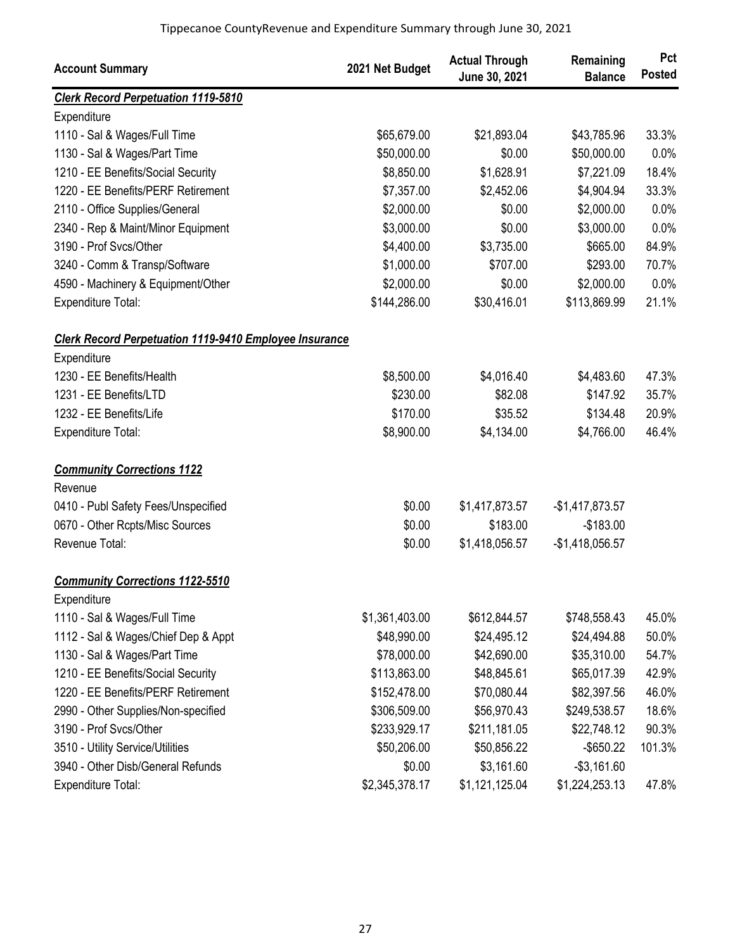| <b>Account Summary</b>                                        | 2021 Net Budget | <b>Actual Through</b><br>June 30, 2021 | Remaining<br><b>Balance</b> | Pct<br><b>Posted</b> |
|---------------------------------------------------------------|-----------------|----------------------------------------|-----------------------------|----------------------|
| <b>Clerk Record Perpetuation 1119-5810</b>                    |                 |                                        |                             |                      |
| Expenditure                                                   |                 |                                        |                             |                      |
| 1110 - Sal & Wages/Full Time                                  | \$65,679.00     | \$21,893.04                            | \$43,785.96                 | 33.3%                |
| 1130 - Sal & Wages/Part Time                                  | \$50,000.00     | \$0.00                                 | \$50,000.00                 | 0.0%                 |
| 1210 - EE Benefits/Social Security                            | \$8,850.00      | \$1,628.91                             | \$7,221.09                  | 18.4%                |
| 1220 - EE Benefits/PERF Retirement                            | \$7,357.00      | \$2,452.06                             | \$4,904.94                  | 33.3%                |
| 2110 - Office Supplies/General                                | \$2,000.00      | \$0.00                                 | \$2,000.00                  | 0.0%                 |
| 2340 - Rep & Maint/Minor Equipment                            | \$3,000.00      | \$0.00                                 | \$3,000.00                  | 0.0%                 |
| 3190 - Prof Svcs/Other                                        | \$4,400.00      | \$3,735.00                             | \$665.00                    | 84.9%                |
| 3240 - Comm & Transp/Software                                 | \$1,000.00      | \$707.00                               | \$293.00                    | 70.7%                |
| 4590 - Machinery & Equipment/Other                            | \$2,000.00      | \$0.00                                 | \$2,000.00                  | 0.0%                 |
| Expenditure Total:                                            | \$144,286.00    | \$30,416.01                            | \$113,869.99                | 21.1%                |
| <b>Clerk Record Perpetuation 1119-9410 Employee Insurance</b> |                 |                                        |                             |                      |
| Expenditure                                                   |                 |                                        |                             |                      |
| 1230 - EE Benefits/Health                                     | \$8,500.00      | \$4,016.40                             | \$4,483.60                  | 47.3%                |
| 1231 - EE Benefits/LTD                                        | \$230.00        | \$82.08                                | \$147.92                    | 35.7%                |
| 1232 - EE Benefits/Life                                       | \$170.00        | \$35.52                                | \$134.48                    | 20.9%                |
| <b>Expenditure Total:</b>                                     | \$8,900.00      | \$4,134.00                             | \$4,766.00                  | 46.4%                |
| <b>Community Corrections 1122</b>                             |                 |                                        |                             |                      |
| Revenue                                                       |                 |                                        |                             |                      |
| 0410 - Publ Safety Fees/Unspecified                           | \$0.00          | \$1,417,873.57                         | $-$1,417,873.57$            |                      |
| 0670 - Other Rcpts/Misc Sources                               | \$0.00          | \$183.00                               | $-$183.00$                  |                      |
| Revenue Total:                                                | \$0.00          | \$1,418,056.57                         | $-$1,418,056.57$            |                      |
| <b>Community Corrections 1122-5510</b>                        |                 |                                        |                             |                      |
| Expenditure                                                   |                 |                                        |                             |                      |
| 1110 - Sal & Wages/Full Time                                  | \$1,361,403.00  | \$612,844.57                           | \$748,558.43                | 45.0%                |
| 1112 - Sal & Wages/Chief Dep & Appt                           | \$48,990.00     | \$24,495.12                            | \$24,494.88                 | 50.0%                |
| 1130 - Sal & Wages/Part Time                                  | \$78,000.00     | \$42,690.00                            | \$35,310.00                 | 54.7%                |
| 1210 - EE Benefits/Social Security                            | \$113,863.00    | \$48,845.61                            | \$65,017.39                 | 42.9%                |
| 1220 - EE Benefits/PERF Retirement                            | \$152,478.00    | \$70,080.44                            | \$82,397.56                 | 46.0%                |
| 2990 - Other Supplies/Non-specified                           | \$306,509.00    | \$56,970.43                            | \$249,538.57                | 18.6%                |
| 3190 - Prof Svcs/Other                                        | \$233,929.17    | \$211,181.05                           | \$22,748.12                 | 90.3%                |
| 3510 - Utility Service/Utilities                              | \$50,206.00     | \$50,856.22                            | $-$ \$650.22                | 101.3%               |
| 3940 - Other Disb/General Refunds                             | \$0.00          | \$3,161.60                             | $-$3,161.60$                |                      |
| <b>Expenditure Total:</b>                                     | \$2,345,378.17  | \$1,121,125.04                         | \$1,224,253.13              | 47.8%                |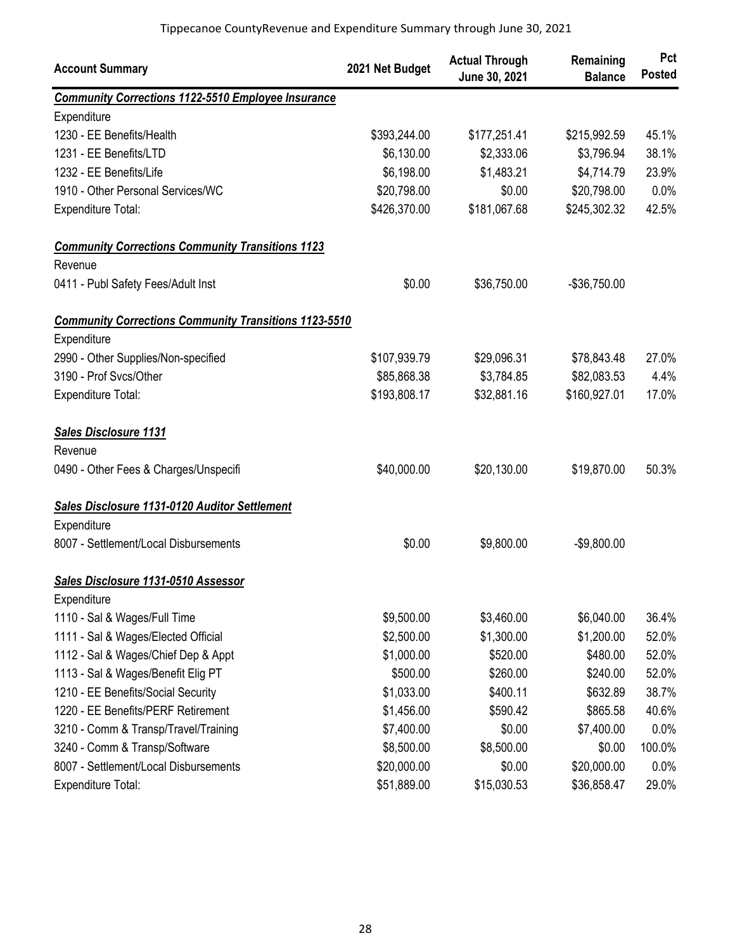| <b>Account Summary</b>                                       | 2021 Net Budget | <b>Actual Through</b><br>June 30, 2021 | Remaining<br><b>Balance</b> | Pct<br><b>Posted</b> |
|--------------------------------------------------------------|-----------------|----------------------------------------|-----------------------------|----------------------|
| <b>Community Corrections 1122-5510 Employee Insurance</b>    |                 |                                        |                             |                      |
| Expenditure                                                  |                 |                                        |                             |                      |
| 1230 - EE Benefits/Health                                    | \$393,244.00    | \$177,251.41                           | \$215,992.59                | 45.1%                |
| 1231 - EE Benefits/LTD                                       | \$6,130.00      | \$2,333.06                             | \$3,796.94                  | 38.1%                |
| 1232 - EE Benefits/Life                                      | \$6,198.00      | \$1,483.21                             | \$4,714.79                  | 23.9%                |
| 1910 - Other Personal Services/WC                            | \$20,798.00     | \$0.00                                 | \$20,798.00                 | 0.0%                 |
| <b>Expenditure Total:</b>                                    | \$426,370.00    | \$181,067.68                           | \$245,302.32                | 42.5%                |
| <b>Community Corrections Community Transitions 1123</b>      |                 |                                        |                             |                      |
| Revenue                                                      |                 |                                        |                             |                      |
| 0411 - Publ Safety Fees/Adult Inst                           | \$0.00          | \$36,750.00                            | -\$36,750.00                |                      |
| <b>Community Corrections Community Transitions 1123-5510</b> |                 |                                        |                             |                      |
| Expenditure                                                  |                 |                                        |                             |                      |
| 2990 - Other Supplies/Non-specified                          | \$107,939.79    | \$29,096.31                            | \$78,843.48                 | 27.0%                |
| 3190 - Prof Svcs/Other                                       | \$85,868.38     | \$3,784.85                             | \$82,083.53                 | 4.4%                 |
| <b>Expenditure Total:</b>                                    | \$193,808.17    | \$32,881.16                            | \$160,927.01                | 17.0%                |
| <b>Sales Disclosure 1131</b>                                 |                 |                                        |                             |                      |
| Revenue                                                      |                 |                                        |                             |                      |
| 0490 - Other Fees & Charges/Unspecifi                        | \$40,000.00     | \$20,130.00                            | \$19,870.00                 | 50.3%                |
| Sales Disclosure 1131-0120 Auditor Settlement                |                 |                                        |                             |                      |
| Expenditure                                                  |                 |                                        |                             |                      |
| 8007 - Settlement/Local Disbursements                        | \$0.00          | \$9,800.00                             | $-$9,800.00$                |                      |
| Sales Disclosure 1131-0510 Assessor                          |                 |                                        |                             |                      |
| Expenditure                                                  |                 |                                        |                             |                      |
| 1110 - Sal & Wages/Full Time                                 | \$9,500.00      | \$3,460.00                             | \$6,040.00                  | 36.4%                |
| 1111 - Sal & Wages/Elected Official                          | \$2,500.00      | \$1,300.00                             | \$1,200.00                  | 52.0%                |
| 1112 - Sal & Wages/Chief Dep & Appt                          | \$1,000.00      | \$520.00                               | \$480.00                    | 52.0%                |
| 1113 - Sal & Wages/Benefit Elig PT                           | \$500.00        | \$260.00                               | \$240.00                    | 52.0%                |
| 1210 - EE Benefits/Social Security                           | \$1,033.00      | \$400.11                               | \$632.89                    | 38.7%                |
| 1220 - EE Benefits/PERF Retirement                           | \$1,456.00      | \$590.42                               | \$865.58                    | 40.6%                |
| 3210 - Comm & Transp/Travel/Training                         | \$7,400.00      | \$0.00                                 | \$7,400.00                  | 0.0%                 |
| 3240 - Comm & Transp/Software                                | \$8,500.00      | \$8,500.00                             | \$0.00                      | 100.0%               |
| 8007 - Settlement/Local Disbursements                        | \$20,000.00     | \$0.00                                 | \$20,000.00                 | 0.0%                 |
| Expenditure Total:                                           | \$51,889.00     | \$15,030.53                            | \$36,858.47                 | 29.0%                |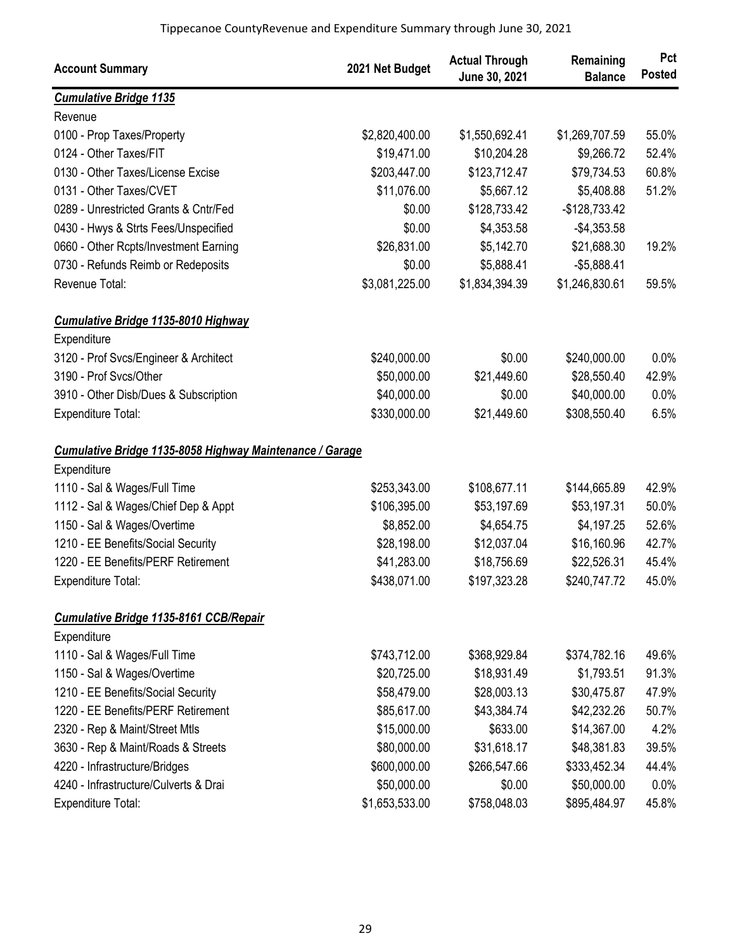| <b>Account Summary</b>                                   | 2021 Net Budget | <b>Actual Through</b><br>June 30, 2021 | Remaining<br><b>Balance</b> | Pct<br><b>Posted</b> |
|----------------------------------------------------------|-----------------|----------------------------------------|-----------------------------|----------------------|
| <b>Cumulative Bridge 1135</b>                            |                 |                                        |                             |                      |
| Revenue                                                  |                 |                                        |                             |                      |
| 0100 - Prop Taxes/Property                               | \$2,820,400.00  | \$1,550,692.41                         | \$1,269,707.59              | 55.0%                |
| 0124 - Other Taxes/FIT                                   | \$19,471.00     | \$10,204.28                            | \$9,266.72                  | 52.4%                |
| 0130 - Other Taxes/License Excise                        | \$203,447.00    | \$123,712.47                           | \$79,734.53                 | 60.8%                |
| 0131 - Other Taxes/CVET                                  | \$11,076.00     | \$5,667.12                             | \$5,408.88                  | 51.2%                |
| 0289 - Unrestricted Grants & Cntr/Fed                    | \$0.00          | \$128,733.42                           | $-$128,733.42$              |                      |
| 0430 - Hwys & Strts Fees/Unspecified                     | \$0.00          | \$4,353.58                             | $-$4,353.58$                |                      |
| 0660 - Other Rcpts/Investment Earning                    | \$26,831.00     | \$5,142.70                             | \$21,688.30                 | 19.2%                |
| 0730 - Refunds Reimb or Redeposits                       | \$0.00          | \$5,888.41                             | $-$5,888.41$                |                      |
| Revenue Total:                                           | \$3,081,225.00  | \$1,834,394.39                         | \$1,246,830.61              | 59.5%                |
| <b>Cumulative Bridge 1135-8010 Highway</b>               |                 |                                        |                             |                      |
| Expenditure                                              |                 |                                        |                             |                      |
| 3120 - Prof Svcs/Engineer & Architect                    | \$240,000.00    | \$0.00                                 | \$240,000.00                | 0.0%                 |
| 3190 - Prof Svcs/Other                                   | \$50,000.00     | \$21,449.60                            | \$28,550.40                 | 42.9%                |
| 3910 - Other Disb/Dues & Subscription                    | \$40,000.00     | \$0.00                                 | \$40,000.00                 | 0.0%                 |
| Expenditure Total:                                       | \$330,000.00    | \$21,449.60                            | \$308,550.40                | 6.5%                 |
| Cumulative Bridge 1135-8058 Highway Maintenance / Garage |                 |                                        |                             |                      |
| Expenditure                                              |                 |                                        |                             |                      |
| 1110 - Sal & Wages/Full Time                             | \$253,343.00    | \$108,677.11                           | \$144,665.89                | 42.9%                |
| 1112 - Sal & Wages/Chief Dep & Appt                      | \$106,395.00    | \$53,197.69                            | \$53,197.31                 | 50.0%                |
| 1150 - Sal & Wages/Overtime                              | \$8,852.00      | \$4,654.75                             | \$4,197.25                  | 52.6%                |
| 1210 - EE Benefits/Social Security                       | \$28,198.00     | \$12,037.04                            | \$16,160.96                 | 42.7%                |
| 1220 - EE Benefits/PERF Retirement                       | \$41,283.00     | \$18,756.69                            | \$22,526.31                 | 45.4%                |
| Expenditure Total:                                       | \$438,071.00    | \$197,323.28                           | \$240,747.72                | 45.0%                |
| <b>Cumulative Bridge 1135-8161 CCB/Repair</b>            |                 |                                        |                             |                      |
| Expenditure                                              |                 |                                        |                             |                      |
| 1110 - Sal & Wages/Full Time                             | \$743,712.00    | \$368,929.84                           | \$374,782.16                | 49.6%                |
| 1150 - Sal & Wages/Overtime                              | \$20,725.00     | \$18,931.49                            | \$1,793.51                  | 91.3%                |
| 1210 - EE Benefits/Social Security                       | \$58,479.00     | \$28,003.13                            | \$30,475.87                 | 47.9%                |
| 1220 - EE Benefits/PERF Retirement                       | \$85,617.00     | \$43,384.74                            | \$42,232.26                 | 50.7%                |
| 2320 - Rep & Maint/Street Mtls                           | \$15,000.00     | \$633.00                               | \$14,367.00                 | 4.2%                 |
| 3630 - Rep & Maint/Roads & Streets                       | \$80,000.00     | \$31,618.17                            | \$48,381.83                 | 39.5%                |
| 4220 - Infrastructure/Bridges                            | \$600,000.00    | \$266,547.66                           | \$333,452.34                | 44.4%                |
| 4240 - Infrastructure/Culverts & Drai                    | \$50,000.00     | \$0.00                                 | \$50,000.00                 | 0.0%                 |
| Expenditure Total:                                       | \$1,653,533.00  | \$758,048.03                           | \$895,484.97                | 45.8%                |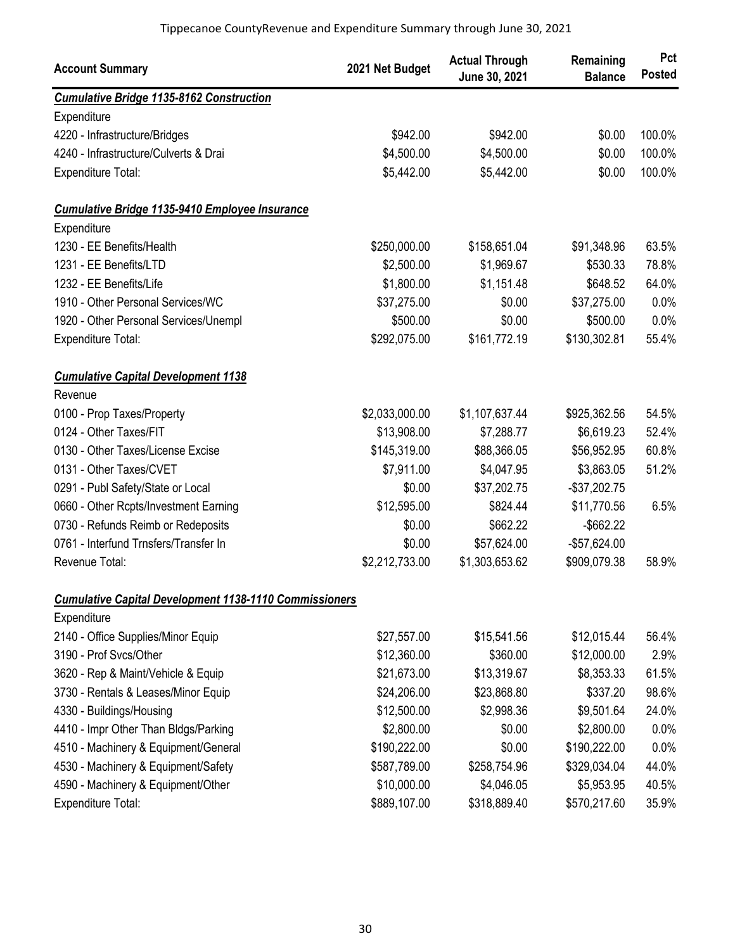| <b>Account Summary</b>                                        | 2021 Net Budget | <b>Actual Through</b><br>June 30, 2021 | Remaining<br><b>Balance</b> | Pct<br><b>Posted</b> |
|---------------------------------------------------------------|-----------------|----------------------------------------|-----------------------------|----------------------|
| <b>Cumulative Bridge 1135-8162 Construction</b>               |                 |                                        |                             |                      |
| Expenditure                                                   |                 |                                        |                             |                      |
| 4220 - Infrastructure/Bridges                                 | \$942.00        | \$942.00                               | \$0.00                      | 100.0%               |
| 4240 - Infrastructure/Culverts & Drai                         | \$4,500.00      | \$4,500.00                             | \$0.00                      | 100.0%               |
| Expenditure Total:                                            | \$5,442.00      | \$5,442.00                             | \$0.00                      | 100.0%               |
| <b>Cumulative Bridge 1135-9410 Employee Insurance</b>         |                 |                                        |                             |                      |
| Expenditure                                                   |                 |                                        |                             |                      |
| 1230 - EE Benefits/Health                                     | \$250,000.00    | \$158,651.04                           | \$91,348.96                 | 63.5%                |
| 1231 - EE Benefits/LTD                                        | \$2,500.00      | \$1,969.67                             | \$530.33                    | 78.8%                |
| 1232 - EE Benefits/Life                                       | \$1,800.00      | \$1,151.48                             | \$648.52                    | 64.0%                |
| 1910 - Other Personal Services/WC                             | \$37,275.00     | \$0.00                                 | \$37,275.00                 | 0.0%                 |
| 1920 - Other Personal Services/Unempl                         | \$500.00        | \$0.00                                 | \$500.00                    | 0.0%                 |
| Expenditure Total:                                            | \$292,075.00    | \$161,772.19                           | \$130,302.81                | 55.4%                |
| <b>Cumulative Capital Development 1138</b>                    |                 |                                        |                             |                      |
| Revenue                                                       |                 |                                        |                             |                      |
| 0100 - Prop Taxes/Property                                    | \$2,033,000.00  | \$1,107,637.44                         | \$925,362.56                | 54.5%                |
| 0124 - Other Taxes/FIT                                        | \$13,908.00     | \$7,288.77                             | \$6,619.23                  | 52.4%                |
| 0130 - Other Taxes/License Excise                             | \$145,319.00    | \$88,366.05                            | \$56,952.95                 | 60.8%                |
| 0131 - Other Taxes/CVET                                       | \$7,911.00      | \$4,047.95                             | \$3,863.05                  | 51.2%                |
| 0291 - Publ Safety/State or Local                             | \$0.00          | \$37,202.75                            | $-$37,202.75$               |                      |
| 0660 - Other Rcpts/Investment Earning                         | \$12,595.00     | \$824.44                               | \$11,770.56                 | 6.5%                 |
| 0730 - Refunds Reimb or Redeposits                            | \$0.00          | \$662.22                               | $-$ \$662.22                |                      |
| 0761 - Interfund Trnsfers/Transfer In                         | \$0.00          | \$57,624.00                            | -\$57,624.00                |                      |
| Revenue Total:                                                | \$2,212,733.00  | \$1,303,653.62                         | \$909,079.38                | 58.9%                |
| <b>Cumulative Capital Development 1138-1110 Commissioners</b> |                 |                                        |                             |                      |
| Expenditure                                                   |                 |                                        |                             |                      |
| 2140 - Office Supplies/Minor Equip                            | \$27,557.00     | \$15,541.56                            | \$12,015.44                 | 56.4%                |
| 3190 - Prof Svcs/Other                                        | \$12,360.00     | \$360.00                               | \$12,000.00                 | 2.9%                 |
| 3620 - Rep & Maint/Vehicle & Equip                            | \$21,673.00     | \$13,319.67                            | \$8,353.33                  | 61.5%                |
| 3730 - Rentals & Leases/Minor Equip                           | \$24,206.00     | \$23,868.80                            | \$337.20                    | 98.6%                |
| 4330 - Buildings/Housing                                      | \$12,500.00     | \$2,998.36                             | \$9,501.64                  | 24.0%                |
| 4410 - Impr Other Than Bldgs/Parking                          | \$2,800.00      | \$0.00                                 | \$2,800.00                  | 0.0%                 |
| 4510 - Machinery & Equipment/General                          | \$190,222.00    | \$0.00                                 | \$190,222.00                | 0.0%                 |
| 4530 - Machinery & Equipment/Safety                           | \$587,789.00    | \$258,754.96                           | \$329,034.04                | 44.0%                |
| 4590 - Machinery & Equipment/Other                            | \$10,000.00     | \$4,046.05                             | \$5,953.95                  | 40.5%                |
| Expenditure Total:                                            | \$889,107.00    | \$318,889.40                           | \$570,217.60                | 35.9%                |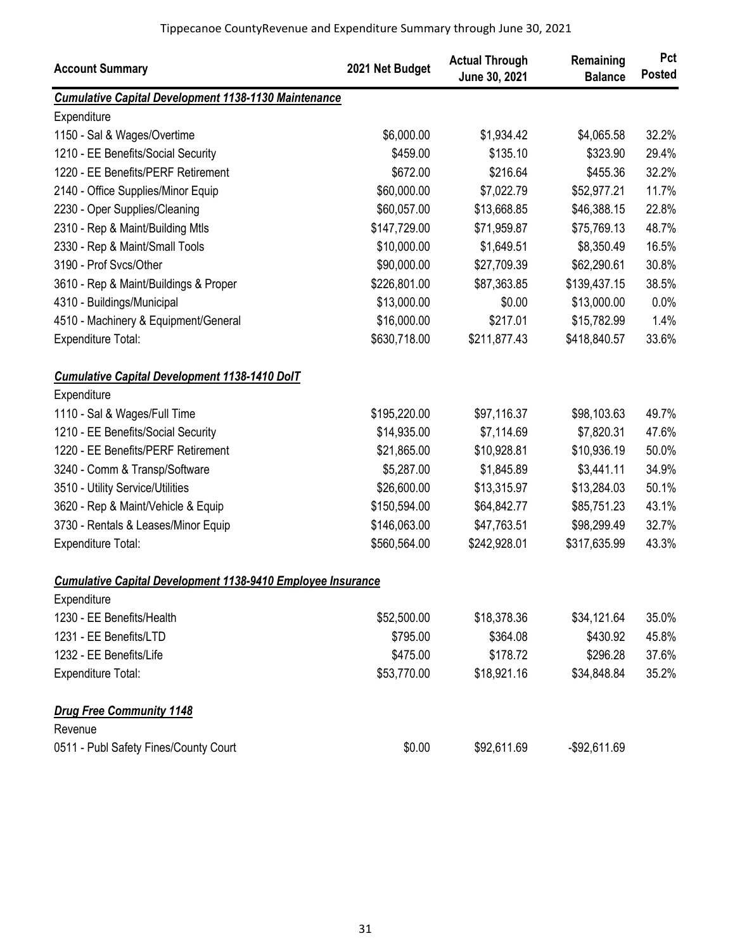| <b>Account Summary</b>                                             | 2021 Net Budget | <b>Actual Through</b><br>June 30, 2021 | Remaining<br><b>Balance</b> | Pct<br><b>Posted</b> |
|--------------------------------------------------------------------|-----------------|----------------------------------------|-----------------------------|----------------------|
| <b>Cumulative Capital Development 1138-1130 Maintenance</b>        |                 |                                        |                             |                      |
| Expenditure                                                        |                 |                                        |                             |                      |
| 1150 - Sal & Wages/Overtime                                        | \$6,000.00      | \$1,934.42                             | \$4,065.58                  | 32.2%                |
| 1210 - EE Benefits/Social Security                                 | \$459.00        | \$135.10                               | \$323.90                    | 29.4%                |
| 1220 - EE Benefits/PERF Retirement                                 | \$672.00        | \$216.64                               | \$455.36                    | 32.2%                |
| 2140 - Office Supplies/Minor Equip                                 | \$60,000.00     | \$7,022.79                             | \$52,977.21                 | 11.7%                |
| 2230 - Oper Supplies/Cleaning                                      | \$60,057.00     | \$13,668.85                            | \$46,388.15                 | 22.8%                |
| 2310 - Rep & Maint/Building Mtls                                   | \$147,729.00    | \$71,959.87                            | \$75,769.13                 | 48.7%                |
| 2330 - Rep & Maint/Small Tools                                     | \$10,000.00     | \$1,649.51                             | \$8,350.49                  | 16.5%                |
| 3190 - Prof Svcs/Other                                             | \$90,000.00     | \$27,709.39                            | \$62,290.61                 | 30.8%                |
| 3610 - Rep & Maint/Buildings & Proper                              | \$226,801.00    | \$87,363.85                            | \$139,437.15                | 38.5%                |
| 4310 - Buildings/Municipal                                         | \$13,000.00     | \$0.00                                 | \$13,000.00                 | 0.0%                 |
| 4510 - Machinery & Equipment/General                               | \$16,000.00     | \$217.01                               | \$15,782.99                 | 1.4%                 |
| Expenditure Total:                                                 | \$630,718.00    | \$211,877.43                           | \$418,840.57                | 33.6%                |
| <b>Cumulative Capital Development 1138-1410 DolT</b>               |                 |                                        |                             |                      |
| Expenditure                                                        |                 |                                        |                             |                      |
| 1110 - Sal & Wages/Full Time                                       | \$195,220.00    | \$97,116.37                            | \$98,103.63                 | 49.7%                |
| 1210 - EE Benefits/Social Security                                 | \$14,935.00     | \$7,114.69                             | \$7,820.31                  | 47.6%                |
| 1220 - EE Benefits/PERF Retirement                                 | \$21,865.00     | \$10,928.81                            | \$10,936.19                 | 50.0%                |
| 3240 - Comm & Transp/Software                                      | \$5,287.00      | \$1,845.89                             | \$3,441.11                  | 34.9%                |
| 3510 - Utility Service/Utilities                                   | \$26,600.00     | \$13,315.97                            | \$13,284.03                 | 50.1%                |
| 3620 - Rep & Maint/Vehicle & Equip                                 | \$150,594.00    | \$64,842.77                            | \$85,751.23                 | 43.1%                |
| 3730 - Rentals & Leases/Minor Equip                                | \$146,063.00    | \$47,763.51                            | \$98,299.49                 | 32.7%                |
| Expenditure Total:                                                 | \$560,564.00    | \$242,928.01                           | \$317,635.99                | 43.3%                |
| <b>Cumulative Capital Development 1138-9410 Employee Insurance</b> |                 |                                        |                             |                      |
| Expenditure                                                        |                 |                                        |                             |                      |
| 1230 - EE Benefits/Health                                          | \$52,500.00     | \$18,378.36                            | \$34,121.64                 | 35.0%                |
| 1231 - EE Benefits/LTD                                             | \$795.00        | \$364.08                               | \$430.92                    | 45.8%                |
| 1232 - EE Benefits/Life                                            | \$475.00        | \$178.72                               | \$296.28                    | 37.6%                |
| Expenditure Total:                                                 | \$53,770.00     | \$18,921.16                            | \$34,848.84                 | 35.2%                |
| <b>Drug Free Community 1148</b>                                    |                 |                                        |                             |                      |
| Revenue                                                            |                 |                                        |                             |                      |
| 0511 - Publ Safety Fines/County Court                              | \$0.00          | \$92,611.69                            | -\$92,611.69                |                      |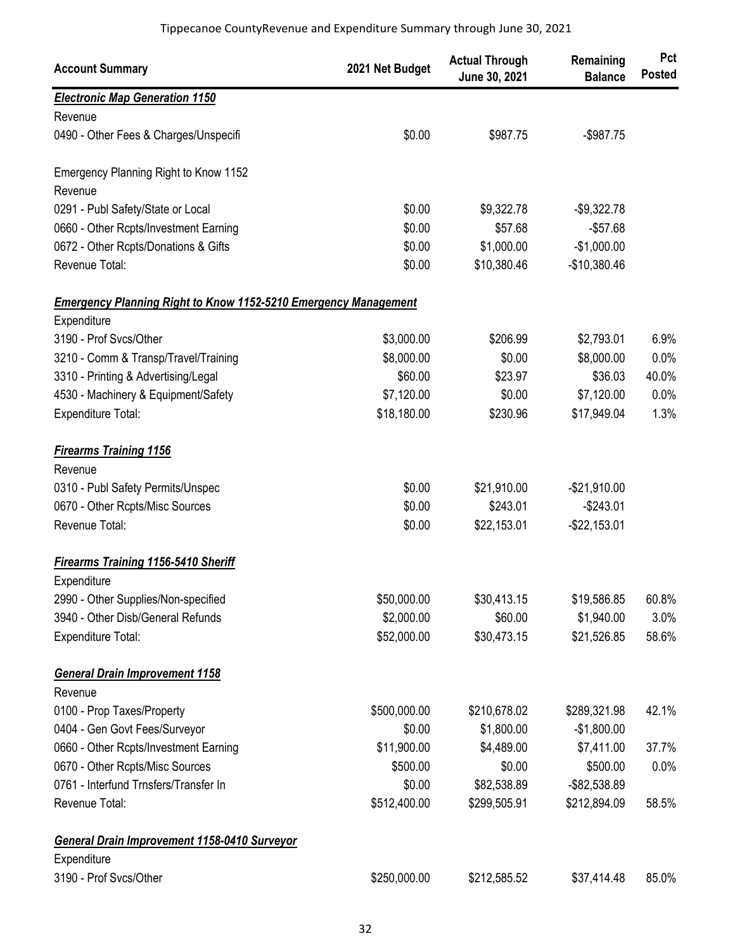| <b>Account Summary</b>                                                 | 2021 Net Budget | <b>Actual Through</b><br>June 30, 2021 | Remaining<br><b>Balance</b> | Pct<br><b>Posted</b> |
|------------------------------------------------------------------------|-----------------|----------------------------------------|-----------------------------|----------------------|
| <b>Electronic Map Generation 1150</b>                                  |                 |                                        |                             |                      |
| Revenue                                                                |                 |                                        |                             |                      |
| 0490 - Other Fees & Charges/Unspecifi                                  | \$0.00          | \$987.75                               | $-$987.75$                  |                      |
| Emergency Planning Right to Know 1152                                  |                 |                                        |                             |                      |
| Revenue                                                                |                 |                                        |                             |                      |
| 0291 - Publ Safety/State or Local                                      | \$0.00          | \$9,322.78                             | $-$9,322.78$                |                      |
| 0660 - Other Rcpts/Investment Earning                                  | \$0.00          | \$57.68                                | $-$57.68$                   |                      |
| 0672 - Other Rcpts/Donations & Gifts                                   | \$0.00          | \$1,000.00                             | $-$1,000.00$                |                      |
| Revenue Total:                                                         | \$0.00          | \$10,380.46                            | $-$10,380.46$               |                      |
| <b>Emergency Planning Right to Know 1152-5210 Emergency Management</b> |                 |                                        |                             |                      |
| Expenditure                                                            |                 |                                        |                             |                      |
| 3190 - Prof Svcs/Other                                                 | \$3,000.00      | \$206.99                               | \$2,793.01                  | 6.9%                 |
| 3210 - Comm & Transp/Travel/Training                                   | \$8,000.00      | \$0.00                                 | \$8,000.00                  | 0.0%                 |
| 3310 - Printing & Advertising/Legal                                    | \$60.00         | \$23.97                                | \$36.03                     | 40.0%                |
| 4530 - Machinery & Equipment/Safety                                    | \$7,120.00      | \$0.00                                 | \$7,120.00                  | 0.0%                 |
| Expenditure Total:                                                     | \$18,180.00     | \$230.96                               | \$17,949.04                 | 1.3%                 |
| <b>Firearms Training 1156</b>                                          |                 |                                        |                             |                      |
| Revenue                                                                |                 |                                        |                             |                      |
| 0310 - Publ Safety Permits/Unspec                                      | \$0.00          | \$21,910.00                            | $-$21,910.00$               |                      |
| 0670 - Other Rcpts/Misc Sources                                        | \$0.00          | \$243.01                               | $-$243.01$                  |                      |
| Revenue Total:                                                         | \$0.00          | \$22,153.01                            | $-$22,153.01$               |                      |
| <b>Firearms Training 1156-5410 Sheriff</b>                             |                 |                                        |                             |                      |
| Expenditure                                                            |                 |                                        |                             |                      |
| 2990 - Other Supplies/Non-specified                                    | \$50,000.00     | \$30,413.15                            | \$19,586.85                 | 60.8%                |
| 3940 - Other Disb/General Refunds                                      | \$2,000.00      | \$60.00                                | \$1,940.00                  | 3.0%                 |
| Expenditure Total:                                                     | \$52,000.00     | \$30,473.15                            | \$21,526.85                 | 58.6%                |
| <b>General Drain Improvement 1158</b>                                  |                 |                                        |                             |                      |
| Revenue                                                                |                 |                                        |                             |                      |
| 0100 - Prop Taxes/Property                                             | \$500,000.00    | \$210,678.02                           | \$289,321.98                | 42.1%                |
| 0404 - Gen Govt Fees/Surveyor                                          | \$0.00          | \$1,800.00                             | $-$1,800.00$                |                      |
| 0660 - Other Rcpts/Investment Earning                                  | \$11,900.00     | \$4,489.00                             | \$7,411.00                  | 37.7%                |
| 0670 - Other Rcpts/Misc Sources                                        | \$500.00        | \$0.00                                 | \$500.00                    | 0.0%                 |
| 0761 - Interfund Trnsfers/Transfer In                                  | \$0.00          | \$82,538.89                            | -\$82,538.89                |                      |
| Revenue Total:                                                         | \$512,400.00    | \$299,505.91                           | \$212,894.09                | 58.5%                |
| <b>General Drain Improvement 1158-0410 Surveyor</b>                    |                 |                                        |                             |                      |
| Expenditure                                                            |                 |                                        |                             |                      |
| 3190 - Prof Svcs/Other                                                 | \$250,000.00    | \$212,585.52                           | \$37,414.48                 | 85.0%                |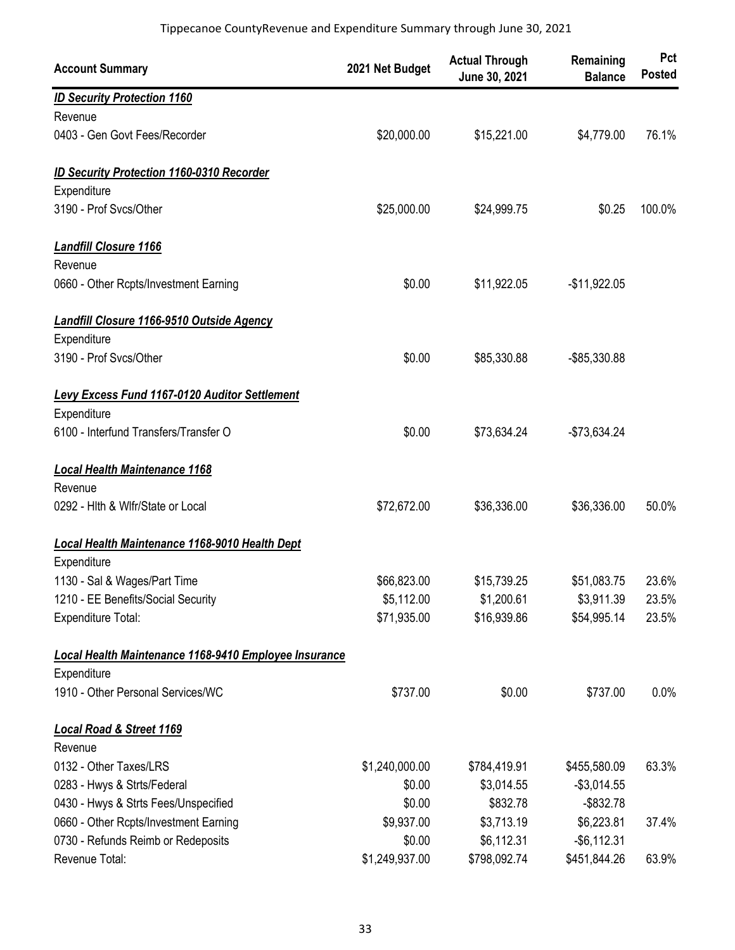| <b>Account Summary</b>                                | 2021 Net Budget | <b>Actual Through</b><br>June 30, 2021 | Remaining<br><b>Balance</b> | Pct<br><b>Posted</b> |
|-------------------------------------------------------|-----------------|----------------------------------------|-----------------------------|----------------------|
| <b>ID Security Protection 1160</b>                    |                 |                                        |                             |                      |
| Revenue                                               |                 |                                        |                             |                      |
| 0403 - Gen Govt Fees/Recorder                         | \$20,000.00     | \$15,221.00                            | \$4,779.00                  | 76.1%                |
| <b>ID Security Protection 1160-0310 Recorder</b>      |                 |                                        |                             |                      |
| Expenditure                                           |                 |                                        |                             |                      |
| 3190 - Prof Svcs/Other                                | \$25,000.00     | \$24,999.75                            | \$0.25                      | 100.0%               |
| <b>Landfill Closure 1166</b>                          |                 |                                        |                             |                      |
| Revenue                                               |                 |                                        |                             |                      |
| 0660 - Other Rcpts/Investment Earning                 | \$0.00          | \$11,922.05                            | $-$11,922.05$               |                      |
| <b>Landfill Closure 1166-9510 Outside Agency</b>      |                 |                                        |                             |                      |
| Expenditure                                           |                 |                                        |                             |                      |
| 3190 - Prof Svcs/Other                                | \$0.00          | \$85,330.88                            | -\$85,330.88                |                      |
| Levy Excess Fund 1167-0120 Auditor Settlement         |                 |                                        |                             |                      |
| Expenditure                                           |                 |                                        |                             |                      |
| 6100 - Interfund Transfers/Transfer O                 | \$0.00          | \$73,634.24                            | -\$73,634.24                |                      |
| <b>Local Health Maintenance 1168</b>                  |                 |                                        |                             |                      |
| Revenue                                               |                 |                                        |                             |                      |
| 0292 - Hith & Wifr/State or Local                     | \$72,672.00     | \$36,336.00                            | \$36,336.00                 | 50.0%                |
| <b>Local Health Maintenance 1168-9010 Health Dept</b> |                 |                                        |                             |                      |
| Expenditure                                           |                 |                                        |                             |                      |
| 1130 - Sal & Wages/Part Time                          | \$66,823.00     | \$15,739.25                            | \$51,083.75                 | 23.6%                |
| 1210 - EE Benefits/Social Security                    | \$5,112.00      | \$1,200.61                             | \$3,911.39                  | 23.5%                |
| Expenditure Total:                                    | \$71,935.00     | \$16,939.86                            | \$54,995.14                 | 23.5%                |
| Local Health Maintenance 1168-9410 Employee Insurance |                 |                                        |                             |                      |
| Expenditure                                           |                 |                                        |                             |                      |
| 1910 - Other Personal Services/WC                     | \$737.00        | \$0.00                                 | \$737.00                    | 0.0%                 |
| <b>Local Road &amp; Street 1169</b>                   |                 |                                        |                             |                      |
| Revenue                                               |                 |                                        |                             |                      |
| 0132 - Other Taxes/LRS                                | \$1,240,000.00  | \$784,419.91                           | \$455,580.09                | 63.3%                |
| 0283 - Hwys & Strts/Federal                           | \$0.00          | \$3,014.55                             | $-$3,014.55$                |                      |
| 0430 - Hwys & Strts Fees/Unspecified                  | \$0.00          | \$832.78                               | $-$ \$832.78                |                      |
| 0660 - Other Rcpts/Investment Earning                 | \$9,937.00      | \$3,713.19                             | \$6,223.81                  | 37.4%                |
| 0730 - Refunds Reimb or Redeposits                    | \$0.00          | \$6,112.31                             | $-$ \$6,112.31              |                      |
| Revenue Total:                                        | \$1,249,937.00  | \$798,092.74                           | \$451,844.26                | 63.9%                |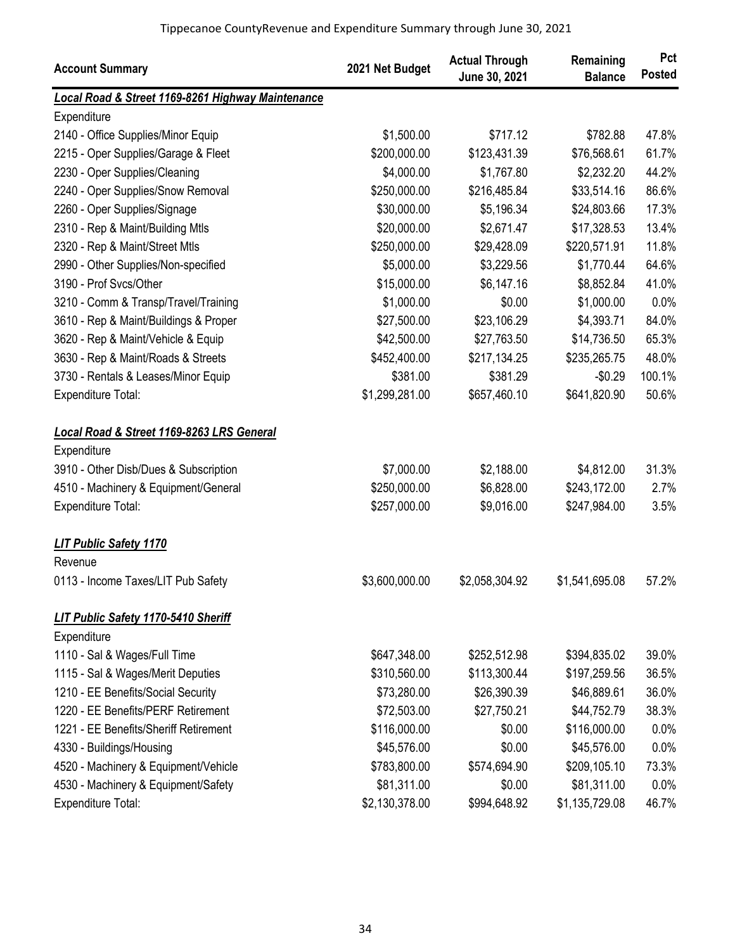| <b>Account Summary</b>                            | 2021 Net Budget | <b>Actual Through</b><br>June 30, 2021 | Remaining<br><b>Balance</b> | Pct<br><b>Posted</b> |
|---------------------------------------------------|-----------------|----------------------------------------|-----------------------------|----------------------|
| Local Road & Street 1169-8261 Highway Maintenance |                 |                                        |                             |                      |
| Expenditure                                       |                 |                                        |                             |                      |
| 2140 - Office Supplies/Minor Equip                | \$1,500.00      | \$717.12                               | \$782.88                    | 47.8%                |
| 2215 - Oper Supplies/Garage & Fleet               | \$200,000.00    | \$123,431.39                           | \$76,568.61                 | 61.7%                |
| 2230 - Oper Supplies/Cleaning                     | \$4,000.00      | \$1,767.80                             | \$2,232.20                  | 44.2%                |
| 2240 - Oper Supplies/Snow Removal                 | \$250,000.00    | \$216,485.84                           | \$33,514.16                 | 86.6%                |
| 2260 - Oper Supplies/Signage                      | \$30,000.00     | \$5,196.34                             | \$24,803.66                 | 17.3%                |
| 2310 - Rep & Maint/Building Mtls                  | \$20,000.00     | \$2,671.47                             | \$17,328.53                 | 13.4%                |
| 2320 - Rep & Maint/Street Mtls                    | \$250,000.00    | \$29,428.09                            | \$220,571.91                | 11.8%                |
| 2990 - Other Supplies/Non-specified               | \$5,000.00      | \$3,229.56                             | \$1,770.44                  | 64.6%                |
| 3190 - Prof Svcs/Other                            | \$15,000.00     | \$6,147.16                             | \$8,852.84                  | 41.0%                |
| 3210 - Comm & Transp/Travel/Training              | \$1,000.00      | \$0.00                                 | \$1,000.00                  | 0.0%                 |
| 3610 - Rep & Maint/Buildings & Proper             | \$27,500.00     | \$23,106.29                            | \$4,393.71                  | 84.0%                |
| 3620 - Rep & Maint/Vehicle & Equip                | \$42,500.00     | \$27,763.50                            | \$14,736.50                 | 65.3%                |
| 3630 - Rep & Maint/Roads & Streets                | \$452,400.00    | \$217,134.25                           | \$235,265.75                | 48.0%                |
| 3730 - Rentals & Leases/Minor Equip               | \$381.00        | \$381.29                               | $-$0.29$                    | 100.1%               |
| Expenditure Total:                                | \$1,299,281.00  | \$657,460.10                           | \$641,820.90                | 50.6%                |
| Local Road & Street 1169-8263 LRS General         |                 |                                        |                             |                      |
| Expenditure                                       |                 |                                        |                             |                      |
| 3910 - Other Disb/Dues & Subscription             | \$7,000.00      | \$2,188.00                             | \$4,812.00                  | 31.3%                |
| 4510 - Machinery & Equipment/General              | \$250,000.00    | \$6,828.00                             | \$243,172.00                | 2.7%                 |
| Expenditure Total:                                | \$257,000.00    | \$9,016.00                             | \$247,984.00                | 3.5%                 |
| <b>LIT Public Safety 1170</b>                     |                 |                                        |                             |                      |
| Revenue                                           |                 |                                        |                             |                      |
| 0113 - Income Taxes/LIT Pub Safety                | \$3,600,000.00  | \$2,058,304.92                         | \$1,541,695.08              | 57.2%                |
| <b>LIT Public Safety 1170-5410 Sheriff</b>        |                 |                                        |                             |                      |
| Expenditure                                       |                 |                                        |                             |                      |
| 1110 - Sal & Wages/Full Time                      | \$647,348.00    | \$252,512.98                           | \$394,835.02                | 39.0%                |
| 1115 - Sal & Wages/Merit Deputies                 | \$310,560.00    | \$113,300.44                           | \$197,259.56                | 36.5%                |
| 1210 - EE Benefits/Social Security                | \$73,280.00     | \$26,390.39                            | \$46,889.61                 | 36.0%                |
| 1220 - EE Benefits/PERF Retirement                | \$72,503.00     | \$27,750.21                            | \$44,752.79                 | 38.3%                |
| 1221 - EE Benefits/Sheriff Retirement             | \$116,000.00    | \$0.00                                 | \$116,000.00                | 0.0%                 |
| 4330 - Buildings/Housing                          | \$45,576.00     | \$0.00                                 | \$45,576.00                 | 0.0%                 |
| 4520 - Machinery & Equipment/Vehicle              | \$783,800.00    | \$574,694.90                           | \$209,105.10                | 73.3%                |
| 4530 - Machinery & Equipment/Safety               | \$81,311.00     | \$0.00                                 | \$81,311.00                 | 0.0%                 |
| Expenditure Total:                                | \$2,130,378.00  | \$994,648.92                           | \$1,135,729.08              | 46.7%                |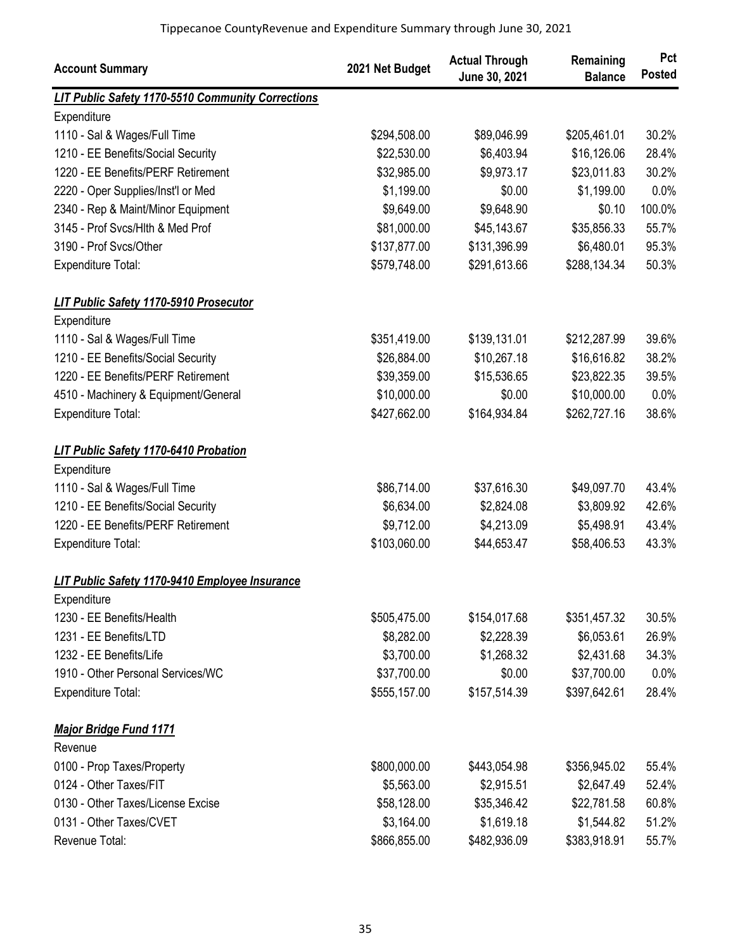| <b>Account Summary</b>                            | 2021 Net Budget | <b>Actual Through</b><br>June 30, 2021 | Remaining<br><b>Balance</b> | Pct<br><b>Posted</b> |
|---------------------------------------------------|-----------------|----------------------------------------|-----------------------------|----------------------|
| LIT Public Safety 1170-5510 Community Corrections |                 |                                        |                             |                      |
| Expenditure                                       |                 |                                        |                             |                      |
| 1110 - Sal & Wages/Full Time                      | \$294,508.00    | \$89,046.99                            | \$205,461.01                | 30.2%                |
| 1210 - EE Benefits/Social Security                | \$22,530.00     | \$6,403.94                             | \$16,126.06                 | 28.4%                |
| 1220 - EE Benefits/PERF Retirement                | \$32,985.00     | \$9,973.17                             | \$23,011.83                 | 30.2%                |
| 2220 - Oper Supplies/Inst'l or Med                | \$1,199.00      | \$0.00                                 | \$1,199.00                  | 0.0%                 |
| 2340 - Rep & Maint/Minor Equipment                | \$9,649.00      | \$9,648.90                             | \$0.10                      | 100.0%               |
| 3145 - Prof Svcs/Hlth & Med Prof                  | \$81,000.00     | \$45,143.67                            | \$35,856.33                 | 55.7%                |
| 3190 - Prof Svcs/Other                            | \$137,877.00    | \$131,396.99                           | \$6,480.01                  | 95.3%                |
| <b>Expenditure Total:</b>                         | \$579,748.00    | \$291,613.66                           | \$288,134.34                | 50.3%                |
| LIT Public Safety 1170-5910 Prosecutor            |                 |                                        |                             |                      |
| Expenditure                                       |                 |                                        |                             |                      |
| 1110 - Sal & Wages/Full Time                      | \$351,419.00    | \$139,131.01                           | \$212,287.99                | 39.6%                |
| 1210 - EE Benefits/Social Security                | \$26,884.00     | \$10,267.18                            | \$16,616.82                 | 38.2%                |
| 1220 - EE Benefits/PERF Retirement                | \$39,359.00     | \$15,536.65                            | \$23,822.35                 | 39.5%                |
| 4510 - Machinery & Equipment/General              | \$10,000.00     | \$0.00                                 | \$10,000.00                 | 0.0%                 |
| Expenditure Total:                                | \$427,662.00    | \$164,934.84                           | \$262,727.16                | 38.6%                |
| <b>LIT Public Safety 1170-6410 Probation</b>      |                 |                                        |                             |                      |
| Expenditure                                       |                 |                                        |                             |                      |
| 1110 - Sal & Wages/Full Time                      | \$86,714.00     | \$37,616.30                            | \$49,097.70                 | 43.4%                |
| 1210 - EE Benefits/Social Security                | \$6,634.00      | \$2,824.08                             | \$3,809.92                  | 42.6%                |
| 1220 - EE Benefits/PERF Retirement                | \$9,712.00      | \$4,213.09                             | \$5,498.91                  | 43.4%                |
| Expenditure Total:                                | \$103,060.00    | \$44,653.47                            | \$58,406.53                 | 43.3%                |
| LIT Public Safety 1170-9410 Employee Insurance    |                 |                                        |                             |                      |
| Expenditure                                       |                 |                                        |                             |                      |
| 1230 - EE Benefits/Health                         | \$505,475.00    | \$154,017.68                           | \$351,457.32                | 30.5%                |
| 1231 - EE Benefits/LTD                            | \$8,282.00      | \$2,228.39                             | \$6,053.61                  | 26.9%                |
| 1232 - EE Benefits/Life                           | \$3,700.00      | \$1,268.32                             | \$2,431.68                  | 34.3%                |
| 1910 - Other Personal Services/WC                 | \$37,700.00     | \$0.00                                 | \$37,700.00                 | 0.0%                 |
| <b>Expenditure Total:</b>                         | \$555,157.00    | \$157,514.39                           | \$397,642.61                | 28.4%                |
| <b>Major Bridge Fund 1171</b>                     |                 |                                        |                             |                      |
| Revenue                                           |                 |                                        |                             |                      |
| 0100 - Prop Taxes/Property                        | \$800,000.00    | \$443,054.98                           | \$356,945.02                | 55.4%                |
| 0124 - Other Taxes/FIT                            | \$5,563.00      | \$2,915.51                             | \$2,647.49                  | 52.4%                |
| 0130 - Other Taxes/License Excise                 | \$58,128.00     | \$35,346.42                            | \$22,781.58                 | 60.8%                |
| 0131 - Other Taxes/CVET                           | \$3,164.00      | \$1,619.18                             | \$1,544.82                  | 51.2%                |
| Revenue Total:                                    | \$866,855.00    | \$482,936.09                           | \$383,918.91                | 55.7%                |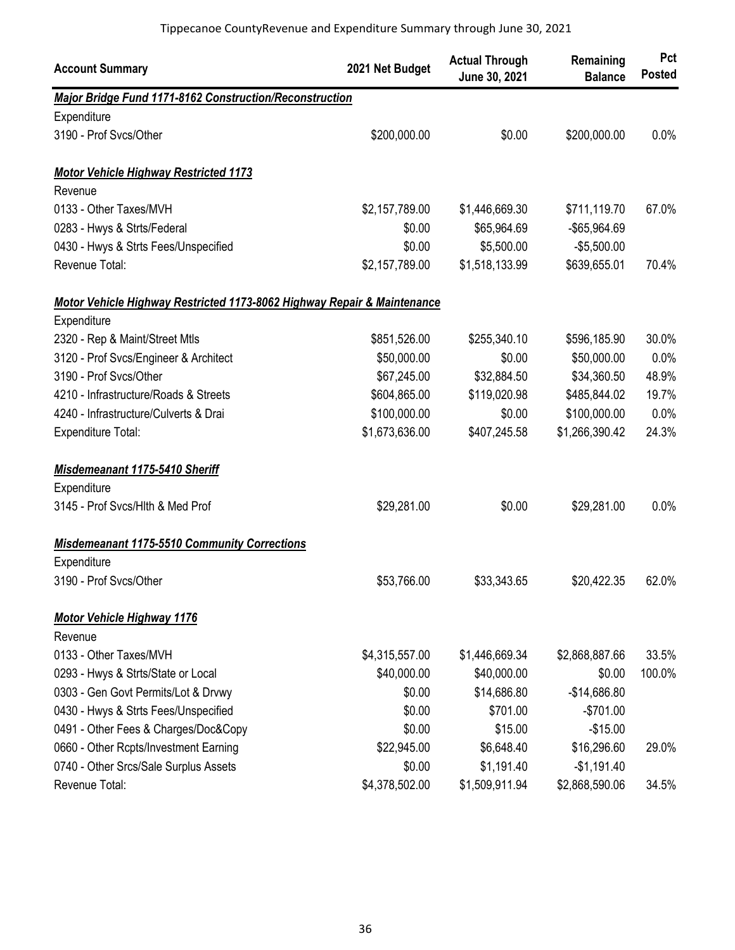| <b>Account Summary</b>                                                  | 2021 Net Budget | <b>Actual Through</b><br>June 30, 2021 | Remaining<br><b>Balance</b> | Pct<br><b>Posted</b> |
|-------------------------------------------------------------------------|-----------------|----------------------------------------|-----------------------------|----------------------|
| Major Bridge Fund 1171-8162 Construction/Reconstruction                 |                 |                                        |                             |                      |
| Expenditure                                                             |                 |                                        |                             |                      |
| 3190 - Prof Svcs/Other                                                  | \$200,000.00    | \$0.00                                 | \$200,000.00                | 0.0%                 |
| <b>Motor Vehicle Highway Restricted 1173</b>                            |                 |                                        |                             |                      |
| Revenue                                                                 |                 |                                        |                             |                      |
| 0133 - Other Taxes/MVH                                                  | \$2,157,789.00  | \$1,446,669.30                         | \$711,119.70                | 67.0%                |
| 0283 - Hwys & Strts/Federal                                             | \$0.00          | \$65,964.69                            | -\$65,964.69                |                      |
| 0430 - Hwys & Strts Fees/Unspecified                                    | \$0.00          | \$5,500.00                             | $-$5,500.00$                |                      |
| Revenue Total:                                                          | \$2,157,789.00  | \$1,518,133.99                         | \$639,655.01                | 70.4%                |
| Motor Vehicle Highway Restricted 1173-8062 Highway Repair & Maintenance |                 |                                        |                             |                      |
| Expenditure                                                             |                 |                                        |                             |                      |
| 2320 - Rep & Maint/Street Mtls                                          | \$851,526.00    | \$255,340.10                           | \$596,185.90                | 30.0%                |
| 3120 - Prof Svcs/Engineer & Architect                                   | \$50,000.00     | \$0.00                                 | \$50,000.00                 | 0.0%                 |
| 3190 - Prof Svcs/Other                                                  | \$67,245.00     | \$32,884.50                            | \$34,360.50                 | 48.9%                |
| 4210 - Infrastructure/Roads & Streets                                   | \$604,865.00    | \$119,020.98                           | \$485,844.02                | 19.7%                |
| 4240 - Infrastructure/Culverts & Drai                                   | \$100,000.00    | \$0.00                                 | \$100,000.00                | 0.0%                 |
| <b>Expenditure Total:</b>                                               | \$1,673,636.00  | \$407,245.58                           | \$1,266,390.42              | 24.3%                |
| Misdemeanant 1175-5410 Sheriff                                          |                 |                                        |                             |                      |
| Expenditure                                                             |                 |                                        |                             |                      |
| 3145 - Prof Svcs/Hlth & Med Prof                                        | \$29,281.00     | \$0.00                                 | \$29,281.00                 | 0.0%                 |
| <b>Misdemeanant 1175-5510 Community Corrections</b>                     |                 |                                        |                             |                      |
| Expenditure                                                             |                 |                                        |                             |                      |
| 3190 - Prof Svcs/Other                                                  | \$53,766.00     | \$33,343.65                            | \$20,422.35                 | 62.0%                |
| <b>Motor Vehicle Highway 1176</b>                                       |                 |                                        |                             |                      |
| Revenue                                                                 |                 |                                        |                             |                      |
| 0133 - Other Taxes/MVH                                                  | \$4,315,557.00  | \$1,446,669.34                         | \$2,868,887.66              | 33.5%                |
| 0293 - Hwys & Strts/State or Local                                      | \$40,000.00     | \$40,000.00                            | \$0.00                      | 100.0%               |
| 0303 - Gen Govt Permits/Lot & Drvwy                                     | \$0.00          | \$14,686.80                            | $-$14,686.80$               |                      |
| 0430 - Hwys & Strts Fees/Unspecified                                    | \$0.00          | \$701.00                               | $-$701.00$                  |                      |
| 0491 - Other Fees & Charges/Doc&Copy                                    | \$0.00          | \$15.00                                | $-$15.00$                   |                      |
| 0660 - Other Rcpts/Investment Earning                                   | \$22,945.00     | \$6,648.40                             | \$16,296.60                 | 29.0%                |
| 0740 - Other Srcs/Sale Surplus Assets                                   | \$0.00          | \$1,191.40                             | $-$1,191.40$                |                      |
| Revenue Total:                                                          | \$4,378,502.00  | \$1,509,911.94                         | \$2,868,590.06              | 34.5%                |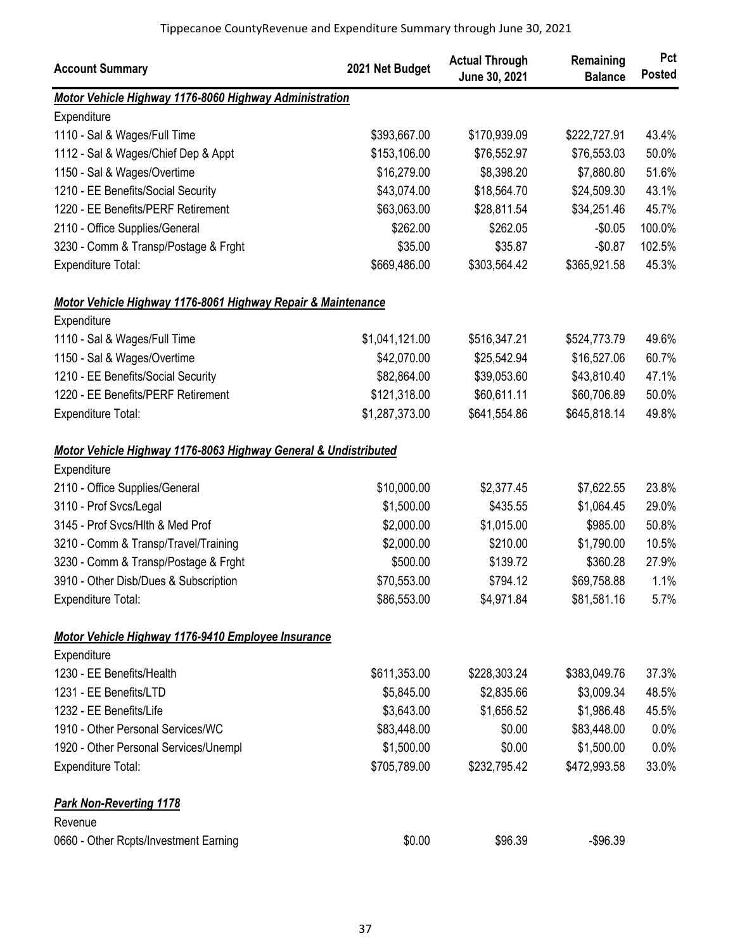| <b>Account Summary</b>                                          | 2021 Net Budget | <b>Actual Through</b><br>June 30, 2021 | Remaining<br><b>Balance</b> | Pct<br><b>Posted</b> |
|-----------------------------------------------------------------|-----------------|----------------------------------------|-----------------------------|----------------------|
| Motor Vehicle Highway 1176-8060 Highway Administration          |                 |                                        |                             |                      |
| Expenditure                                                     |                 |                                        |                             |                      |
| 1110 - Sal & Wages/Full Time                                    | \$393,667.00    | \$170,939.09                           | \$222,727.91                | 43.4%                |
| 1112 - Sal & Wages/Chief Dep & Appt                             | \$153,106.00    | \$76,552.97                            | \$76,553.03                 | 50.0%                |
| 1150 - Sal & Wages/Overtime                                     | \$16,279.00     | \$8,398.20                             | \$7,880.80                  | 51.6%                |
| 1210 - EE Benefits/Social Security                              | \$43,074.00     | \$18,564.70                            | \$24,509.30                 | 43.1%                |
| 1220 - EE Benefits/PERF Retirement                              | \$63,063.00     | \$28,811.54                            | \$34,251.46                 | 45.7%                |
| 2110 - Office Supplies/General                                  | \$262.00        | \$262.05                               | $-$0.05$                    | 100.0%               |
| 3230 - Comm & Transp/Postage & Frght                            | \$35.00         | \$35.87                                | $-$0.87$                    | 102.5%               |
| Expenditure Total:                                              | \$669,486.00    | \$303,564.42                           | \$365,921.58                | 45.3%                |
| Motor Vehicle Highway 1176-8061 Highway Repair & Maintenance    |                 |                                        |                             |                      |
| Expenditure                                                     |                 |                                        |                             |                      |
| 1110 - Sal & Wages/Full Time                                    | \$1,041,121.00  | \$516,347.21                           | \$524,773.79                | 49.6%                |
| 1150 - Sal & Wages/Overtime                                     | \$42,070.00     | \$25,542.94                            | \$16,527.06                 | 60.7%                |
| 1210 - EE Benefits/Social Security                              | \$82,864.00     | \$39,053.60                            | \$43,810.40                 | 47.1%                |
| 1220 - EE Benefits/PERF Retirement                              | \$121,318.00    | \$60,611.11                            | \$60,706.89                 | 50.0%                |
| <b>Expenditure Total:</b>                                       | \$1,287,373.00  | \$641,554.86                           | \$645,818.14                | 49.8%                |
| Motor Vehicle Highway 1176-8063 Highway General & Undistributed |                 |                                        |                             |                      |
| Expenditure                                                     |                 |                                        |                             |                      |
| 2110 - Office Supplies/General                                  | \$10,000.00     | \$2,377.45                             | \$7,622.55                  | 23.8%                |
| 3110 - Prof Svcs/Legal                                          | \$1,500.00      | \$435.55                               | \$1,064.45                  | 29.0%                |
| 3145 - Prof Svcs/Hlth & Med Prof                                | \$2,000.00      | \$1,015.00                             | \$985.00                    | 50.8%                |
| 3210 - Comm & Transp/Travel/Training                            | \$2,000.00      | \$210.00                               | \$1,790.00                  | 10.5%                |
| 3230 - Comm & Transp/Postage & Frght                            | \$500.00        | \$139.72                               | \$360.28                    | 27.9%                |
| 3910 - Other Disb/Dues & Subscription                           | \$70,553.00     | \$794.12                               | \$69,758.88                 | 1.1%                 |
| <b>Expenditure Total:</b>                                       | \$86,553.00     | \$4,971.84                             | \$81,581.16                 | 5.7%                 |
| Motor Vehicle Highway 1176-9410 Employee Insurance              |                 |                                        |                             |                      |
| Expenditure                                                     |                 |                                        |                             |                      |
| 1230 - EE Benefits/Health                                       | \$611,353.00    | \$228,303.24                           | \$383,049.76                | 37.3%                |
| 1231 - EE Benefits/LTD                                          | \$5,845.00      | \$2,835.66                             | \$3,009.34                  | 48.5%                |
| 1232 - EE Benefits/Life                                         | \$3,643.00      | \$1,656.52                             | \$1,986.48                  | 45.5%                |
| 1910 - Other Personal Services/WC                               | \$83,448.00     | \$0.00                                 | \$83,448.00                 | 0.0%                 |
| 1920 - Other Personal Services/Unempl                           | \$1,500.00      | \$0.00                                 | \$1,500.00                  | 0.0%                 |
| <b>Expenditure Total:</b>                                       | \$705,789.00    | \$232,795.42                           | \$472,993.58                | 33.0%                |
| <b>Park Non-Reverting 1178</b>                                  |                 |                                        |                             |                      |
| Revenue                                                         |                 |                                        |                             |                      |
| 0660 - Other Rcpts/Investment Earning                           | \$0.00          | \$96.39                                | $-$96.39$                   |                      |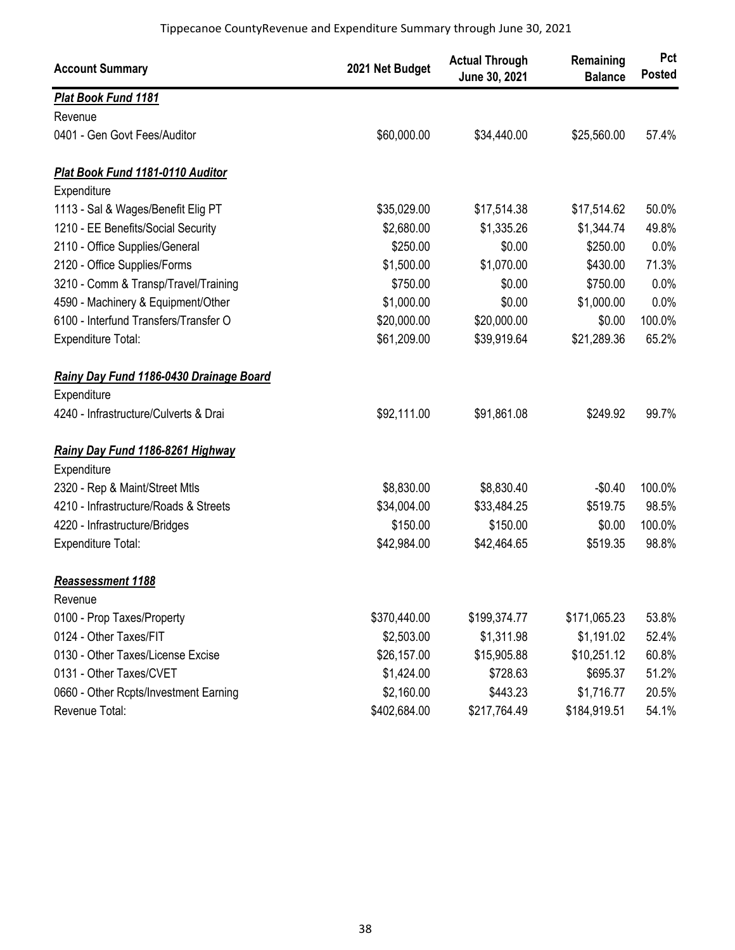| <b>Account Summary</b>                  | 2021 Net Budget | <b>Actual Through</b><br>June 30, 2021 | Remaining<br><b>Balance</b> | Pct<br><b>Posted</b> |
|-----------------------------------------|-----------------|----------------------------------------|-----------------------------|----------------------|
| Plat Book Fund 1181                     |                 |                                        |                             |                      |
| Revenue                                 |                 |                                        |                             |                      |
| 0401 - Gen Govt Fees/Auditor            | \$60,000.00     | \$34,440.00                            | \$25,560.00                 | 57.4%                |
| <b>Plat Book Fund 1181-0110 Auditor</b> |                 |                                        |                             |                      |
| Expenditure                             |                 |                                        |                             |                      |
| 1113 - Sal & Wages/Benefit Elig PT      | \$35,029.00     | \$17,514.38                            | \$17,514.62                 | 50.0%                |
| 1210 - EE Benefits/Social Security      | \$2,680.00      | \$1,335.26                             | \$1,344.74                  | 49.8%                |
| 2110 - Office Supplies/General          | \$250.00        | \$0.00                                 | \$250.00                    | 0.0%                 |
| 2120 - Office Supplies/Forms            | \$1,500.00      | \$1,070.00                             | \$430.00                    | 71.3%                |
| 3210 - Comm & Transp/Travel/Training    | \$750.00        | \$0.00                                 | \$750.00                    | 0.0%                 |
| 4590 - Machinery & Equipment/Other      | \$1,000.00      | \$0.00                                 | \$1,000.00                  | 0.0%                 |
| 6100 - Interfund Transfers/Transfer O   | \$20,000.00     | \$20,000.00                            | \$0.00                      | 100.0%               |
| <b>Expenditure Total:</b>               | \$61,209.00     | \$39,919.64                            | \$21,289.36                 | 65.2%                |
| Rainy Day Fund 1186-0430 Drainage Board |                 |                                        |                             |                      |
| Expenditure                             |                 |                                        |                             |                      |
| 4240 - Infrastructure/Culverts & Drai   | \$92,111.00     | \$91,861.08                            | \$249.92                    | 99.7%                |
| Rainy Day Fund 1186-8261 Highway        |                 |                                        |                             |                      |
| Expenditure                             |                 |                                        |                             |                      |
| 2320 - Rep & Maint/Street Mtls          | \$8,830.00      | \$8,830.40                             | $-$0.40$                    | 100.0%               |
| 4210 - Infrastructure/Roads & Streets   | \$34,004.00     | \$33,484.25                            | \$519.75                    | 98.5%                |
| 4220 - Infrastructure/Bridges           | \$150.00        | \$150.00                               | \$0.00                      | 100.0%               |
| Expenditure Total:                      | \$42,984.00     | \$42,464.65                            | \$519.35                    | 98.8%                |
| Reassessment 1188                       |                 |                                        |                             |                      |
| Revenue                                 |                 |                                        |                             |                      |
| 0100 - Prop Taxes/Property              | \$370,440.00    | \$199,374.77                           | \$171,065.23                | 53.8%                |
| 0124 - Other Taxes/FIT                  | \$2,503.00      | \$1,311.98                             | \$1,191.02                  | 52.4%                |
| 0130 - Other Taxes/License Excise       | \$26,157.00     | \$15,905.88                            | \$10,251.12                 | 60.8%                |
| 0131 - Other Taxes/CVET                 | \$1,424.00      | \$728.63                               | \$695.37                    | 51.2%                |
| 0660 - Other Rcpts/Investment Earning   | \$2,160.00      | \$443.23                               | \$1,716.77                  | 20.5%                |
| Revenue Total:                          | \$402,684.00    | \$217,764.49                           | \$184,919.51                | 54.1%                |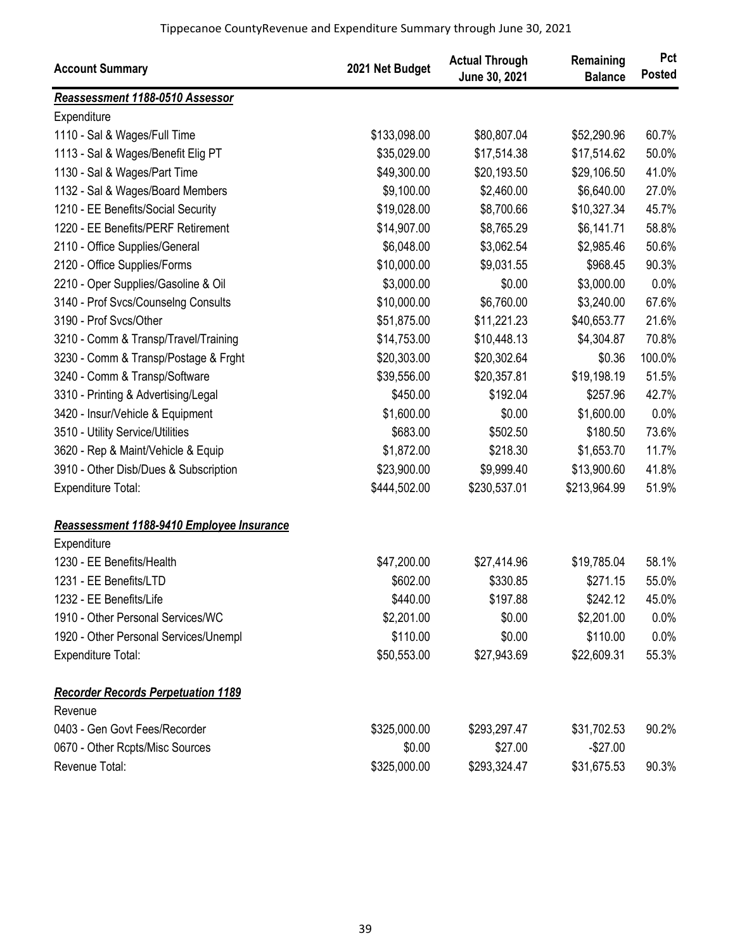| <b>Account Summary</b>                    | 2021 Net Budget | <b>Actual Through</b><br>June 30, 2021 | Remaining<br><b>Balance</b> | Pct<br><b>Posted</b> |
|-------------------------------------------|-----------------|----------------------------------------|-----------------------------|----------------------|
| Reassessment 1188-0510 Assessor           |                 |                                        |                             |                      |
| Expenditure                               |                 |                                        |                             |                      |
| 1110 - Sal & Wages/Full Time              | \$133,098.00    | \$80,807.04                            | \$52,290.96                 | 60.7%                |
| 1113 - Sal & Wages/Benefit Elig PT        | \$35,029.00     | \$17,514.38                            | \$17,514.62                 | 50.0%                |
| 1130 - Sal & Wages/Part Time              | \$49,300.00     | \$20,193.50                            | \$29,106.50                 | 41.0%                |
| 1132 - Sal & Wages/Board Members          | \$9,100.00      | \$2,460.00                             | \$6,640.00                  | 27.0%                |
| 1210 - EE Benefits/Social Security        | \$19,028.00     | \$8,700.66                             | \$10,327.34                 | 45.7%                |
| 1220 - EE Benefits/PERF Retirement        | \$14,907.00     | \$8,765.29                             | \$6,141.71                  | 58.8%                |
| 2110 - Office Supplies/General            | \$6,048.00      | \$3,062.54                             | \$2,985.46                  | 50.6%                |
| 2120 - Office Supplies/Forms              | \$10,000.00     | \$9,031.55                             | \$968.45                    | 90.3%                |
| 2210 - Oper Supplies/Gasoline & Oil       | \$3,000.00      | \$0.00                                 | \$3,000.00                  | 0.0%                 |
| 3140 - Prof Svcs/Counselng Consults       | \$10,000.00     | \$6,760.00                             | \$3,240.00                  | 67.6%                |
| 3190 - Prof Svcs/Other                    | \$51,875.00     | \$11,221.23                            | \$40,653.77                 | 21.6%                |
| 3210 - Comm & Transp/Travel/Training      | \$14,753.00     | \$10,448.13                            | \$4,304.87                  | 70.8%                |
| 3230 - Comm & Transp/Postage & Frght      | \$20,303.00     | \$20,302.64                            | \$0.36                      | 100.0%               |
| 3240 - Comm & Transp/Software             | \$39,556.00     | \$20,357.81                            | \$19,198.19                 | 51.5%                |
| 3310 - Printing & Advertising/Legal       | \$450.00        | \$192.04                               | \$257.96                    | 42.7%                |
| 3420 - Insur/Vehicle & Equipment          | \$1,600.00      | \$0.00                                 | \$1,600.00                  | 0.0%                 |
| 3510 - Utility Service/Utilities          | \$683.00        | \$502.50                               | \$180.50                    | 73.6%                |
| 3620 - Rep & Maint/Vehicle & Equip        | \$1,872.00      | \$218.30                               | \$1,653.70                  | 11.7%                |
| 3910 - Other Disb/Dues & Subscription     | \$23,900.00     | \$9,999.40                             | \$13,900.60                 | 41.8%                |
| Expenditure Total:                        | \$444,502.00    | \$230,537.01                           | \$213,964.99                | 51.9%                |
| Reassessment 1188-9410 Employee Insurance |                 |                                        |                             |                      |
| Expenditure                               |                 |                                        |                             |                      |
| 1230 - EE Benefits/Health                 | \$47,200.00     | \$27,414.96                            | \$19,785.04                 | 58.1%                |
| 1231 - EE Benefits/LTD                    | \$602.00        | \$330.85                               | \$271.15                    | 55.0%                |
| 1232 - EE Benefits/Life                   | \$440.00        | \$197.88                               | \$242.12                    | 45.0%                |
| 1910 - Other Personal Services/WC         | \$2,201.00      | \$0.00                                 | \$2,201.00                  | 0.0%                 |
| 1920 - Other Personal Services/Unempl     | \$110.00        | \$0.00                                 | \$110.00                    | 0.0%                 |
| Expenditure Total:                        | \$50,553.00     | \$27,943.69                            | \$22,609.31                 | 55.3%                |
| <b>Recorder Records Perpetuation 1189</b> |                 |                                        |                             |                      |
| Revenue                                   |                 |                                        |                             |                      |
| 0403 - Gen Govt Fees/Recorder             | \$325,000.00    | \$293,297.47                           | \$31,702.53                 | 90.2%                |
| 0670 - Other Rcpts/Misc Sources           | \$0.00          | \$27.00                                | $-$27.00$                   |                      |
| Revenue Total:                            | \$325,000.00    | \$293,324.47                           | \$31,675.53                 | 90.3%                |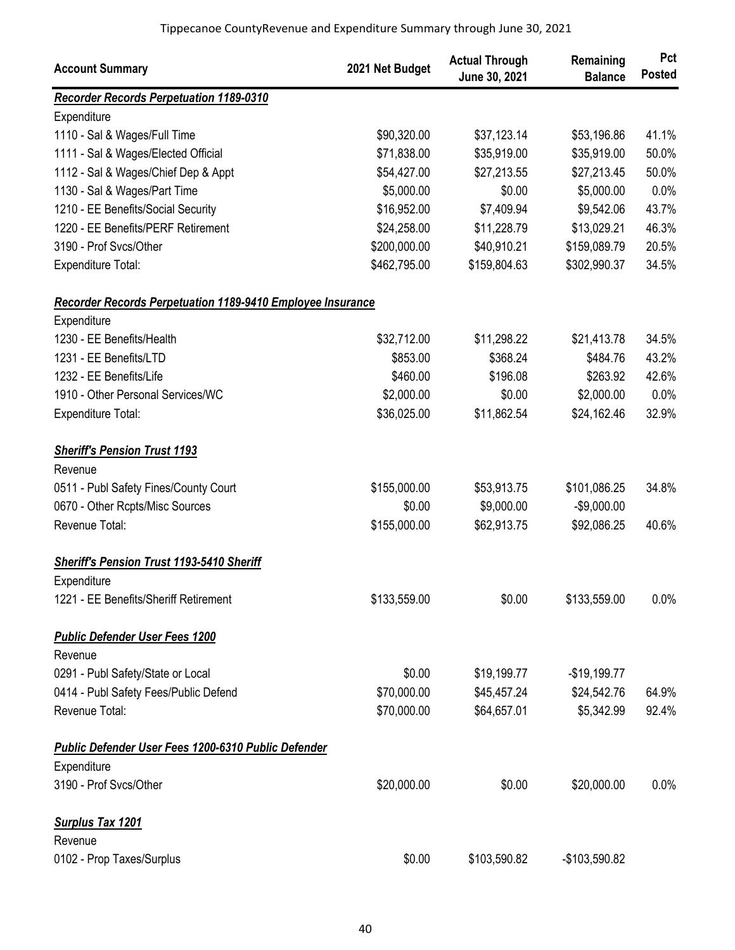| <b>Account Summary</b>                                            | 2021 Net Budget | <b>Actual Through</b><br>June 30, 2021 | Remaining<br><b>Balance</b> | Pct<br><b>Posted</b> |
|-------------------------------------------------------------------|-----------------|----------------------------------------|-----------------------------|----------------------|
| <b>Recorder Records Perpetuation 1189-0310</b>                    |                 |                                        |                             |                      |
| Expenditure                                                       |                 |                                        |                             |                      |
| 1110 - Sal & Wages/Full Time                                      | \$90,320.00     | \$37,123.14                            | \$53,196.86                 | 41.1%                |
| 1111 - Sal & Wages/Elected Official                               | \$71,838.00     | \$35,919.00                            | \$35,919.00                 | 50.0%                |
| 1112 - Sal & Wages/Chief Dep & Appt                               | \$54,427.00     | \$27,213.55                            | \$27,213.45                 | 50.0%                |
| 1130 - Sal & Wages/Part Time                                      | \$5,000.00      | \$0.00                                 | \$5,000.00                  | 0.0%                 |
| 1210 - EE Benefits/Social Security                                | \$16,952.00     | \$7,409.94                             | \$9,542.06                  | 43.7%                |
| 1220 - EE Benefits/PERF Retirement                                | \$24,258.00     | \$11,228.79                            | \$13,029.21                 | 46.3%                |
| 3190 - Prof Svcs/Other                                            | \$200,000.00    | \$40,910.21                            | \$159,089.79                | 20.5%                |
| <b>Expenditure Total:</b>                                         | \$462,795.00    | \$159,804.63                           | \$302,990.37                | 34.5%                |
| <b>Recorder Records Perpetuation 1189-9410 Employee Insurance</b> |                 |                                        |                             |                      |
| Expenditure                                                       |                 |                                        |                             |                      |
| 1230 - EE Benefits/Health                                         | \$32,712.00     | \$11,298.22                            | \$21,413.78                 | 34.5%                |
| 1231 - EE Benefits/LTD                                            | \$853.00        | \$368.24                               | \$484.76                    | 43.2%                |
| 1232 - EE Benefits/Life                                           | \$460.00        | \$196.08                               | \$263.92                    | 42.6%                |
| 1910 - Other Personal Services/WC                                 | \$2,000.00      | \$0.00                                 | \$2,000.00                  | 0.0%                 |
| Expenditure Total:                                                | \$36,025.00     | \$11,862.54                            | \$24,162.46                 | 32.9%                |
| <b>Sheriff's Pension Trust 1193</b>                               |                 |                                        |                             |                      |
| Revenue                                                           |                 |                                        |                             |                      |
| 0511 - Publ Safety Fines/County Court                             | \$155,000.00    | \$53,913.75                            | \$101,086.25                | 34.8%                |
| 0670 - Other Rcpts/Misc Sources                                   | \$0.00          | \$9,000.00                             | $-$9,000.00$                |                      |
| Revenue Total:                                                    | \$155,000.00    | \$62,913.75                            | \$92,086.25                 | 40.6%                |
| <b>Sheriff's Pension Trust 1193-5410 Sheriff</b>                  |                 |                                        |                             |                      |
| Expenditure                                                       |                 |                                        |                             |                      |
| 1221 - EE Benefits/Sheriff Retirement                             | \$133,559.00    | \$0.00                                 | \$133,559.00                | 0.0%                 |
| <b>Public Defender User Fees 1200</b>                             |                 |                                        |                             |                      |
| Revenue                                                           |                 |                                        |                             |                      |
| 0291 - Publ Safety/State or Local                                 | \$0.00          | \$19,199.77                            | $-$19,199.77$               |                      |
| 0414 - Publ Safety Fees/Public Defend                             | \$70,000.00     | \$45,457.24                            | \$24,542.76                 | 64.9%                |
| Revenue Total:                                                    | \$70,000.00     | \$64,657.01                            | \$5,342.99                  | 92.4%                |
| Public Defender User Fees 1200-6310 Public Defender               |                 |                                        |                             |                      |
| Expenditure                                                       |                 |                                        |                             |                      |
| 3190 - Prof Svcs/Other                                            | \$20,000.00     | \$0.00                                 | \$20,000.00                 | 0.0%                 |
| <b>Surplus Tax 1201</b>                                           |                 |                                        |                             |                      |
| Revenue                                                           |                 |                                        |                             |                      |
| 0102 - Prop Taxes/Surplus                                         | \$0.00          | \$103,590.82                           | -\$103,590.82               |                      |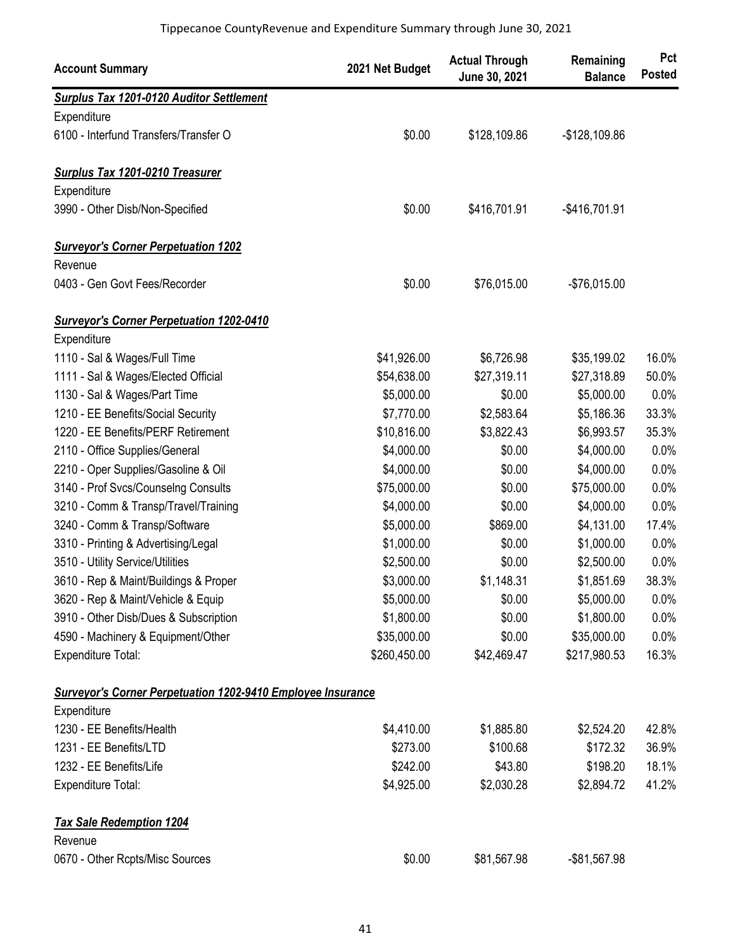| <b>Account Summary</b>                                             | 2021 Net Budget | <b>Actual Through</b><br>June 30, 2021 | Remaining<br><b>Balance</b> | Pct<br><b>Posted</b> |
|--------------------------------------------------------------------|-----------------|----------------------------------------|-----------------------------|----------------------|
| <b>Surplus Tax 1201-0120 Auditor Settlement</b>                    |                 |                                        |                             |                      |
| Expenditure                                                        |                 |                                        |                             |                      |
| 6100 - Interfund Transfers/Transfer O                              | \$0.00          | \$128,109.86                           | $-$128,109.86$              |                      |
| <b>Surplus Tax 1201-0210 Treasurer</b>                             |                 |                                        |                             |                      |
| Expenditure                                                        |                 |                                        |                             |                      |
| 3990 - Other Disb/Non-Specified                                    | \$0.00          | \$416,701.91                           | $-$416,701.91$              |                      |
| <b>Surveyor's Corner Perpetuation 1202</b>                         |                 |                                        |                             |                      |
| Revenue                                                            |                 |                                        |                             |                      |
| 0403 - Gen Govt Fees/Recorder                                      | \$0.00          | \$76,015.00                            | $-$76,015.00$               |                      |
| <b>Surveyor's Corner Perpetuation 1202-0410</b>                    |                 |                                        |                             |                      |
| Expenditure                                                        |                 |                                        |                             |                      |
| 1110 - Sal & Wages/Full Time                                       | \$41,926.00     | \$6,726.98                             | \$35,199.02                 | 16.0%                |
| 1111 - Sal & Wages/Elected Official                                | \$54,638.00     | \$27,319.11                            | \$27,318.89                 | 50.0%                |
| 1130 - Sal & Wages/Part Time                                       | \$5,000.00      | \$0.00                                 | \$5,000.00                  | 0.0%                 |
| 1210 - EE Benefits/Social Security                                 | \$7,770.00      | \$2,583.64                             | \$5,186.36                  | 33.3%                |
| 1220 - EE Benefits/PERF Retirement                                 | \$10,816.00     | \$3,822.43                             | \$6,993.57                  | 35.3%                |
| 2110 - Office Supplies/General                                     | \$4,000.00      | \$0.00                                 | \$4,000.00                  | 0.0%                 |
| 2210 - Oper Supplies/Gasoline & Oil                                | \$4,000.00      | \$0.00                                 | \$4,000.00                  | 0.0%                 |
| 3140 - Prof Svcs/Counselng Consults                                | \$75,000.00     | \$0.00                                 | \$75,000.00                 | 0.0%                 |
| 3210 - Comm & Transp/Travel/Training                               | \$4,000.00      | \$0.00                                 | \$4,000.00                  | 0.0%                 |
| 3240 - Comm & Transp/Software                                      | \$5,000.00      | \$869.00                               | \$4,131.00                  | 17.4%                |
| 3310 - Printing & Advertising/Legal                                | \$1,000.00      | \$0.00                                 | \$1,000.00                  | 0.0%                 |
| 3510 - Utility Service/Utilities                                   | \$2,500.00      | \$0.00                                 | \$2,500.00                  | 0.0%                 |
| 3610 - Rep & Maint/Buildings & Proper                              | \$3,000.00      | \$1,148.31                             | \$1,851.69                  | 38.3%                |
| 3620 - Rep & Maint/Vehicle & Equip                                 | \$5,000.00      | \$0.00                                 | \$5,000.00                  | 0.0%                 |
| 3910 - Other Disb/Dues & Subscription                              | \$1,800.00      | \$0.00                                 | \$1,800.00                  | 0.0%                 |
| 4590 - Machinery & Equipment/Other                                 | \$35,000.00     | \$0.00                                 | \$35,000.00                 | 0.0%                 |
| Expenditure Total:                                                 | \$260,450.00    | \$42,469.47                            | \$217,980.53                | 16.3%                |
| <b>Surveyor's Corner Perpetuation 1202-9410 Employee Insurance</b> |                 |                                        |                             |                      |
| Expenditure                                                        |                 |                                        |                             |                      |
| 1230 - EE Benefits/Health                                          | \$4,410.00      | \$1,885.80                             | \$2,524.20                  | 42.8%                |
| 1231 - EE Benefits/LTD                                             | \$273.00        | \$100.68                               | \$172.32                    | 36.9%                |
| 1232 - EE Benefits/Life                                            | \$242.00        | \$43.80                                | \$198.20                    | 18.1%                |
| <b>Expenditure Total:</b>                                          | \$4,925.00      | \$2,030.28                             | \$2,894.72                  | 41.2%                |
| <b>Tax Sale Redemption 1204</b>                                    |                 |                                        |                             |                      |
| Revenue                                                            |                 |                                        |                             |                      |
| 0670 - Other Rcpts/Misc Sources                                    | \$0.00          | \$81,567.98                            | -\$81,567.98                |                      |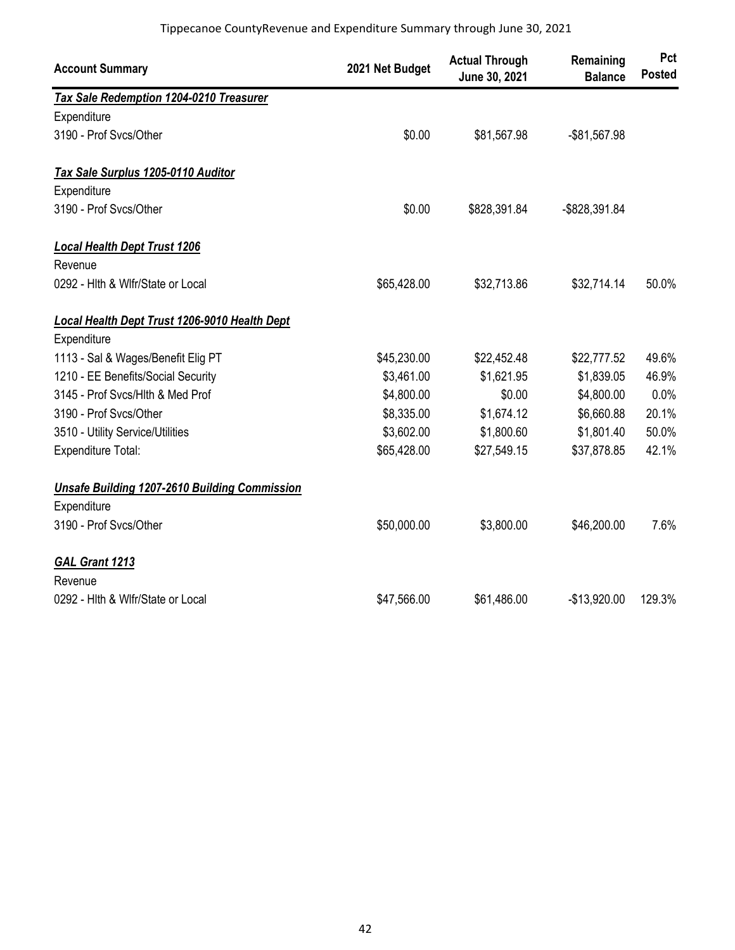| <b>Account Summary</b>                               | 2021 Net Budget | <b>Actual Through</b><br>June 30, 2021 | Remaining<br><b>Balance</b> | Pct<br><b>Posted</b> |
|------------------------------------------------------|-----------------|----------------------------------------|-----------------------------|----------------------|
| Tax Sale Redemption 1204-0210 Treasurer              |                 |                                        |                             |                      |
| Expenditure                                          |                 |                                        |                             |                      |
| 3190 - Prof Svcs/Other                               | \$0.00          | \$81,567.98                            | -\$81,567.98                |                      |
| Tax Sale Surplus 1205-0110 Auditor                   |                 |                                        |                             |                      |
| Expenditure                                          |                 |                                        |                             |                      |
| 3190 - Prof Svcs/Other                               | \$0.00          | \$828,391.84                           | -\$828,391.84               |                      |
| <b>Local Health Dept Trust 1206</b>                  |                 |                                        |                             |                      |
| Revenue                                              |                 |                                        |                             |                      |
| 0292 - Hlth & Wlfr/State or Local                    | \$65,428.00     | \$32,713.86                            | \$32,714.14                 | 50.0%                |
| Local Health Dept Trust 1206-9010 Health Dept        |                 |                                        |                             |                      |
| Expenditure                                          |                 |                                        |                             |                      |
| 1113 - Sal & Wages/Benefit Elig PT                   | \$45,230.00     | \$22,452.48                            | \$22,777.52                 | 49.6%                |
| 1210 - EE Benefits/Social Security                   | \$3,461.00      | \$1,621.95                             | \$1,839.05                  | 46.9%                |
| 3145 - Prof Svcs/Hlth & Med Prof                     | \$4,800.00      | \$0.00                                 | \$4,800.00                  | 0.0%                 |
| 3190 - Prof Svcs/Other                               | \$8,335.00      | \$1,674.12                             | \$6,660.88                  | 20.1%                |
| 3510 - Utility Service/Utilities                     | \$3,602.00      | \$1,800.60                             | \$1,801.40                  | 50.0%                |
| Expenditure Total:                                   | \$65,428.00     | \$27,549.15                            | \$37,878.85                 | 42.1%                |
| <b>Unsafe Building 1207-2610 Building Commission</b> |                 |                                        |                             |                      |
| Expenditure                                          |                 |                                        |                             |                      |
| 3190 - Prof Svcs/Other                               | \$50,000.00     | \$3,800.00                             | \$46,200.00                 | 7.6%                 |
| GAL Grant 1213                                       |                 |                                        |                             |                      |
| Revenue                                              |                 |                                        |                             |                      |
| 0292 - Hith & Wifr/State or Local                    | \$47,566.00     | \$61,486.00                            | $-$13,920.00$               | 129.3%               |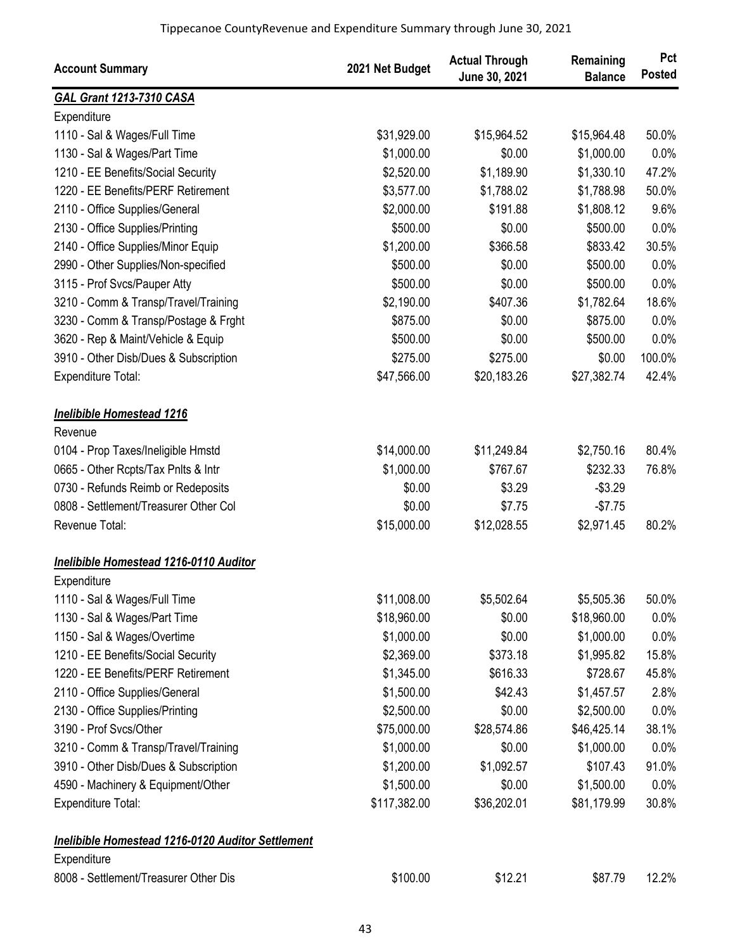| <b>Account Summary</b>                                   | 2021 Net Budget | <b>Actual Through</b><br>June 30, 2021 | Remaining<br><b>Balance</b> | Pct<br><b>Posted</b> |
|----------------------------------------------------------|-----------------|----------------------------------------|-----------------------------|----------------------|
| <b>GAL Grant 1213-7310 CASA</b>                          |                 |                                        |                             |                      |
| Expenditure                                              |                 |                                        |                             |                      |
| 1110 - Sal & Wages/Full Time                             | \$31,929.00     | \$15,964.52                            | \$15,964.48                 | 50.0%                |
| 1130 - Sal & Wages/Part Time                             | \$1,000.00      | \$0.00                                 | \$1,000.00                  | 0.0%                 |
| 1210 - EE Benefits/Social Security                       | \$2,520.00      | \$1,189.90                             | \$1,330.10                  | 47.2%                |
| 1220 - EE Benefits/PERF Retirement                       | \$3,577.00      | \$1,788.02                             | \$1,788.98                  | 50.0%                |
| 2110 - Office Supplies/General                           | \$2,000.00      | \$191.88                               | \$1,808.12                  | 9.6%                 |
| 2130 - Office Supplies/Printing                          | \$500.00        | \$0.00                                 | \$500.00                    | 0.0%                 |
| 2140 - Office Supplies/Minor Equip                       | \$1,200.00      | \$366.58                               | \$833.42                    | 30.5%                |
| 2990 - Other Supplies/Non-specified                      | \$500.00        | \$0.00                                 | \$500.00                    | 0.0%                 |
| 3115 - Prof Svcs/Pauper Atty                             | \$500.00        | \$0.00                                 | \$500.00                    | 0.0%                 |
| 3210 - Comm & Transp/Travel/Training                     | \$2,190.00      | \$407.36                               | \$1,782.64                  | 18.6%                |
| 3230 - Comm & Transp/Postage & Frght                     | \$875.00        | \$0.00                                 | \$875.00                    | 0.0%                 |
| 3620 - Rep & Maint/Vehicle & Equip                       | \$500.00        | \$0.00                                 | \$500.00                    | 0.0%                 |
| 3910 - Other Disb/Dues & Subscription                    | \$275.00        | \$275.00                               | \$0.00                      | 100.0%               |
| Expenditure Total:                                       | \$47,566.00     | \$20,183.26                            | \$27,382.74                 | 42.4%                |
| <b>Inelibible Homestead 1216</b>                         |                 |                                        |                             |                      |
| Revenue                                                  |                 |                                        |                             |                      |
| 0104 - Prop Taxes/Ineligible Hmstd                       | \$14,000.00     | \$11,249.84                            | \$2,750.16                  | 80.4%                |
| 0665 - Other Rcpts/Tax Pnlts & Intr                      | \$1,000.00      | \$767.67                               | \$232.33                    | 76.8%                |
| 0730 - Refunds Reimb or Redeposits                       | \$0.00          | \$3.29                                 | $-$3.29$                    |                      |
| 0808 - Settlement/Treasurer Other Col                    | \$0.00          | \$7.75                                 | $-$7.75$                    |                      |
| Revenue Total:                                           | \$15,000.00     | \$12,028.55                            | \$2,971.45                  | 80.2%                |
| Inelibible Homestead 1216-0110 Auditor                   |                 |                                        |                             |                      |
| Expenditure                                              |                 |                                        |                             |                      |
| 1110 - Sal & Wages/Full Time                             | \$11,008.00     | \$5,502.64                             | \$5,505.36                  | 50.0%                |
| 1130 - Sal & Wages/Part Time                             | \$18,960.00     | \$0.00                                 | \$18,960.00                 | 0.0%                 |
| 1150 - Sal & Wages/Overtime                              | \$1,000.00      | \$0.00                                 | \$1,000.00                  | 0.0%                 |
| 1210 - EE Benefits/Social Security                       | \$2,369.00      | \$373.18                               | \$1,995.82                  | 15.8%                |
| 1220 - EE Benefits/PERF Retirement                       | \$1,345.00      | \$616.33                               | \$728.67                    | 45.8%                |
| 2110 - Office Supplies/General                           | \$1,500.00      | \$42.43                                | \$1,457.57                  | 2.8%                 |
| 2130 - Office Supplies/Printing                          | \$2,500.00      | \$0.00                                 | \$2,500.00                  | 0.0%                 |
| 3190 - Prof Svcs/Other                                   | \$75,000.00     | \$28,574.86                            | \$46,425.14                 | 38.1%                |
| 3210 - Comm & Transp/Travel/Training                     | \$1,000.00      | \$0.00                                 | \$1,000.00                  | 0.0%                 |
| 3910 - Other Disb/Dues & Subscription                    | \$1,200.00      | \$1,092.57                             | \$107.43                    | 91.0%                |
| 4590 - Machinery & Equipment/Other                       | \$1,500.00      | \$0.00                                 | \$1,500.00                  | 0.0%                 |
| Expenditure Total:                                       | \$117,382.00    | \$36,202.01                            | \$81,179.99                 | 30.8%                |
| <b>Inelibible Homestead 1216-0120 Auditor Settlement</b> |                 |                                        |                             |                      |
| Expenditure                                              |                 |                                        |                             |                      |
| 8008 - Settlement/Treasurer Other Dis                    | \$100.00        | \$12.21                                | \$87.79                     | 12.2%                |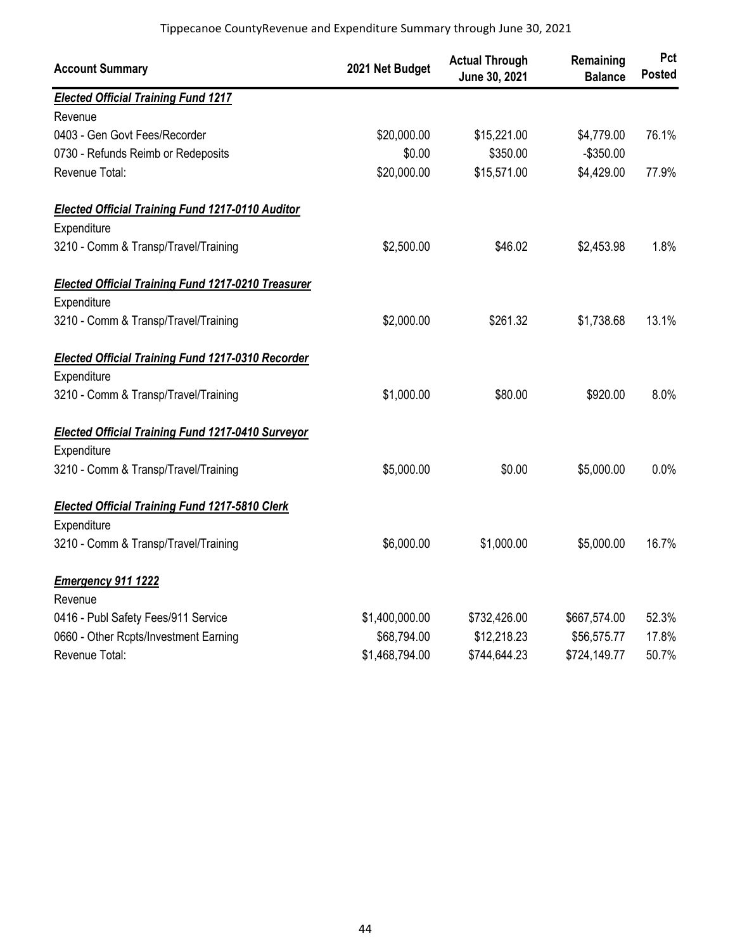| <b>Account Summary</b>                                    | 2021 Net Budget | <b>Actual Through</b><br>June 30, 2021 | Remaining<br><b>Balance</b> | Pct<br><b>Posted</b> |
|-----------------------------------------------------------|-----------------|----------------------------------------|-----------------------------|----------------------|
| <b>Elected Official Training Fund 1217</b>                |                 |                                        |                             |                      |
| Revenue                                                   |                 |                                        |                             |                      |
| 0403 - Gen Govt Fees/Recorder                             | \$20,000.00     | \$15,221.00                            | \$4,779.00                  | 76.1%                |
| 0730 - Refunds Reimb or Redeposits                        | \$0.00          | \$350.00                               | $-$350.00$                  |                      |
| Revenue Total:                                            | \$20,000.00     | \$15,571.00                            | \$4,429.00                  | 77.9%                |
| <b>Elected Official Training Fund 1217-0110 Auditor</b>   |                 |                                        |                             |                      |
| Expenditure                                               |                 |                                        |                             |                      |
| 3210 - Comm & Transp/Travel/Training                      | \$2,500.00      | \$46.02                                | \$2,453.98                  | 1.8%                 |
| <b>Elected Official Training Fund 1217-0210 Treasurer</b> |                 |                                        |                             |                      |
| Expenditure                                               |                 |                                        |                             |                      |
| 3210 - Comm & Transp/Travel/Training                      | \$2,000.00      | \$261.32                               | \$1,738.68                  | 13.1%                |
| <b>Elected Official Training Fund 1217-0310 Recorder</b>  |                 |                                        |                             |                      |
| Expenditure                                               |                 |                                        |                             |                      |
| 3210 - Comm & Transp/Travel/Training                      | \$1,000.00      | \$80.00                                | \$920.00                    | 8.0%                 |
| <b>Elected Official Training Fund 1217-0410 Surveyor</b>  |                 |                                        |                             |                      |
| Expenditure                                               |                 |                                        |                             |                      |
| 3210 - Comm & Transp/Travel/Training                      | \$5,000.00      | \$0.00                                 | \$5,000.00                  | 0.0%                 |
| <b>Elected Official Training Fund 1217-5810 Clerk</b>     |                 |                                        |                             |                      |
| Expenditure                                               |                 |                                        |                             |                      |
| 3210 - Comm & Transp/Travel/Training                      | \$6,000.00      | \$1,000.00                             | \$5,000.00                  | 16.7%                |
| Emergency 911 1222                                        |                 |                                        |                             |                      |
| Revenue                                                   |                 |                                        |                             |                      |
| 0416 - Publ Safety Fees/911 Service                       | \$1,400,000.00  | \$732,426.00                           | \$667,574.00                | 52.3%                |
| 0660 - Other Rcpts/Investment Earning                     | \$68,794.00     | \$12,218.23                            | \$56,575.77                 | 17.8%                |
| Revenue Total:                                            | \$1,468,794.00  | \$744,644.23                           | \$724,149.77                | 50.7%                |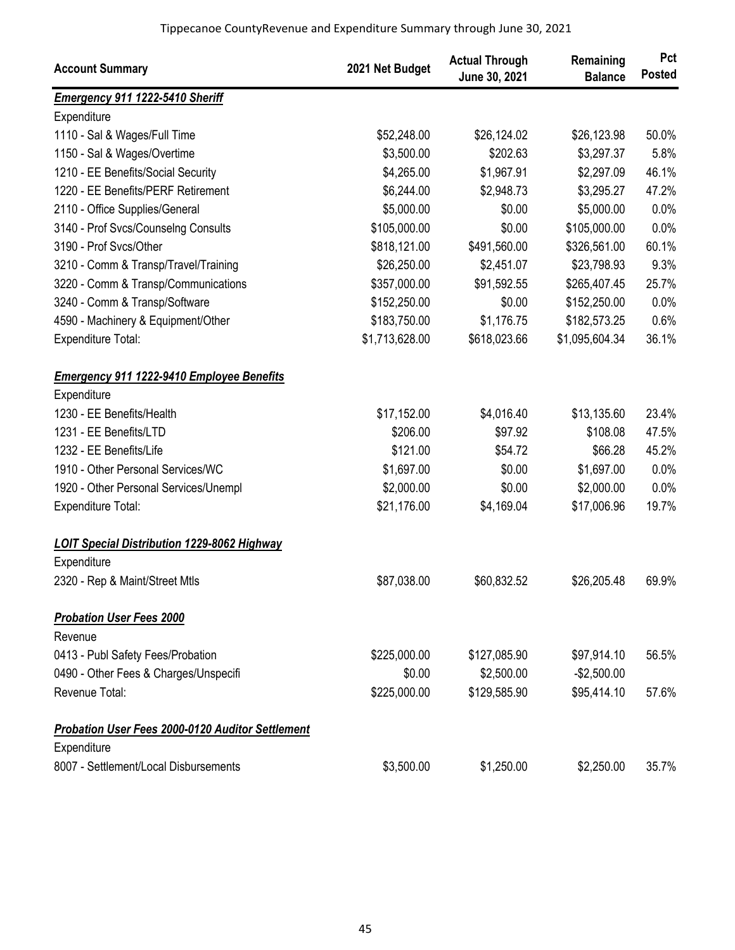| <b>Account Summary</b>                             | 2021 Net Budget | <b>Actual Through</b><br>June 30, 2021 | Remaining<br><b>Balance</b> | Pct<br><b>Posted</b> |
|----------------------------------------------------|-----------------|----------------------------------------|-----------------------------|----------------------|
| Emergency 911 1222-5410 Sheriff                    |                 |                                        |                             |                      |
| Expenditure                                        |                 |                                        |                             |                      |
| 1110 - Sal & Wages/Full Time                       | \$52,248.00     | \$26,124.02                            | \$26,123.98                 | 50.0%                |
| 1150 - Sal & Wages/Overtime                        | \$3,500.00      | \$202.63                               | \$3,297.37                  | 5.8%                 |
| 1210 - EE Benefits/Social Security                 | \$4,265.00      | \$1,967.91                             | \$2,297.09                  | 46.1%                |
| 1220 - EE Benefits/PERF Retirement                 | \$6,244.00      | \$2,948.73                             | \$3,295.27                  | 47.2%                |
| 2110 - Office Supplies/General                     | \$5,000.00      | \$0.00                                 | \$5,000.00                  | 0.0%                 |
| 3140 - Prof Svcs/Counselng Consults                | \$105,000.00    | \$0.00                                 | \$105,000.00                | 0.0%                 |
| 3190 - Prof Svcs/Other                             | \$818,121.00    | \$491,560.00                           | \$326,561.00                | 60.1%                |
| 3210 - Comm & Transp/Travel/Training               | \$26,250.00     | \$2,451.07                             | \$23,798.93                 | 9.3%                 |
| 3220 - Comm & Transp/Communications                | \$357,000.00    | \$91,592.55                            | \$265,407.45                | 25.7%                |
| 3240 - Comm & Transp/Software                      | \$152,250.00    | \$0.00                                 | \$152,250.00                | 0.0%                 |
| 4590 - Machinery & Equipment/Other                 | \$183,750.00    | \$1,176.75                             | \$182,573.25                | 0.6%                 |
| Expenditure Total:                                 | \$1,713,628.00  | \$618,023.66                           | \$1,095,604.34              | 36.1%                |
| <b>Emergency 911 1222-9410 Employee Benefits</b>   |                 |                                        |                             |                      |
| Expenditure                                        |                 |                                        |                             |                      |
| 1230 - EE Benefits/Health                          | \$17,152.00     | \$4,016.40                             | \$13,135.60                 | 23.4%                |
| 1231 - EE Benefits/LTD                             | \$206.00        | \$97.92                                | \$108.08                    | 47.5%                |
| 1232 - EE Benefits/Life                            | \$121.00        | \$54.72                                | \$66.28                     | 45.2%                |
| 1910 - Other Personal Services/WC                  | \$1,697.00      | \$0.00                                 | \$1,697.00                  | 0.0%                 |
| 1920 - Other Personal Services/Unempl              | \$2,000.00      | \$0.00                                 | \$2,000.00                  | 0.0%                 |
| <b>Expenditure Total:</b>                          | \$21,176.00     | \$4,169.04                             | \$17,006.96                 | 19.7%                |
| <b>LOIT Special Distribution 1229-8062 Highway</b> |                 |                                        |                             |                      |
| Expenditure                                        |                 |                                        |                             |                      |
| 2320 - Rep & Maint/Street Mtls                     | \$87,038.00     | \$60,832.52                            | \$26,205.48                 | 69.9%                |
| <b>Probation User Fees 2000</b>                    |                 |                                        |                             |                      |
| Revenue                                            |                 |                                        |                             |                      |
| 0413 - Publ Safety Fees/Probation                  | \$225,000.00    | \$127,085.90                           | \$97,914.10                 | 56.5%                |
| 0490 - Other Fees & Charges/Unspecifi              | \$0.00          | \$2,500.00                             | $-$2,500.00$                |                      |
| Revenue Total:                                     | \$225,000.00    | \$129,585.90                           | \$95,414.10                 | 57.6%                |
| Probation User Fees 2000-0120 Auditor Settlement   |                 |                                        |                             |                      |
| Expenditure                                        |                 |                                        |                             |                      |
| 8007 - Settlement/Local Disbursements              | \$3,500.00      | \$1,250.00                             | \$2,250.00                  | 35.7%                |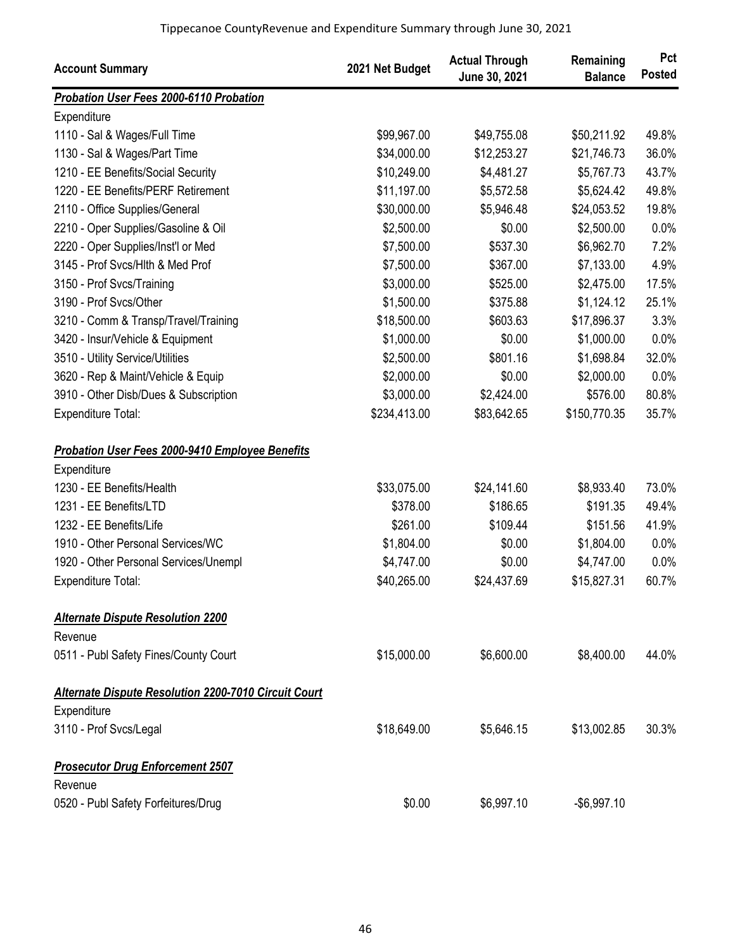| <b>Account Summary</b>                                 | 2021 Net Budget | <b>Actual Through</b><br>June 30, 2021 | Remaining<br><b>Balance</b> | Pct<br><b>Posted</b> |
|--------------------------------------------------------|-----------------|----------------------------------------|-----------------------------|----------------------|
| Probation User Fees 2000-6110 Probation                |                 |                                        |                             |                      |
| Expenditure                                            |                 |                                        |                             |                      |
| 1110 - Sal & Wages/Full Time                           | \$99,967.00     | \$49,755.08                            | \$50,211.92                 | 49.8%                |
| 1130 - Sal & Wages/Part Time                           | \$34,000.00     | \$12,253.27                            | \$21,746.73                 | 36.0%                |
| 1210 - EE Benefits/Social Security                     | \$10,249.00     | \$4,481.27                             | \$5,767.73                  | 43.7%                |
| 1220 - EE Benefits/PERF Retirement                     | \$11,197.00     | \$5,572.58                             | \$5,624.42                  | 49.8%                |
| 2110 - Office Supplies/General                         | \$30,000.00     | \$5,946.48                             | \$24,053.52                 | 19.8%                |
| 2210 - Oper Supplies/Gasoline & Oil                    | \$2,500.00      | \$0.00                                 | \$2,500.00                  | 0.0%                 |
| 2220 - Oper Supplies/Inst'l or Med                     | \$7,500.00      | \$537.30                               | \$6,962.70                  | 7.2%                 |
| 3145 - Prof Svcs/Hlth & Med Prof                       | \$7,500.00      | \$367.00                               | \$7,133.00                  | 4.9%                 |
| 3150 - Prof Svcs/Training                              | \$3,000.00      | \$525.00                               | \$2,475.00                  | 17.5%                |
| 3190 - Prof Svcs/Other                                 | \$1,500.00      | \$375.88                               | \$1,124.12                  | 25.1%                |
| 3210 - Comm & Transp/Travel/Training                   | \$18,500.00     | \$603.63                               | \$17,896.37                 | 3.3%                 |
| 3420 - Insur/Vehicle & Equipment                       | \$1,000.00      | \$0.00                                 | \$1,000.00                  | 0.0%                 |
| 3510 - Utility Service/Utilities                       | \$2,500.00      | \$801.16                               | \$1,698.84                  | 32.0%                |
| 3620 - Rep & Maint/Vehicle & Equip                     | \$2,000.00      | \$0.00                                 | \$2,000.00                  | 0.0%                 |
| 3910 - Other Disb/Dues & Subscription                  | \$3,000.00      | \$2,424.00                             | \$576.00                    | 80.8%                |
| Expenditure Total:                                     | \$234,413.00    | \$83,642.65                            | \$150,770.35                | 35.7%                |
| <b>Probation User Fees 2000-9410 Employee Benefits</b> |                 |                                        |                             |                      |
| Expenditure                                            |                 |                                        |                             |                      |
| 1230 - EE Benefits/Health                              | \$33,075.00     | \$24,141.60                            | \$8,933.40                  | 73.0%                |
| 1231 - EE Benefits/LTD                                 | \$378.00        | \$186.65                               | \$191.35                    | 49.4%                |
| 1232 - EE Benefits/Life                                | \$261.00        | \$109.44                               | \$151.56                    | 41.9%                |
| 1910 - Other Personal Services/WC                      | \$1,804.00      | \$0.00                                 | \$1,804.00                  | 0.0%                 |
| 1920 - Other Personal Services/Unempl                  | \$4,747.00      | \$0.00                                 | \$4,747.00                  | 0.0%                 |
| <b>Expenditure Total:</b>                              | \$40,265.00     | \$24,437.69                            | \$15,827.31                 | 60.7%                |
| <b>Alternate Dispute Resolution 2200</b>               |                 |                                        |                             |                      |
| Revenue                                                |                 |                                        |                             |                      |
| 0511 - Publ Safety Fines/County Court                  | \$15,000.00     | \$6,600.00                             | \$8,400.00                  | 44.0%                |
| Alternate Dispute Resolution 2200-7010 Circuit Court   |                 |                                        |                             |                      |
| Expenditure                                            |                 |                                        |                             |                      |
| 3110 - Prof Svcs/Legal                                 | \$18,649.00     | \$5,646.15                             | \$13,002.85                 | 30.3%                |
| <b>Prosecutor Drug Enforcement 2507</b>                |                 |                                        |                             |                      |
| Revenue                                                |                 |                                        |                             |                      |
| 0520 - Publ Safety Forfeitures/Drug                    | \$0.00          | \$6,997.10                             | $-$6,997.10$                |                      |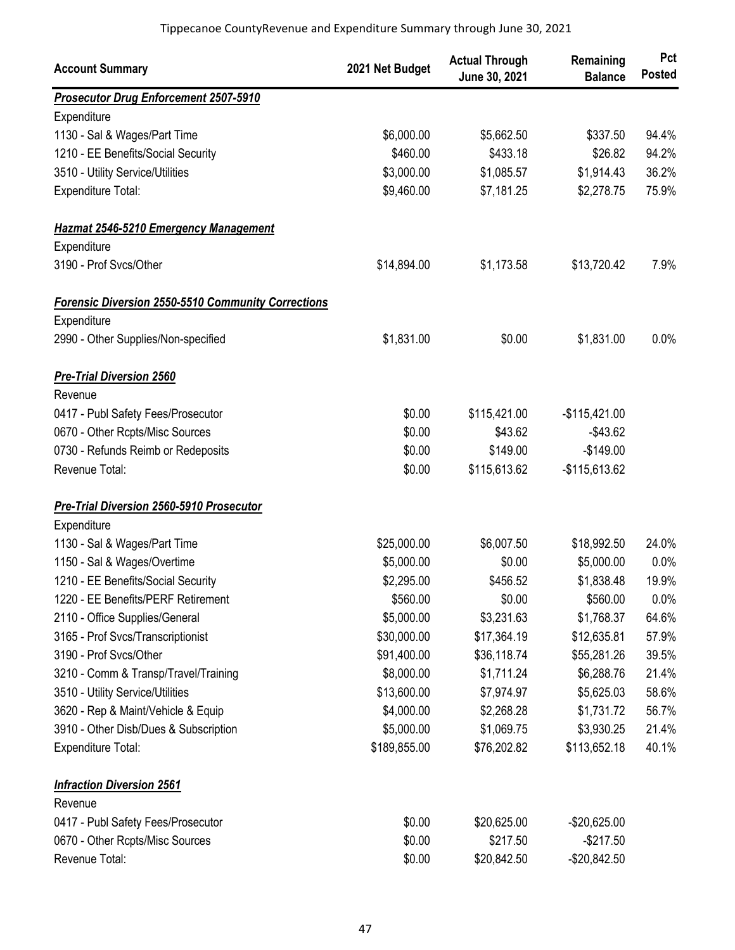| <b>Account Summary</b>                                    | 2021 Net Budget | <b>Actual Through</b><br>June 30, 2021 | Remaining<br><b>Balance</b> | Pct<br><b>Posted</b> |
|-----------------------------------------------------------|-----------------|----------------------------------------|-----------------------------|----------------------|
| <b>Prosecutor Drug Enforcement 2507-5910</b>              |                 |                                        |                             |                      |
| Expenditure                                               |                 |                                        |                             |                      |
| 1130 - Sal & Wages/Part Time                              | \$6,000.00      | \$5,662.50                             | \$337.50                    | 94.4%                |
| 1210 - EE Benefits/Social Security                        | \$460.00        | \$433.18                               | \$26.82                     | 94.2%                |
| 3510 - Utility Service/Utilities                          | \$3,000.00      | \$1,085.57                             | \$1,914.43                  | 36.2%                |
| Expenditure Total:                                        | \$9,460.00      | \$7,181.25                             | \$2,278.75                  | 75.9%                |
| <b>Hazmat 2546-5210 Emergency Management</b>              |                 |                                        |                             |                      |
| Expenditure                                               |                 |                                        |                             |                      |
| 3190 - Prof Svcs/Other                                    | \$14,894.00     | \$1,173.58                             | \$13,720.42                 | 7.9%                 |
| <b>Forensic Diversion 2550-5510 Community Corrections</b> |                 |                                        |                             |                      |
| Expenditure                                               |                 |                                        |                             |                      |
| 2990 - Other Supplies/Non-specified                       | \$1,831.00      | \$0.00                                 | \$1,831.00                  | 0.0%                 |
| <b>Pre-Trial Diversion 2560</b>                           |                 |                                        |                             |                      |
| Revenue                                                   |                 |                                        |                             |                      |
| 0417 - Publ Safety Fees/Prosecutor                        | \$0.00          | \$115,421.00                           | $-$115,421.00$              |                      |
| 0670 - Other Rcpts/Misc Sources                           | \$0.00          | \$43.62                                | $-$43.62$                   |                      |
| 0730 - Refunds Reimb or Redeposits                        | \$0.00          | \$149.00                               | $-$149.00$                  |                      |
| Revenue Total:                                            | \$0.00          | \$115,613.62                           | $-$115,613.62$              |                      |
| <b>Pre-Trial Diversion 2560-5910 Prosecutor</b>           |                 |                                        |                             |                      |
| Expenditure                                               |                 |                                        |                             |                      |
| 1130 - Sal & Wages/Part Time                              | \$25,000.00     | \$6,007.50                             | \$18,992.50                 | 24.0%                |
| 1150 - Sal & Wages/Overtime                               | \$5,000.00      | \$0.00                                 | \$5,000.00                  | 0.0%                 |
| 1210 - EE Benefits/Social Security                        | \$2,295.00      | \$456.52                               | \$1,838.48                  | 19.9%                |
| 1220 - EE Benefits/PERF Retirement                        | \$560.00        | \$0.00                                 | \$560.00                    | $0.0\%$              |
| 2110 - Office Supplies/General                            | \$5,000.00      | \$3,231.63                             | \$1,768.37                  | 64.6%                |
| 3165 - Prof Svcs/Transcriptionist                         | \$30,000.00     | \$17,364.19                            | \$12,635.81                 | 57.9%                |
| 3190 - Prof Svcs/Other                                    | \$91,400.00     | \$36,118.74                            | \$55,281.26                 | 39.5%                |
| 3210 - Comm & Transp/Travel/Training                      | \$8,000.00      | \$1,711.24                             | \$6,288.76                  | 21.4%                |
| 3510 - Utility Service/Utilities                          | \$13,600.00     | \$7,974.97                             | \$5,625.03                  | 58.6%                |
| 3620 - Rep & Maint/Vehicle & Equip                        | \$4,000.00      | \$2,268.28                             | \$1,731.72                  | 56.7%                |
| 3910 - Other Disb/Dues & Subscription                     | \$5,000.00      | \$1,069.75                             | \$3,930.25                  | 21.4%                |
| Expenditure Total:                                        | \$189,855.00    | \$76,202.82                            | \$113,652.18                | 40.1%                |
| <b>Infraction Diversion 2561</b>                          |                 |                                        |                             |                      |
| Revenue                                                   |                 |                                        |                             |                      |
| 0417 - Publ Safety Fees/Prosecutor                        | \$0.00          | \$20,625.00                            | -\$20,625.00                |                      |
| 0670 - Other Rcpts/Misc Sources                           | \$0.00          | \$217.50                               | $-$217.50$                  |                      |
| Revenue Total:                                            | \$0.00          | \$20,842.50                            | $-$20,842.50$               |                      |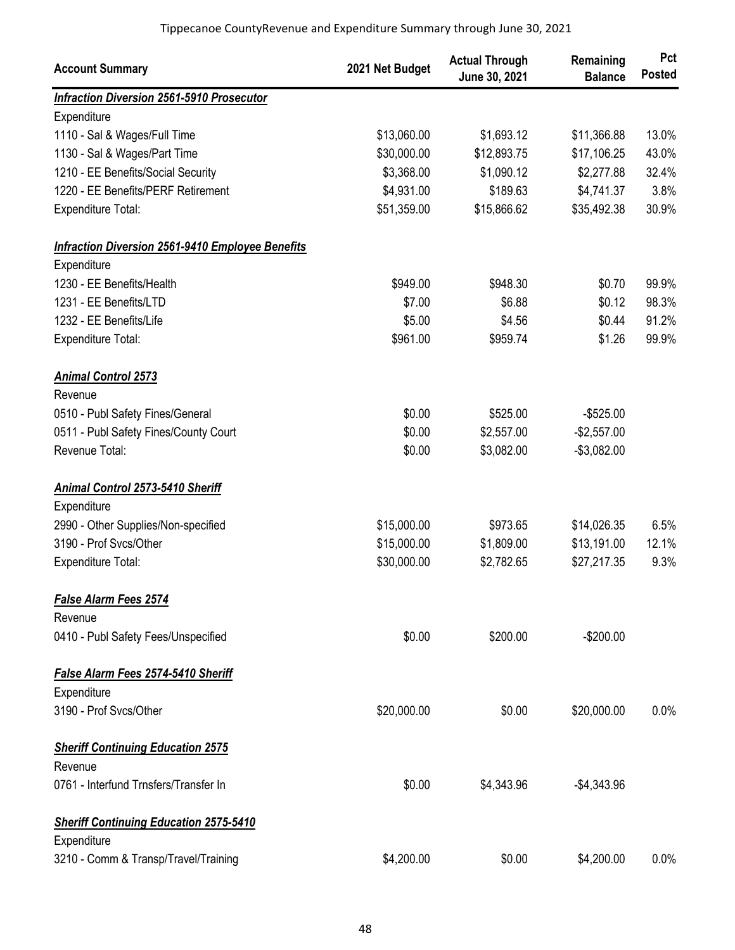| <b>Account Summary</b>                                  | 2021 Net Budget | <b>Actual Through</b><br>June 30, 2021 | Remaining<br><b>Balance</b> | Pct<br><b>Posted</b> |
|---------------------------------------------------------|-----------------|----------------------------------------|-----------------------------|----------------------|
| <b>Infraction Diversion 2561-5910 Prosecutor</b>        |                 |                                        |                             |                      |
| Expenditure                                             |                 |                                        |                             |                      |
| 1110 - Sal & Wages/Full Time                            | \$13,060.00     | \$1,693.12                             | \$11,366.88                 | 13.0%                |
| 1130 - Sal & Wages/Part Time                            | \$30,000.00     | \$12,893.75                            | \$17,106.25                 | 43.0%                |
| 1210 - EE Benefits/Social Security                      | \$3,368.00      | \$1,090.12                             | \$2,277.88                  | 32.4%                |
| 1220 - EE Benefits/PERF Retirement                      | \$4,931.00      | \$189.63                               | \$4,741.37                  | 3.8%                 |
| <b>Expenditure Total:</b>                               | \$51,359.00     | \$15,866.62                            | \$35,492.38                 | 30.9%                |
| <b>Infraction Diversion 2561-9410 Employee Benefits</b> |                 |                                        |                             |                      |
| Expenditure                                             |                 |                                        |                             |                      |
| 1230 - EE Benefits/Health                               | \$949.00        | \$948.30                               | \$0.70                      | 99.9%                |
| 1231 - EE Benefits/LTD                                  | \$7.00          | \$6.88                                 | \$0.12                      | 98.3%                |
| 1232 - EE Benefits/Life                                 | \$5.00          | \$4.56                                 | \$0.44                      | 91.2%                |
| <b>Expenditure Total:</b>                               | \$961.00        | \$959.74                               | \$1.26                      | 99.9%                |
| <b>Animal Control 2573</b>                              |                 |                                        |                             |                      |
| Revenue                                                 |                 |                                        |                             |                      |
| 0510 - Publ Safety Fines/General                        | \$0.00          | \$525.00                               | $-$525.00$                  |                      |
| 0511 - Publ Safety Fines/County Court                   | \$0.00          | \$2,557.00                             | $-$2,557.00$                |                      |
| Revenue Total:                                          | \$0.00          | \$3,082.00                             | $-$3,082.00$                |                      |
| <b>Animal Control 2573-5410 Sheriff</b>                 |                 |                                        |                             |                      |
| Expenditure                                             |                 |                                        |                             |                      |
| 2990 - Other Supplies/Non-specified                     | \$15,000.00     | \$973.65                               | \$14,026.35                 | 6.5%                 |
| 3190 - Prof Svcs/Other                                  | \$15,000.00     | \$1,809.00                             | \$13,191.00                 | 12.1%                |
| <b>Expenditure Total:</b>                               | \$30,000.00     | \$2,782.65                             | \$27,217.35                 | 9.3%                 |
| <b>False Alarm Fees 2574</b>                            |                 |                                        |                             |                      |
| Revenue                                                 |                 |                                        |                             |                      |
| 0410 - Publ Safety Fees/Unspecified                     | \$0.00          | \$200.00                               | $-$200.00$                  |                      |
| False Alarm Fees 2574-5410 Sheriff                      |                 |                                        |                             |                      |
| Expenditure                                             |                 |                                        |                             |                      |
| 3190 - Prof Svcs/Other                                  | \$20,000.00     | \$0.00                                 | \$20,000.00                 | 0.0%                 |
| <b>Sheriff Continuing Education 2575</b>                |                 |                                        |                             |                      |
| Revenue                                                 |                 |                                        |                             |                      |
| 0761 - Interfund Trnsfers/Transfer In                   | \$0.00          | \$4,343.96                             | $-$4,343.96$                |                      |
| <b>Sheriff Continuing Education 2575-5410</b>           |                 |                                        |                             |                      |
| Expenditure                                             |                 |                                        |                             |                      |
| 3210 - Comm & Transp/Travel/Training                    | \$4,200.00      | \$0.00                                 | \$4,200.00                  | 0.0%                 |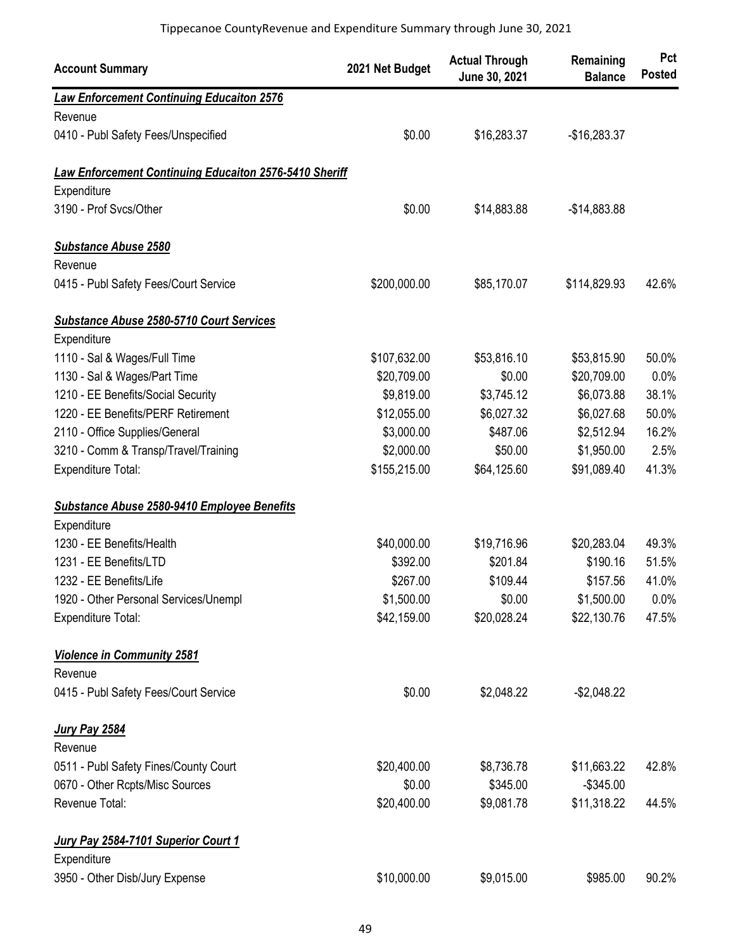| <b>Account Summary</b>                                        | 2021 Net Budget | <b>Actual Through</b><br>June 30, 2021 | Remaining<br><b>Balance</b> | Pct<br><b>Posted</b> |
|---------------------------------------------------------------|-----------------|----------------------------------------|-----------------------------|----------------------|
| <b>Law Enforcement Continuing Educaiton 2576</b>              |                 |                                        |                             |                      |
| Revenue                                                       |                 |                                        |                             |                      |
| 0410 - Publ Safety Fees/Unspecified                           | \$0.00          | \$16,283.37                            | $-$16,283.37$               |                      |
| <b>Law Enforcement Continuing Educaiton 2576-5410 Sheriff</b> |                 |                                        |                             |                      |
| Expenditure                                                   |                 |                                        |                             |                      |
| 3190 - Prof Svcs/Other                                        | \$0.00          | \$14,883.88                            | $-$14,883.88$               |                      |
| <b>Substance Abuse 2580</b>                                   |                 |                                        |                             |                      |
| Revenue                                                       |                 |                                        |                             |                      |
| 0415 - Publ Safety Fees/Court Service                         | \$200,000.00    | \$85,170.07                            | \$114,829.93                | 42.6%                |
| Substance Abuse 2580-5710 Court Services                      |                 |                                        |                             |                      |
| Expenditure                                                   |                 |                                        |                             |                      |
| 1110 - Sal & Wages/Full Time                                  | \$107,632.00    | \$53,816.10                            | \$53,815.90                 | 50.0%                |
| 1130 - Sal & Wages/Part Time                                  | \$20,709.00     | \$0.00                                 | \$20,709.00                 | 0.0%                 |
| 1210 - EE Benefits/Social Security                            | \$9,819.00      | \$3,745.12                             | \$6,073.88                  | 38.1%                |
| 1220 - EE Benefits/PERF Retirement                            | \$12,055.00     | \$6,027.32                             | \$6,027.68                  | 50.0%                |
| 2110 - Office Supplies/General                                | \$3,000.00      | \$487.06                               | \$2,512.94                  | 16.2%                |
| 3210 - Comm & Transp/Travel/Training                          | \$2,000.00      | \$50.00                                | \$1,950.00                  | 2.5%                 |
| <b>Expenditure Total:</b>                                     | \$155,215.00    | \$64,125.60                            | \$91,089.40                 | 41.3%                |
| Substance Abuse 2580-9410 Employee Benefits                   |                 |                                        |                             |                      |
| Expenditure                                                   |                 |                                        |                             |                      |
| 1230 - EE Benefits/Health                                     | \$40,000.00     | \$19,716.96                            | \$20,283.04                 | 49.3%                |
| 1231 - EE Benefits/LTD                                        | \$392.00        | \$201.84                               | \$190.16                    | 51.5%                |
| 1232 - EE Benefits/Life                                       | \$267.00        | \$109.44                               | \$157.56                    | 41.0%                |
| 1920 - Other Personal Services/Unempl                         | \$1,500.00      | \$0.00                                 | \$1,500.00                  | 0.0%                 |
| <b>Expenditure Total:</b>                                     | \$42,159.00     | \$20,028.24                            | \$22,130.76                 | 47.5%                |
| <b>Violence in Community 2581</b>                             |                 |                                        |                             |                      |
| Revenue                                                       |                 |                                        |                             |                      |
| 0415 - Publ Safety Fees/Court Service                         | \$0.00          | \$2,048.22                             | $-$2,048.22$                |                      |
| <b>Jury Pay 2584</b>                                          |                 |                                        |                             |                      |
| Revenue                                                       |                 |                                        |                             |                      |
| 0511 - Publ Safety Fines/County Court                         | \$20,400.00     | \$8,736.78                             | \$11,663.22                 | 42.8%                |
| 0670 - Other Rcpts/Misc Sources                               | \$0.00          | \$345.00                               | $-$345.00$                  |                      |
| Revenue Total:                                                | \$20,400.00     | \$9,081.78                             | \$11,318.22                 | 44.5%                |
| Jury Pay 2584-7101 Superior Court 1                           |                 |                                        |                             |                      |
| Expenditure                                                   |                 |                                        |                             |                      |
| 3950 - Other Disb/Jury Expense                                | \$10,000.00     | \$9,015.00                             | \$985.00                    | 90.2%                |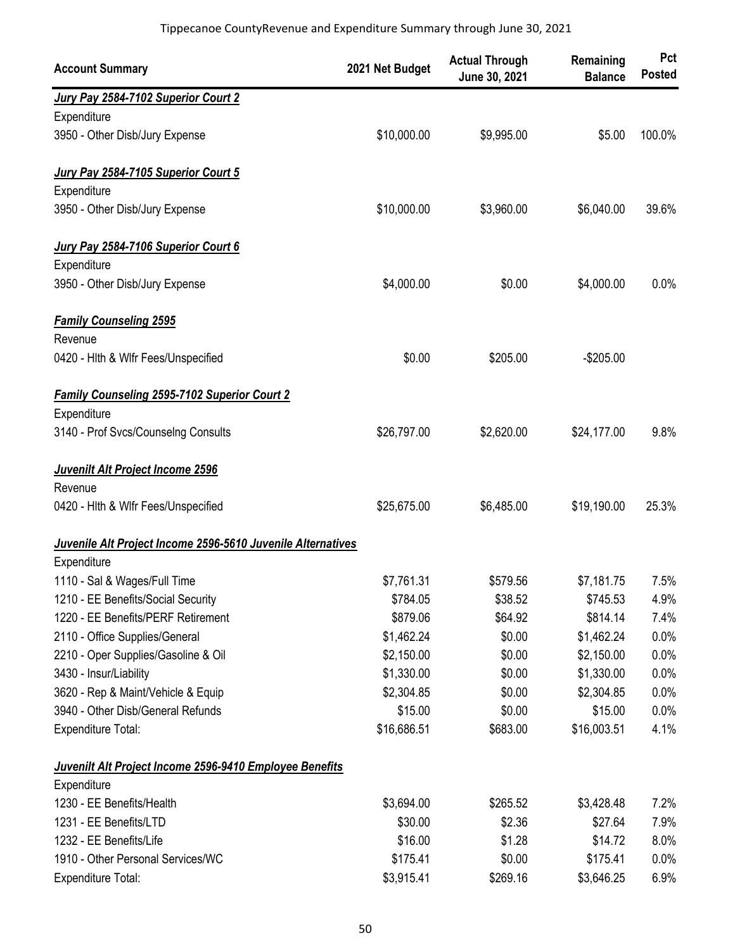| <b>Account Summary</b>                                      | 2021 Net Budget | <b>Actual Through</b><br>June 30, 2021 | Remaining<br><b>Balance</b> | Pct<br><b>Posted</b> |
|-------------------------------------------------------------|-----------------|----------------------------------------|-----------------------------|----------------------|
| Jury Pay 2584-7102 Superior Court 2                         |                 |                                        |                             |                      |
| Expenditure                                                 |                 |                                        |                             |                      |
| 3950 - Other Disb/Jury Expense                              | \$10,000.00     | \$9,995.00                             | \$5.00                      | 100.0%               |
| Jury Pay 2584-7105 Superior Court 5                         |                 |                                        |                             |                      |
| Expenditure                                                 |                 |                                        |                             |                      |
| 3950 - Other Disb/Jury Expense                              | \$10,000.00     | \$3,960.00                             | \$6,040.00                  | 39.6%                |
| Jury Pay 2584-7106 Superior Court 6                         |                 |                                        |                             |                      |
| Expenditure                                                 |                 |                                        |                             |                      |
| 3950 - Other Disb/Jury Expense                              | \$4,000.00      | \$0.00                                 | \$4,000.00                  | 0.0%                 |
| <b>Family Counseling 2595</b>                               |                 |                                        |                             |                      |
| Revenue                                                     |                 |                                        |                             |                      |
| 0420 - Hith & Wifr Fees/Unspecified                         | \$0.00          | \$205.00                               | $-$205.00$                  |                      |
| <b>Family Counseling 2595-7102 Superior Court 2</b>         |                 |                                        |                             |                      |
| Expenditure                                                 |                 |                                        |                             |                      |
| 3140 - Prof Svcs/Counselng Consults                         | \$26,797.00     | \$2,620.00                             | \$24,177.00                 | 9.8%                 |
| Juvenilt Alt Project Income 2596                            |                 |                                        |                             |                      |
| Revenue                                                     |                 |                                        |                             |                      |
| 0420 - Hith & Wifr Fees/Unspecified                         | \$25,675.00     | \$6,485.00                             | \$19,190.00                 | 25.3%                |
| Juvenile Alt Project Income 2596-5610 Juvenile Alternatives |                 |                                        |                             |                      |
| Expenditure                                                 |                 |                                        |                             |                      |
| 1110 - Sal & Wages/Full Time                                | \$7,761.31      | \$579.56                               | \$7,181.75                  | 7.5%                 |
| 1210 - EE Benefits/Social Security                          | \$784.05        | \$38.52                                | \$745.53                    | 4.9%                 |
| 1220 - EE Benefits/PERF Retirement                          | \$879.06        | \$64.92                                | \$814.14                    | 7.4%                 |
| 2110 - Office Supplies/General                              | \$1,462.24      | \$0.00                                 | \$1,462.24                  | 0.0%                 |
| 2210 - Oper Supplies/Gasoline & Oil                         | \$2,150.00      | \$0.00                                 | \$2,150.00                  | 0.0%                 |
| 3430 - Insur/Liability                                      | \$1,330.00      | \$0.00                                 | \$1,330.00                  | 0.0%                 |
| 3620 - Rep & Maint/Vehicle & Equip                          | \$2,304.85      | \$0.00                                 | \$2,304.85                  | 0.0%                 |
| 3940 - Other Disb/General Refunds                           | \$15.00         | \$0.00                                 | \$15.00                     | 0.0%                 |
| <b>Expenditure Total:</b>                                   | \$16,686.51     | \$683.00                               | \$16,003.51                 | 4.1%                 |
| Juvenilt Alt Project Income 2596-9410 Employee Benefits     |                 |                                        |                             |                      |
| Expenditure                                                 |                 |                                        |                             |                      |
| 1230 - EE Benefits/Health                                   | \$3,694.00      | \$265.52                               | \$3,428.48                  | 7.2%                 |
| 1231 - EE Benefits/LTD                                      | \$30.00         | \$2.36                                 | \$27.64                     | 7.9%                 |
| 1232 - EE Benefits/Life                                     | \$16.00         | \$1.28                                 | \$14.72                     | 8.0%                 |
| 1910 - Other Personal Services/WC                           | \$175.41        | \$0.00                                 | \$175.41                    | 0.0%                 |
| Expenditure Total:                                          | \$3,915.41      | \$269.16                               | \$3,646.25                  | 6.9%                 |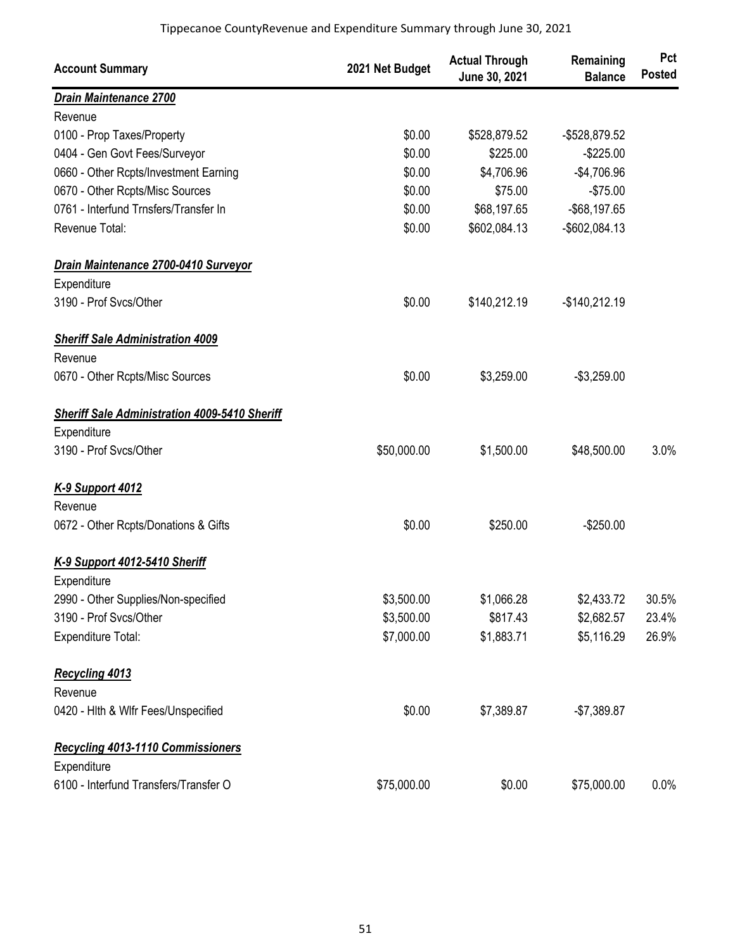| <b>Account Summary</b>                               | 2021 Net Budget | <b>Actual Through</b><br>June 30, 2021 | Remaining<br><b>Balance</b> | Pct<br><b>Posted</b> |
|------------------------------------------------------|-----------------|----------------------------------------|-----------------------------|----------------------|
| <b>Drain Maintenance 2700</b>                        |                 |                                        |                             |                      |
| Revenue                                              |                 |                                        |                             |                      |
| 0100 - Prop Taxes/Property                           | \$0.00          | \$528,879.52                           | -\$528,879.52               |                      |
| 0404 - Gen Govt Fees/Surveyor                        | \$0.00          | \$225.00                               | $-$225.00$                  |                      |
| 0660 - Other Rcpts/Investment Earning                | \$0.00          | \$4,706.96                             | $-$4,706.96$                |                      |
| 0670 - Other Rcpts/Misc Sources                      | \$0.00          | \$75.00                                | $-$75.00$                   |                      |
| 0761 - Interfund Trnsfers/Transfer In                | \$0.00          | \$68,197.65                            | $-$68,197.65$               |                      |
| Revenue Total:                                       | \$0.00          | \$602,084.13                           | -\$602,084.13               |                      |
| Drain Maintenance 2700-0410 Surveyor                 |                 |                                        |                             |                      |
| Expenditure                                          |                 |                                        |                             |                      |
| 3190 - Prof Svcs/Other                               | \$0.00          | \$140,212.19                           | $-$140,212.19$              |                      |
| <b>Sheriff Sale Administration 4009</b>              |                 |                                        |                             |                      |
| Revenue                                              |                 |                                        |                             |                      |
| 0670 - Other Rcpts/Misc Sources                      | \$0.00          | \$3,259.00                             | $-$3,259.00$                |                      |
| <b>Sheriff Sale Administration 4009-5410 Sheriff</b> |                 |                                        |                             |                      |
| Expenditure                                          |                 |                                        |                             |                      |
| 3190 - Prof Svcs/Other                               | \$50,000.00     | \$1,500.00                             | \$48,500.00                 | 3.0%                 |
| <b>K-9 Support 4012</b>                              |                 |                                        |                             |                      |
| Revenue                                              |                 |                                        |                             |                      |
| 0672 - Other Rcpts/Donations & Gifts                 | \$0.00          | \$250.00                               | $-$250.00$                  |                      |
| K-9 Support 4012-5410 Sheriff                        |                 |                                        |                             |                      |
| Expenditure                                          |                 |                                        |                             |                      |
| 2990 - Other Supplies/Non-specified                  | \$3,500.00      | \$1,066.28                             | \$2,433.72                  | 30.5%                |
| 3190 - Prof Svcs/Other                               | \$3,500.00      | \$817.43                               | \$2,682.57                  | 23.4%                |
| Expenditure Total:                                   | \$7,000.00      | \$1,883.71                             | \$5,116.29                  | 26.9%                |
| <b>Recycling 4013</b>                                |                 |                                        |                             |                      |
| Revenue                                              |                 |                                        |                             |                      |
| 0420 - Hith & Wifr Fees/Unspecified                  | \$0.00          | \$7,389.87                             | $-$7,389.87$                |                      |
| <b>Recycling 4013-1110 Commissioners</b>             |                 |                                        |                             |                      |
| Expenditure                                          |                 |                                        |                             |                      |
| 6100 - Interfund Transfers/Transfer O                | \$75,000.00     | \$0.00                                 | \$75,000.00                 | $0.0\%$              |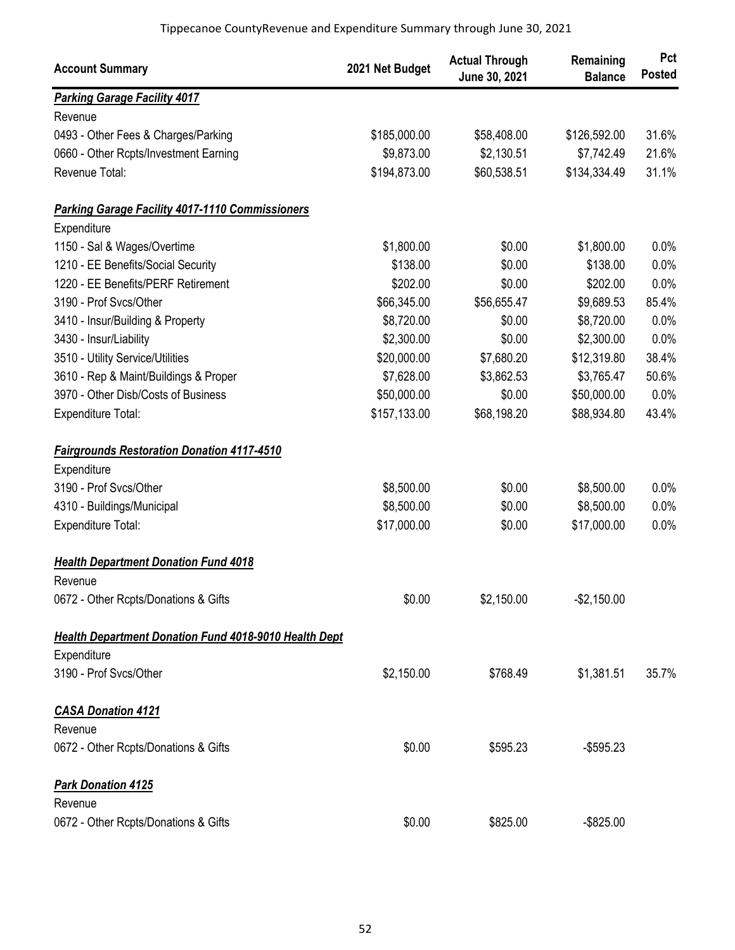| <b>Account Summary</b>                                       | 2021 Net Budget | <b>Actual Through</b><br>June 30, 2021 | Remaining<br><b>Balance</b> | Pct<br><b>Posted</b> |
|--------------------------------------------------------------|-----------------|----------------------------------------|-----------------------------|----------------------|
| <b>Parking Garage Facility 4017</b>                          |                 |                                        |                             |                      |
| Revenue                                                      |                 |                                        |                             |                      |
| 0493 - Other Fees & Charges/Parking                          | \$185,000.00    | \$58,408.00                            | \$126,592.00                | 31.6%                |
| 0660 - Other Rcpts/Investment Earning                        | \$9,873.00      | \$2,130.51                             | \$7,742.49                  | 21.6%                |
| Revenue Total:                                               | \$194,873.00    | \$60,538.51                            | \$134,334.49                | 31.1%                |
| <b>Parking Garage Facility 4017-1110 Commissioners</b>       |                 |                                        |                             |                      |
| Expenditure                                                  |                 |                                        |                             |                      |
| 1150 - Sal & Wages/Overtime                                  | \$1,800.00      | \$0.00                                 | \$1,800.00                  | 0.0%                 |
| 1210 - EE Benefits/Social Security                           | \$138.00        | \$0.00                                 | \$138.00                    | 0.0%                 |
| 1220 - EE Benefits/PERF Retirement                           | \$202.00        | \$0.00                                 | \$202.00                    | 0.0%                 |
| 3190 - Prof Svcs/Other                                       | \$66,345.00     | \$56,655.47                            | \$9,689.53                  | 85.4%                |
| 3410 - Insur/Building & Property                             | \$8,720.00      | \$0.00                                 | \$8,720.00                  | 0.0%                 |
| 3430 - Insur/Liability                                       | \$2,300.00      | \$0.00                                 | \$2,300.00                  | 0.0%                 |
| 3510 - Utility Service/Utilities                             | \$20,000.00     | \$7,680.20                             | \$12,319.80                 | 38.4%                |
| 3610 - Rep & Maint/Buildings & Proper                        | \$7,628.00      | \$3,862.53                             | \$3,765.47                  | 50.6%                |
| 3970 - Other Disb/Costs of Business                          | \$50,000.00     | \$0.00                                 | \$50,000.00                 | 0.0%                 |
| <b>Expenditure Total:</b>                                    | \$157,133.00    | \$68,198.20                            | \$88,934.80                 | 43.4%                |
| <b>Fairgrounds Restoration Donation 4117-4510</b>            |                 |                                        |                             |                      |
| Expenditure                                                  |                 |                                        |                             |                      |
| 3190 - Prof Svcs/Other                                       | \$8,500.00      | \$0.00                                 | \$8,500.00                  | 0.0%                 |
| 4310 - Buildings/Municipal                                   | \$8,500.00      | \$0.00                                 | \$8,500.00                  | 0.0%                 |
| Expenditure Total:                                           | \$17,000.00     | \$0.00                                 | \$17,000.00                 | 0.0%                 |
| <b>Health Department Donation Fund 4018</b>                  |                 |                                        |                             |                      |
| Revenue                                                      |                 |                                        |                             |                      |
| 0672 - Other Rcpts/Donations & Gifts                         | \$0.00          | \$2,150.00                             | $-$2,150.00$                |                      |
| <b>Health Department Donation Fund 4018-9010 Health Dept</b> |                 |                                        |                             |                      |
| Expenditure                                                  |                 |                                        |                             |                      |
| 3190 - Prof Svcs/Other                                       | \$2,150.00      | \$768.49                               | \$1,381.51                  | 35.7%                |
| <b>CASA Donation 4121</b>                                    |                 |                                        |                             |                      |
| Revenue                                                      |                 |                                        |                             |                      |
| 0672 - Other Rcpts/Donations & Gifts                         | \$0.00          | \$595.23                               | $-$595.23$                  |                      |
| <b>Park Donation 4125</b>                                    |                 |                                        |                             |                      |
| Revenue                                                      |                 |                                        |                             |                      |
| 0672 - Other Rcpts/Donations & Gifts                         | \$0.00          | \$825.00                               | $-$ \$825.00                |                      |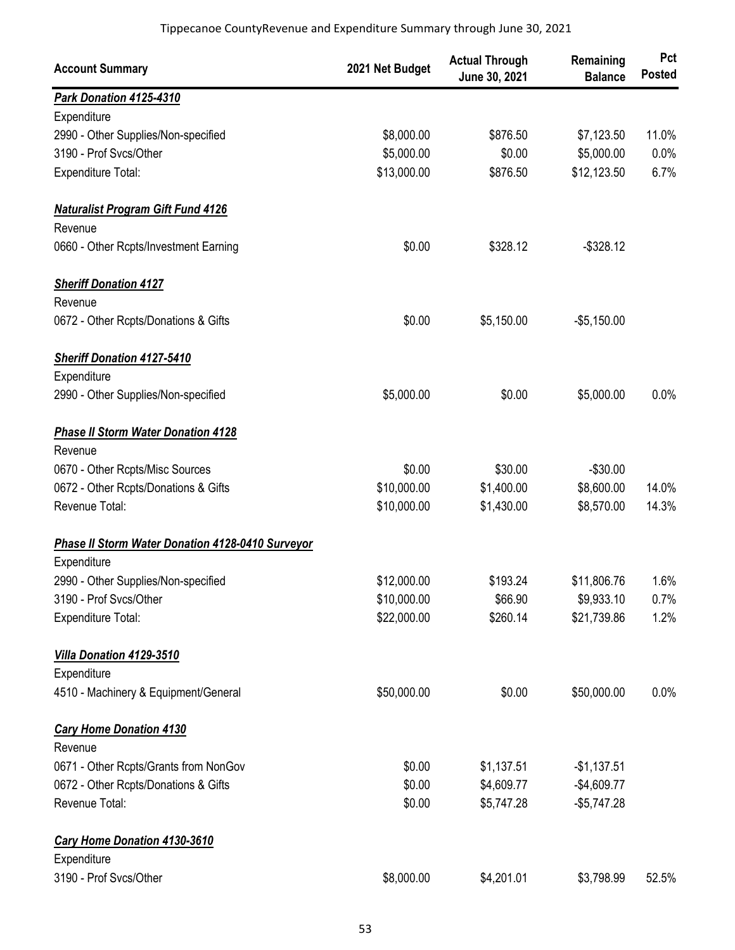| <b>Account Summary</b>                           | 2021 Net Budget | <b>Actual Through</b><br>June 30, 2021 | Remaining<br><b>Balance</b> | Pct<br><b>Posted</b> |
|--------------------------------------------------|-----------------|----------------------------------------|-----------------------------|----------------------|
| Park Donation 4125-4310                          |                 |                                        |                             |                      |
| Expenditure                                      |                 |                                        |                             |                      |
| 2990 - Other Supplies/Non-specified              | \$8,000.00      | \$876.50                               | \$7,123.50                  | 11.0%                |
| 3190 - Prof Svcs/Other                           | \$5,000.00      | \$0.00                                 | \$5,000.00                  | 0.0%                 |
| <b>Expenditure Total:</b>                        | \$13,000.00     | \$876.50                               | \$12,123.50                 | 6.7%                 |
| <b>Naturalist Program Gift Fund 4126</b>         |                 |                                        |                             |                      |
| Revenue                                          |                 |                                        |                             |                      |
| 0660 - Other Rcpts/Investment Earning            | \$0.00          | \$328.12                               | $-$ \$328.12                |                      |
| <b>Sheriff Donation 4127</b>                     |                 |                                        |                             |                      |
| Revenue                                          |                 |                                        |                             |                      |
| 0672 - Other Rcpts/Donations & Gifts             | \$0.00          | \$5,150.00                             | $-$5,150.00$                |                      |
| <b>Sheriff Donation 4127-5410</b>                |                 |                                        |                             |                      |
| Expenditure                                      |                 |                                        |                             |                      |
| 2990 - Other Supplies/Non-specified              | \$5,000.00      | \$0.00                                 | \$5,000.00                  | 0.0%                 |
| <b>Phase II Storm Water Donation 4128</b>        |                 |                                        |                             |                      |
| Revenue                                          |                 |                                        |                             |                      |
| 0670 - Other Rcpts/Misc Sources                  | \$0.00          | \$30.00                                | $-$30.00$                   |                      |
| 0672 - Other Rcpts/Donations & Gifts             | \$10,000.00     | \$1,400.00                             | \$8,600.00                  | 14.0%                |
| Revenue Total:                                   | \$10,000.00     | \$1,430.00                             | \$8,570.00                  | 14.3%                |
| Phase II Storm Water Donation 4128-0410 Surveyor |                 |                                        |                             |                      |
| Expenditure                                      |                 |                                        |                             |                      |
| 2990 - Other Supplies/Non-specified              | \$12,000.00     | \$193.24                               | \$11,806.76                 | 1.6%                 |
| 3190 - Prof Svcs/Other                           | \$10,000.00     | \$66.90                                | \$9,933.10                  | 0.7%                 |
| <b>Expenditure Total:</b>                        | \$22,000.00     | \$260.14                               | \$21,739.86                 | 1.2%                 |
| Villa Donation 4129-3510                         |                 |                                        |                             |                      |
| Expenditure                                      |                 |                                        |                             |                      |
| 4510 - Machinery & Equipment/General             | \$50,000.00     | \$0.00                                 | \$50,000.00                 | 0.0%                 |
| <b>Cary Home Donation 4130</b>                   |                 |                                        |                             |                      |
| Revenue                                          |                 |                                        |                             |                      |
| 0671 - Other Rcpts/Grants from NonGov            | \$0.00          | \$1,137.51                             | $-$1,137.51$                |                      |
| 0672 - Other Rcpts/Donations & Gifts             | \$0.00          | \$4,609.77                             | $-$4,609.77$                |                      |
| Revenue Total:                                   | \$0.00          | \$5,747.28                             | $-$5,747.28$                |                      |
| Cary Home Donation 4130-3610                     |                 |                                        |                             |                      |
| Expenditure                                      |                 |                                        |                             |                      |
| 3190 - Prof Svcs/Other                           | \$8,000.00      | \$4,201.01                             | \$3,798.99                  | 52.5%                |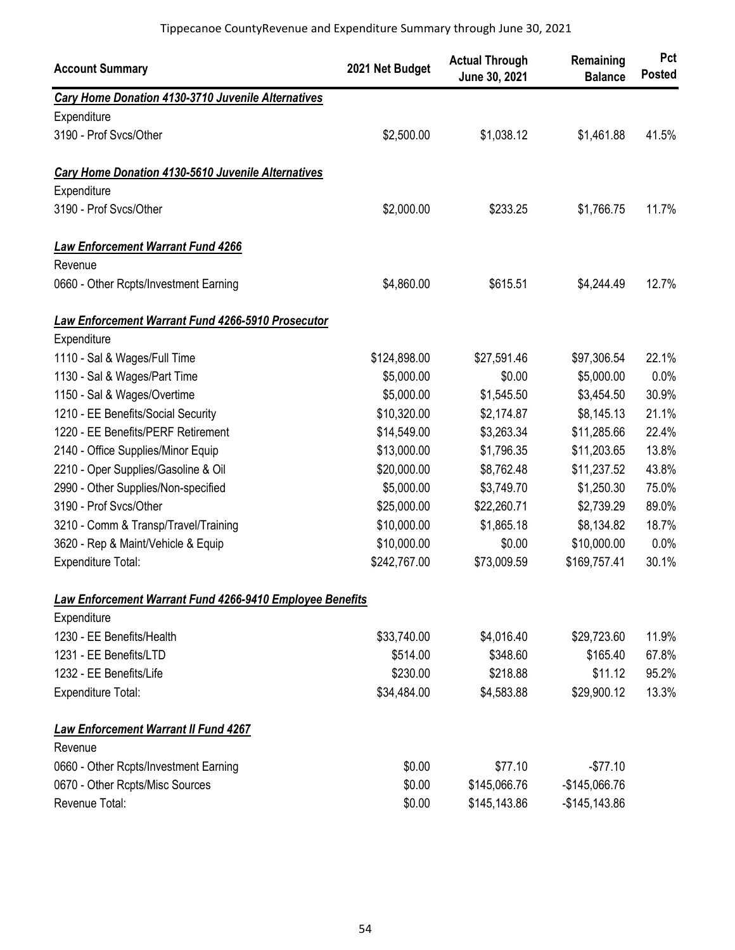| <b>Account Summary</b>                                   | 2021 Net Budget | <b>Actual Through</b><br>June 30, 2021 | Remaining<br><b>Balance</b> | Pct<br><b>Posted</b> |
|----------------------------------------------------------|-----------------|----------------------------------------|-----------------------------|----------------------|
| Cary Home Donation 4130-3710 Juvenile Alternatives       |                 |                                        |                             |                      |
| Expenditure                                              |                 |                                        |                             |                      |
| 3190 - Prof Svcs/Other                                   | \$2,500.00      | \$1,038.12                             | \$1,461.88                  | 41.5%                |
| Cary Home Donation 4130-5610 Juvenile Alternatives       |                 |                                        |                             |                      |
| Expenditure                                              |                 |                                        |                             |                      |
| 3190 - Prof Svcs/Other                                   | \$2,000.00      | \$233.25                               | \$1,766.75                  | 11.7%                |
| <b>Law Enforcement Warrant Fund 4266</b>                 |                 |                                        |                             |                      |
| Revenue                                                  |                 |                                        |                             |                      |
| 0660 - Other Rcpts/Investment Earning                    | \$4,860.00      | \$615.51                               | \$4,244.49                  | 12.7%                |
| Law Enforcement Warrant Fund 4266-5910 Prosecutor        |                 |                                        |                             |                      |
| Expenditure                                              |                 |                                        |                             |                      |
| 1110 - Sal & Wages/Full Time                             | \$124,898.00    | \$27,591.46                            | \$97,306.54                 | 22.1%                |
| 1130 - Sal & Wages/Part Time                             | \$5,000.00      | \$0.00                                 | \$5,000.00                  | 0.0%                 |
| 1150 - Sal & Wages/Overtime                              | \$5,000.00      | \$1,545.50                             | \$3,454.50                  | 30.9%                |
| 1210 - EE Benefits/Social Security                       | \$10,320.00     | \$2,174.87                             | \$8,145.13                  | 21.1%                |
| 1220 - EE Benefits/PERF Retirement                       | \$14,549.00     | \$3,263.34                             | \$11,285.66                 | 22.4%                |
| 2140 - Office Supplies/Minor Equip                       | \$13,000.00     | \$1,796.35                             | \$11,203.65                 | 13.8%                |
| 2210 - Oper Supplies/Gasoline & Oil                      | \$20,000.00     | \$8,762.48                             | \$11,237.52                 | 43.8%                |
| 2990 - Other Supplies/Non-specified                      | \$5,000.00      | \$3,749.70                             | \$1,250.30                  | 75.0%                |
| 3190 - Prof Svcs/Other                                   | \$25,000.00     | \$22,260.71                            | \$2,739.29                  | 89.0%                |
| 3210 - Comm & Transp/Travel/Training                     | \$10,000.00     | \$1,865.18                             | \$8,134.82                  | 18.7%                |
| 3620 - Rep & Maint/Vehicle & Equip                       | \$10,000.00     | \$0.00                                 | \$10,000.00                 | 0.0%                 |
| Expenditure Total:                                       | \$242,767.00    | \$73,009.59                            | \$169,757.41                | 30.1%                |
| Law Enforcement Warrant Fund 4266-9410 Employee Benefits |                 |                                        |                             |                      |
| Expenditure                                              |                 |                                        |                             |                      |
| 1230 - EE Benefits/Health                                | \$33,740.00     | \$4,016.40                             | \$29,723.60                 | 11.9%                |
| 1231 - EE Benefits/LTD                                   | \$514.00        | \$348.60                               | \$165.40                    | 67.8%                |
| 1232 - EE Benefits/Life                                  | \$230.00        | \$218.88                               | \$11.12                     | 95.2%                |
| Expenditure Total:                                       | \$34,484.00     | \$4,583.88                             | \$29,900.12                 | 13.3%                |
| <b>Law Enforcement Warrant II Fund 4267</b>              |                 |                                        |                             |                      |
| Revenue                                                  |                 |                                        |                             |                      |
| 0660 - Other Rcpts/Investment Earning                    | \$0.00          | \$77.10                                | $-$77.10$                   |                      |
| 0670 - Other Rcpts/Misc Sources                          | \$0.00          | \$145,066.76                           | -\$145,066.76               |                      |
| Revenue Total:                                           | \$0.00          | \$145,143.86                           | $-$145,143.86$              |                      |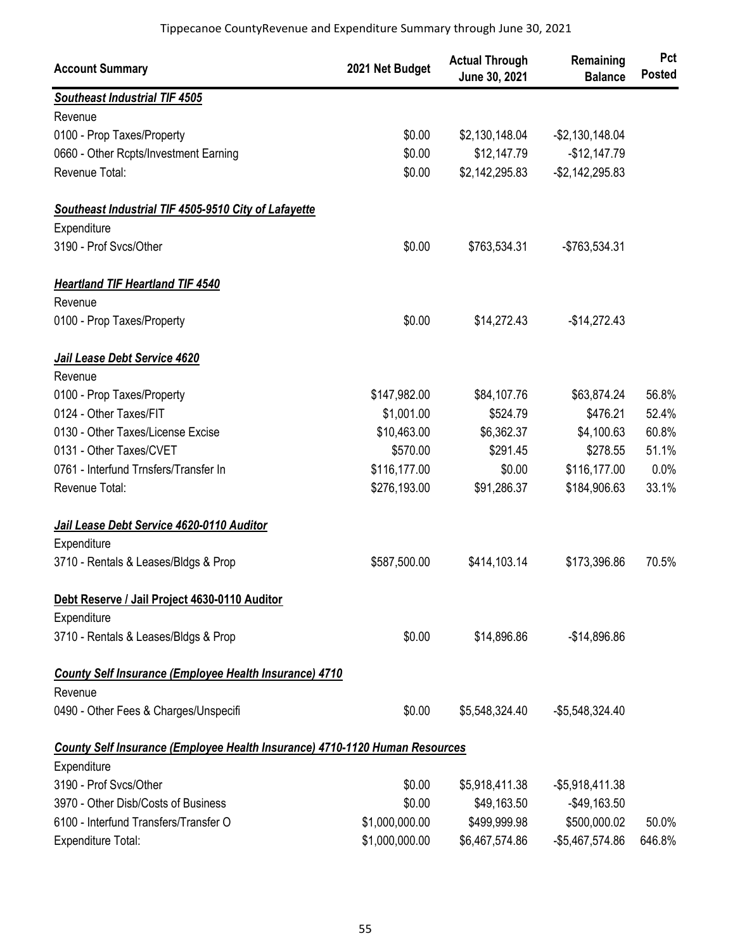| <b>Account Summary</b>                                                      | 2021 Net Budget | <b>Actual Through</b><br>June 30, 2021 | Remaining<br><b>Balance</b> | Pct<br><b>Posted</b> |
|-----------------------------------------------------------------------------|-----------------|----------------------------------------|-----------------------------|----------------------|
| <b>Southeast Industrial TIF 4505</b>                                        |                 |                                        |                             |                      |
| Revenue                                                                     |                 |                                        |                             |                      |
| 0100 - Prop Taxes/Property                                                  | \$0.00          | \$2,130,148.04                         | $-$2,130,148.04$            |                      |
| 0660 - Other Rcpts/Investment Earning                                       | \$0.00          | \$12,147.79                            | $-$12,147.79$               |                      |
| Revenue Total:                                                              | \$0.00          | \$2,142,295.83                         | $-$2,142,295.83$            |                      |
| Southeast Industrial TIF 4505-9510 City of Lafayette                        |                 |                                        |                             |                      |
| Expenditure                                                                 |                 |                                        |                             |                      |
| 3190 - Prof Svcs/Other                                                      | \$0.00          | \$763,534.31                           | -\$763,534.31               |                      |
| <b>Heartland TIF Heartland TIF 4540</b>                                     |                 |                                        |                             |                      |
| Revenue                                                                     |                 |                                        |                             |                      |
| 0100 - Prop Taxes/Property                                                  | \$0.00          | \$14,272.43                            | $-$14,272.43$               |                      |
| Jail Lease Debt Service 4620                                                |                 |                                        |                             |                      |
| Revenue                                                                     |                 |                                        |                             |                      |
| 0100 - Prop Taxes/Property                                                  | \$147,982.00    | \$84,107.76                            | \$63,874.24                 | 56.8%                |
| 0124 - Other Taxes/FIT                                                      | \$1,001.00      | \$524.79                               | \$476.21                    | 52.4%                |
| 0130 - Other Taxes/License Excise                                           | \$10,463.00     | \$6,362.37                             | \$4,100.63                  | 60.8%                |
| 0131 - Other Taxes/CVET                                                     | \$570.00        | \$291.45                               | \$278.55                    | 51.1%                |
| 0761 - Interfund Trnsfers/Transfer In                                       | \$116,177.00    | \$0.00                                 | \$116,177.00                | 0.0%                 |
| Revenue Total:                                                              | \$276,193.00    | \$91,286.37                            | \$184,906.63                | 33.1%                |
| Jail Lease Debt Service 4620-0110 Auditor                                   |                 |                                        |                             |                      |
| Expenditure                                                                 |                 |                                        |                             |                      |
| 3710 - Rentals & Leases/Bldgs & Prop                                        | \$587,500.00    | \$414,103.14                           | \$173,396.86                | 70.5%                |
| Debt Reserve / Jail Project 4630-0110 Auditor                               |                 |                                        |                             |                      |
| Expenditure                                                                 |                 |                                        |                             |                      |
| 3710 - Rentals & Leases/Bldgs & Prop                                        | \$0.00          | \$14,896.86                            | $-$14,896.86$               |                      |
| <b>County Self Insurance (Employee Health Insurance) 4710</b>               |                 |                                        |                             |                      |
| Revenue                                                                     |                 |                                        |                             |                      |
| 0490 - Other Fees & Charges/Unspecifi                                       | \$0.00          | \$5,548,324.40                         | $-$5,548,324.40$            |                      |
| County Self Insurance (Employee Health Insurance) 4710-1120 Human Resources |                 |                                        |                             |                      |
| Expenditure                                                                 |                 |                                        |                             |                      |
| 3190 - Prof Svcs/Other                                                      | \$0.00          | \$5,918,411.38                         | $-$ \$5,918,411.38          |                      |
| 3970 - Other Disb/Costs of Business                                         | \$0.00          | \$49,163.50                            | $-$49,163.50$               |                      |
| 6100 - Interfund Transfers/Transfer O                                       | \$1,000,000.00  | \$499,999.98                           | \$500,000.02                | 50.0%                |
| Expenditure Total:                                                          | \$1,000,000.00  | \$6,467,574.86                         | -\$5,467,574.86             | 646.8%               |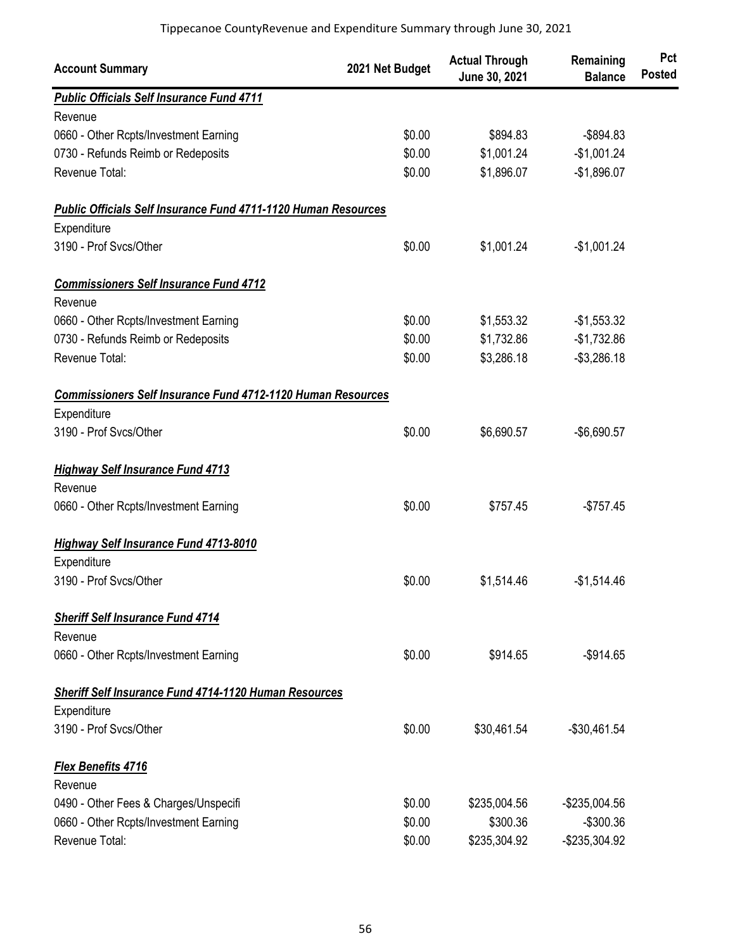| <b>Account Summary</b>                                             | 2021 Net Budget | <b>Actual Through</b><br>June 30, 2021 | Remaining<br><b>Balance</b> | Pct<br><b>Posted</b> |
|--------------------------------------------------------------------|-----------------|----------------------------------------|-----------------------------|----------------------|
| <b>Public Officials Self Insurance Fund 4711</b>                   |                 |                                        |                             |                      |
| Revenue                                                            |                 |                                        |                             |                      |
| 0660 - Other Rcpts/Investment Earning                              | \$0.00          | \$894.83                               | $-$ \$894.83                |                      |
| 0730 - Refunds Reimb or Redeposits                                 | \$0.00          | \$1,001.24                             | $-$1,001.24$                |                      |
| Revenue Total:                                                     | \$0.00          | \$1,896.07                             | $-$1,896.07$                |                      |
| Public Officials Self Insurance Fund 4711-1120 Human Resources     |                 |                                        |                             |                      |
| Expenditure                                                        |                 |                                        |                             |                      |
| 3190 - Prof Svcs/Other                                             | \$0.00          | \$1,001.24                             | $-$1,001.24$                |                      |
| <b>Commissioners Self Insurance Fund 4712</b>                      |                 |                                        |                             |                      |
| Revenue                                                            |                 |                                        |                             |                      |
| 0660 - Other Rcpts/Investment Earning                              | \$0.00          | \$1,553.32                             | $-$1,553.32$                |                      |
| 0730 - Refunds Reimb or Redeposits                                 | \$0.00          | \$1,732.86                             | $-$1,732.86$                |                      |
| Revenue Total:                                                     | \$0.00          | \$3,286.18                             | $-$3,286.18$                |                      |
| <b>Commissioners Self Insurance Fund 4712-1120 Human Resources</b> |                 |                                        |                             |                      |
| Expenditure                                                        |                 |                                        |                             |                      |
| 3190 - Prof Svcs/Other                                             | \$0.00          | \$6,690.57                             | $-$6,690.57$                |                      |
| <b>Highway Self Insurance Fund 4713</b>                            |                 |                                        |                             |                      |
| Revenue                                                            |                 |                                        |                             |                      |
| 0660 - Other Rcpts/Investment Earning                              | \$0.00          | \$757.45                               | $-$757.45$                  |                      |
| <b>Highway Self Insurance Fund 4713-8010</b>                       |                 |                                        |                             |                      |
| Expenditure                                                        |                 |                                        |                             |                      |
| 3190 - Prof Svcs/Other                                             | \$0.00          | \$1,514.46                             | $-$1,514.46$                |                      |
| <b>Sheriff Self Insurance Fund 4714</b>                            |                 |                                        |                             |                      |
| Revenue                                                            |                 |                                        |                             |                      |
| 0660 - Other Rcpts/Investment Earning                              | \$0.00          | \$914.65                               | $-$914.65$                  |                      |
| <b>Sheriff Self Insurance Fund 4714-1120 Human Resources</b>       |                 |                                        |                             |                      |
| Expenditure                                                        |                 |                                        |                             |                      |
| 3190 - Prof Svcs/Other                                             | \$0.00          | \$30,461.54                            | $-$30,461.54$               |                      |
| <b>Flex Benefits 4716</b>                                          |                 |                                        |                             |                      |
| Revenue                                                            |                 |                                        |                             |                      |
| 0490 - Other Fees & Charges/Unspecifi                              | \$0.00          | \$235,004.56                           | -\$235,004.56               |                      |
| 0660 - Other Rcpts/Investment Earning                              | \$0.00          | \$300.36                               | $-$300.36$                  |                      |
| Revenue Total:                                                     | \$0.00          | \$235,304.92                           | -\$235,304.92               |                      |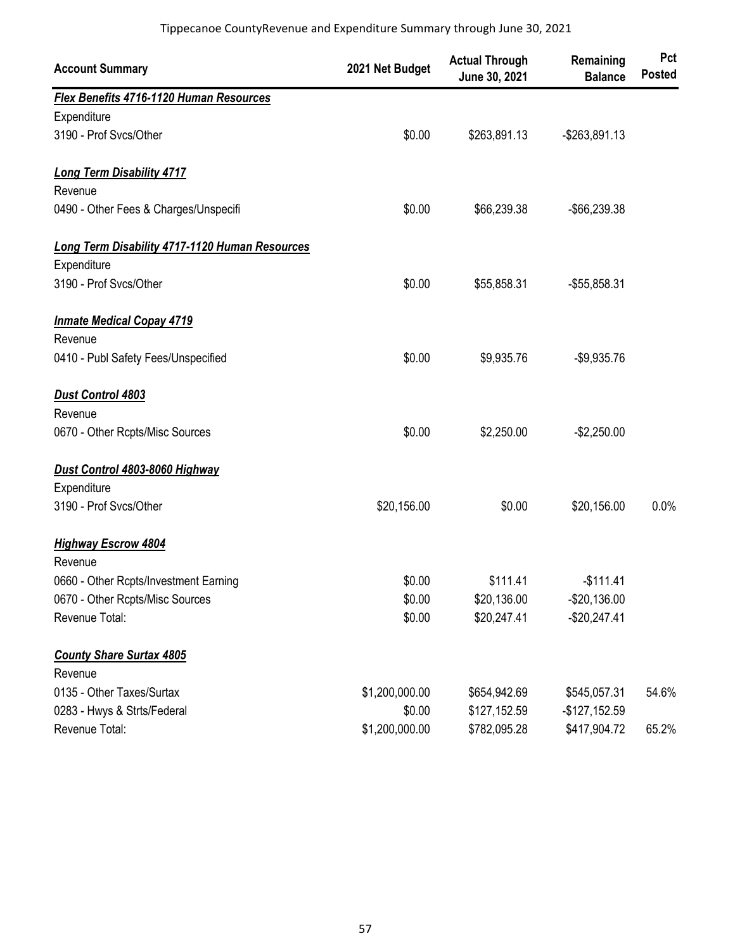| <b>Account Summary</b>                         | 2021 Net Budget | <b>Actual Through</b><br>June 30, 2021 | Remaining<br><b>Balance</b> | Pct<br><b>Posted</b> |
|------------------------------------------------|-----------------|----------------------------------------|-----------------------------|----------------------|
| Flex Benefits 4716-1120 Human Resources        |                 |                                        |                             |                      |
| Expenditure                                    |                 |                                        |                             |                      |
| 3190 - Prof Svcs/Other                         | \$0.00          | \$263,891.13                           | $-$ \$263,891.13            |                      |
| <b>Long Term Disability 4717</b>               |                 |                                        |                             |                      |
| Revenue                                        |                 |                                        |                             |                      |
| 0490 - Other Fees & Charges/Unspecifi          | \$0.00          | \$66,239.38                            | -\$66,239.38                |                      |
| Long Term Disability 4717-1120 Human Resources |                 |                                        |                             |                      |
| Expenditure                                    |                 |                                        |                             |                      |
| 3190 - Prof Svcs/Other                         | \$0.00          | \$55,858.31                            | -\$55,858.31                |                      |
| <b>Inmate Medical Copay 4719</b>               |                 |                                        |                             |                      |
| Revenue                                        |                 |                                        |                             |                      |
| 0410 - Publ Safety Fees/Unspecified            | \$0.00          | \$9,935.76                             | $-$9,935.76$                |                      |
| <b>Dust Control 4803</b>                       |                 |                                        |                             |                      |
| Revenue                                        |                 |                                        |                             |                      |
| 0670 - Other Rcpts/Misc Sources                | \$0.00          | \$2,250.00                             | $-$2,250.00$                |                      |
| Dust Control 4803-8060 Highway                 |                 |                                        |                             |                      |
| Expenditure                                    |                 |                                        |                             |                      |
| 3190 - Prof Svcs/Other                         | \$20,156.00     | \$0.00                                 | \$20,156.00                 | 0.0%                 |
| <b>Highway Escrow 4804</b><br>Revenue          |                 |                                        |                             |                      |
| 0660 - Other Rcpts/Investment Earning          | \$0.00          | \$111.41                               | $-$111.41$                  |                      |
| 0670 - Other Rcpts/Misc Sources                | \$0.00          | \$20,136.00                            | $-$20,136.00$               |                      |
| Revenue Total:                                 | \$0.00          | \$20,247.41                            | $-$20,247.41$               |                      |
| <b>County Share Surtax 4805</b><br>Revenue     |                 |                                        |                             |                      |
| 0135 - Other Taxes/Surtax                      | \$1,200,000.00  | \$654,942.69                           | \$545,057.31                | 54.6%                |
| 0283 - Hwys & Strts/Federal                    | \$0.00          | \$127,152.59                           | $-$127,152.59$              |                      |
| Revenue Total:                                 | \$1,200,000.00  | \$782,095.28                           | \$417,904.72                | 65.2%                |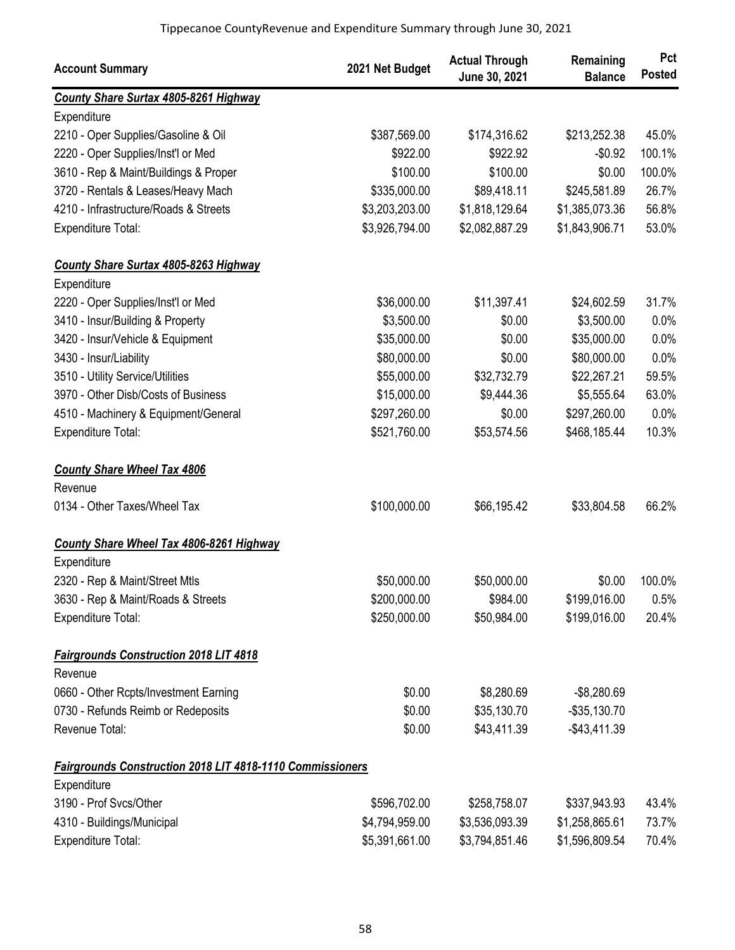| <b>Account Summary</b>                                    | 2021 Net Budget | <b>Actual Through</b><br>June 30, 2021 | Remaining<br><b>Balance</b> | Pct<br><b>Posted</b> |
|-----------------------------------------------------------|-----------------|----------------------------------------|-----------------------------|----------------------|
| <b>County Share Surtax 4805-8261 Highway</b>              |                 |                                        |                             |                      |
| Expenditure                                               |                 |                                        |                             |                      |
| 2210 - Oper Supplies/Gasoline & Oil                       | \$387,569.00    | \$174,316.62                           | \$213,252.38                | 45.0%                |
| 2220 - Oper Supplies/Inst'l or Med                        | \$922.00        | \$922.92                               | $-$0.92$                    | 100.1%               |
| 3610 - Rep & Maint/Buildings & Proper                     | \$100.00        | \$100.00                               | \$0.00                      | 100.0%               |
| 3720 - Rentals & Leases/Heavy Mach                        | \$335,000.00    | \$89,418.11                            | \$245,581.89                | 26.7%                |
| 4210 - Infrastructure/Roads & Streets                     | \$3,203,203.00  | \$1,818,129.64                         | \$1,385,073.36              | 56.8%                |
| Expenditure Total:                                        | \$3,926,794.00  | \$2,082,887.29                         | \$1,843,906.71              | 53.0%                |
| <b>County Share Surtax 4805-8263 Highway</b>              |                 |                                        |                             |                      |
| Expenditure                                               |                 |                                        |                             |                      |
| 2220 - Oper Supplies/Inst'l or Med                        | \$36,000.00     | \$11,397.41                            | \$24,602.59                 | 31.7%                |
| 3410 - Insur/Building & Property                          | \$3,500.00      | \$0.00                                 | \$3,500.00                  | 0.0%                 |
| 3420 - Insur/Vehicle & Equipment                          | \$35,000.00     | \$0.00                                 | \$35,000.00                 | 0.0%                 |
| 3430 - Insur/Liability                                    | \$80,000.00     | \$0.00                                 | \$80,000.00                 | 0.0%                 |
| 3510 - Utility Service/Utilities                          | \$55,000.00     | \$32,732.79                            | \$22,267.21                 | 59.5%                |
| 3970 - Other Disb/Costs of Business                       | \$15,000.00     | \$9,444.36                             | \$5,555.64                  | 63.0%                |
| 4510 - Machinery & Equipment/General                      | \$297,260.00    | \$0.00                                 | \$297,260.00                | 0.0%                 |
| Expenditure Total:                                        | \$521,760.00    | \$53,574.56                            | \$468,185.44                | 10.3%                |
| <b>County Share Wheel Tax 4806</b>                        |                 |                                        |                             |                      |
| Revenue                                                   |                 |                                        |                             |                      |
| 0134 - Other Taxes/Wheel Tax                              | \$100,000.00    | \$66,195.42                            | \$33,804.58                 | 66.2%                |
| <b>County Share Wheel Tax 4806-8261 Highway</b>           |                 |                                        |                             |                      |
| Expenditure                                               |                 |                                        |                             |                      |
| 2320 - Rep & Maint/Street Mtls                            | \$50,000.00     | \$50,000.00                            | \$0.00                      | 100.0%               |
| 3630 - Rep & Maint/Roads & Streets                        | \$200,000.00    | \$984.00                               | \$199,016.00                | 0.5%                 |
| Expenditure Total:                                        | \$250,000.00    | \$50,984.00                            | \$199,016.00                | 20.4%                |
| <b>Fairgrounds Construction 2018 LIT 4818</b>             |                 |                                        |                             |                      |
| Revenue                                                   |                 |                                        |                             |                      |
| 0660 - Other Rcpts/Investment Earning                     | \$0.00          | \$8,280.69                             | $-$8,280.69$                |                      |
| 0730 - Refunds Reimb or Redeposits                        | \$0.00          | \$35,130.70                            | $-$ \$35,130.70             |                      |
| Revenue Total:                                            | \$0.00          | \$43,411.39                            | $-$ \$43,411.39             |                      |
| Fairgrounds Construction 2018 LIT 4818-1110 Commissioners |                 |                                        |                             |                      |
| Expenditure                                               |                 |                                        |                             |                      |
| 3190 - Prof Svcs/Other                                    | \$596,702.00    | \$258,758.07                           | \$337,943.93                | 43.4%                |
| 4310 - Buildings/Municipal                                | \$4,794,959.00  | \$3,536,093.39                         | \$1,258,865.61              | 73.7%                |
| Expenditure Total:                                        | \$5,391,661.00  | \$3,794,851.46                         | \$1,596,809.54              | 70.4%                |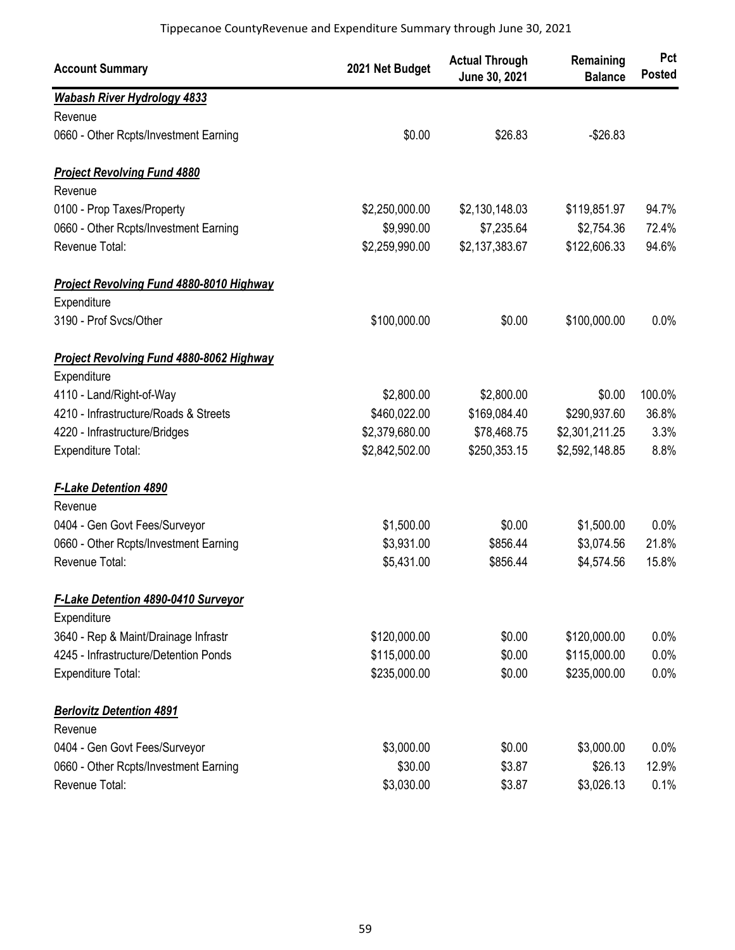| <b>Account Summary</b>                          | 2021 Net Budget | <b>Actual Through</b><br>June 30, 2021 | Remaining<br><b>Balance</b> | Pct<br><b>Posted</b> |
|-------------------------------------------------|-----------------|----------------------------------------|-----------------------------|----------------------|
| <b>Wabash River Hydrology 4833</b>              |                 |                                        |                             |                      |
| Revenue                                         |                 |                                        |                             |                      |
| 0660 - Other Rcpts/Investment Earning           | \$0.00          | \$26.83                                | $-$26.83$                   |                      |
| <b>Project Revolving Fund 4880</b>              |                 |                                        |                             |                      |
| Revenue                                         |                 |                                        |                             |                      |
| 0100 - Prop Taxes/Property                      | \$2,250,000.00  | \$2,130,148.03                         | \$119,851.97                | 94.7%                |
| 0660 - Other Rcpts/Investment Earning           | \$9,990.00      | \$7,235.64                             | \$2,754.36                  | 72.4%                |
| Revenue Total:                                  | \$2,259,990.00  | \$2,137,383.67                         | \$122,606.33                | 94.6%                |
| <b>Project Revolving Fund 4880-8010 Highway</b> |                 |                                        |                             |                      |
| Expenditure                                     |                 |                                        |                             |                      |
| 3190 - Prof Svcs/Other                          | \$100,000.00    | \$0.00                                 | \$100,000.00                | 0.0%                 |
| <b>Project Revolving Fund 4880-8062 Highway</b> |                 |                                        |                             |                      |
| Expenditure                                     |                 |                                        |                             |                      |
| 4110 - Land/Right-of-Way                        | \$2,800.00      | \$2,800.00                             | \$0.00                      | 100.0%               |
| 4210 - Infrastructure/Roads & Streets           | \$460,022.00    | \$169,084.40                           | \$290,937.60                | 36.8%                |
| 4220 - Infrastructure/Bridges                   | \$2,379,680.00  | \$78,468.75                            | \$2,301,211.25              | 3.3%                 |
| Expenditure Total:                              | \$2,842,502.00  | \$250,353.15                           | \$2,592,148.85              | 8.8%                 |
| <b>F-Lake Detention 4890</b>                    |                 |                                        |                             |                      |
| Revenue                                         |                 |                                        |                             |                      |
| 0404 - Gen Govt Fees/Surveyor                   | \$1,500.00      | \$0.00                                 | \$1,500.00                  | 0.0%                 |
| 0660 - Other Rcpts/Investment Earning           | \$3,931.00      | \$856.44                               | \$3,074.56                  | 21.8%                |
| Revenue Total:                                  | \$5,431.00      | \$856.44                               | \$4,574.56                  | 15.8%                |
| <b>F-Lake Detention 4890-0410 Surveyor</b>      |                 |                                        |                             |                      |
| Expenditure                                     |                 |                                        |                             |                      |
| 3640 - Rep & Maint/Drainage Infrastr            | \$120,000.00    | \$0.00                                 | \$120,000.00                | $0.0\%$              |
| 4245 - Infrastructure/Detention Ponds           | \$115,000.00    | \$0.00                                 | \$115,000.00                | 0.0%                 |
| Expenditure Total:                              | \$235,000.00    | \$0.00                                 | \$235,000.00                | 0.0%                 |
| <b>Berlovitz Detention 4891</b>                 |                 |                                        |                             |                      |
| Revenue                                         |                 |                                        |                             |                      |
| 0404 - Gen Govt Fees/Surveyor                   | \$3,000.00      | \$0.00                                 | \$3,000.00                  | $0.0\%$              |
| 0660 - Other Rcpts/Investment Earning           | \$30.00         | \$3.87                                 | \$26.13                     | 12.9%                |
| Revenue Total:                                  | \$3,030.00      | \$3.87                                 | \$3,026.13                  | 0.1%                 |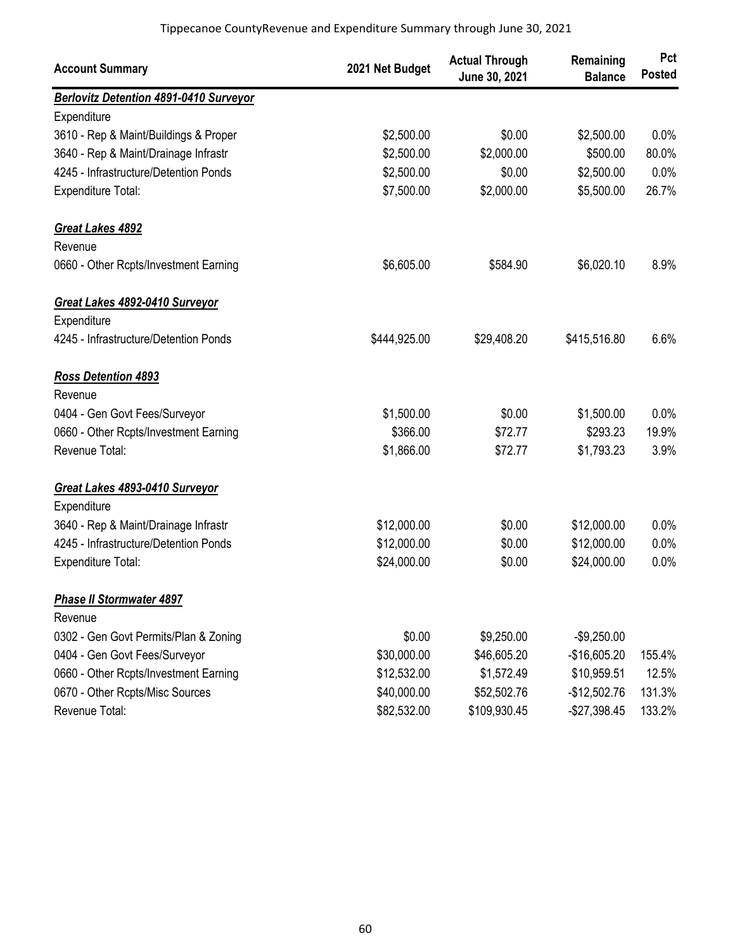| <b>Account Summary</b>                 | 2021 Net Budget | <b>Actual Through</b><br>June 30, 2021 | Remaining<br><b>Balance</b> | Pct<br><b>Posted</b> |
|----------------------------------------|-----------------|----------------------------------------|-----------------------------|----------------------|
| Berlovitz Detention 4891-0410 Surveyor |                 |                                        |                             |                      |
| Expenditure                            |                 |                                        |                             |                      |
| 3610 - Rep & Maint/Buildings & Proper  | \$2,500.00      | \$0.00                                 | \$2,500.00                  | 0.0%                 |
| 3640 - Rep & Maint/Drainage Infrastr   | \$2,500.00      | \$2,000.00                             | \$500.00                    | 80.0%                |
| 4245 - Infrastructure/Detention Ponds  | \$2,500.00      | \$0.00                                 | \$2,500.00                  | 0.0%                 |
| Expenditure Total:                     | \$7,500.00      | \$2,000.00                             | \$5,500.00                  | 26.7%                |
| <b>Great Lakes 4892</b>                |                 |                                        |                             |                      |
| Revenue                                |                 |                                        |                             |                      |
| 0660 - Other Rcpts/Investment Earning  | \$6,605.00      | \$584.90                               | \$6,020.10                  | 8.9%                 |
| Great Lakes 4892-0410 Surveyor         |                 |                                        |                             |                      |
| Expenditure                            |                 |                                        |                             |                      |
| 4245 - Infrastructure/Detention Ponds  | \$444,925.00    | \$29,408.20                            | \$415,516.80                | 6.6%                 |
| <b>Ross Detention 4893</b>             |                 |                                        |                             |                      |
| Revenue                                |                 |                                        |                             |                      |
| 0404 - Gen Govt Fees/Surveyor          | \$1,500.00      | \$0.00                                 | \$1,500.00                  | 0.0%                 |
| 0660 - Other Rcpts/Investment Earning  | \$366.00        | \$72.77                                | \$293.23                    | 19.9%                |
| Revenue Total:                         | \$1,866.00      | \$72.77                                | \$1,793.23                  | 3.9%                 |
| Great Lakes 4893-0410 Surveyor         |                 |                                        |                             |                      |
| Expenditure                            |                 |                                        |                             |                      |
| 3640 - Rep & Maint/Drainage Infrastr   | \$12,000.00     | \$0.00                                 | \$12,000.00                 | 0.0%                 |
| 4245 - Infrastructure/Detention Ponds  | \$12,000.00     | \$0.00                                 | \$12,000.00                 | 0.0%                 |
| <b>Expenditure Total:</b>              | \$24,000.00     | \$0.00                                 | \$24,000.00                 | 0.0%                 |
| <b>Phase II Stormwater 4897</b>        |                 |                                        |                             |                      |
| Revenue                                |                 |                                        |                             |                      |
| 0302 - Gen Govt Permits/Plan & Zoning  | \$0.00          | \$9,250.00                             | $-$9,250.00$                |                      |
| 0404 - Gen Govt Fees/Surveyor          | \$30,000.00     | \$46,605.20                            | $-$16,605.20$               | 155.4%               |
| 0660 - Other Rcpts/Investment Earning  | \$12,532.00     | \$1,572.49                             | \$10,959.51                 | 12.5%                |
| 0670 - Other Rcpts/Misc Sources        | \$40,000.00     | \$52,502.76                            | $-$12,502.76$               | 131.3%               |
| Revenue Total:                         | \$82,532.00     | \$109,930.45                           | $-$27,398.45$               | 133.2%               |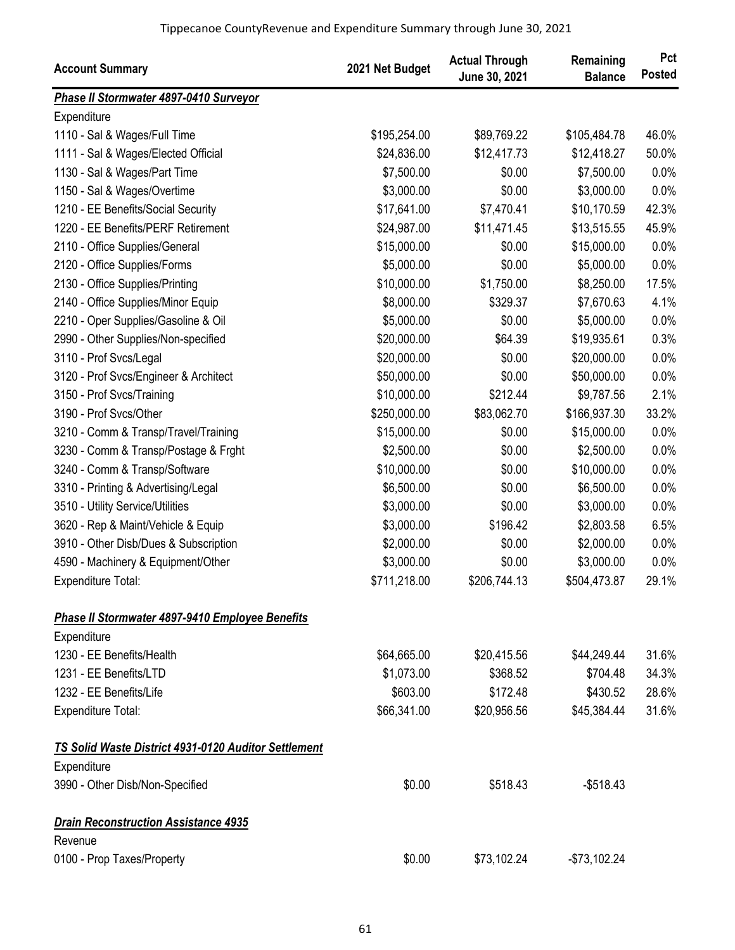| <b>Account Summary</b>                               | 2021 Net Budget | <b>Actual Through</b><br>June 30, 2021 | Remaining<br><b>Balance</b> | Pct<br><b>Posted</b> |
|------------------------------------------------------|-----------------|----------------------------------------|-----------------------------|----------------------|
| Phase II Stormwater 4897-0410 Surveyor               |                 |                                        |                             |                      |
| Expenditure                                          |                 |                                        |                             |                      |
| 1110 - Sal & Wages/Full Time                         | \$195,254.00    | \$89,769.22                            | \$105,484.78                | 46.0%                |
| 1111 - Sal & Wages/Elected Official                  | \$24,836.00     | \$12,417.73                            | \$12,418.27                 | 50.0%                |
| 1130 - Sal & Wages/Part Time                         | \$7,500.00      | \$0.00                                 | \$7,500.00                  | 0.0%                 |
| 1150 - Sal & Wages/Overtime                          | \$3,000.00      | \$0.00                                 | \$3,000.00                  | 0.0%                 |
| 1210 - EE Benefits/Social Security                   | \$17,641.00     | \$7,470.41                             | \$10,170.59                 | 42.3%                |
| 1220 - EE Benefits/PERF Retirement                   | \$24,987.00     | \$11,471.45                            | \$13,515.55                 | 45.9%                |
| 2110 - Office Supplies/General                       | \$15,000.00     | \$0.00                                 | \$15,000.00                 | 0.0%                 |
| 2120 - Office Supplies/Forms                         | \$5,000.00      | \$0.00                                 | \$5,000.00                  | 0.0%                 |
| 2130 - Office Supplies/Printing                      | \$10,000.00     | \$1,750.00                             | \$8,250.00                  | 17.5%                |
| 2140 - Office Supplies/Minor Equip                   | \$8,000.00      | \$329.37                               | \$7,670.63                  | 4.1%                 |
| 2210 - Oper Supplies/Gasoline & Oil                  | \$5,000.00      | \$0.00                                 | \$5,000.00                  | 0.0%                 |
| 2990 - Other Supplies/Non-specified                  | \$20,000.00     | \$64.39                                | \$19,935.61                 | 0.3%                 |
| 3110 - Prof Svcs/Legal                               | \$20,000.00     | \$0.00                                 | \$20,000.00                 | 0.0%                 |
| 3120 - Prof Svcs/Engineer & Architect                | \$50,000.00     | \$0.00                                 | \$50,000.00                 | 0.0%                 |
| 3150 - Prof Svcs/Training                            | \$10,000.00     | \$212.44                               | \$9,787.56                  | 2.1%                 |
| 3190 - Prof Svcs/Other                               | \$250,000.00    | \$83,062.70                            | \$166,937.30                | 33.2%                |
| 3210 - Comm & Transp/Travel/Training                 | \$15,000.00     | \$0.00                                 | \$15,000.00                 | 0.0%                 |
| 3230 - Comm & Transp/Postage & Frght                 | \$2,500.00      | \$0.00                                 | \$2,500.00                  | 0.0%                 |
| 3240 - Comm & Transp/Software                        | \$10,000.00     | \$0.00                                 | \$10,000.00                 | 0.0%                 |
| 3310 - Printing & Advertising/Legal                  | \$6,500.00      | \$0.00                                 | \$6,500.00                  | 0.0%                 |
| 3510 - Utility Service/Utilities                     | \$3,000.00      | \$0.00                                 | \$3,000.00                  | 0.0%                 |
| 3620 - Rep & Maint/Vehicle & Equip                   | \$3,000.00      | \$196.42                               | \$2,803.58                  | 6.5%                 |
| 3910 - Other Disb/Dues & Subscription                | \$2,000.00      | \$0.00                                 | \$2,000.00                  | 0.0%                 |
| 4590 - Machinery & Equipment/Other                   | \$3,000.00      | \$0.00                                 | \$3,000.00                  | 0.0%                 |
| Expenditure Total:                                   | \$711,218.00    | \$206,744.13                           | \$504,473.87                | 29.1%                |
| Phase II Stormwater 4897-9410 Employee Benefits      |                 |                                        |                             |                      |
| Expenditure                                          |                 |                                        |                             |                      |
| 1230 - EE Benefits/Health                            | \$64,665.00     | \$20,415.56                            | \$44,249.44                 | 31.6%                |
| 1231 - EE Benefits/LTD                               | \$1,073.00      | \$368.52                               | \$704.48                    | 34.3%                |
| 1232 - EE Benefits/Life                              | \$603.00        | \$172.48                               | \$430.52                    | 28.6%                |
| <b>Expenditure Total:</b>                            | \$66,341.00     | \$20,956.56                            | \$45,384.44                 | 31.6%                |
| TS Solid Waste District 4931-0120 Auditor Settlement |                 |                                        |                             |                      |
| Expenditure                                          |                 |                                        |                             |                      |
| 3990 - Other Disb/Non-Specified                      | \$0.00          | \$518.43                               | $-$518.43$                  |                      |
| <b>Drain Reconstruction Assistance 4935</b>          |                 |                                        |                             |                      |
| Revenue                                              |                 |                                        |                             |                      |
| 0100 - Prop Taxes/Property                           | \$0.00          | \$73,102.24                            | $-$73,102.24$               |                      |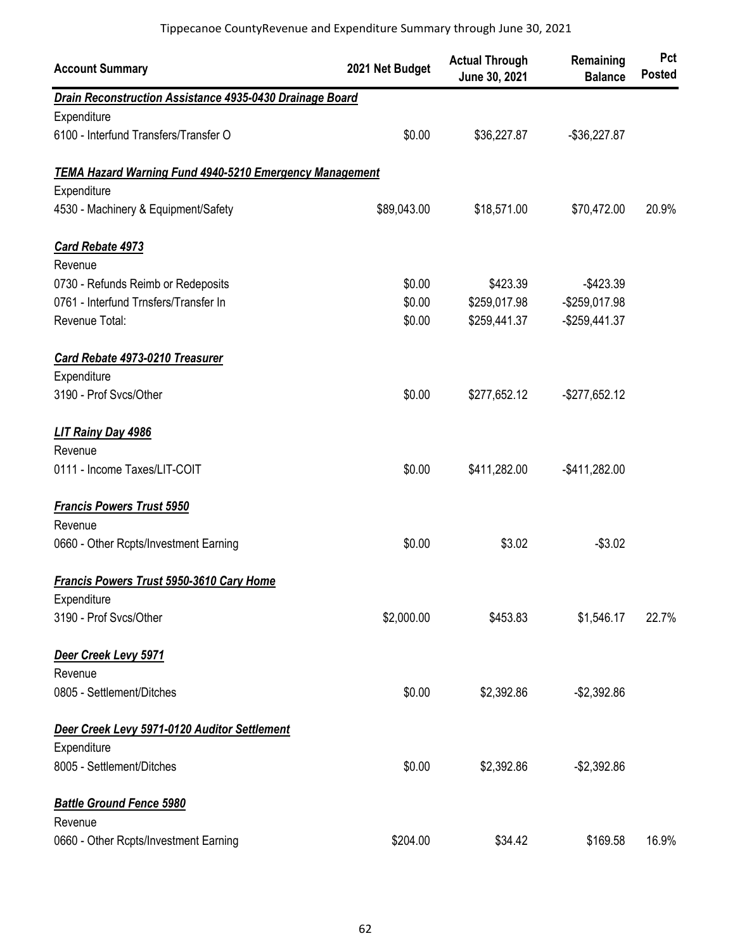| <b>Account Summary</b>                                   | 2021 Net Budget | <b>Actual Through</b><br>June 30, 2021 | Remaining<br><b>Balance</b> | Pct<br><b>Posted</b> |
|----------------------------------------------------------|-----------------|----------------------------------------|-----------------------------|----------------------|
| Drain Reconstruction Assistance 4935-0430 Drainage Board |                 |                                        |                             |                      |
| Expenditure                                              |                 |                                        |                             |                      |
| 6100 - Interfund Transfers/Transfer O                    | \$0.00          | \$36,227.87                            | $-$36,227.87$               |                      |
| TEMA Hazard Warning Fund 4940-5210 Emergency Management  |                 |                                        |                             |                      |
| Expenditure                                              |                 |                                        |                             |                      |
| 4530 - Machinery & Equipment/Safety                      | \$89,043.00     | \$18,571.00                            | \$70,472.00                 | 20.9%                |
| <b>Card Rebate 4973</b>                                  |                 |                                        |                             |                      |
| Revenue                                                  |                 |                                        |                             |                      |
| 0730 - Refunds Reimb or Redeposits                       | \$0.00          | \$423.39                               | $-$423.39$                  |                      |
| 0761 - Interfund Trnsfers/Transfer In                    | \$0.00          | \$259,017.98                           | -\$259,017.98               |                      |
| Revenue Total:                                           | \$0.00          | \$259,441.37                           | $-$ \$259,441.37            |                      |
| Card Rebate 4973-0210 Treasurer                          |                 |                                        |                             |                      |
| Expenditure                                              |                 |                                        |                             |                      |
| 3190 - Prof Svcs/Other                                   | \$0.00          | \$277,652.12                           | $-$277,652.12$              |                      |
| LIT Rainy Day 4986                                       |                 |                                        |                             |                      |
| Revenue                                                  |                 |                                        |                             |                      |
| 0111 - Income Taxes/LIT-COIT                             | \$0.00          | \$411,282.00                           | -\$411,282.00               |                      |
| <b>Francis Powers Trust 5950</b>                         |                 |                                        |                             |                      |
| Revenue                                                  |                 |                                        |                             |                      |
| 0660 - Other Rcpts/Investment Earning                    | \$0.00          | \$3.02                                 | $-$3.02$                    |                      |
| Francis Powers Trust 5950-3610 Cary Home                 |                 |                                        |                             |                      |
| Expenditure                                              |                 |                                        |                             |                      |
| 3190 - Prof Svcs/Other                                   | \$2,000.00      | \$453.83                               | \$1,546.17                  | 22.7%                |
| Deer Creek Levy 5971                                     |                 |                                        |                             |                      |
| Revenue                                                  |                 |                                        |                             |                      |
| 0805 - Settlement/Ditches                                | \$0.00          | \$2,392.86                             | $-$2,392.86$                |                      |
| Deer Creek Levy 5971-0120 Auditor Settlement             |                 |                                        |                             |                      |
| Expenditure                                              |                 |                                        |                             |                      |
| 8005 - Settlement/Ditches                                | \$0.00          | \$2,392.86                             | $-$2,392.86$                |                      |
| <b>Battle Ground Fence 5980</b>                          |                 |                                        |                             |                      |
| Revenue                                                  |                 |                                        |                             |                      |
| 0660 - Other Rcpts/Investment Earning                    | \$204.00        | \$34.42                                | \$169.58                    | 16.9%                |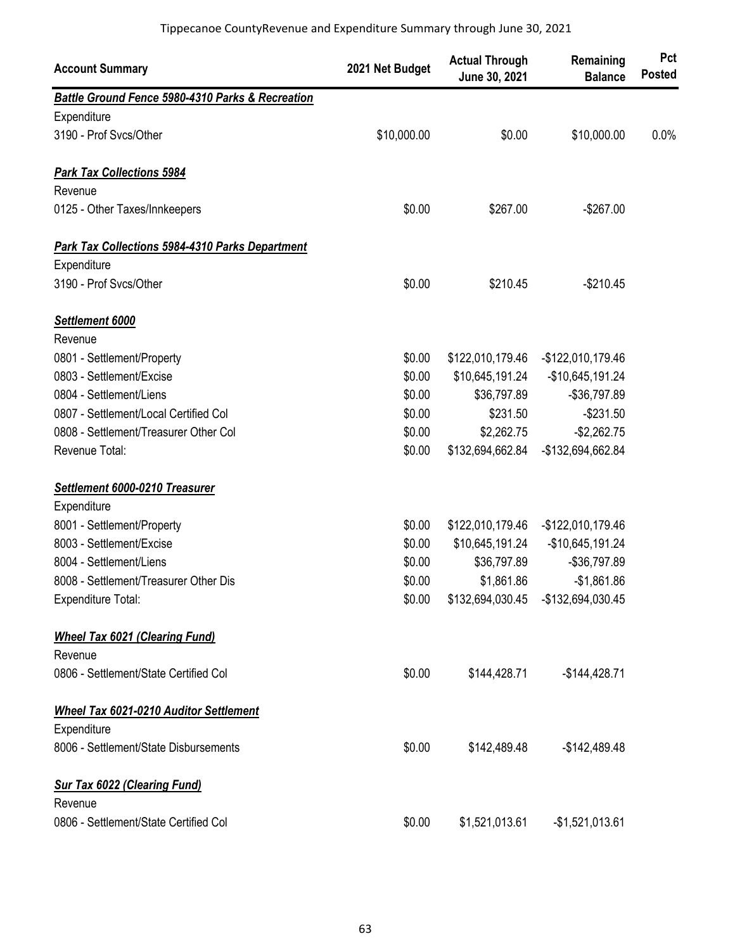| <b>Account Summary</b>                                 | 2021 Net Budget | <b>Actual Through</b><br>June 30, 2021 | Remaining<br><b>Balance</b>         | Pct<br><b>Posted</b> |
|--------------------------------------------------------|-----------------|----------------------------------------|-------------------------------------|----------------------|
| Battle Ground Fence 5980-4310 Parks & Recreation       |                 |                                        |                                     |                      |
| Expenditure                                            |                 |                                        |                                     |                      |
| 3190 - Prof Svcs/Other                                 | \$10,000.00     | \$0.00                                 | \$10,000.00                         | 0.0%                 |
| <b>Park Tax Collections 5984</b>                       |                 |                                        |                                     |                      |
| Revenue                                                |                 |                                        |                                     |                      |
| 0125 - Other Taxes/Innkeepers                          | \$0.00          | \$267.00                               | $-$267.00$                          |                      |
| <b>Park Tax Collections 5984-4310 Parks Department</b> |                 |                                        |                                     |                      |
| Expenditure                                            |                 |                                        |                                     |                      |
| 3190 - Prof Svcs/Other                                 | \$0.00          | \$210.45                               | $-$210.45$                          |                      |
| Settlement 6000                                        |                 |                                        |                                     |                      |
| Revenue                                                |                 |                                        |                                     |                      |
| 0801 - Settlement/Property                             | \$0.00          | \$122,010,179.46                       | -\$122,010,179.46                   |                      |
| 0803 - Settlement/Excise                               | \$0.00          | \$10,645,191.24                        | -\$10,645,191.24                    |                      |
| 0804 - Settlement/Liens                                | \$0.00          | \$36,797.89                            | -\$36,797.89                        |                      |
| 0807 - Settlement/Local Certified Col                  | \$0.00          | \$231.50                               | $-$231.50$                          |                      |
| 0808 - Settlement/Treasurer Other Col                  | \$0.00          | \$2,262.75                             | $-$2,262.75$                        |                      |
| Revenue Total:                                         | \$0.00          | \$132,694,662.84                       | -\$132,694,662.84                   |                      |
| Settlement 6000-0210 Treasurer                         |                 |                                        |                                     |                      |
| Expenditure                                            |                 |                                        |                                     |                      |
| 8001 - Settlement/Property                             | \$0.00          | \$122,010,179.46                       | -\$122,010,179.46                   |                      |
| 8003 - Settlement/Excise                               | \$0.00          | \$10,645,191.24                        | -\$10,645,191.24                    |                      |
| 8004 - Settlement/Liens                                | \$0.00          | \$36,797.89                            | -\$36,797.89                        |                      |
| 8008 - Settlement/Treasurer Other Dis                  | \$0.00          | \$1,861.86                             | $-$1,861.86$                        |                      |
| <b>Expenditure Total:</b>                              | \$0.00          |                                        | \$132,694,030.45 - \$132,694,030.45 |                      |
| <b>Wheel Tax 6021 (Clearing Fund)</b>                  |                 |                                        |                                     |                      |
| Revenue                                                |                 |                                        |                                     |                      |
| 0806 - Settlement/State Certified Col                  | \$0.00          | \$144,428.71                           | $-$144,428.71$                      |                      |
| <b>Wheel Tax 6021-0210 Auditor Settlement</b>          |                 |                                        |                                     |                      |
| Expenditure                                            |                 |                                        |                                     |                      |
| 8006 - Settlement/State Disbursements                  | \$0.00          | \$142,489.48                           | $-$142,489.48$                      |                      |
| <b>Sur Tax 6022 (Clearing Fund)</b>                    |                 |                                        |                                     |                      |
| Revenue                                                |                 |                                        |                                     |                      |
| 0806 - Settlement/State Certified Col                  | \$0.00          | \$1,521,013.61                         | $-$1,521,013.61$                    |                      |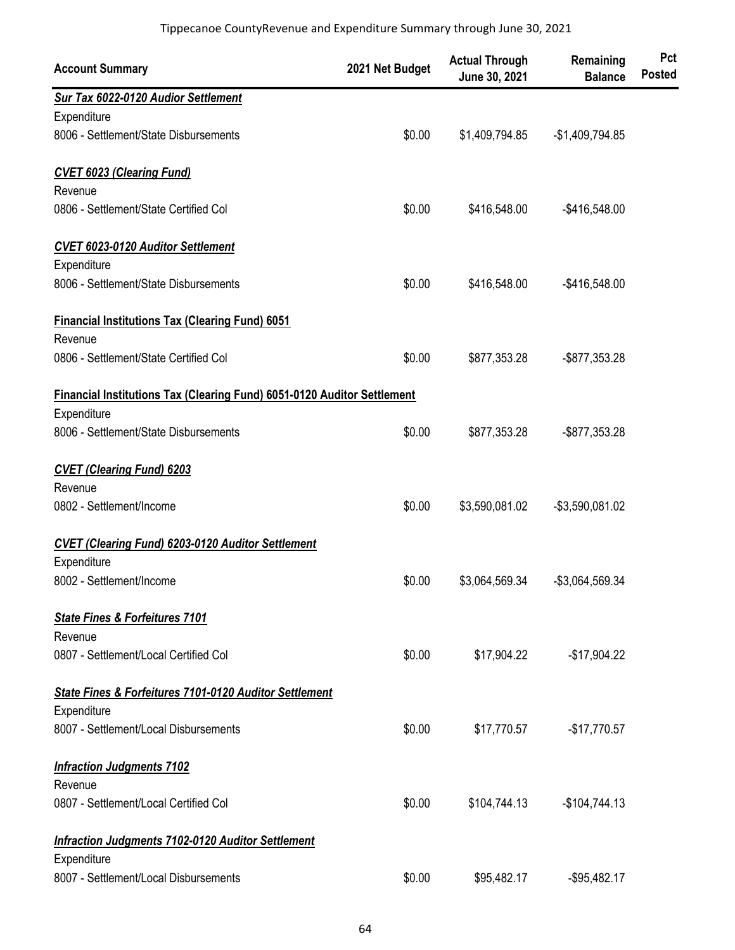| <b>Account Summary</b>                                                         | 2021 Net Budget | <b>Actual Through</b><br>June 30, 2021 | Remaining<br><b>Balance</b> | Pct<br><b>Posted</b> |
|--------------------------------------------------------------------------------|-----------------|----------------------------------------|-----------------------------|----------------------|
| Sur Tax 6022-0120 Audior Settlement                                            |                 |                                        |                             |                      |
| Expenditure                                                                    |                 |                                        |                             |                      |
| 8006 - Settlement/State Disbursements                                          | \$0.00          | \$1,409,794.85                         | $-$1,409,794.85$            |                      |
| <b>CVET 6023 (Clearing Fund)</b>                                               |                 |                                        |                             |                      |
| Revenue                                                                        |                 |                                        |                             |                      |
| 0806 - Settlement/State Certified Col                                          | \$0.00          | \$416,548.00                           | $-$416,548.00$              |                      |
| <b>CVET 6023-0120 Auditor Settlement</b>                                       |                 |                                        |                             |                      |
| Expenditure                                                                    |                 |                                        |                             |                      |
| 8006 - Settlement/State Disbursements                                          | \$0.00          | \$416,548.00                           | $-$ \$416,548.00            |                      |
| <b>Financial Institutions Tax (Clearing Fund) 6051</b>                         |                 |                                        |                             |                      |
| Revenue                                                                        |                 |                                        |                             |                      |
| 0806 - Settlement/State Certified Col                                          | \$0.00          | \$877,353.28                           | $-$ \$877,353.28            |                      |
| <b>Financial Institutions Tax (Clearing Fund) 6051-0120 Auditor Settlement</b> |                 |                                        |                             |                      |
| Expenditure                                                                    |                 |                                        |                             |                      |
| 8006 - Settlement/State Disbursements                                          | \$0.00          | \$877,353.28                           | -\$877,353.28               |                      |
| <b>CVET (Clearing Fund) 6203</b>                                               |                 |                                        |                             |                      |
| Revenue                                                                        |                 |                                        |                             |                      |
| 0802 - Settlement/Income                                                       | \$0.00          | \$3,590,081.02                         | -\$3,590,081.02             |                      |
| <b>CVET (Clearing Fund) 6203-0120 Auditor Settlement</b>                       |                 |                                        |                             |                      |
| Expenditure                                                                    |                 |                                        |                             |                      |
| 8002 - Settlement/Income                                                       | \$0.00          | \$3,064,569.34                         | -\$3,064,569.34             |                      |
| <b>State Fines &amp; Forfeitures 7101</b>                                      |                 |                                        |                             |                      |
| Revenue                                                                        |                 |                                        |                             |                      |
| 0807 - Settlement/Local Certified Col                                          | \$0.00          | \$17,904.22                            | $-$17,904.22$               |                      |
| State Fines & Forfeitures 7101-0120 Auditor Settlement                         |                 |                                        |                             |                      |
| Expenditure                                                                    |                 |                                        |                             |                      |
| 8007 - Settlement/Local Disbursements                                          | \$0.00          | \$17,770.57                            | $-$17,770.57$               |                      |
| <b>Infraction Judgments 7102</b>                                               |                 |                                        |                             |                      |
| Revenue                                                                        |                 |                                        |                             |                      |
| 0807 - Settlement/Local Certified Col                                          | \$0.00          | \$104,744.13                           | $-$104,744.13$              |                      |
| <b>Infraction Judgments 7102-0120 Auditor Settlement</b>                       |                 |                                        |                             |                      |
| Expenditure                                                                    |                 |                                        |                             |                      |
| 8007 - Settlement/Local Disbursements                                          | \$0.00          | \$95,482.17                            | $-$ \$95,482.17             |                      |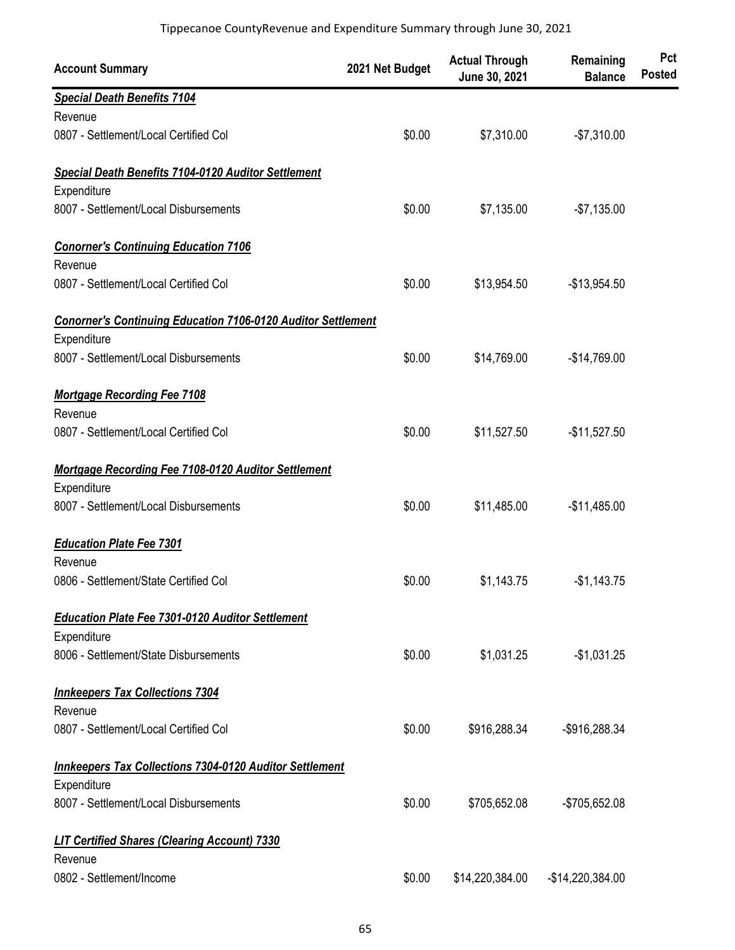| <b>Account Summary</b>                                              | 2021 Net Budget | <b>Actual Through</b><br>June 30, 2021 | Remaining<br><b>Balance</b> | Pct<br><b>Posted</b> |
|---------------------------------------------------------------------|-----------------|----------------------------------------|-----------------------------|----------------------|
| <b>Special Death Benefits 7104</b>                                  |                 |                                        |                             |                      |
| Revenue                                                             |                 |                                        |                             |                      |
| 0807 - Settlement/Local Certified Col                               | \$0.00          | \$7,310.00                             | $-$7,310.00$                |                      |
| <b>Special Death Benefits 7104-0120 Auditor Settlement</b>          |                 |                                        |                             |                      |
| Expenditure                                                         |                 |                                        |                             |                      |
| 8007 - Settlement/Local Disbursements                               | \$0.00          | \$7,135.00                             | $-$7,135.00$                |                      |
| <b>Conorner's Continuing Education 7106</b>                         |                 |                                        |                             |                      |
| Revenue                                                             |                 |                                        |                             |                      |
| 0807 - Settlement/Local Certified Col                               | \$0.00          | \$13,954.50                            | $-$13,954.50$               |                      |
| <b>Conorner's Continuing Education 7106-0120 Auditor Settlement</b> |                 |                                        |                             |                      |
| Expenditure                                                         |                 |                                        |                             |                      |
| 8007 - Settlement/Local Disbursements                               | \$0.00          | \$14,769.00                            | $-$14,769.00$               |                      |
| <b>Mortgage Recording Fee 7108</b>                                  |                 |                                        |                             |                      |
| Revenue                                                             |                 |                                        |                             |                      |
| 0807 - Settlement/Local Certified Col                               | \$0.00          | \$11,527.50                            | $-$11,527.50$               |                      |
| <b>Mortgage Recording Fee 7108-0120 Auditor Settlement</b>          |                 |                                        |                             |                      |
| Expenditure                                                         |                 |                                        |                             |                      |
| 8007 - Settlement/Local Disbursements                               | \$0.00          | \$11,485.00                            | $-$11,485.00$               |                      |
| <b>Education Plate Fee 7301</b>                                     |                 |                                        |                             |                      |
| Revenue                                                             |                 |                                        |                             |                      |
| 0806 - Settlement/State Certified Col                               | \$0.00          | \$1,143.75                             | $-$1,143.75$                |                      |
| <b>Education Plate Fee 7301-0120 Auditor Settlement</b>             |                 |                                        |                             |                      |
| Expenditure                                                         |                 |                                        |                             |                      |
| 8006 - Settlement/State Disbursements                               | \$0.00          | \$1,031.25                             | $-$1,031.25$                |                      |
| <b>Innkeepers Tax Collections 7304</b>                              |                 |                                        |                             |                      |
| Revenue                                                             |                 |                                        |                             |                      |
| 0807 - Settlement/Local Certified Col                               | \$0.00          | \$916,288.34                           | -\$916,288.34               |                      |
| <b>Innkeepers Tax Collections 7304-0120 Auditor Settlement</b>      |                 |                                        |                             |                      |
| Expenditure                                                         |                 |                                        |                             |                      |
| 8007 - Settlement/Local Disbursements                               | \$0.00          | \$705,652.08                           | -\$705,652.08               |                      |
| <b>LIT Certified Shares (Clearing Account) 7330</b>                 |                 |                                        |                             |                      |
| Revenue                                                             |                 |                                        |                             |                      |
| 0802 - Settlement/Income                                            | \$0.00          | \$14,220,384.00                        | $-$14,220,384.00$           |                      |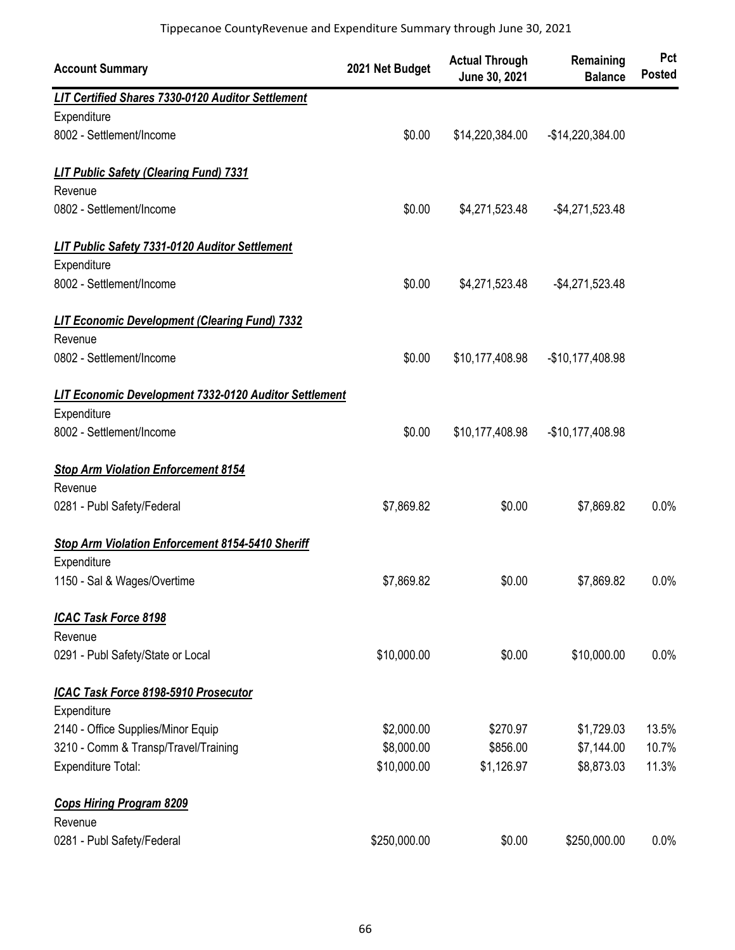| <b>Account Summary</b>                                       | 2021 Net Budget | <b>Actual Through</b><br>June 30, 2021 | Remaining<br><b>Balance</b> | Pct<br><b>Posted</b> |
|--------------------------------------------------------------|-----------------|----------------------------------------|-----------------------------|----------------------|
| LIT Certified Shares 7330-0120 Auditor Settlement            |                 |                                        |                             |                      |
| Expenditure                                                  |                 |                                        |                             |                      |
| 8002 - Settlement/Income                                     | \$0.00          | \$14,220,384.00                        | -\$14,220,384.00            |                      |
| <b>LIT Public Safety (Clearing Fund) 7331</b>                |                 |                                        |                             |                      |
| Revenue                                                      |                 |                                        |                             |                      |
| 0802 - Settlement/Income                                     | \$0.00          | \$4,271,523.48                         | $-$4,271,523.48$            |                      |
| <b>LIT Public Safety 7331-0120 Auditor Settlement</b>        |                 |                                        |                             |                      |
| Expenditure                                                  |                 |                                        |                             |                      |
| 8002 - Settlement/Income                                     | \$0.00          | \$4,271,523.48                         | $-$4,271,523.48$            |                      |
| <b>LIT Economic Development (Clearing Fund) 7332</b>         |                 |                                        |                             |                      |
| Revenue                                                      |                 |                                        |                             |                      |
| 0802 - Settlement/Income                                     | \$0.00          | \$10,177,408.98                        | -\$10,177,408.98            |                      |
| <b>LIT Economic Development 7332-0120 Auditor Settlement</b> |                 |                                        |                             |                      |
| Expenditure                                                  |                 |                                        |                             |                      |
| 8002 - Settlement/Income                                     | \$0.00          | \$10,177,408.98                        | -\$10,177,408.98            |                      |
| <b>Stop Arm Violation Enforcement 8154</b>                   |                 |                                        |                             |                      |
| Revenue                                                      |                 |                                        |                             |                      |
| 0281 - Publ Safety/Federal                                   | \$7,869.82      | \$0.00                                 | \$7,869.82                  | 0.0%                 |
| Stop Arm Violation Enforcement 8154-5410 Sheriff             |                 |                                        |                             |                      |
| Expenditure                                                  |                 |                                        |                             |                      |
| 1150 - Sal & Wages/Overtime                                  | \$7,869.82      | \$0.00                                 | \$7,869.82                  | 0.0%                 |
| <b>ICAC Task Force 8198</b>                                  |                 |                                        |                             |                      |
| Revenue                                                      |                 |                                        |                             |                      |
| 0291 - Publ Safety/State or Local                            | \$10,000.00     | \$0.00                                 | \$10,000.00                 | 0.0%                 |
| ICAC Task Force 8198-5910 Prosecutor                         |                 |                                        |                             |                      |
| Expenditure                                                  |                 |                                        |                             |                      |
| 2140 - Office Supplies/Minor Equip                           | \$2,000.00      | \$270.97                               | \$1,729.03                  | 13.5%                |
| 3210 - Comm & Transp/Travel/Training                         | \$8,000.00      | \$856.00                               | \$7,144.00                  | 10.7%                |
| Expenditure Total:                                           | \$10,000.00     | \$1,126.97                             | \$8,873.03                  | 11.3%                |
| <b>Cops Hiring Program 8209</b>                              |                 |                                        |                             |                      |
| Revenue                                                      |                 |                                        |                             |                      |
| 0281 - Publ Safety/Federal                                   | \$250,000.00    | \$0.00                                 | \$250,000.00                | 0.0%                 |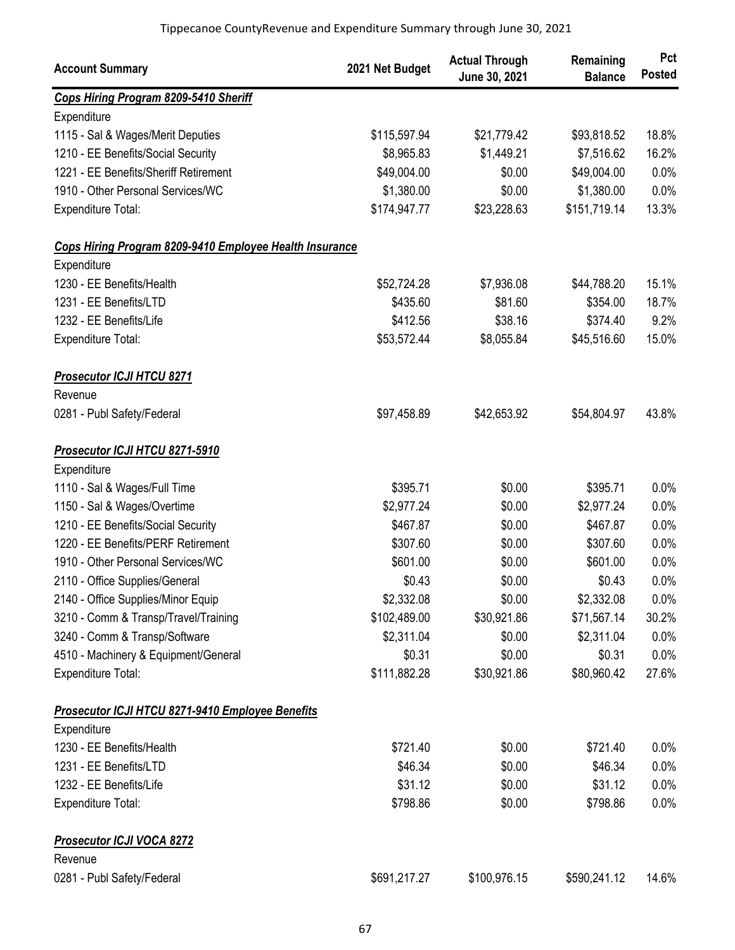| <b>Account Summary</b>                                  | 2021 Net Budget | <b>Actual Through</b><br>June 30, 2021 | Remaining<br><b>Balance</b> | Pct<br><b>Posted</b> |
|---------------------------------------------------------|-----------------|----------------------------------------|-----------------------------|----------------------|
| Cops Hiring Program 8209-5410 Sheriff                   |                 |                                        |                             |                      |
| Expenditure                                             |                 |                                        |                             |                      |
| 1115 - Sal & Wages/Merit Deputies                       | \$115,597.94    | \$21,779.42                            | \$93,818.52                 | 18.8%                |
| 1210 - EE Benefits/Social Security                      | \$8,965.83      | \$1,449.21                             | \$7,516.62                  | 16.2%                |
| 1221 - EE Benefits/Sheriff Retirement                   | \$49,004.00     | \$0.00                                 | \$49,004.00                 | 0.0%                 |
| 1910 - Other Personal Services/WC                       | \$1,380.00      | \$0.00                                 | \$1,380.00                  | 0.0%                 |
| <b>Expenditure Total:</b>                               | \$174,947.77    | \$23,228.63                            | \$151,719.14                | 13.3%                |
| Cops Hiring Program 8209-9410 Employee Health Insurance |                 |                                        |                             |                      |
| Expenditure                                             |                 |                                        |                             |                      |
| 1230 - EE Benefits/Health                               | \$52,724.28     | \$7,936.08                             | \$44,788.20                 | 15.1%                |
| 1231 - EE Benefits/LTD                                  | \$435.60        | \$81.60                                | \$354.00                    | 18.7%                |
| 1232 - EE Benefits/Life                                 | \$412.56        | \$38.16                                | \$374.40                    | 9.2%                 |
| <b>Expenditure Total:</b>                               | \$53,572.44     | \$8,055.84                             | \$45,516.60                 | 15.0%                |
| <b>Prosecutor ICJI HTCU 8271</b><br>Revenue             |                 |                                        |                             |                      |
| 0281 - Publ Safety/Federal                              | \$97,458.89     | \$42,653.92                            | \$54,804.97                 | 43.8%                |
| Prosecutor ICJI HTCU 8271-5910                          |                 |                                        |                             |                      |
| Expenditure                                             |                 |                                        |                             |                      |
| 1110 - Sal & Wages/Full Time                            | \$395.71        | \$0.00                                 | \$395.71                    | 0.0%                 |
| 1150 - Sal & Wages/Overtime                             | \$2,977.24      | \$0.00                                 | \$2,977.24                  | 0.0%                 |
| 1210 - EE Benefits/Social Security                      | \$467.87        | \$0.00                                 | \$467.87                    | 0.0%                 |
| 1220 - EE Benefits/PERF Retirement                      | \$307.60        | \$0.00                                 | \$307.60                    | 0.0%                 |
| 1910 - Other Personal Services/WC                       | \$601.00        | \$0.00                                 | \$601.00                    | 0.0%                 |
| 2110 - Office Supplies/General                          | \$0.43          | \$0.00                                 | \$0.43                      | 0.0%                 |
| 2140 - Office Supplies/Minor Equip                      | \$2,332.08      | \$0.00                                 | \$2,332.08                  | 0.0%                 |
| 3210 - Comm & Transp/Travel/Training                    | \$102,489.00    | \$30,921.86                            | \$71,567.14                 | 30.2%                |
| 3240 - Comm & Transp/Software                           | \$2,311.04      | \$0.00                                 | \$2,311.04                  | 0.0%                 |
| 4510 - Machinery & Equipment/General                    | \$0.31          | \$0.00                                 | \$0.31                      | 0.0%                 |
| Expenditure Total:                                      | \$111,882.28    | \$30,921.86                            | \$80,960.42                 | 27.6%                |
| <b>Prosecutor ICJI HTCU 8271-9410 Employee Benefits</b> |                 |                                        |                             |                      |
| Expenditure                                             |                 |                                        |                             |                      |
| 1230 - EE Benefits/Health                               | \$721.40        | \$0.00                                 | \$721.40                    | 0.0%                 |
| 1231 - EE Benefits/LTD                                  | \$46.34         | \$0.00                                 | \$46.34                     | 0.0%                 |
| 1232 - EE Benefits/Life                                 | \$31.12         | \$0.00                                 | \$31.12                     | 0.0%                 |
| Expenditure Total:                                      | \$798.86        | \$0.00                                 | \$798.86                    | 0.0%                 |
| <b>Prosecutor ICJI VOCA 8272</b>                        |                 |                                        |                             |                      |
| Revenue                                                 |                 |                                        |                             |                      |
| 0281 - Publ Safety/Federal                              | \$691,217.27    | \$100,976.15                           | \$590,241.12                | 14.6%                |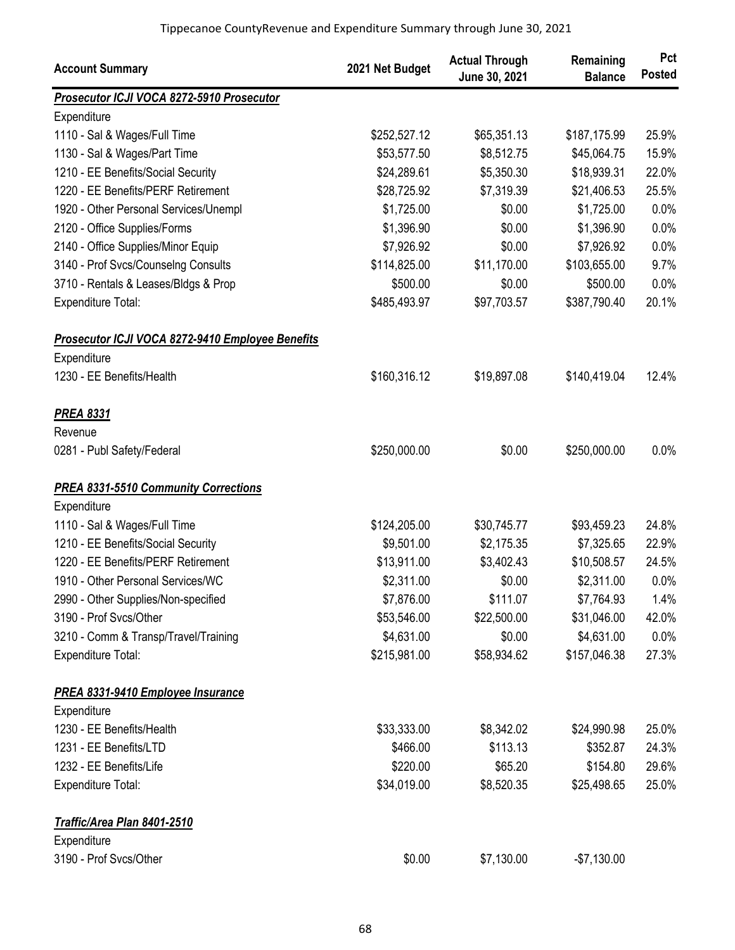| <b>Account Summary</b>                           | 2021 Net Budget | <b>Actual Through</b><br>June 30, 2021 | Remaining<br><b>Balance</b> | Pct<br><b>Posted</b> |
|--------------------------------------------------|-----------------|----------------------------------------|-----------------------------|----------------------|
| Prosecutor ICJI VOCA 8272-5910 Prosecutor        |                 |                                        |                             |                      |
| Expenditure                                      |                 |                                        |                             |                      |
| 1110 - Sal & Wages/Full Time                     | \$252,527.12    | \$65,351.13                            | \$187,175.99                | 25.9%                |
| 1130 - Sal & Wages/Part Time                     | \$53,577.50     | \$8,512.75                             | \$45,064.75                 | 15.9%                |
| 1210 - EE Benefits/Social Security               | \$24,289.61     | \$5,350.30                             | \$18,939.31                 | 22.0%                |
| 1220 - EE Benefits/PERF Retirement               | \$28,725.92     | \$7,319.39                             | \$21,406.53                 | 25.5%                |
| 1920 - Other Personal Services/Unempl            | \$1,725.00      | \$0.00                                 | \$1,725.00                  | 0.0%                 |
| 2120 - Office Supplies/Forms                     | \$1,396.90      | \$0.00                                 | \$1,396.90                  | 0.0%                 |
| 2140 - Office Supplies/Minor Equip               | \$7,926.92      | \$0.00                                 | \$7,926.92                  | 0.0%                 |
| 3140 - Prof Svcs/Counselng Consults              | \$114,825.00    | \$11,170.00                            | \$103,655.00                | 9.7%                 |
| 3710 - Rentals & Leases/Bldgs & Prop             | \$500.00        | \$0.00                                 | \$500.00                    | 0.0%                 |
| Expenditure Total:                               | \$485,493.97    | \$97,703.57                            | \$387,790.40                | 20.1%                |
| Prosecutor ICJI VOCA 8272-9410 Employee Benefits |                 |                                        |                             |                      |
| Expenditure                                      |                 |                                        |                             |                      |
| 1230 - EE Benefits/Health                        | \$160,316.12    | \$19,897.08                            | \$140,419.04                | 12.4%                |
| <b>PREA 8331</b>                                 |                 |                                        |                             |                      |
| Revenue                                          |                 |                                        |                             |                      |
| 0281 - Publ Safety/Federal                       | \$250,000.00    | \$0.00                                 | \$250,000.00                | 0.0%                 |
| <b>PREA 8331-5510 Community Corrections</b>      |                 |                                        |                             |                      |
| Expenditure                                      |                 |                                        |                             |                      |
| 1110 - Sal & Wages/Full Time                     | \$124,205.00    | \$30,745.77                            | \$93,459.23                 | 24.8%                |
| 1210 - EE Benefits/Social Security               | \$9,501.00      | \$2,175.35                             | \$7,325.65                  | 22.9%                |
| 1220 - EE Benefits/PERF Retirement               | \$13,911.00     | \$3,402.43                             | \$10,508.57                 | 24.5%                |
| 1910 - Other Personal Services/WC                | \$2,311.00      | \$0.00                                 | \$2,311.00                  | 0.0%                 |
| 2990 - Other Supplies/Non-specified              | \$7,876.00      | \$111.07                               | \$7,764.93                  | 1.4%                 |
| 3190 - Prof Svcs/Other                           | \$53,546.00     | \$22,500.00                            | \$31,046.00                 | 42.0%                |
| 3210 - Comm & Transp/Travel/Training             | \$4,631.00      | \$0.00                                 | \$4,631.00                  | 0.0%                 |
| Expenditure Total:                               | \$215,981.00    | \$58,934.62                            | \$157,046.38                | 27.3%                |
| <b>PREA 8331-9410 Employee Insurance</b>         |                 |                                        |                             |                      |
| Expenditure                                      |                 |                                        |                             |                      |
| 1230 - EE Benefits/Health                        | \$33,333.00     | \$8,342.02                             | \$24,990.98                 | 25.0%                |
| 1231 - EE Benefits/LTD                           | \$466.00        | \$113.13                               | \$352.87                    | 24.3%                |
| 1232 - EE Benefits/Life                          | \$220.00        | \$65.20                                | \$154.80                    | 29.6%                |
| Expenditure Total:                               | \$34,019.00     | \$8,520.35                             | \$25,498.65                 | 25.0%                |
| Traffic/Area Plan 8401-2510                      |                 |                                        |                             |                      |
| Expenditure                                      |                 |                                        |                             |                      |
| 3190 - Prof Svcs/Other                           | \$0.00          | \$7,130.00                             | $-$7,130.00$                |                      |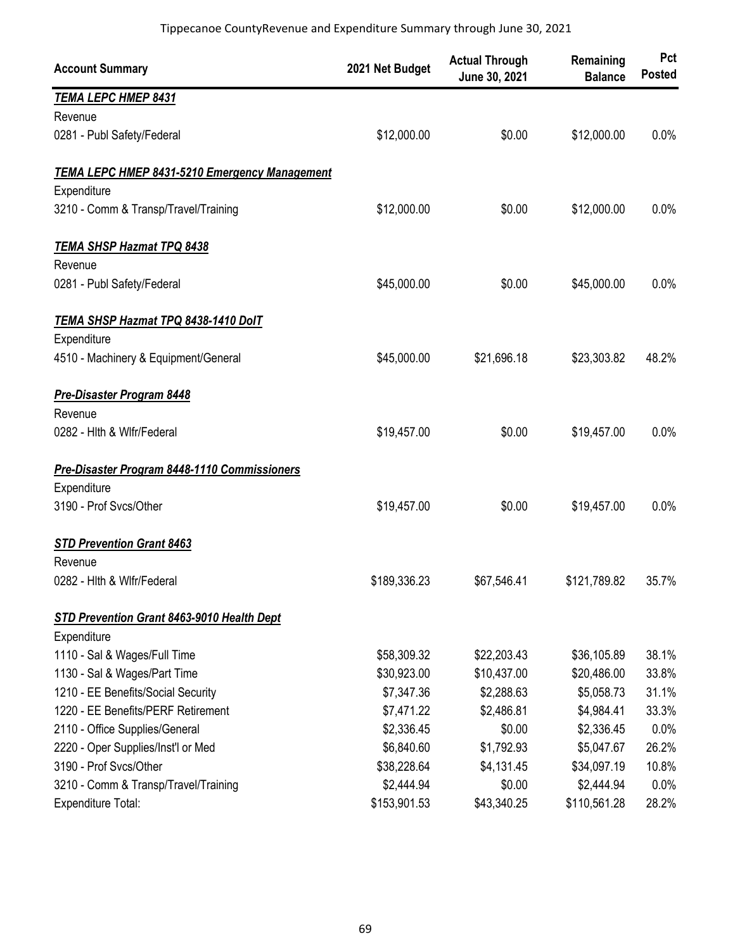| <b>Account Summary</b>                        | 2021 Net Budget | <b>Actual Through</b><br>June 30, 2021 | Remaining<br><b>Balance</b> | Pct<br><b>Posted</b> |
|-----------------------------------------------|-----------------|----------------------------------------|-----------------------------|----------------------|
| <b>TEMA LEPC HMEP 8431</b>                    |                 |                                        |                             |                      |
| Revenue                                       |                 |                                        |                             |                      |
| 0281 - Publ Safety/Federal                    | \$12,000.00     | \$0.00                                 | \$12,000.00                 | 0.0%                 |
| TEMA LEPC HMEP 8431-5210 Emergency Management |                 |                                        |                             |                      |
| Expenditure                                   |                 |                                        |                             |                      |
| 3210 - Comm & Transp/Travel/Training          | \$12,000.00     | \$0.00                                 | \$12,000.00                 | 0.0%                 |
| <b>TEMA SHSP Hazmat TPQ 8438</b>              |                 |                                        |                             |                      |
| Revenue                                       |                 |                                        |                             |                      |
| 0281 - Publ Safety/Federal                    | \$45,000.00     | \$0.00                                 | \$45,000.00                 | 0.0%                 |
| TEMA SHSP Hazmat TPQ 8438-1410 DolT           |                 |                                        |                             |                      |
| Expenditure                                   |                 |                                        |                             |                      |
| 4510 - Machinery & Equipment/General          | \$45,000.00     | \$21,696.18                            | \$23,303.82                 | 48.2%                |
| <b>Pre-Disaster Program 8448</b>              |                 |                                        |                             |                      |
| Revenue                                       |                 |                                        |                             |                      |
| 0282 - Hith & Wifr/Federal                    | \$19,457.00     | \$0.00                                 | \$19,457.00                 | 0.0%                 |
| Pre-Disaster Program 8448-1110 Commissioners  |                 |                                        |                             |                      |
| Expenditure                                   |                 |                                        |                             |                      |
| 3190 - Prof Svcs/Other                        | \$19,457.00     | \$0.00                                 | \$19,457.00                 | 0.0%                 |
| <b>STD Prevention Grant 8463</b>              |                 |                                        |                             |                      |
| Revenue                                       |                 |                                        |                             |                      |
| 0282 - Hith & Wifr/Federal                    | \$189,336.23    | \$67,546.41                            | \$121,789.82                | 35.7%                |
| STD Prevention Grant 8463-9010 Health Dept    |                 |                                        |                             |                      |
| Expenditure                                   |                 |                                        |                             |                      |
| 1110 - Sal & Wages/Full Time                  | \$58,309.32     | \$22,203.43                            | \$36,105.89                 | 38.1%                |
| 1130 - Sal & Wages/Part Time                  | \$30,923.00     | \$10,437.00                            | \$20,486.00                 | 33.8%                |
| 1210 - EE Benefits/Social Security            | \$7,347.36      | \$2,288.63                             | \$5,058.73                  | 31.1%                |
| 1220 - EE Benefits/PERF Retirement            | \$7,471.22      | \$2,486.81                             | \$4,984.41                  | 33.3%                |
| 2110 - Office Supplies/General                | \$2,336.45      | \$0.00                                 | \$2,336.45                  | 0.0%                 |
| 2220 - Oper Supplies/Inst'l or Med            | \$6,840.60      | \$1,792.93                             | \$5,047.67                  | 26.2%                |
| 3190 - Prof Svcs/Other                        | \$38,228.64     | \$4,131.45                             | \$34,097.19                 | 10.8%                |
| 3210 - Comm & Transp/Travel/Training          | \$2,444.94      | \$0.00                                 | \$2,444.94                  | 0.0%                 |
| Expenditure Total:                            | \$153,901.53    | \$43,340.25                            | \$110,561.28                | 28.2%                |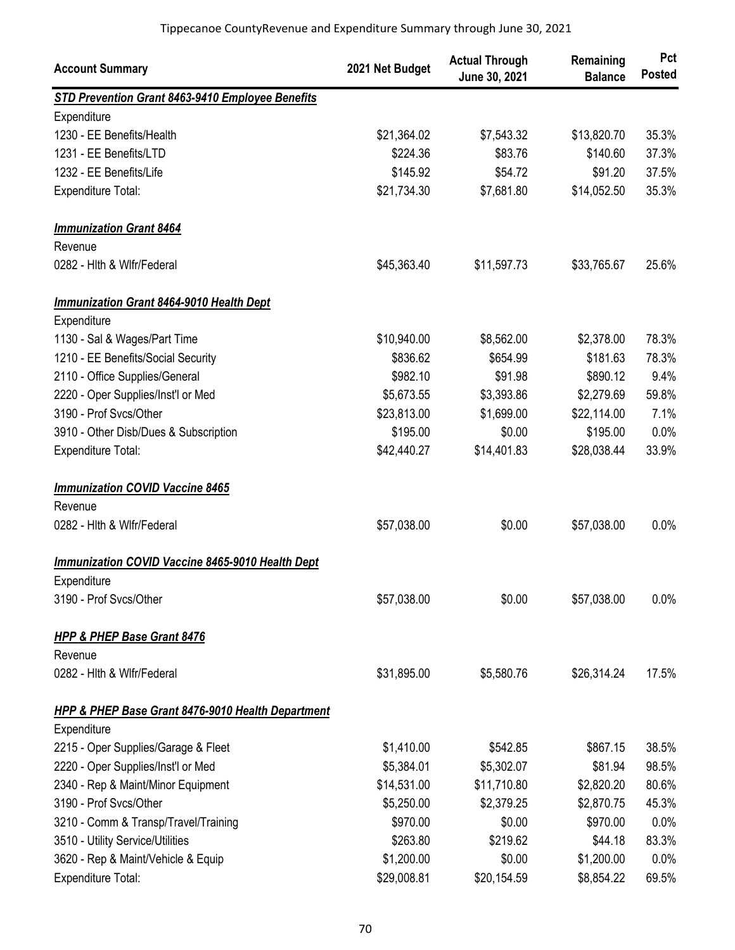| <b>Account Summary</b>                                       | 2021 Net Budget | <b>Actual Through</b><br>June 30, 2021 | Remaining<br><b>Balance</b> | Pct<br><b>Posted</b> |
|--------------------------------------------------------------|-----------------|----------------------------------------|-----------------------------|----------------------|
| STD Prevention Grant 8463-9410 Employee Benefits             |                 |                                        |                             |                      |
| Expenditure                                                  |                 |                                        |                             |                      |
| 1230 - EE Benefits/Health                                    | \$21,364.02     | \$7,543.32                             | \$13,820.70                 | 35.3%                |
| 1231 - EE Benefits/LTD                                       | \$224.36        | \$83.76                                | \$140.60                    | 37.3%                |
| 1232 - EE Benefits/Life                                      | \$145.92        | \$54.72                                | \$91.20                     | 37.5%                |
| <b>Expenditure Total:</b>                                    | \$21,734.30     | \$7,681.80                             | \$14,052.50                 | 35.3%                |
| <b>Immunization Grant 8464</b>                               |                 |                                        |                             |                      |
| Revenue                                                      |                 |                                        |                             |                      |
| 0282 - Hith & Wifr/Federal                                   | \$45,363.40     | \$11,597.73                            | \$33,765.67                 | 25.6%                |
| <b>Immunization Grant 8464-9010 Health Dept</b>              |                 |                                        |                             |                      |
| Expenditure                                                  |                 |                                        |                             |                      |
| 1130 - Sal & Wages/Part Time                                 | \$10,940.00     | \$8,562.00                             | \$2,378.00                  | 78.3%                |
| 1210 - EE Benefits/Social Security                           | \$836.62        | \$654.99                               | \$181.63                    | 78.3%                |
| 2110 - Office Supplies/General                               | \$982.10        | \$91.98                                | \$890.12                    | 9.4%                 |
| 2220 - Oper Supplies/Inst'l or Med                           | \$5,673.55      | \$3,393.86                             | \$2,279.69                  | 59.8%                |
| 3190 - Prof Svcs/Other                                       | \$23,813.00     | \$1,699.00                             | \$22,114.00                 | 7.1%                 |
| 3910 - Other Disb/Dues & Subscription                        | \$195.00        | \$0.00                                 | \$195.00                    | 0.0%                 |
| Expenditure Total:                                           | \$42,440.27     | \$14,401.83                            | \$28,038.44                 | 33.9%                |
| <b>Immunization COVID Vaccine 8465</b>                       |                 |                                        |                             |                      |
| Revenue                                                      |                 |                                        |                             |                      |
| 0282 - Hith & Wifr/Federal                                   | \$57,038.00     | \$0.00                                 | \$57,038.00                 | 0.0%                 |
| <b>Immunization COVID Vaccine 8465-9010 Health Dept</b>      |                 |                                        |                             |                      |
| Expenditure                                                  |                 |                                        |                             |                      |
| 3190 - Prof Svcs/Other                                       | \$57,038.00     | \$0.00                                 | \$57,038.00                 | 0.0%                 |
| <b>HPP &amp; PHEP Base Grant 8476</b>                        |                 |                                        |                             |                      |
| Revenue                                                      |                 |                                        |                             |                      |
| 0282 - Hith & Wifr/Federal                                   | \$31,895.00     | \$5,580.76                             | \$26,314.24                 | 17.5%                |
| <b>HPP &amp; PHEP Base Grant 8476-9010 Health Department</b> |                 |                                        |                             |                      |
| Expenditure                                                  |                 |                                        |                             |                      |
| 2215 - Oper Supplies/Garage & Fleet                          | \$1,410.00      | \$542.85                               | \$867.15                    | 38.5%                |
| 2220 - Oper Supplies/Inst'l or Med                           | \$5,384.01      | \$5,302.07                             | \$81.94                     | 98.5%                |
| 2340 - Rep & Maint/Minor Equipment                           | \$14,531.00     | \$11,710.80                            | \$2,820.20                  | 80.6%                |
| 3190 - Prof Svcs/Other                                       | \$5,250.00      | \$2,379.25                             | \$2,870.75                  | 45.3%                |
| 3210 - Comm & Transp/Travel/Training                         | \$970.00        | \$0.00                                 | \$970.00                    | 0.0%                 |
| 3510 - Utility Service/Utilities                             | \$263.80        | \$219.62                               | \$44.18                     | 83.3%                |
| 3620 - Rep & Maint/Vehicle & Equip                           | \$1,200.00      | \$0.00                                 | \$1,200.00                  | 0.0%                 |
| <b>Expenditure Total:</b>                                    | \$29,008.81     | \$20,154.59                            | \$8,854.22                  | 69.5%                |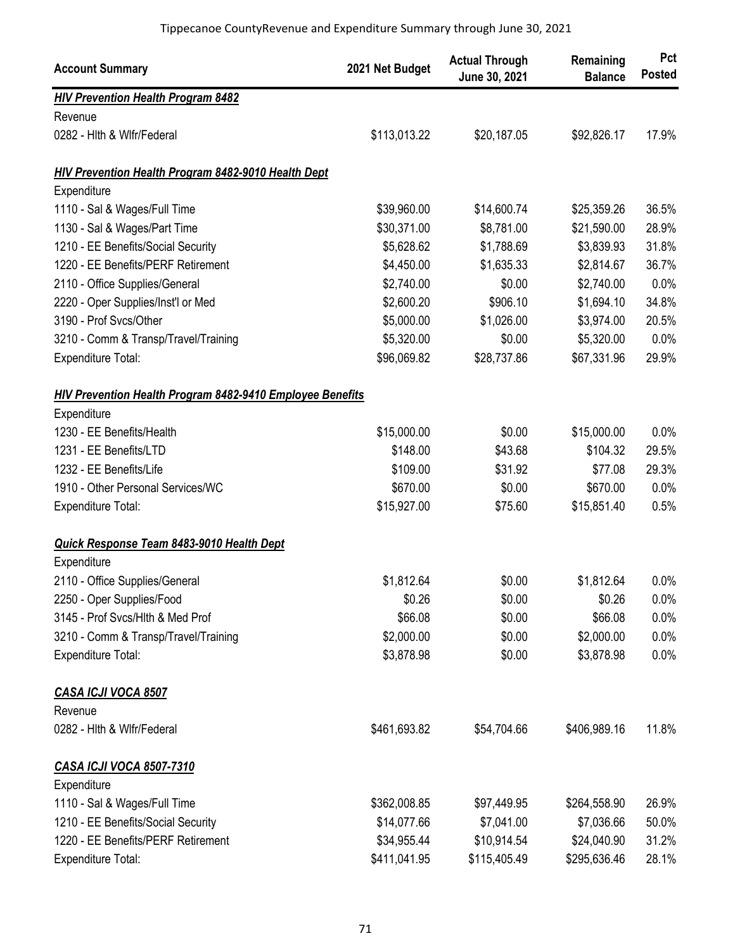| <b>Account Summary</b>                                           | 2021 Net Budget | <b>Actual Through</b><br>June 30, 2021 | Remaining<br><b>Balance</b> | Pct<br><b>Posted</b> |
|------------------------------------------------------------------|-----------------|----------------------------------------|-----------------------------|----------------------|
| <b>HIV Prevention Health Program 8482</b>                        |                 |                                        |                             |                      |
| Revenue                                                          |                 |                                        |                             |                      |
| 0282 - Hith & Wifr/Federal                                       | \$113,013.22    | \$20,187.05                            | \$92,826.17                 | 17.9%                |
| <b>HIV Prevention Health Program 8482-9010 Health Dept</b>       |                 |                                        |                             |                      |
| Expenditure                                                      |                 |                                        |                             |                      |
| 1110 - Sal & Wages/Full Time                                     | \$39,960.00     | \$14,600.74                            | \$25,359.26                 | 36.5%                |
| 1130 - Sal & Wages/Part Time                                     | \$30,371.00     | \$8,781.00                             | \$21,590.00                 | 28.9%                |
| 1210 - EE Benefits/Social Security                               | \$5,628.62      | \$1,788.69                             | \$3,839.93                  | 31.8%                |
| 1220 - EE Benefits/PERF Retirement                               | \$4,450.00      | \$1,635.33                             | \$2,814.67                  | 36.7%                |
| 2110 - Office Supplies/General                                   | \$2,740.00      | \$0.00                                 | \$2,740.00                  | 0.0%                 |
| 2220 - Oper Supplies/Inst'l or Med                               | \$2,600.20      | \$906.10                               | \$1,694.10                  | 34.8%                |
| 3190 - Prof Svcs/Other                                           | \$5,000.00      | \$1,026.00                             | \$3,974.00                  | 20.5%                |
| 3210 - Comm & Transp/Travel/Training                             | \$5,320.00      | \$0.00                                 | \$5,320.00                  | 0.0%                 |
| Expenditure Total:                                               | \$96,069.82     | \$28,737.86                            | \$67,331.96                 | 29.9%                |
| <b>HIV Prevention Health Program 8482-9410 Employee Benefits</b> |                 |                                        |                             |                      |
| Expenditure                                                      |                 |                                        |                             |                      |
| 1230 - EE Benefits/Health                                        | \$15,000.00     | \$0.00                                 | \$15,000.00                 | 0.0%                 |
| 1231 - EE Benefits/LTD                                           | \$148.00        | \$43.68                                | \$104.32                    | 29.5%                |
| 1232 - EE Benefits/Life                                          | \$109.00        | \$31.92                                | \$77.08                     | 29.3%                |
| 1910 - Other Personal Services/WC                                | \$670.00        | \$0.00                                 | \$670.00                    | 0.0%                 |
| <b>Expenditure Total:</b>                                        | \$15,927.00     | \$75.60                                | \$15,851.40                 | 0.5%                 |
| Quick Response Team 8483-9010 Health Dept                        |                 |                                        |                             |                      |
| Expenditure                                                      |                 |                                        |                             |                      |
| 2110 - Office Supplies/General                                   | \$1,812.64      | \$0.00                                 | \$1,812.64                  | 0.0%                 |
| 2250 - Oper Supplies/Food                                        | \$0.26          | \$0.00                                 | \$0.26                      | 0.0%                 |
| 3145 - Prof Svcs/Hlth & Med Prof                                 | \$66.08         | \$0.00                                 | \$66.08                     | 0.0%                 |
| 3210 - Comm & Transp/Travel/Training                             | \$2,000.00      | \$0.00                                 | \$2,000.00                  | 0.0%                 |
| Expenditure Total:                                               | \$3,878.98      | \$0.00                                 | \$3,878.98                  | 0.0%                 |
| CASA ICJI VOCA 8507                                              |                 |                                        |                             |                      |
| Revenue                                                          |                 |                                        |                             |                      |
| 0282 - Hith & Wifr/Federal                                       | \$461,693.82    | \$54,704.66                            | \$406,989.16                | 11.8%                |
| <b>CASA ICJI VOCA 8507-7310</b>                                  |                 |                                        |                             |                      |
| Expenditure                                                      |                 |                                        |                             |                      |
| 1110 - Sal & Wages/Full Time                                     | \$362,008.85    | \$97,449.95                            | \$264,558.90                | 26.9%                |
| 1210 - EE Benefits/Social Security                               | \$14,077.66     | \$7,041.00                             | \$7,036.66                  | 50.0%                |
| 1220 - EE Benefits/PERF Retirement                               | \$34,955.44     | \$10,914.54                            | \$24,040.90                 | 31.2%                |
| Expenditure Total:                                               | \$411,041.95    | \$115,405.49                           | \$295,636.46                | 28.1%                |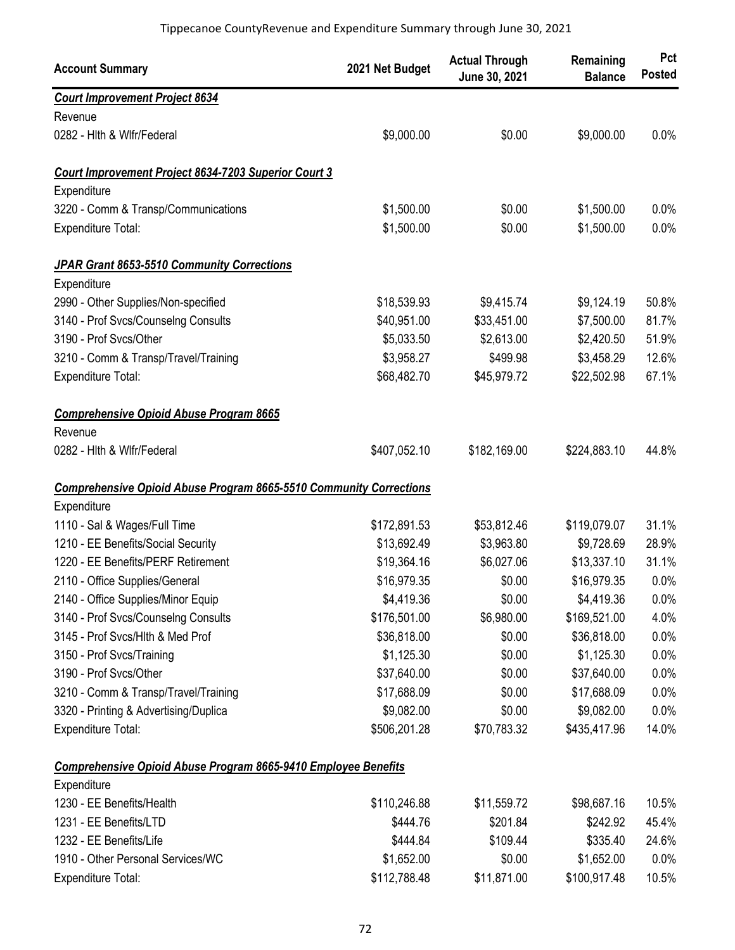| <b>Account Summary</b>                                                    | 2021 Net Budget | <b>Actual Through</b><br>June 30, 2021 | Remaining<br><b>Balance</b> | Pct<br><b>Posted</b> |
|---------------------------------------------------------------------------|-----------------|----------------------------------------|-----------------------------|----------------------|
| <b>Court Improvement Project 8634</b>                                     |                 |                                        |                             |                      |
| Revenue                                                                   |                 |                                        |                             |                      |
| 0282 - Hith & Wifr/Federal                                                | \$9,000.00      | \$0.00                                 | \$9,000.00                  | 0.0%                 |
| Court Improvement Project 8634-7203 Superior Court 3                      |                 |                                        |                             |                      |
| Expenditure                                                               |                 |                                        |                             |                      |
| 3220 - Comm & Transp/Communications                                       | \$1,500.00      | \$0.00                                 | \$1,500.00                  | 0.0%                 |
| Expenditure Total:                                                        | \$1,500.00      | \$0.00                                 | \$1,500.00                  | 0.0%                 |
| JPAR Grant 8653-5510 Community Corrections                                |                 |                                        |                             |                      |
| Expenditure                                                               |                 |                                        |                             |                      |
| 2990 - Other Supplies/Non-specified                                       | \$18,539.93     | \$9,415.74                             | \$9,124.19                  | 50.8%                |
| 3140 - Prof Svcs/Counselng Consults                                       | \$40,951.00     | \$33,451.00                            | \$7,500.00                  | 81.7%                |
| 3190 - Prof Svcs/Other                                                    | \$5,033.50      | \$2,613.00                             | \$2,420.50                  | 51.9%                |
| 3210 - Comm & Transp/Travel/Training                                      | \$3,958.27      | \$499.98                               | \$3,458.29                  | 12.6%                |
| Expenditure Total:                                                        | \$68,482.70     | \$45,979.72                            | \$22,502.98                 | 67.1%                |
| <b>Comprehensive Opioid Abuse Program 8665</b>                            |                 |                                        |                             |                      |
| Revenue                                                                   |                 |                                        |                             |                      |
| 0282 - Hith & Wifr/Federal                                                | \$407,052.10    | \$182,169.00                           | \$224,883.10                | 44.8%                |
| <b>Comprehensive Opioid Abuse Program 8665-5510 Community Corrections</b> |                 |                                        |                             |                      |
| Expenditure                                                               |                 |                                        |                             |                      |
| 1110 - Sal & Wages/Full Time                                              | \$172,891.53    | \$53,812.46                            | \$119,079.07                | 31.1%                |
| 1210 - EE Benefits/Social Security                                        | \$13,692.49     | \$3,963.80                             | \$9,728.69                  | 28.9%                |
| 1220 - EE Benefits/PERF Retirement                                        | \$19,364.16     | \$6,027.06                             | \$13,337.10                 | 31.1%                |
| 2110 - Office Supplies/General                                            | \$16,979.35     | \$0.00                                 | \$16,979.35                 | 0.0%                 |
| 2140 - Office Supplies/Minor Equip                                        | \$4,419.36      | \$0.00                                 | \$4,419.36                  | $0.0\%$              |
| 3140 - Prof Svcs/Counselng Consults                                       | \$176,501.00    | \$6,980.00                             | \$169,521.00                | 4.0%                 |
| 3145 - Prof Svcs/Hlth & Med Prof                                          | \$36,818.00     | \$0.00                                 | \$36,818.00                 | 0.0%                 |
| 3150 - Prof Svcs/Training                                                 | \$1,125.30      | \$0.00                                 | \$1,125.30                  | 0.0%                 |
| 3190 - Prof Svcs/Other                                                    | \$37,640.00     | \$0.00                                 | \$37,640.00                 | 0.0%                 |
| 3210 - Comm & Transp/Travel/Training                                      | \$17,688.09     | \$0.00                                 | \$17,688.09                 | 0.0%                 |
| 3320 - Printing & Advertising/Duplica                                     | \$9,082.00      | \$0.00                                 | \$9,082.00                  | 0.0%                 |
| Expenditure Total:                                                        | \$506,201.28    | \$70,783.32                            | \$435,417.96                | 14.0%                |
| <b>Comprehensive Opioid Abuse Program 8665-9410 Employee Benefits</b>     |                 |                                        |                             |                      |
| Expenditure                                                               |                 |                                        |                             |                      |
| 1230 - EE Benefits/Health                                                 | \$110,246.88    | \$11,559.72                            | \$98,687.16                 | 10.5%                |
| 1231 - EE Benefits/LTD                                                    | \$444.76        | \$201.84                               | \$242.92                    | 45.4%                |
| 1232 - EE Benefits/Life                                                   | \$444.84        | \$109.44                               | \$335.40                    | 24.6%                |
| 1910 - Other Personal Services/WC                                         | \$1,652.00      | \$0.00                                 | \$1,652.00                  | 0.0%                 |
| Expenditure Total:                                                        | \$112,788.48    | \$11,871.00                            | \$100,917.48                | 10.5%                |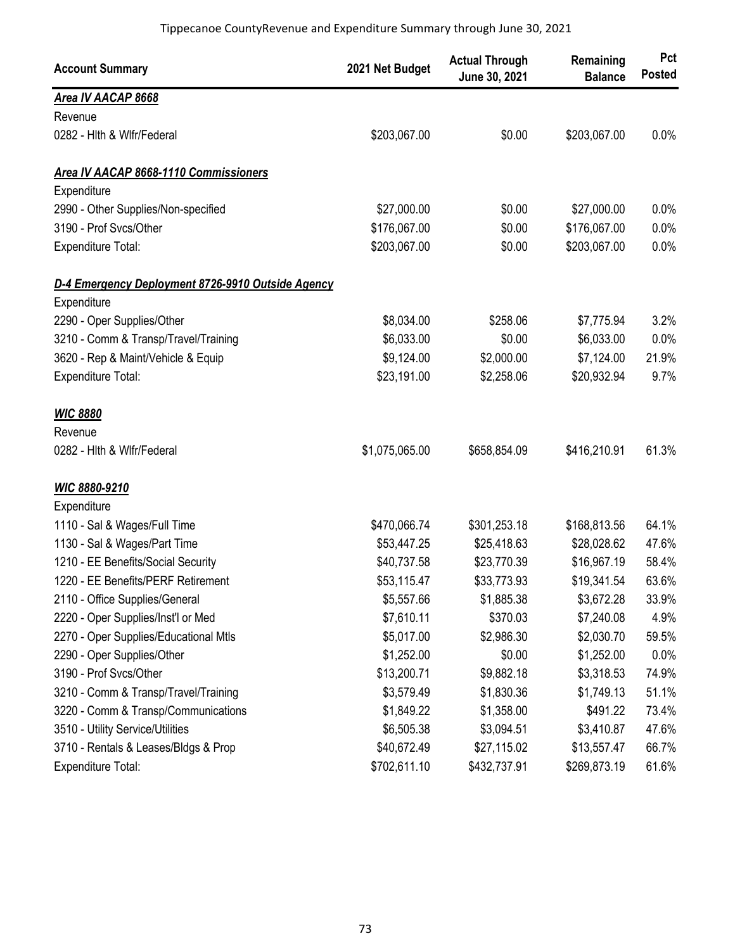| <b>Account Summary</b>                            | 2021 Net Budget | <b>Actual Through</b><br>June 30, 2021 | Remaining<br><b>Balance</b> | Pct<br><b>Posted</b> |
|---------------------------------------------------|-----------------|----------------------------------------|-----------------------------|----------------------|
| Area IV AACAP 8668                                |                 |                                        |                             |                      |
| Revenue                                           |                 |                                        |                             |                      |
| 0282 - Hith & Wifr/Federal                        | \$203,067.00    | \$0.00                                 | \$203,067.00                | 0.0%                 |
| Area IV AACAP 8668-1110 Commissioners             |                 |                                        |                             |                      |
| Expenditure                                       |                 |                                        |                             |                      |
| 2990 - Other Supplies/Non-specified               | \$27,000.00     | \$0.00                                 | \$27,000.00                 | 0.0%                 |
| 3190 - Prof Svcs/Other                            | \$176,067.00    | \$0.00                                 | \$176,067.00                | 0.0%                 |
| <b>Expenditure Total:</b>                         | \$203,067.00    | \$0.00                                 | \$203,067.00                | 0.0%                 |
| D-4 Emergency Deployment 8726-9910 Outside Agency |                 |                                        |                             |                      |
| Expenditure                                       |                 |                                        |                             |                      |
| 2290 - Oper Supplies/Other                        | \$8,034.00      | \$258.06                               | \$7,775.94                  | 3.2%                 |
| 3210 - Comm & Transp/Travel/Training              | \$6,033.00      | \$0.00                                 | \$6,033.00                  | 0.0%                 |
| 3620 - Rep & Maint/Vehicle & Equip                | \$9,124.00      | \$2,000.00                             | \$7,124.00                  | 21.9%                |
| Expenditure Total:                                | \$23,191.00     | \$2,258.06                             | \$20,932.94                 | 9.7%                 |
| <b>WIC 8880</b>                                   |                 |                                        |                             |                      |
| Revenue                                           |                 |                                        |                             |                      |
| 0282 - Hith & Wifr/Federal                        | \$1,075,065.00  | \$658,854.09                           | \$416,210.91                | 61.3%                |
| WIC 8880-9210                                     |                 |                                        |                             |                      |
| Expenditure                                       |                 |                                        |                             |                      |
| 1110 - Sal & Wages/Full Time                      | \$470,066.74    | \$301,253.18                           | \$168,813.56                | 64.1%                |
| 1130 - Sal & Wages/Part Time                      | \$53,447.25     | \$25,418.63                            | \$28,028.62                 | 47.6%                |
| 1210 - EE Benefits/Social Security                | \$40,737.58     | \$23,770.39                            | \$16,967.19                 | 58.4%                |
| 1220 - EE Benefits/PERF Retirement                | \$53,115.47     | \$33,773.93                            | \$19,341.54                 | 63.6%                |
| 2110 - Office Supplies/General                    | \$5,557.66      | \$1,885.38                             | \$3,672.28                  | 33.9%                |
| 2220 - Oper Supplies/Inst'l or Med                | \$7,610.11      | \$370.03                               | \$7,240.08                  | 4.9%                 |
| 2270 - Oper Supplies/Educational Mtls             | \$5,017.00      | \$2,986.30                             | \$2,030.70                  | 59.5%                |
| 2290 - Oper Supplies/Other                        | \$1,252.00      | \$0.00                                 | \$1,252.00                  | 0.0%                 |
| 3190 - Prof Svcs/Other                            | \$13,200.71     | \$9,882.18                             | \$3,318.53                  | 74.9%                |
| 3210 - Comm & Transp/Travel/Training              | \$3,579.49      | \$1,830.36                             | \$1,749.13                  | 51.1%                |
| 3220 - Comm & Transp/Communications               | \$1,849.22      | \$1,358.00                             | \$491.22                    | 73.4%                |
| 3510 - Utility Service/Utilities                  | \$6,505.38      | \$3,094.51                             | \$3,410.87                  | 47.6%                |
| 3710 - Rentals & Leases/Bldgs & Prop              | \$40,672.49     | \$27,115.02                            | \$13,557.47                 | 66.7%                |
| Expenditure Total:                                | \$702,611.10    | \$432,737.91                           | \$269,873.19                | 61.6%                |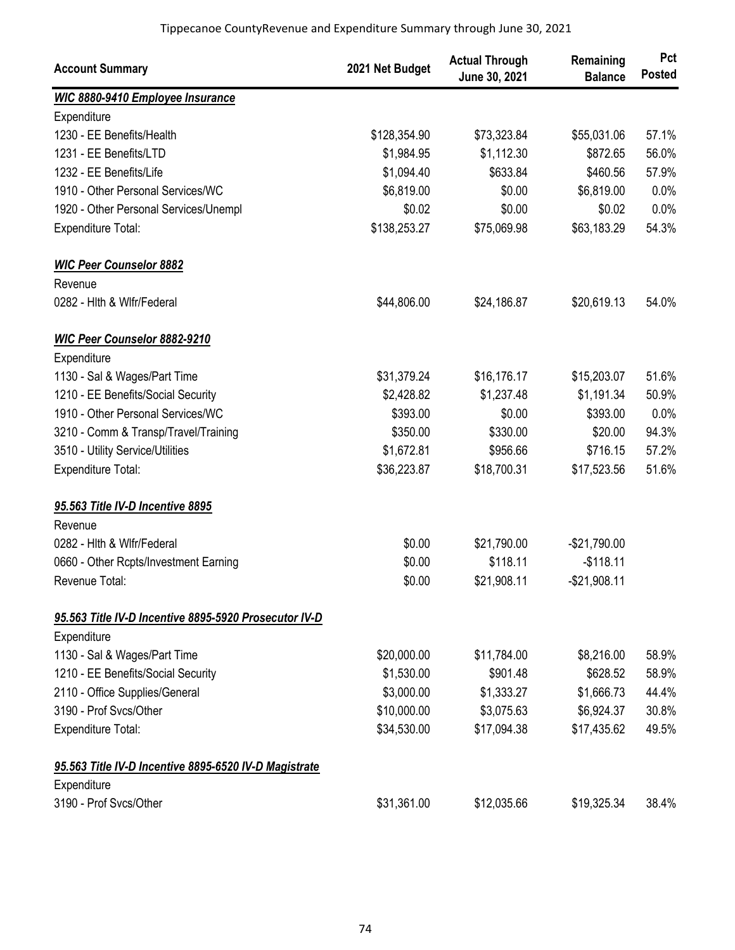| <b>Account Summary</b>                                | 2021 Net Budget | <b>Actual Through</b><br>June 30, 2021 | Remaining<br><b>Balance</b> | Pct<br><b>Posted</b> |
|-------------------------------------------------------|-----------------|----------------------------------------|-----------------------------|----------------------|
| <b>WIC 8880-9410 Employee Insurance</b>               |                 |                                        |                             |                      |
| Expenditure                                           |                 |                                        |                             |                      |
| 1230 - EE Benefits/Health                             | \$128,354.90    | \$73,323.84                            | \$55,031.06                 | 57.1%                |
| 1231 - EE Benefits/LTD                                | \$1,984.95      | \$1,112.30                             | \$872.65                    | 56.0%                |
| 1232 - EE Benefits/Life                               | \$1,094.40      | \$633.84                               | \$460.56                    | 57.9%                |
| 1910 - Other Personal Services/WC                     | \$6,819.00      | \$0.00                                 | \$6,819.00                  | 0.0%                 |
| 1920 - Other Personal Services/Unempl                 | \$0.02          | \$0.00                                 | \$0.02                      | 0.0%                 |
| Expenditure Total:                                    | \$138,253.27    | \$75,069.98                            | \$63,183.29                 | 54.3%                |
| <b>WIC Peer Counselor 8882</b>                        |                 |                                        |                             |                      |
| Revenue                                               |                 |                                        |                             |                      |
| 0282 - Hith & Wifr/Federal                            | \$44,806.00     | \$24,186.87                            | \$20,619.13                 | 54.0%                |
| WIC Peer Counselor 8882-9210                          |                 |                                        |                             |                      |
| Expenditure                                           |                 |                                        |                             |                      |
| 1130 - Sal & Wages/Part Time                          | \$31,379.24     | \$16,176.17                            | \$15,203.07                 | 51.6%                |
| 1210 - EE Benefits/Social Security                    | \$2,428.82      | \$1,237.48                             | \$1,191.34                  | 50.9%                |
| 1910 - Other Personal Services/WC                     | \$393.00        | \$0.00                                 | \$393.00                    | 0.0%                 |
| 3210 - Comm & Transp/Travel/Training                  | \$350.00        | \$330.00                               | \$20.00                     | 94.3%                |
| 3510 - Utility Service/Utilities                      | \$1,672.81      | \$956.66                               | \$716.15                    | 57.2%                |
| Expenditure Total:                                    | \$36,223.87     | \$18,700.31                            | \$17,523.56                 | 51.6%                |
| 95.563 Title IV-D Incentive 8895                      |                 |                                        |                             |                      |
| Revenue                                               |                 |                                        |                             |                      |
| 0282 - Hith & Wifr/Federal                            | \$0.00          | \$21,790.00                            | $-$21,790.00$               |                      |
| 0660 - Other Rcpts/Investment Earning                 | \$0.00          | \$118.11                               | $-$118.11$                  |                      |
| Revenue Total:                                        | \$0.00          | \$21,908.11                            | $-$21,908.11$               |                      |
| 95.563 Title IV-D Incentive 8895-5920 Prosecutor IV-D |                 |                                        |                             |                      |
| Expenditure                                           |                 |                                        |                             |                      |
| 1130 - Sal & Wages/Part Time                          | \$20,000.00     | \$11,784.00                            | \$8,216.00                  | 58.9%                |
| 1210 - EE Benefits/Social Security                    | \$1,530.00      | \$901.48                               | \$628.52                    | 58.9%                |
| 2110 - Office Supplies/General                        | \$3,000.00      | \$1,333.27                             | \$1,666.73                  | 44.4%                |
| 3190 - Prof Svcs/Other                                | \$10,000.00     | \$3,075.63                             | \$6,924.37                  | 30.8%                |
| <b>Expenditure Total:</b>                             | \$34,530.00     | \$17,094.38                            | \$17,435.62                 | 49.5%                |
| 95.563 Title IV-D Incentive 8895-6520 IV-D Magistrate |                 |                                        |                             |                      |
| Expenditure                                           |                 |                                        |                             |                      |
| 3190 - Prof Svcs/Other                                | \$31,361.00     | \$12,035.66                            | \$19,325.34                 | 38.4%                |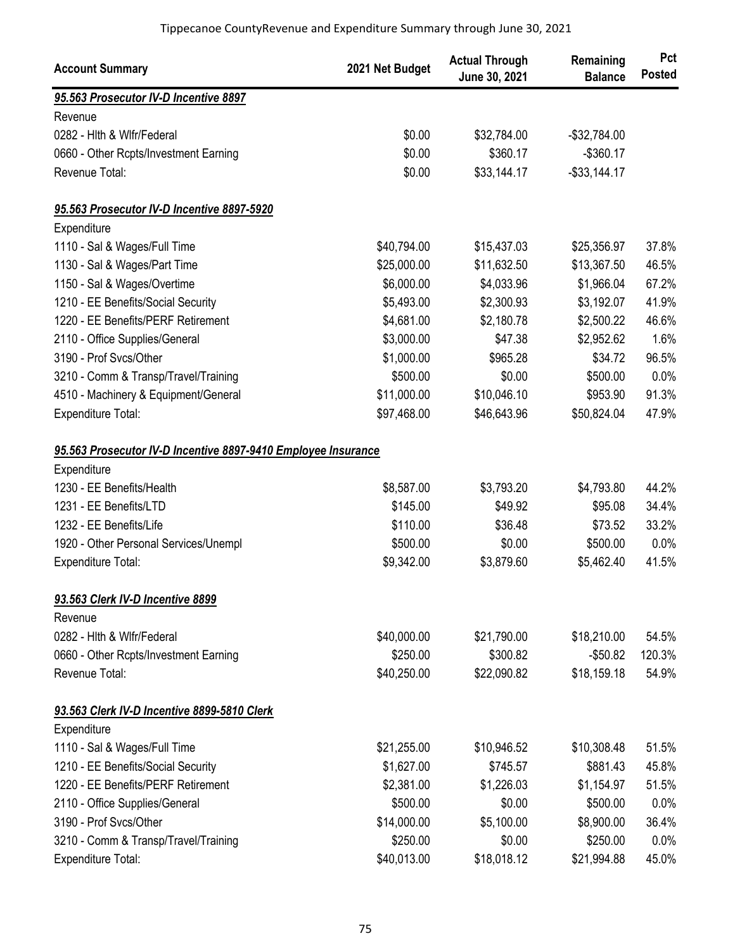| <b>Account Summary</b>                                        | 2021 Net Budget | <b>Actual Through</b><br>June 30, 2021 | Remaining<br><b>Balance</b> | Pct<br><b>Posted</b> |
|---------------------------------------------------------------|-----------------|----------------------------------------|-----------------------------|----------------------|
| 95.563 Prosecutor IV-D Incentive 8897                         |                 |                                        |                             |                      |
| Revenue                                                       |                 |                                        |                             |                      |
| 0282 - Hith & Wifr/Federal                                    | \$0.00          | \$32,784.00                            | $-$32,784.00$               |                      |
| 0660 - Other Rcpts/Investment Earning                         | \$0.00          | \$360.17                               | $-$360.17$                  |                      |
| Revenue Total:                                                | \$0.00          | \$33,144.17                            | $-$ \$33,144.17             |                      |
| 95.563 Prosecutor IV-D Incentive 8897-5920                    |                 |                                        |                             |                      |
| Expenditure                                                   |                 |                                        |                             |                      |
| 1110 - Sal & Wages/Full Time                                  | \$40,794.00     | \$15,437.03                            | \$25,356.97                 | 37.8%                |
| 1130 - Sal & Wages/Part Time                                  | \$25,000.00     | \$11,632.50                            | \$13,367.50                 | 46.5%                |
| 1150 - Sal & Wages/Overtime                                   | \$6,000.00      | \$4,033.96                             | \$1,966.04                  | 67.2%                |
| 1210 - EE Benefits/Social Security                            | \$5,493.00      | \$2,300.93                             | \$3,192.07                  | 41.9%                |
| 1220 - EE Benefits/PERF Retirement                            | \$4,681.00      | \$2,180.78                             | \$2,500.22                  | 46.6%                |
| 2110 - Office Supplies/General                                | \$3,000.00      | \$47.38                                | \$2,952.62                  | 1.6%                 |
| 3190 - Prof Svcs/Other                                        | \$1,000.00      | \$965.28                               | \$34.72                     | 96.5%                |
| 3210 - Comm & Transp/Travel/Training                          | \$500.00        | \$0.00                                 | \$500.00                    | 0.0%                 |
| 4510 - Machinery & Equipment/General                          | \$11,000.00     | \$10,046.10                            | \$953.90                    | 91.3%                |
| Expenditure Total:                                            | \$97,468.00     | \$46,643.96                            | \$50,824.04                 | 47.9%                |
| 95.563 Prosecutor IV-D Incentive 8897-9410 Employee Insurance |                 |                                        |                             |                      |
| Expenditure                                                   |                 |                                        |                             |                      |
| 1230 - EE Benefits/Health                                     | \$8,587.00      | \$3,793.20                             | \$4,793.80                  | 44.2%                |
| 1231 - EE Benefits/LTD                                        | \$145.00        | \$49.92                                | \$95.08                     | 34.4%                |
| 1232 - EE Benefits/Life                                       | \$110.00        | \$36.48                                | \$73.52                     | 33.2%                |
| 1920 - Other Personal Services/Unempl                         | \$500.00        | \$0.00                                 | \$500.00                    | 0.0%                 |
| Expenditure Total:                                            | \$9,342.00      | \$3,879.60                             | \$5,462.40                  | 41.5%                |
| 93.563 Clerk IV-D Incentive 8899                              |                 |                                        |                             |                      |
| Revenue                                                       |                 |                                        |                             |                      |
| 0282 - Hith & Wifr/Federal                                    | \$40,000.00     | \$21,790.00                            | \$18,210.00                 | 54.5%                |
| 0660 - Other Rcpts/Investment Earning                         | \$250.00        | \$300.82                               | $-$50.82$                   | 120.3%               |
| Revenue Total:                                                | \$40,250.00     | \$22,090.82                            | \$18,159.18                 | 54.9%                |
| 93.563 Clerk IV-D Incentive 8899-5810 Clerk                   |                 |                                        |                             |                      |
| Expenditure                                                   |                 |                                        |                             |                      |
| 1110 - Sal & Wages/Full Time                                  | \$21,255.00     | \$10,946.52                            | \$10,308.48                 | 51.5%                |
| 1210 - EE Benefits/Social Security                            | \$1,627.00      | \$745.57                               | \$881.43                    | 45.8%                |
| 1220 - EE Benefits/PERF Retirement                            | \$2,381.00      | \$1,226.03                             | \$1,154.97                  | 51.5%                |
| 2110 - Office Supplies/General                                | \$500.00        | \$0.00                                 | \$500.00                    | 0.0%                 |
| 3190 - Prof Svcs/Other                                        | \$14,000.00     | \$5,100.00                             | \$8,900.00                  | 36.4%                |
| 3210 - Comm & Transp/Travel/Training                          | \$250.00        | \$0.00                                 | \$250.00                    | 0.0%                 |
| Expenditure Total:                                            | \$40,013.00     | \$18,018.12                            | \$21,994.88                 | 45.0%                |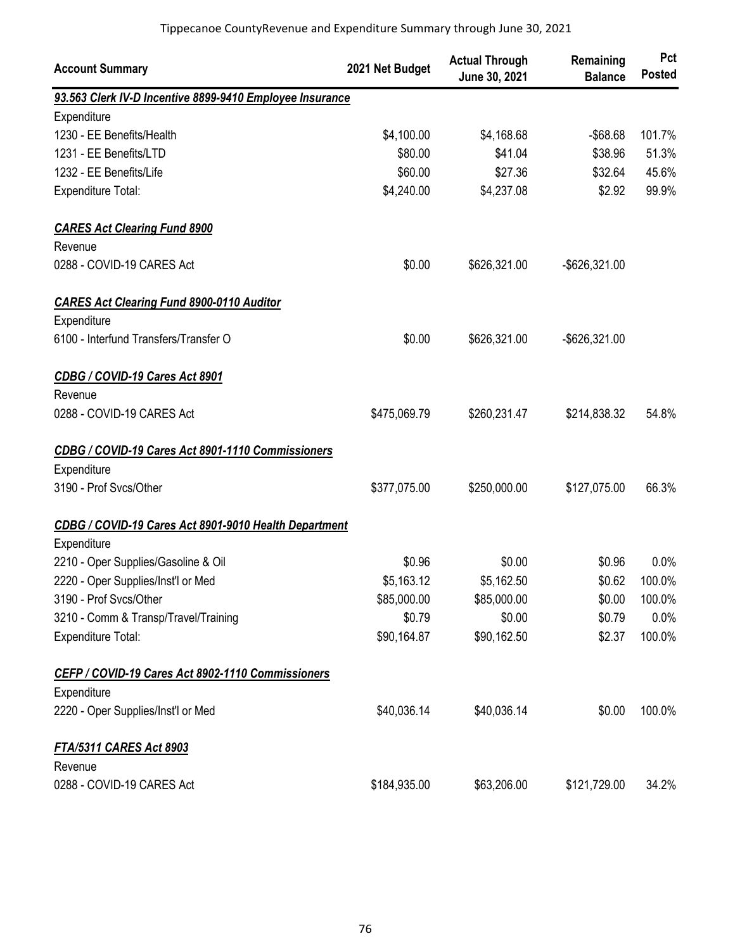| <b>Account Summary</b>                                   | 2021 Net Budget | <b>Actual Through</b><br>June 30, 2021 | Remaining<br><b>Balance</b> | Pct<br><b>Posted</b> |
|----------------------------------------------------------|-----------------|----------------------------------------|-----------------------------|----------------------|
| 93.563 Clerk IV-D Incentive 8899-9410 Employee Insurance |                 |                                        |                             |                      |
| Expenditure                                              |                 |                                        |                             |                      |
| 1230 - EE Benefits/Health                                | \$4,100.00      | \$4,168.68                             | $-$ \$68.68                 | 101.7%               |
| 1231 - EE Benefits/LTD                                   | \$80.00         | \$41.04                                | \$38.96                     | 51.3%                |
| 1232 - EE Benefits/Life                                  | \$60.00         | \$27.36                                | \$32.64                     | 45.6%                |
| <b>Expenditure Total:</b>                                | \$4,240.00      | \$4,237.08                             | \$2.92                      | 99.9%                |
| <b>CARES Act Clearing Fund 8900</b>                      |                 |                                        |                             |                      |
| Revenue                                                  |                 |                                        |                             |                      |
| 0288 - COVID-19 CARES Act                                | \$0.00          | \$626,321.00                           | -\$626,321.00               |                      |
| <b>CARES Act Clearing Fund 8900-0110 Auditor</b>         |                 |                                        |                             |                      |
| Expenditure                                              |                 |                                        |                             |                      |
| 6100 - Interfund Transfers/Transfer O                    | \$0.00          | \$626,321.00                           | -\$626,321.00               |                      |
| CDBG / COVID-19 Cares Act 8901                           |                 |                                        |                             |                      |
| Revenue                                                  |                 |                                        |                             |                      |
| 0288 - COVID-19 CARES Act                                | \$475,069.79    | \$260,231.47                           | \$214,838.32                | 54.8%                |
| CDBG / COVID-19 Cares Act 8901-1110 Commissioners        |                 |                                        |                             |                      |
| Expenditure                                              |                 |                                        |                             |                      |
| 3190 - Prof Svcs/Other                                   | \$377,075.00    | \$250,000.00                           | \$127,075.00                | 66.3%                |
| CDBG / COVID-19 Cares Act 8901-9010 Health Department    |                 |                                        |                             |                      |
| Expenditure                                              |                 |                                        |                             |                      |
| 2210 - Oper Supplies/Gasoline & Oil                      | \$0.96          | \$0.00                                 | \$0.96                      | 0.0%                 |
| 2220 - Oper Supplies/Inst'l or Med                       | \$5,163.12      | \$5,162.50                             | \$0.62                      | 100.0%               |
| 3190 - Prof Svcs/Other                                   | \$85,000.00     | \$85,000.00                            | \$0.00                      | 100.0%               |
| 3210 - Comm & Transp/Travel/Training                     | \$0.79          | \$0.00                                 | \$0.79                      | 0.0%                 |
| <b>Expenditure Total:</b>                                | \$90,164.87     | \$90,162.50                            | \$2.37                      | 100.0%               |
| CEFP / COVID-19 Cares Act 8902-1110 Commissioners        |                 |                                        |                             |                      |
| Expenditure                                              |                 |                                        |                             |                      |
| 2220 - Oper Supplies/Inst'l or Med                       | \$40,036.14     | \$40,036.14                            | \$0.00                      | 100.0%               |
| <b>FTA/5311 CARES Act 8903</b>                           |                 |                                        |                             |                      |
| Revenue                                                  |                 |                                        |                             |                      |
| 0288 - COVID-19 CARES Act                                | \$184,935.00    | \$63,206.00                            | \$121,729.00                | 34.2%                |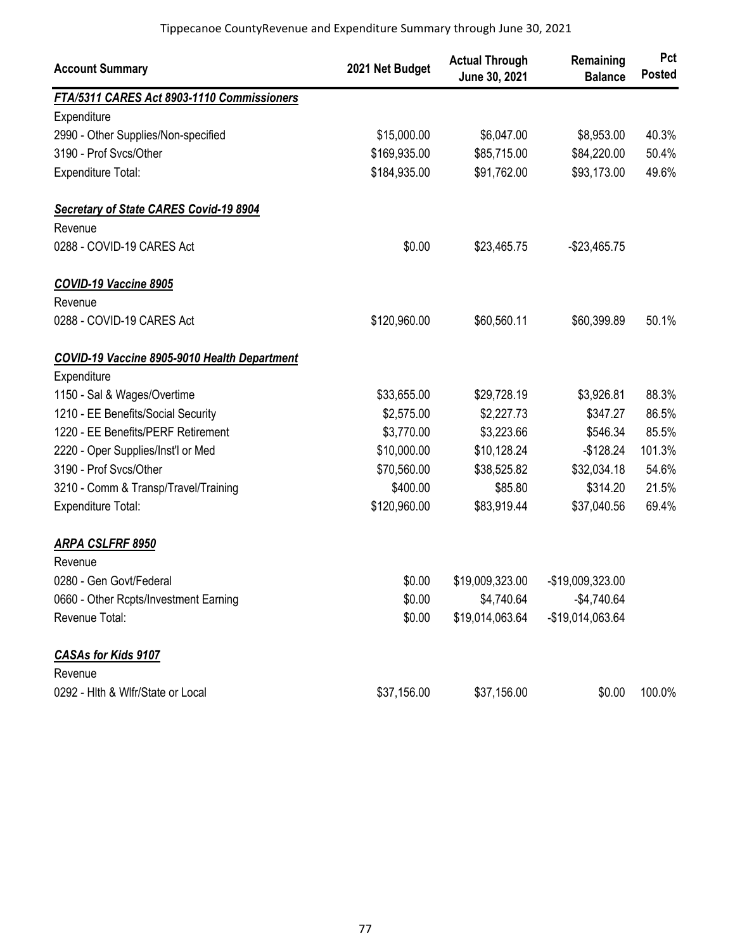| <b>Account Summary</b>                        | 2021 Net Budget | <b>Actual Through</b><br>June 30, 2021 | Remaining<br><b>Balance</b> | Pct<br><b>Posted</b> |
|-----------------------------------------------|-----------------|----------------------------------------|-----------------------------|----------------------|
| FTA/5311 CARES Act 8903-1110 Commissioners    |                 |                                        |                             |                      |
| Expenditure                                   |                 |                                        |                             |                      |
| 2990 - Other Supplies/Non-specified           | \$15,000.00     | \$6,047.00                             | \$8,953.00                  | 40.3%                |
| 3190 - Prof Svcs/Other                        | \$169,935.00    | \$85,715.00                            | \$84,220.00                 | 50.4%                |
| <b>Expenditure Total:</b>                     | \$184,935.00    | \$91,762.00                            | \$93,173.00                 | 49.6%                |
| <b>Secretary of State CARES Covid-19 8904</b> |                 |                                        |                             |                      |
| Revenue                                       |                 |                                        |                             |                      |
| 0288 - COVID-19 CARES Act                     | \$0.00          | \$23,465.75                            | $-$23,465.75$               |                      |
| COVID-19 Vaccine 8905                         |                 |                                        |                             |                      |
| Revenue                                       |                 |                                        |                             |                      |
| 0288 - COVID-19 CARES Act                     | \$120,960.00    | \$60,560.11                            | \$60,399.89                 | 50.1%                |
| COVID-19 Vaccine 8905-9010 Health Department  |                 |                                        |                             |                      |
| Expenditure                                   |                 |                                        |                             |                      |
| 1150 - Sal & Wages/Overtime                   | \$33,655.00     | \$29,728.19                            | \$3,926.81                  | 88.3%                |
| 1210 - EE Benefits/Social Security            | \$2,575.00      | \$2,227.73                             | \$347.27                    | 86.5%                |
| 1220 - EE Benefits/PERF Retirement            | \$3,770.00      | \$3,223.66                             | \$546.34                    | 85.5%                |
| 2220 - Oper Supplies/Inst'l or Med            | \$10,000.00     | \$10,128.24                            | $-$128.24$                  | 101.3%               |
| 3190 - Prof Svcs/Other                        | \$70,560.00     | \$38,525.82                            | \$32,034.18                 | 54.6%                |
| 3210 - Comm & Transp/Travel/Training          | \$400.00        | \$85.80                                | \$314.20                    | 21.5%                |
| Expenditure Total:                            | \$120,960.00    | \$83,919.44                            | \$37,040.56                 | 69.4%                |
| ARPA CSLFRF 8950                              |                 |                                        |                             |                      |
| Revenue                                       |                 |                                        |                             |                      |
| 0280 - Gen Govt/Federal                       | \$0.00          | \$19,009,323.00                        | -\$19,009,323.00            |                      |
| 0660 - Other Rcpts/Investment Earning         | \$0.00          | \$4,740.64                             | $-$4,740.64$                |                      |
| Revenue Total:                                | \$0.00          | \$19,014,063.64                        | -\$19,014,063.64            |                      |
| <b>CASAs for Kids 9107</b>                    |                 |                                        |                             |                      |
| Revenue                                       |                 |                                        |                             |                      |
| 0292 - Hith & Wifr/State or Local             | \$37,156.00     | \$37,156.00                            | \$0.00                      | 100.0%               |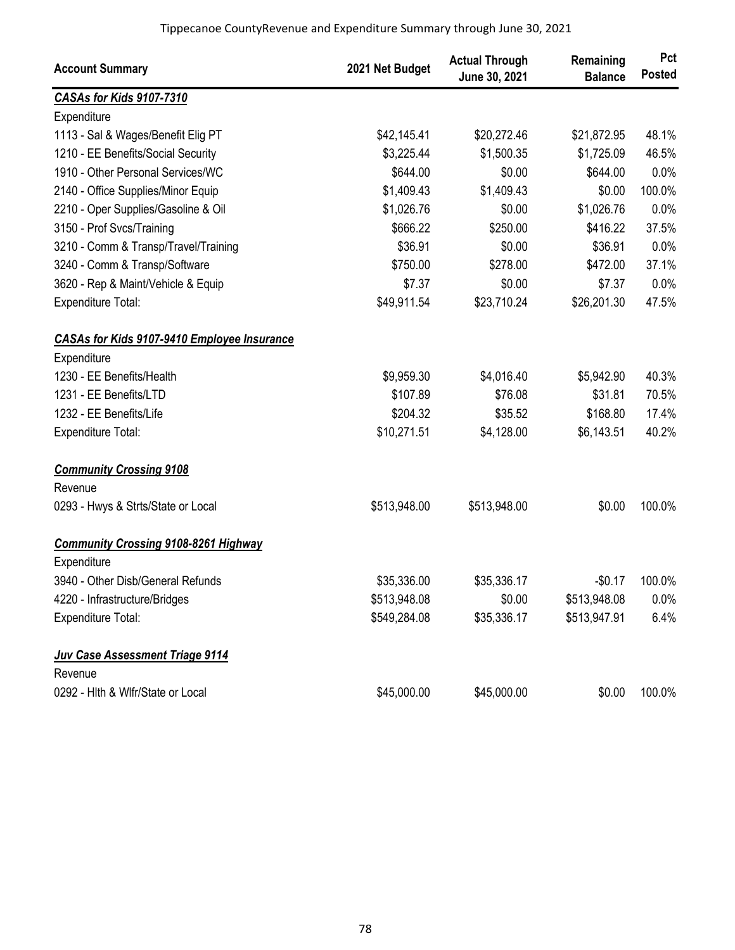| <b>Account Summary</b>                             | 2021 Net Budget | <b>Actual Through</b><br>June 30, 2021 | Remaining<br><b>Balance</b> | Pct<br><b>Posted</b> |
|----------------------------------------------------|-----------------|----------------------------------------|-----------------------------|----------------------|
| CASAs for Kids 9107-7310                           |                 |                                        |                             |                      |
| Expenditure                                        |                 |                                        |                             |                      |
| 1113 - Sal & Wages/Benefit Elig PT                 | \$42,145.41     | \$20,272.46                            | \$21,872.95                 | 48.1%                |
| 1210 - EE Benefits/Social Security                 | \$3,225.44      | \$1,500.35                             | \$1,725.09                  | 46.5%                |
| 1910 - Other Personal Services/WC                  | \$644.00        | \$0.00                                 | \$644.00                    | 0.0%                 |
| 2140 - Office Supplies/Minor Equip                 | \$1,409.43      | \$1,409.43                             | \$0.00                      | 100.0%               |
| 2210 - Oper Supplies/Gasoline & Oil                | \$1,026.76      | \$0.00                                 | \$1,026.76                  | 0.0%                 |
| 3150 - Prof Svcs/Training                          | \$666.22        | \$250.00                               | \$416.22                    | 37.5%                |
| 3210 - Comm & Transp/Travel/Training               | \$36.91         | \$0.00                                 | \$36.91                     | 0.0%                 |
| 3240 - Comm & Transp/Software                      | \$750.00        | \$278.00                               | \$472.00                    | 37.1%                |
| 3620 - Rep & Maint/Vehicle & Equip                 | \$7.37          | \$0.00                                 | \$7.37                      | 0.0%                 |
| <b>Expenditure Total:</b>                          | \$49,911.54     | \$23,710.24                            | \$26,201.30                 | 47.5%                |
| <b>CASAs for Kids 9107-9410 Employee Insurance</b> |                 |                                        |                             |                      |
| Expenditure                                        |                 |                                        |                             |                      |
| 1230 - EE Benefits/Health                          | \$9,959.30      | \$4,016.40                             | \$5,942.90                  | 40.3%                |
| 1231 - EE Benefits/LTD                             | \$107.89        | \$76.08                                | \$31.81                     | 70.5%                |
| 1232 - EE Benefits/Life                            | \$204.32        | \$35.52                                | \$168.80                    | 17.4%                |
| <b>Expenditure Total:</b>                          | \$10,271.51     | \$4,128.00                             | \$6,143.51                  | 40.2%                |
| <b>Community Crossing 9108</b>                     |                 |                                        |                             |                      |
| Revenue                                            |                 |                                        |                             |                      |
| 0293 - Hwys & Strts/State or Local                 | \$513,948.00    | \$513,948.00                           | \$0.00                      | 100.0%               |
| <b>Community Crossing 9108-8261 Highway</b>        |                 |                                        |                             |                      |
| Expenditure                                        |                 |                                        |                             |                      |
| 3940 - Other Disb/General Refunds                  | \$35,336.00     | \$35,336.17                            | $-$0.17$                    | 100.0%               |
| 4220 - Infrastructure/Bridges                      | \$513,948.08    | \$0.00                                 | \$513,948.08                | 0.0%                 |
| Expenditure Total:                                 | \$549,284.08    | \$35,336.17                            | \$513,947.91                | 6.4%                 |
| <b>Juv Case Assessment Triage 9114</b>             |                 |                                        |                             |                      |
| Revenue                                            |                 |                                        |                             |                      |
| 0292 - Hlth & Wlfr/State or Local                  | \$45,000.00     | \$45,000.00                            | \$0.00                      | 100.0%               |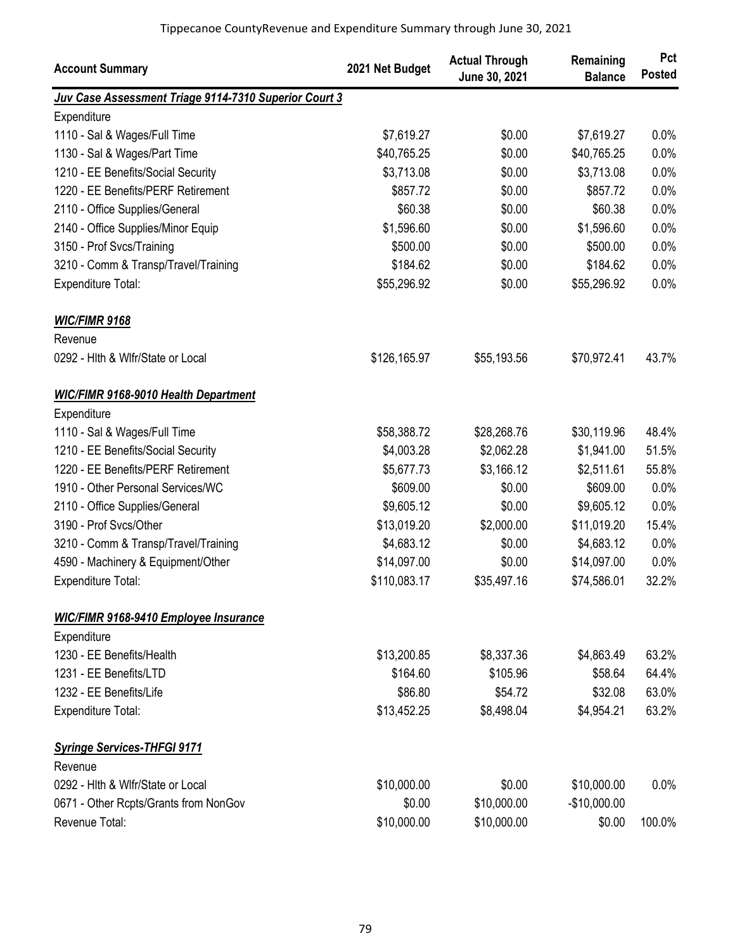| <b>Account Summary</b>                                | 2021 Net Budget | <b>Actual Through</b><br>June 30, 2021 | Remaining<br><b>Balance</b> | Pct<br><b>Posted</b> |
|-------------------------------------------------------|-----------------|----------------------------------------|-----------------------------|----------------------|
| Juv Case Assessment Triage 9114-7310 Superior Court 3 |                 |                                        |                             |                      |
| Expenditure                                           |                 |                                        |                             |                      |
| 1110 - Sal & Wages/Full Time                          | \$7,619.27      | \$0.00                                 | \$7,619.27                  | 0.0%                 |
| 1130 - Sal & Wages/Part Time                          | \$40,765.25     | \$0.00                                 | \$40,765.25                 | 0.0%                 |
| 1210 - EE Benefits/Social Security                    | \$3,713.08      | \$0.00                                 | \$3,713.08                  | 0.0%                 |
| 1220 - EE Benefits/PERF Retirement                    | \$857.72        | \$0.00                                 | \$857.72                    | 0.0%                 |
| 2110 - Office Supplies/General                        | \$60.38         | \$0.00                                 | \$60.38                     | 0.0%                 |
| 2140 - Office Supplies/Minor Equip                    | \$1,596.60      | \$0.00                                 | \$1,596.60                  | 0.0%                 |
| 3150 - Prof Svcs/Training                             | \$500.00        | \$0.00                                 | \$500.00                    | 0.0%                 |
| 3210 - Comm & Transp/Travel/Training                  | \$184.62        | \$0.00                                 | \$184.62                    | 0.0%                 |
| <b>Expenditure Total:</b>                             | \$55,296.92     | \$0.00                                 | \$55,296.92                 | 0.0%                 |
| <b>WIC/FIMR 9168</b>                                  |                 |                                        |                             |                      |
| Revenue                                               |                 |                                        |                             |                      |
| 0292 - Hith & Wifr/State or Local                     | \$126,165.97    | \$55,193.56                            | \$70,972.41                 | 43.7%                |
| <b>WIC/FIMR 9168-9010 Health Department</b>           |                 |                                        |                             |                      |
| Expenditure                                           |                 |                                        |                             |                      |
| 1110 - Sal & Wages/Full Time                          | \$58,388.72     | \$28,268.76                            | \$30,119.96                 | 48.4%                |
| 1210 - EE Benefits/Social Security                    | \$4,003.28      | \$2,062.28                             | \$1,941.00                  | 51.5%                |
| 1220 - EE Benefits/PERF Retirement                    | \$5,677.73      | \$3,166.12                             | \$2,511.61                  | 55.8%                |
| 1910 - Other Personal Services/WC                     | \$609.00        | \$0.00                                 | \$609.00                    | 0.0%                 |
| 2110 - Office Supplies/General                        | \$9,605.12      | \$0.00                                 | \$9,605.12                  | 0.0%                 |
| 3190 - Prof Svcs/Other                                | \$13,019.20     | \$2,000.00                             | \$11,019.20                 | 15.4%                |
| 3210 - Comm & Transp/Travel/Training                  | \$4,683.12      | \$0.00                                 | \$4,683.12                  | 0.0%                 |
| 4590 - Machinery & Equipment/Other                    | \$14,097.00     | \$0.00                                 | \$14,097.00                 | 0.0%                 |
| Expenditure Total:                                    | \$110,083.17    | \$35,497.16                            | \$74,586.01                 | 32.2%                |
| <b>WIC/FIMR 9168-9410 Employee Insurance</b>          |                 |                                        |                             |                      |
| Expenditure                                           |                 |                                        |                             |                      |
| 1230 - EE Benefits/Health                             | \$13,200.85     | \$8,337.36                             | \$4,863.49                  | 63.2%                |
| 1231 - EE Benefits/LTD                                | \$164.60        | \$105.96                               | \$58.64                     | 64.4%                |
| 1232 - EE Benefits/Life                               | \$86.80         | \$54.72                                | \$32.08                     | 63.0%                |
| Expenditure Total:                                    | \$13,452.25     | \$8,498.04                             | \$4,954.21                  | 63.2%                |
| <b>Syringe Services-THFGI 9171</b>                    |                 |                                        |                             |                      |
| Revenue                                               |                 |                                        |                             |                      |
| 0292 - Hith & Wifr/State or Local                     | \$10,000.00     | \$0.00                                 | \$10,000.00                 | 0.0%                 |
| 0671 - Other Rcpts/Grants from NonGov                 | \$0.00          | \$10,000.00                            | $-$10,000.00$               |                      |
| Revenue Total:                                        | \$10,000.00     | \$10,000.00                            | \$0.00                      | 100.0%               |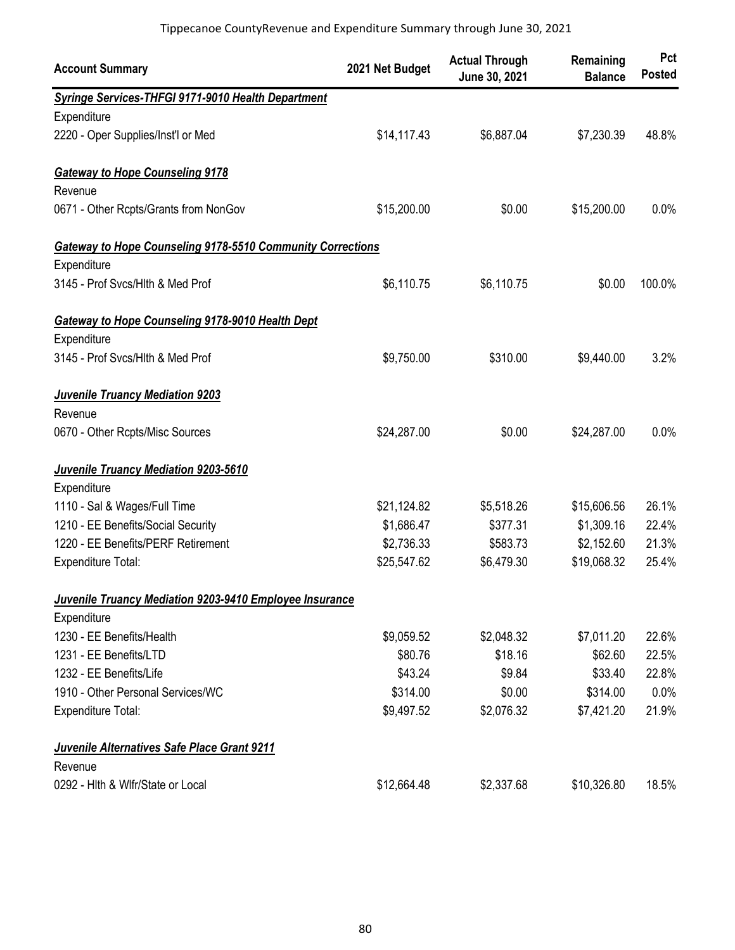| <b>Account Summary</b>                                     | 2021 Net Budget | <b>Actual Through</b><br>June 30, 2021 | Remaining<br><b>Balance</b> | Pct<br><b>Posted</b> |
|------------------------------------------------------------|-----------------|----------------------------------------|-----------------------------|----------------------|
| Syringe Services-THFGI 9171-9010 Health Department         |                 |                                        |                             |                      |
| Expenditure                                                |                 |                                        |                             |                      |
| 2220 - Oper Supplies/Inst'l or Med                         | \$14,117.43     | \$6,887.04                             | \$7,230.39                  | 48.8%                |
| <b>Gateway to Hope Counseling 9178</b>                     |                 |                                        |                             |                      |
| Revenue                                                    |                 |                                        |                             |                      |
| 0671 - Other Rcpts/Grants from NonGov                      | \$15,200.00     | \$0.00                                 | \$15,200.00                 | 0.0%                 |
| Gateway to Hope Counseling 9178-5510 Community Corrections |                 |                                        |                             |                      |
| Expenditure                                                |                 |                                        |                             |                      |
| 3145 - Prof Svcs/Hlth & Med Prof                           | \$6,110.75      | \$6,110.75                             | \$0.00                      | 100.0%               |
| Gateway to Hope Counseling 9178-9010 Health Dept           |                 |                                        |                             |                      |
| Expenditure                                                |                 |                                        |                             |                      |
| 3145 - Prof Svcs/Hlth & Med Prof                           | \$9,750.00      | \$310.00                               | \$9,440.00                  | 3.2%                 |
| <b>Juvenile Truancy Mediation 9203</b>                     |                 |                                        |                             |                      |
| Revenue                                                    |                 |                                        |                             |                      |
| 0670 - Other Rcpts/Misc Sources                            | \$24,287.00     | \$0.00                                 | \$24,287.00                 | 0.0%                 |
| Juvenile Truancy Mediation 9203-5610                       |                 |                                        |                             |                      |
| Expenditure                                                |                 |                                        |                             |                      |
| 1110 - Sal & Wages/Full Time                               | \$21,124.82     | \$5,518.26                             | \$15,606.56                 | 26.1%                |
| 1210 - EE Benefits/Social Security                         | \$1,686.47      | \$377.31                               | \$1,309.16                  | 22.4%                |
| 1220 - EE Benefits/PERF Retirement                         | \$2,736.33      | \$583.73                               | \$2,152.60                  | 21.3%                |
| <b>Expenditure Total:</b>                                  | \$25,547.62     | \$6,479.30                             | \$19,068.32                 | 25.4%                |
| Juvenile Truancy Mediation 9203-9410 Employee Insurance    |                 |                                        |                             |                      |
| Expenditure                                                |                 |                                        |                             |                      |
| 1230 - EE Benefits/Health                                  | \$9,059.52      | \$2,048.32                             | \$7,011.20                  | 22.6%                |
| 1231 - EE Benefits/LTD                                     | \$80.76         | \$18.16                                | \$62.60                     | 22.5%                |
| 1232 - EE Benefits/Life                                    | \$43.24         | \$9.84                                 | \$33.40                     | 22.8%                |
| 1910 - Other Personal Services/WC                          | \$314.00        | \$0.00                                 | \$314.00                    | 0.0%                 |
| Expenditure Total:                                         | \$9,497.52      | \$2,076.32                             | \$7,421.20                  | 21.9%                |
| Juvenile Alternatives Safe Place Grant 9211                |                 |                                        |                             |                      |
| Revenue                                                    |                 |                                        |                             |                      |
| 0292 - Hith & Wifr/State or Local                          | \$12,664.48     | \$2,337.68                             | \$10,326.80                 | 18.5%                |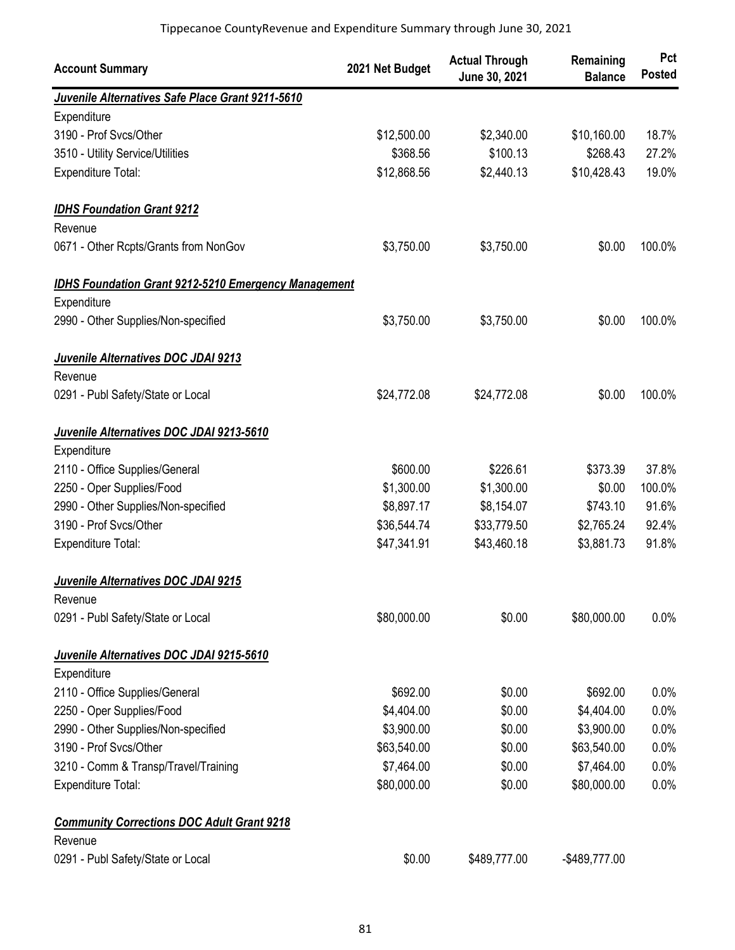| <b>Account Summary</b>                                       | 2021 Net Budget | <b>Actual Through</b><br>June 30, 2021 | Remaining<br><b>Balance</b> | Pct<br><b>Posted</b> |
|--------------------------------------------------------------|-----------------|----------------------------------------|-----------------------------|----------------------|
| Juvenile Alternatives Safe Place Grant 9211-5610             |                 |                                        |                             |                      |
| Expenditure                                                  |                 |                                        |                             |                      |
| 3190 - Prof Svcs/Other                                       | \$12,500.00     | \$2,340.00                             | \$10,160.00                 | 18.7%                |
| 3510 - Utility Service/Utilities                             | \$368.56        | \$100.13                               | \$268.43                    | 27.2%                |
| Expenditure Total:                                           | \$12,868.56     | \$2,440.13                             | \$10,428.43                 | 19.0%                |
| <b>IDHS Foundation Grant 9212</b>                            |                 |                                        |                             |                      |
| Revenue                                                      |                 |                                        |                             |                      |
| 0671 - Other Rcpts/Grants from NonGov                        | \$3,750.00      | \$3,750.00                             | \$0.00                      | 100.0%               |
| <b>IDHS Foundation Grant 9212-5210 Emergency Management</b>  |                 |                                        |                             |                      |
| Expenditure                                                  |                 |                                        |                             |                      |
| 2990 - Other Supplies/Non-specified                          | \$3,750.00      | \$3,750.00                             | \$0.00                      | 100.0%               |
| Juvenile Alternatives DOC JDAI 9213                          |                 |                                        |                             |                      |
| Revenue                                                      |                 |                                        |                             |                      |
| 0291 - Publ Safety/State or Local                            | \$24,772.08     | \$24,772.08                            | \$0.00                      | 100.0%               |
| Juvenile Alternatives DOC JDAI 9213-5610                     |                 |                                        |                             |                      |
| Expenditure                                                  |                 |                                        |                             |                      |
| 2110 - Office Supplies/General                               | \$600.00        | \$226.61                               | \$373.39                    | 37.8%                |
| 2250 - Oper Supplies/Food                                    | \$1,300.00      | \$1,300.00                             | \$0.00                      | 100.0%               |
| 2990 - Other Supplies/Non-specified                          | \$8,897.17      | \$8,154.07                             | \$743.10                    | 91.6%                |
| 3190 - Prof Svcs/Other                                       | \$36,544.74     | \$33,779.50                            | \$2,765.24                  | 92.4%                |
| <b>Expenditure Total:</b>                                    | \$47,341.91     | \$43,460.18                            | \$3,881.73                  | 91.8%                |
| Juvenile Alternatives DOC JDAI 9215                          |                 |                                        |                             |                      |
| Revenue                                                      |                 |                                        |                             |                      |
| 0291 - Publ Safety/State or Local                            | \$80,000.00     | \$0.00                                 | \$80,000.00                 | 0.0%                 |
| Juvenile Alternatives DOC JDAI 9215-5610                     |                 |                                        |                             |                      |
| Expenditure                                                  |                 |                                        |                             |                      |
| 2110 - Office Supplies/General                               | \$692.00        | \$0.00                                 | \$692.00                    | 0.0%                 |
| 2250 - Oper Supplies/Food                                    | \$4,404.00      | \$0.00                                 | \$4,404.00                  | 0.0%                 |
| 2990 - Other Supplies/Non-specified                          | \$3,900.00      | \$0.00                                 | \$3,900.00                  | 0.0%                 |
| 3190 - Prof Svcs/Other                                       | \$63,540.00     | \$0.00                                 | \$63,540.00                 | 0.0%                 |
| 3210 - Comm & Transp/Travel/Training                         | \$7,464.00      | \$0.00                                 | \$7,464.00                  | 0.0%                 |
| Expenditure Total:                                           | \$80,000.00     | \$0.00                                 | \$80,000.00                 | 0.0%                 |
| <b>Community Corrections DOC Adult Grant 9218</b><br>Revenue |                 |                                        |                             |                      |
| 0291 - Publ Safety/State or Local                            | \$0.00          | \$489,777.00                           | -\$489,777.00               |                      |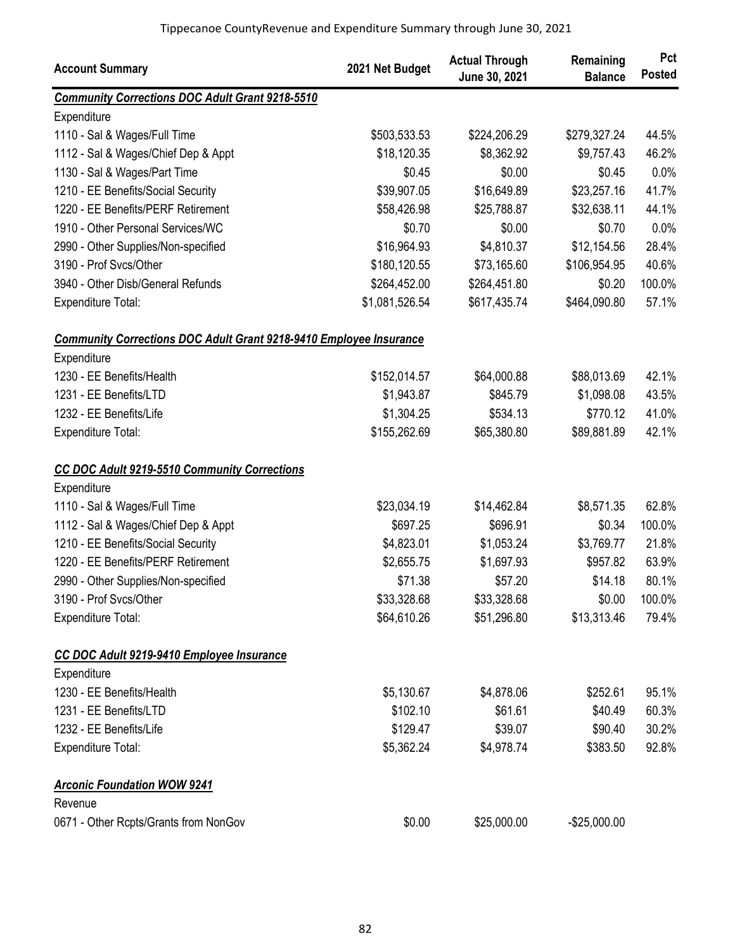| <b>Account Summary</b>                                                    | 2021 Net Budget | <b>Actual Through</b><br>June 30, 2021 | Remaining<br><b>Balance</b> | Pct<br><b>Posted</b> |
|---------------------------------------------------------------------------|-----------------|----------------------------------------|-----------------------------|----------------------|
| <b>Community Corrections DOC Adult Grant 9218-5510</b>                    |                 |                                        |                             |                      |
| Expenditure                                                               |                 |                                        |                             |                      |
| 1110 - Sal & Wages/Full Time                                              | \$503,533.53    | \$224,206.29                           | \$279,327.24                | 44.5%                |
| 1112 - Sal & Wages/Chief Dep & Appt                                       | \$18,120.35     | \$8,362.92                             | \$9,757.43                  | 46.2%                |
| 1130 - Sal & Wages/Part Time                                              | \$0.45          | \$0.00                                 | \$0.45                      | 0.0%                 |
| 1210 - EE Benefits/Social Security                                        | \$39,907.05     | \$16,649.89                            | \$23,257.16                 | 41.7%                |
| 1220 - EE Benefits/PERF Retirement                                        | \$58,426.98     | \$25,788.87                            | \$32,638.11                 | 44.1%                |
| 1910 - Other Personal Services/WC                                         | \$0.70          | \$0.00                                 | \$0.70                      | 0.0%                 |
| 2990 - Other Supplies/Non-specified                                       | \$16,964.93     | \$4,810.37                             | \$12,154.56                 | 28.4%                |
| 3190 - Prof Svcs/Other                                                    | \$180,120.55    | \$73,165.60                            | \$106,954.95                | 40.6%                |
| 3940 - Other Disb/General Refunds                                         | \$264,452.00    | \$264,451.80                           | \$0.20                      | 100.0%               |
| <b>Expenditure Total:</b>                                                 | \$1,081,526.54  | \$617,435.74                           | \$464,090.80                | 57.1%                |
| <b>Community Corrections DOC Adult Grant 9218-9410 Employee Insurance</b> |                 |                                        |                             |                      |
| Expenditure                                                               |                 |                                        |                             |                      |
| 1230 - EE Benefits/Health                                                 | \$152,014.57    | \$64,000.88                            | \$88,013.69                 | 42.1%                |
| 1231 - EE Benefits/LTD                                                    | \$1,943.87      | \$845.79                               | \$1,098.08                  | 43.5%                |
| 1232 - EE Benefits/Life                                                   | \$1,304.25      | \$534.13                               | \$770.12                    | 41.0%                |
| <b>Expenditure Total:</b>                                                 | \$155,262.69    | \$65,380.80                            | \$89,881.89                 | 42.1%                |
| <b>CC DOC Adult 9219-5510 Community Corrections</b>                       |                 |                                        |                             |                      |
| Expenditure                                                               |                 |                                        |                             |                      |
| 1110 - Sal & Wages/Full Time                                              | \$23,034.19     | \$14,462.84                            | \$8,571.35                  | 62.8%                |
| 1112 - Sal & Wages/Chief Dep & Appt                                       | \$697.25        | \$696.91                               | \$0.34                      | 100.0%               |
| 1210 - EE Benefits/Social Security                                        | \$4,823.01      | \$1,053.24                             | \$3,769.77                  | 21.8%                |
| 1220 - EE Benefits/PERF Retirement                                        | \$2,655.75      | \$1,697.93                             | \$957.82                    | 63.9%                |
| 2990 - Other Supplies/Non-specified                                       | \$71.38         | \$57.20                                | \$14.18                     | 80.1%                |
| 3190 - Prof Svcs/Other                                                    | \$33,328.68     | \$33,328.68                            | \$0.00                      | 100.0%               |
| Expenditure Total:                                                        | \$64,610.26     | \$51,296.80                            | \$13,313.46                 | 79.4%                |
| CC DOC Adult 9219-9410 Employee Insurance                                 |                 |                                        |                             |                      |
| Expenditure                                                               |                 |                                        |                             |                      |
| 1230 - EE Benefits/Health                                                 | \$5,130.67      | \$4,878.06                             | \$252.61                    | 95.1%                |
| 1231 - EE Benefits/LTD                                                    | \$102.10        | \$61.61                                | \$40.49                     | 60.3%                |
| 1232 - EE Benefits/Life                                                   | \$129.47        | \$39.07                                | \$90.40                     | 30.2%                |
| <b>Expenditure Total:</b>                                                 | \$5,362.24      | \$4,978.74                             | \$383.50                    | 92.8%                |
| <b>Arconic Foundation WOW 9241</b>                                        |                 |                                        |                             |                      |
| Revenue                                                                   |                 |                                        |                             |                      |
| 0671 - Other Rcpts/Grants from NonGov                                     | \$0.00          | \$25,000.00                            | $-$25,000.00$               |                      |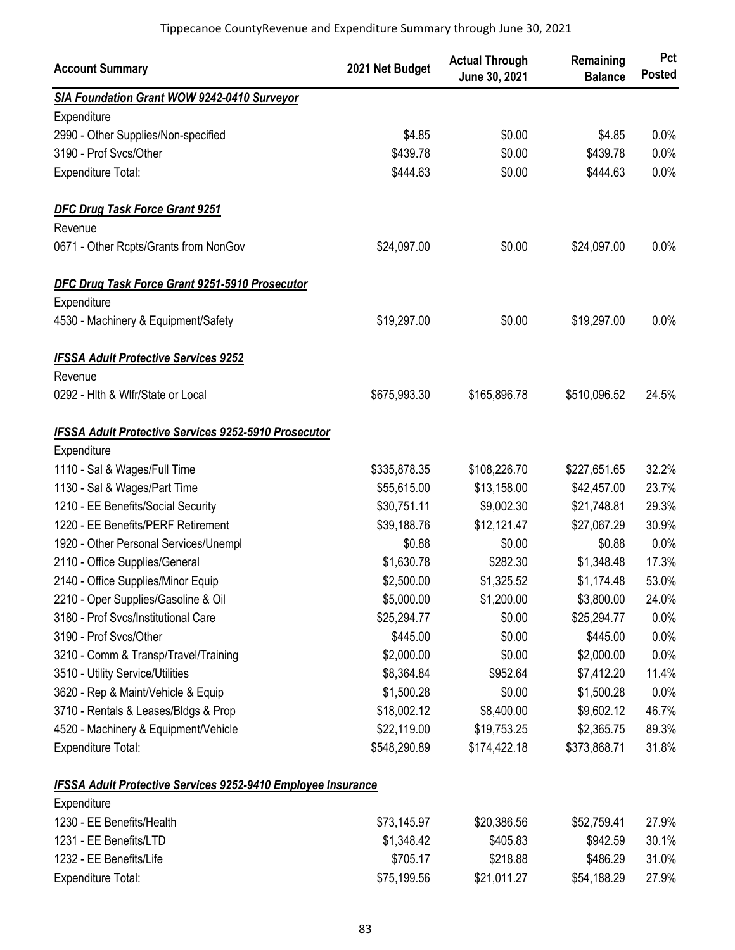| <b>Account Summary</b>                                              | 2021 Net Budget | <b>Actual Through</b><br>June 30, 2021 | Remaining<br><b>Balance</b> | Pct<br><b>Posted</b> |
|---------------------------------------------------------------------|-----------------|----------------------------------------|-----------------------------|----------------------|
| SIA Foundation Grant WOW 9242-0410 Surveyor                         |                 |                                        |                             |                      |
| Expenditure                                                         |                 |                                        |                             |                      |
| 2990 - Other Supplies/Non-specified                                 | \$4.85          | \$0.00                                 | \$4.85                      | 0.0%                 |
| 3190 - Prof Svcs/Other                                              | \$439.78        | \$0.00                                 | \$439.78                    | 0.0%                 |
| Expenditure Total:                                                  | \$444.63        | \$0.00                                 | \$444.63                    | 0.0%                 |
| <b>DFC Drug Task Force Grant 9251</b>                               |                 |                                        |                             |                      |
| Revenue                                                             |                 |                                        |                             |                      |
| 0671 - Other Rcpts/Grants from NonGov                               | \$24,097.00     | \$0.00                                 | \$24,097.00                 | 0.0%                 |
| DFC Drug Task Force Grant 9251-5910 Prosecutor                      |                 |                                        |                             |                      |
| Expenditure                                                         |                 |                                        |                             |                      |
| 4530 - Machinery & Equipment/Safety                                 | \$19,297.00     | \$0.00                                 | \$19,297.00                 | 0.0%                 |
| <b>IFSSA Adult Protective Services 9252</b>                         |                 |                                        |                             |                      |
| Revenue                                                             |                 |                                        |                             |                      |
| 0292 - Hith & Wifr/State or Local                                   | \$675,993.30    | \$165,896.78                           | \$510,096.52                | 24.5%                |
| <b>IFSSA Adult Protective Services 9252-5910 Prosecutor</b>         |                 |                                        |                             |                      |
| Expenditure                                                         |                 |                                        |                             |                      |
| 1110 - Sal & Wages/Full Time                                        | \$335,878.35    | \$108,226.70                           | \$227,651.65                | 32.2%                |
| 1130 - Sal & Wages/Part Time                                        | \$55,615.00     | \$13,158.00                            | \$42,457.00                 | 23.7%                |
| 1210 - EE Benefits/Social Security                                  | \$30,751.11     | \$9,002.30                             | \$21,748.81                 | 29.3%                |
| 1220 - EE Benefits/PERF Retirement                                  | \$39,188.76     | \$12,121.47                            | \$27,067.29                 | 30.9%                |
| 1920 - Other Personal Services/Unempl                               | \$0.88          | \$0.00                                 | \$0.88                      | 0.0%                 |
| 2110 - Office Supplies/General                                      | \$1,630.78      | \$282.30                               | \$1,348.48                  | 17.3%                |
| 2140 - Office Supplies/Minor Equip                                  | \$2,500.00      | \$1,325.52                             | \$1,174.48                  | 53.0%                |
| 2210 - Oper Supplies/Gasoline & Oil                                 | \$5,000.00      | \$1,200.00                             | \$3,800.00                  | 24.0%                |
| 3180 - Prof Svcs/Institutional Care                                 | \$25,294.77     | \$0.00                                 | \$25,294.77                 | 0.0%                 |
| 3190 - Prof Svcs/Other                                              | \$445.00        | \$0.00                                 | \$445.00                    | 0.0%                 |
| 3210 - Comm & Transp/Travel/Training                                | \$2,000.00      | \$0.00                                 | \$2,000.00                  | 0.0%                 |
| 3510 - Utility Service/Utilities                                    | \$8,364.84      | \$952.64                               | \$7,412.20                  | 11.4%                |
| 3620 - Rep & Maint/Vehicle & Equip                                  | \$1,500.28      | \$0.00                                 | \$1,500.28                  | 0.0%                 |
| 3710 - Rentals & Leases/Bldgs & Prop                                | \$18,002.12     | \$8,400.00                             | \$9,602.12                  | 46.7%                |
| 4520 - Machinery & Equipment/Vehicle                                | \$22,119.00     | \$19,753.25                            | \$2,365.75                  | 89.3%                |
| <b>Expenditure Total:</b>                                           | \$548,290.89    | \$174,422.18                           | \$373,868.71                | 31.8%                |
| <b>IFSSA Adult Protective Services 9252-9410 Employee Insurance</b> |                 |                                        |                             |                      |

| Expenditure               |             |             |             |       |
|---------------------------|-------------|-------------|-------------|-------|
| 1230 - EE Benefits/Health | \$73,145.97 | \$20,386.56 | \$52,759.41 | 27.9% |
| 1231 - EE Benefits/LTD    | \$1,348.42  | \$405.83    | \$942.59    | 30.1% |
| 1232 - EE Benefits/Life   | \$705.17    | \$218.88    | \$486.29    | 31.0% |
| Expenditure Total:        | \$75,199.56 | \$21,011.27 | \$54,188,29 | 27.9% |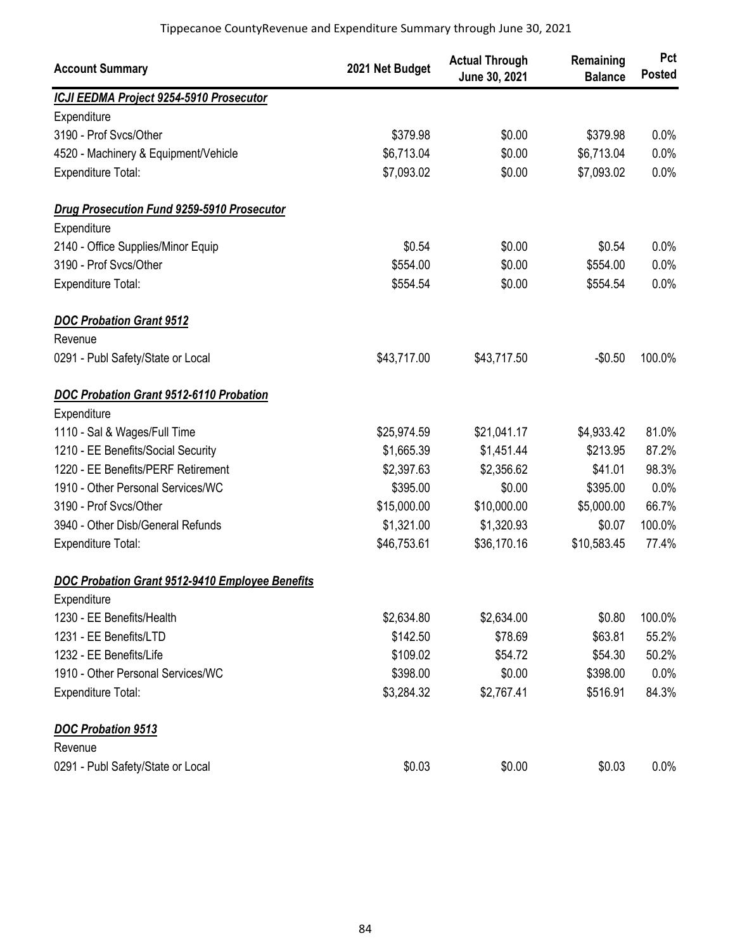| <b>Account Summary</b>                            | 2021 Net Budget | <b>Actual Through</b><br>June 30, 2021 | Remaining<br><b>Balance</b> | Pct<br><b>Posted</b> |
|---------------------------------------------------|-----------------|----------------------------------------|-----------------------------|----------------------|
| ICJI EEDMA Project 9254-5910 Prosecutor           |                 |                                        |                             |                      |
| Expenditure                                       |                 |                                        |                             |                      |
| 3190 - Prof Svcs/Other                            | \$379.98        | \$0.00                                 | \$379.98                    | 0.0%                 |
| 4520 - Machinery & Equipment/Vehicle              | \$6,713.04      | \$0.00                                 | \$6,713.04                  | 0.0%                 |
| Expenditure Total:                                | \$7,093.02      | \$0.00                                 | \$7,093.02                  | 0.0%                 |
| <b>Drug Prosecution Fund 9259-5910 Prosecutor</b> |                 |                                        |                             |                      |
| Expenditure                                       |                 |                                        |                             |                      |
| 2140 - Office Supplies/Minor Equip                | \$0.54          | \$0.00                                 | \$0.54                      | 0.0%                 |
| 3190 - Prof Svcs/Other                            | \$554.00        | \$0.00                                 | \$554.00                    | 0.0%                 |
| <b>Expenditure Total:</b>                         | \$554.54        | \$0.00                                 | \$554.54                    | 0.0%                 |
| <b>DOC Probation Grant 9512</b>                   |                 |                                        |                             |                      |
| Revenue                                           |                 |                                        |                             |                      |
| 0291 - Publ Safety/State or Local                 | \$43,717.00     | \$43,717.50                            | $-$0.50$                    | 100.0%               |
| <b>DOC Probation Grant 9512-6110 Probation</b>    |                 |                                        |                             |                      |
| Expenditure                                       |                 |                                        |                             |                      |
| 1110 - Sal & Wages/Full Time                      | \$25,974.59     | \$21,041.17                            | \$4,933.42                  | 81.0%                |
| 1210 - EE Benefits/Social Security                | \$1,665.39      | \$1,451.44                             | \$213.95                    | 87.2%                |
| 1220 - EE Benefits/PERF Retirement                | \$2,397.63      | \$2,356.62                             | \$41.01                     | 98.3%                |
| 1910 - Other Personal Services/WC                 | \$395.00        | \$0.00                                 | \$395.00                    | 0.0%                 |
| 3190 - Prof Svcs/Other                            | \$15,000.00     | \$10,000.00                            | \$5,000.00                  | 66.7%                |
| 3940 - Other Disb/General Refunds                 | \$1,321.00      | \$1,320.93                             | \$0.07                      | 100.0%               |
| <b>Expenditure Total:</b>                         | \$46,753.61     | \$36,170.16                            | \$10,583.45                 | 77.4%                |
| DOC Probation Grant 9512-9410 Employee Benefits   |                 |                                        |                             |                      |
| Expenditure                                       |                 |                                        |                             |                      |
| 1230 - EE Benefits/Health                         | \$2,634.80      | \$2,634.00                             | \$0.80                      | 100.0%               |
| 1231 - EE Benefits/LTD                            | \$142.50        | \$78.69                                | \$63.81                     | 55.2%                |
| 1232 - EE Benefits/Life                           | \$109.02        | \$54.72                                | \$54.30                     | 50.2%                |
| 1910 - Other Personal Services/WC                 | \$398.00        | \$0.00                                 | \$398.00                    | 0.0%                 |
| <b>Expenditure Total:</b>                         | \$3,284.32      | \$2,767.41                             | \$516.91                    | 84.3%                |
| <b>DOC Probation 9513</b>                         |                 |                                        |                             |                      |
| Revenue                                           |                 |                                        |                             |                      |
| 0291 - Publ Safety/State or Local                 | \$0.03          | \$0.00                                 | \$0.03                      | 0.0%                 |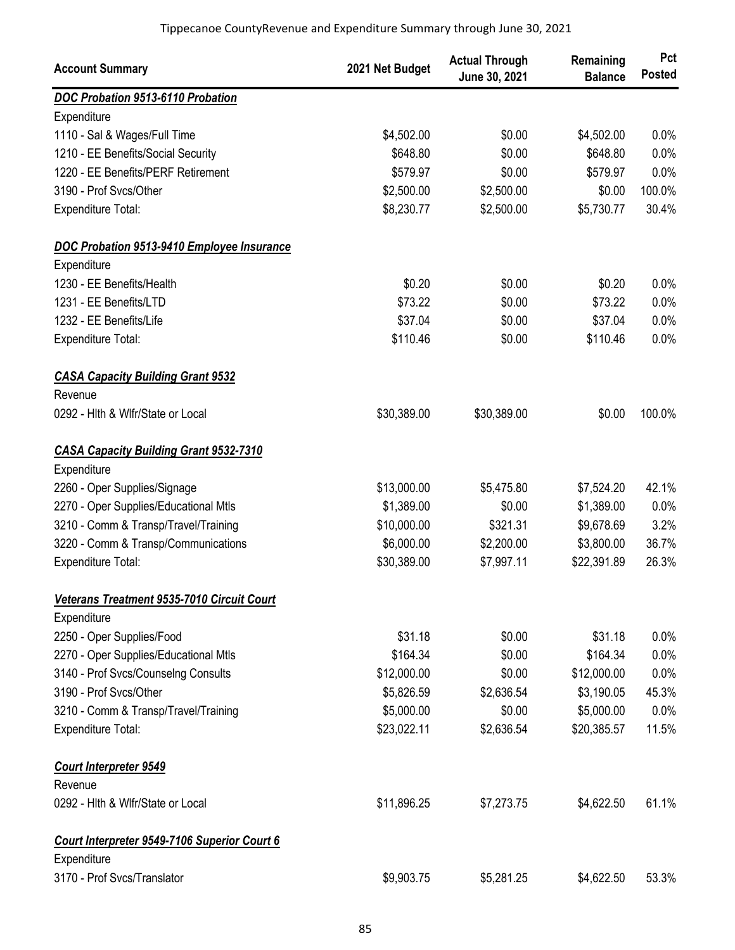| DOC Probation 9513-6110 Probation<br>Expenditure<br>\$4,502.00<br>\$0.00<br>\$4,502.00<br>1110 - Sal & Wages/Full Time<br>0.0%<br>\$648.80<br>1210 - EE Benefits/Social Security<br>\$0.00<br>\$648.80<br>0.0%<br>1220 - EE Benefits/PERF Retirement<br>\$579.97<br>\$0.00<br>0.0%<br>\$579.97<br>\$2,500.00<br>\$2,500.00<br>100.0%<br>3190 - Prof Svcs/Other<br>\$0.00<br>30.4%<br>\$8,230.77<br>\$2,500.00<br>\$5,730.77<br><b>Expenditure Total:</b><br>DOC Probation 9513-9410 Employee Insurance<br>Expenditure<br>1230 - EE Benefits/Health<br>\$0.20<br>\$0.00<br>\$0.20<br>0.0%<br>\$73.22<br>\$0.00<br>0.0%<br>1231 - EE Benefits/LTD<br>\$73.22<br>0.0%<br>1232 - EE Benefits/Life<br>\$37.04<br>\$0.00<br>\$37.04<br>\$110.46<br>\$110.46<br>0.0%<br>\$0.00<br>Expenditure Total:<br><b>CASA Capacity Building Grant 9532</b><br>Revenue<br>100.0%<br>0292 - Hith & Wifr/State or Local<br>\$30,389.00<br>\$30,389.00<br>\$0.00<br><b>CASA Capacity Building Grant 9532-7310</b><br>Expenditure<br>42.1%<br>2260 - Oper Supplies/Signage<br>\$13,000.00<br>\$5,475.80<br>\$7,524.20<br>2270 - Oper Supplies/Educational Mtls<br>\$1,389.00<br>\$0.00<br>\$1,389.00<br>0.0%<br>3.2%<br>3210 - Comm & Transp/Travel/Training<br>\$10,000.00<br>\$321.31<br>\$9,678.69<br>\$6,000.00<br>36.7%<br>3220 - Comm & Transp/Communications<br>\$2,200.00<br>\$3,800.00<br>\$30,389.00<br>26.3%<br>Expenditure Total:<br>\$7,997.11<br>\$22,391.89<br>Veterans Treatment 9535-7010 Circuit Court<br>Expenditure<br>\$31.18<br>\$31.18<br>2250 - Oper Supplies/Food<br>\$0.00<br>0.0%<br>\$164.34<br>\$0.00<br>\$164.34<br>2270 - Oper Supplies/Educational Mtls<br>0.0%<br>\$12,000.00<br>\$0.00<br>\$12,000.00<br>0.0%<br>3140 - Prof Svcs/Counselng Consults<br>3190 - Prof Svcs/Other<br>\$2,636.54<br>\$5,826.59<br>\$3,190.05<br>45.3%<br>\$5,000.00<br>\$5,000.00<br>3210 - Comm & Transp/Travel/Training<br>\$0.00<br>0.0%<br>Expenditure Total:<br>\$23,022.11<br>\$2,636.54<br>\$20,385.57<br>11.5%<br><b>Court Interpreter 9549</b><br>Revenue<br>\$11,896.25<br>\$7,273.75<br>\$4,622.50<br>61.1%<br>0292 - Hith & Wifr/State or Local<br>Court Interpreter 9549-7106 Superior Court 6<br>Expenditure | <b>Account Summary</b>      | 2021 Net Budget | <b>Actual Through</b><br>June 30, 2021 | Remaining<br><b>Balance</b> | Pct<br><b>Posted</b> |
|--------------------------------------------------------------------------------------------------------------------------------------------------------------------------------------------------------------------------------------------------------------------------------------------------------------------------------------------------------------------------------------------------------------------------------------------------------------------------------------------------------------------------------------------------------------------------------------------------------------------------------------------------------------------------------------------------------------------------------------------------------------------------------------------------------------------------------------------------------------------------------------------------------------------------------------------------------------------------------------------------------------------------------------------------------------------------------------------------------------------------------------------------------------------------------------------------------------------------------------------------------------------------------------------------------------------------------------------------------------------------------------------------------------------------------------------------------------------------------------------------------------------------------------------------------------------------------------------------------------------------------------------------------------------------------------------------------------------------------------------------------------------------------------------------------------------------------------------------------------------------------------------------------------------------------------------------------------------------------------------------------------------------------------------------------------------------------------------------------------------------------------------------------------------------------------------------------------------|-----------------------------|-----------------|----------------------------------------|-----------------------------|----------------------|
|                                                                                                                                                                                                                                                                                                                                                                                                                                                                                                                                                                                                                                                                                                                                                                                                                                                                                                                                                                                                                                                                                                                                                                                                                                                                                                                                                                                                                                                                                                                                                                                                                                                                                                                                                                                                                                                                                                                                                                                                                                                                                                                                                                                                                    |                             |                 |                                        |                             |                      |
|                                                                                                                                                                                                                                                                                                                                                                                                                                                                                                                                                                                                                                                                                                                                                                                                                                                                                                                                                                                                                                                                                                                                                                                                                                                                                                                                                                                                                                                                                                                                                                                                                                                                                                                                                                                                                                                                                                                                                                                                                                                                                                                                                                                                                    |                             |                 |                                        |                             |                      |
|                                                                                                                                                                                                                                                                                                                                                                                                                                                                                                                                                                                                                                                                                                                                                                                                                                                                                                                                                                                                                                                                                                                                                                                                                                                                                                                                                                                                                                                                                                                                                                                                                                                                                                                                                                                                                                                                                                                                                                                                                                                                                                                                                                                                                    |                             |                 |                                        |                             |                      |
|                                                                                                                                                                                                                                                                                                                                                                                                                                                                                                                                                                                                                                                                                                                                                                                                                                                                                                                                                                                                                                                                                                                                                                                                                                                                                                                                                                                                                                                                                                                                                                                                                                                                                                                                                                                                                                                                                                                                                                                                                                                                                                                                                                                                                    |                             |                 |                                        |                             |                      |
|                                                                                                                                                                                                                                                                                                                                                                                                                                                                                                                                                                                                                                                                                                                                                                                                                                                                                                                                                                                                                                                                                                                                                                                                                                                                                                                                                                                                                                                                                                                                                                                                                                                                                                                                                                                                                                                                                                                                                                                                                                                                                                                                                                                                                    |                             |                 |                                        |                             |                      |
|                                                                                                                                                                                                                                                                                                                                                                                                                                                                                                                                                                                                                                                                                                                                                                                                                                                                                                                                                                                                                                                                                                                                                                                                                                                                                                                                                                                                                                                                                                                                                                                                                                                                                                                                                                                                                                                                                                                                                                                                                                                                                                                                                                                                                    |                             |                 |                                        |                             |                      |
|                                                                                                                                                                                                                                                                                                                                                                                                                                                                                                                                                                                                                                                                                                                                                                                                                                                                                                                                                                                                                                                                                                                                                                                                                                                                                                                                                                                                                                                                                                                                                                                                                                                                                                                                                                                                                                                                                                                                                                                                                                                                                                                                                                                                                    |                             |                 |                                        |                             |                      |
|                                                                                                                                                                                                                                                                                                                                                                                                                                                                                                                                                                                                                                                                                                                                                                                                                                                                                                                                                                                                                                                                                                                                                                                                                                                                                                                                                                                                                                                                                                                                                                                                                                                                                                                                                                                                                                                                                                                                                                                                                                                                                                                                                                                                                    |                             |                 |                                        |                             |                      |
|                                                                                                                                                                                                                                                                                                                                                                                                                                                                                                                                                                                                                                                                                                                                                                                                                                                                                                                                                                                                                                                                                                                                                                                                                                                                                                                                                                                                                                                                                                                                                                                                                                                                                                                                                                                                                                                                                                                                                                                                                                                                                                                                                                                                                    |                             |                 |                                        |                             |                      |
|                                                                                                                                                                                                                                                                                                                                                                                                                                                                                                                                                                                                                                                                                                                                                                                                                                                                                                                                                                                                                                                                                                                                                                                                                                                                                                                                                                                                                                                                                                                                                                                                                                                                                                                                                                                                                                                                                                                                                                                                                                                                                                                                                                                                                    |                             |                 |                                        |                             |                      |
|                                                                                                                                                                                                                                                                                                                                                                                                                                                                                                                                                                                                                                                                                                                                                                                                                                                                                                                                                                                                                                                                                                                                                                                                                                                                                                                                                                                                                                                                                                                                                                                                                                                                                                                                                                                                                                                                                                                                                                                                                                                                                                                                                                                                                    |                             |                 |                                        |                             |                      |
|                                                                                                                                                                                                                                                                                                                                                                                                                                                                                                                                                                                                                                                                                                                                                                                                                                                                                                                                                                                                                                                                                                                                                                                                                                                                                                                                                                                                                                                                                                                                                                                                                                                                                                                                                                                                                                                                                                                                                                                                                                                                                                                                                                                                                    |                             |                 |                                        |                             |                      |
|                                                                                                                                                                                                                                                                                                                                                                                                                                                                                                                                                                                                                                                                                                                                                                                                                                                                                                                                                                                                                                                                                                                                                                                                                                                                                                                                                                                                                                                                                                                                                                                                                                                                                                                                                                                                                                                                                                                                                                                                                                                                                                                                                                                                                    |                             |                 |                                        |                             |                      |
|                                                                                                                                                                                                                                                                                                                                                                                                                                                                                                                                                                                                                                                                                                                                                                                                                                                                                                                                                                                                                                                                                                                                                                                                                                                                                                                                                                                                                                                                                                                                                                                                                                                                                                                                                                                                                                                                                                                                                                                                                                                                                                                                                                                                                    |                             |                 |                                        |                             |                      |
|                                                                                                                                                                                                                                                                                                                                                                                                                                                                                                                                                                                                                                                                                                                                                                                                                                                                                                                                                                                                                                                                                                                                                                                                                                                                                                                                                                                                                                                                                                                                                                                                                                                                                                                                                                                                                                                                                                                                                                                                                                                                                                                                                                                                                    |                             |                 |                                        |                             |                      |
|                                                                                                                                                                                                                                                                                                                                                                                                                                                                                                                                                                                                                                                                                                                                                                                                                                                                                                                                                                                                                                                                                                                                                                                                                                                                                                                                                                                                                                                                                                                                                                                                                                                                                                                                                                                                                                                                                                                                                                                                                                                                                                                                                                                                                    |                             |                 |                                        |                             |                      |
|                                                                                                                                                                                                                                                                                                                                                                                                                                                                                                                                                                                                                                                                                                                                                                                                                                                                                                                                                                                                                                                                                                                                                                                                                                                                                                                                                                                                                                                                                                                                                                                                                                                                                                                                                                                                                                                                                                                                                                                                                                                                                                                                                                                                                    |                             |                 |                                        |                             |                      |
|                                                                                                                                                                                                                                                                                                                                                                                                                                                                                                                                                                                                                                                                                                                                                                                                                                                                                                                                                                                                                                                                                                                                                                                                                                                                                                                                                                                                                                                                                                                                                                                                                                                                                                                                                                                                                                                                                                                                                                                                                                                                                                                                                                                                                    |                             |                 |                                        |                             |                      |
|                                                                                                                                                                                                                                                                                                                                                                                                                                                                                                                                                                                                                                                                                                                                                                                                                                                                                                                                                                                                                                                                                                                                                                                                                                                                                                                                                                                                                                                                                                                                                                                                                                                                                                                                                                                                                                                                                                                                                                                                                                                                                                                                                                                                                    |                             |                 |                                        |                             |                      |
|                                                                                                                                                                                                                                                                                                                                                                                                                                                                                                                                                                                                                                                                                                                                                                                                                                                                                                                                                                                                                                                                                                                                                                                                                                                                                                                                                                                                                                                                                                                                                                                                                                                                                                                                                                                                                                                                                                                                                                                                                                                                                                                                                                                                                    |                             |                 |                                        |                             |                      |
|                                                                                                                                                                                                                                                                                                                                                                                                                                                                                                                                                                                                                                                                                                                                                                                                                                                                                                                                                                                                                                                                                                                                                                                                                                                                                                                                                                                                                                                                                                                                                                                                                                                                                                                                                                                                                                                                                                                                                                                                                                                                                                                                                                                                                    |                             |                 |                                        |                             |                      |
|                                                                                                                                                                                                                                                                                                                                                                                                                                                                                                                                                                                                                                                                                                                                                                                                                                                                                                                                                                                                                                                                                                                                                                                                                                                                                                                                                                                                                                                                                                                                                                                                                                                                                                                                                                                                                                                                                                                                                                                                                                                                                                                                                                                                                    |                             |                 |                                        |                             |                      |
|                                                                                                                                                                                                                                                                                                                                                                                                                                                                                                                                                                                                                                                                                                                                                                                                                                                                                                                                                                                                                                                                                                                                                                                                                                                                                                                                                                                                                                                                                                                                                                                                                                                                                                                                                                                                                                                                                                                                                                                                                                                                                                                                                                                                                    |                             |                 |                                        |                             |                      |
|                                                                                                                                                                                                                                                                                                                                                                                                                                                                                                                                                                                                                                                                                                                                                                                                                                                                                                                                                                                                                                                                                                                                                                                                                                                                                                                                                                                                                                                                                                                                                                                                                                                                                                                                                                                                                                                                                                                                                                                                                                                                                                                                                                                                                    |                             |                 |                                        |                             |                      |
|                                                                                                                                                                                                                                                                                                                                                                                                                                                                                                                                                                                                                                                                                                                                                                                                                                                                                                                                                                                                                                                                                                                                                                                                                                                                                                                                                                                                                                                                                                                                                                                                                                                                                                                                                                                                                                                                                                                                                                                                                                                                                                                                                                                                                    |                             |                 |                                        |                             |                      |
|                                                                                                                                                                                                                                                                                                                                                                                                                                                                                                                                                                                                                                                                                                                                                                                                                                                                                                                                                                                                                                                                                                                                                                                                                                                                                                                                                                                                                                                                                                                                                                                                                                                                                                                                                                                                                                                                                                                                                                                                                                                                                                                                                                                                                    |                             |                 |                                        |                             |                      |
|                                                                                                                                                                                                                                                                                                                                                                                                                                                                                                                                                                                                                                                                                                                                                                                                                                                                                                                                                                                                                                                                                                                                                                                                                                                                                                                                                                                                                                                                                                                                                                                                                                                                                                                                                                                                                                                                                                                                                                                                                                                                                                                                                                                                                    |                             |                 |                                        |                             |                      |
|                                                                                                                                                                                                                                                                                                                                                                                                                                                                                                                                                                                                                                                                                                                                                                                                                                                                                                                                                                                                                                                                                                                                                                                                                                                                                                                                                                                                                                                                                                                                                                                                                                                                                                                                                                                                                                                                                                                                                                                                                                                                                                                                                                                                                    |                             |                 |                                        |                             |                      |
|                                                                                                                                                                                                                                                                                                                                                                                                                                                                                                                                                                                                                                                                                                                                                                                                                                                                                                                                                                                                                                                                                                                                                                                                                                                                                                                                                                                                                                                                                                                                                                                                                                                                                                                                                                                                                                                                                                                                                                                                                                                                                                                                                                                                                    |                             |                 |                                        |                             |                      |
|                                                                                                                                                                                                                                                                                                                                                                                                                                                                                                                                                                                                                                                                                                                                                                                                                                                                                                                                                                                                                                                                                                                                                                                                                                                                                                                                                                                                                                                                                                                                                                                                                                                                                                                                                                                                                                                                                                                                                                                                                                                                                                                                                                                                                    |                             |                 |                                        |                             |                      |
|                                                                                                                                                                                                                                                                                                                                                                                                                                                                                                                                                                                                                                                                                                                                                                                                                                                                                                                                                                                                                                                                                                                                                                                                                                                                                                                                                                                                                                                                                                                                                                                                                                                                                                                                                                                                                                                                                                                                                                                                                                                                                                                                                                                                                    |                             |                 |                                        |                             |                      |
|                                                                                                                                                                                                                                                                                                                                                                                                                                                                                                                                                                                                                                                                                                                                                                                                                                                                                                                                                                                                                                                                                                                                                                                                                                                                                                                                                                                                                                                                                                                                                                                                                                                                                                                                                                                                                                                                                                                                                                                                                                                                                                                                                                                                                    |                             |                 |                                        |                             |                      |
|                                                                                                                                                                                                                                                                                                                                                                                                                                                                                                                                                                                                                                                                                                                                                                                                                                                                                                                                                                                                                                                                                                                                                                                                                                                                                                                                                                                                                                                                                                                                                                                                                                                                                                                                                                                                                                                                                                                                                                                                                                                                                                                                                                                                                    |                             |                 |                                        |                             |                      |
|                                                                                                                                                                                                                                                                                                                                                                                                                                                                                                                                                                                                                                                                                                                                                                                                                                                                                                                                                                                                                                                                                                                                                                                                                                                                                                                                                                                                                                                                                                                                                                                                                                                                                                                                                                                                                                                                                                                                                                                                                                                                                                                                                                                                                    |                             |                 |                                        |                             |                      |
|                                                                                                                                                                                                                                                                                                                                                                                                                                                                                                                                                                                                                                                                                                                                                                                                                                                                                                                                                                                                                                                                                                                                                                                                                                                                                                                                                                                                                                                                                                                                                                                                                                                                                                                                                                                                                                                                                                                                                                                                                                                                                                                                                                                                                    | 3170 - Prof Svcs/Translator | \$9,903.75      | \$5,281.25                             | \$4,622.50                  | 53.3%                |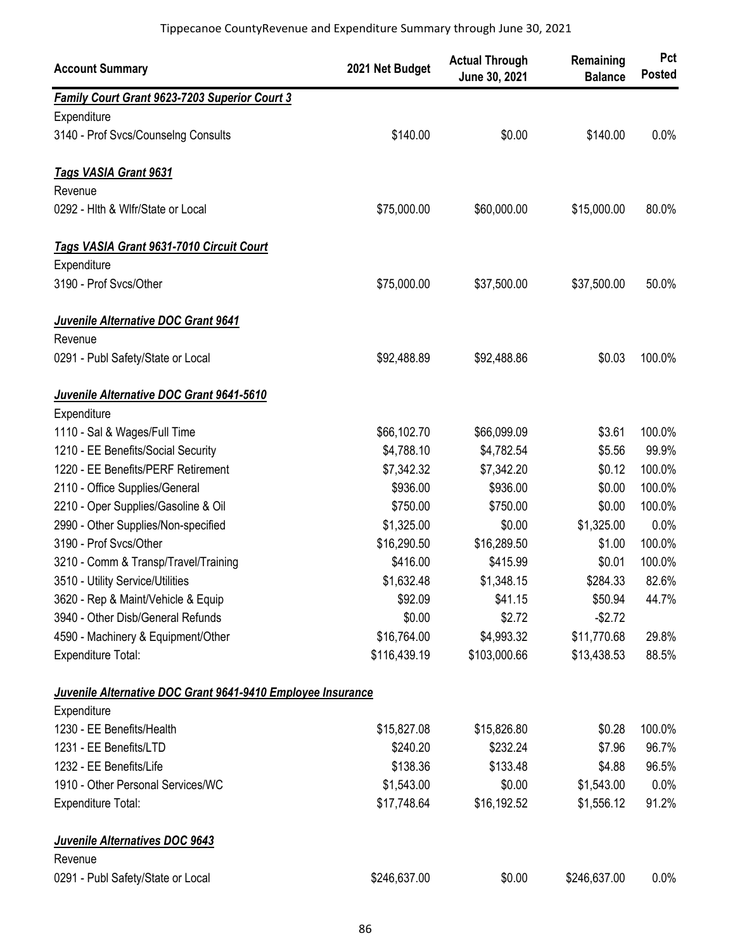| <b>Account Summary</b>                                      | 2021 Net Budget | <b>Actual Through</b><br>June 30, 2021 | Remaining<br><b>Balance</b> | Pct<br><b>Posted</b> |
|-------------------------------------------------------------|-----------------|----------------------------------------|-----------------------------|----------------------|
| <b>Family Court Grant 9623-7203 Superior Court 3</b>        |                 |                                        |                             |                      |
| Expenditure                                                 |                 |                                        |                             |                      |
| 3140 - Prof Svcs/Counselng Consults                         | \$140.00        | \$0.00                                 | \$140.00                    | 0.0%                 |
| Tags VASIA Grant 9631                                       |                 |                                        |                             |                      |
| Revenue                                                     |                 |                                        |                             |                      |
| 0292 - Hith & Wifr/State or Local                           | \$75,000.00     | \$60,000.00                            | \$15,000.00                 | 80.0%                |
| Tags VASIA Grant 9631-7010 Circuit Court                    |                 |                                        |                             |                      |
| Expenditure                                                 |                 |                                        |                             |                      |
| 3190 - Prof Svcs/Other                                      | \$75,000.00     | \$37,500.00                            | \$37,500.00                 | 50.0%                |
| Juvenile Alternative DOC Grant 9641                         |                 |                                        |                             |                      |
| Revenue                                                     |                 |                                        |                             |                      |
| 0291 - Publ Safety/State or Local                           | \$92,488.89     | \$92,488.86                            | \$0.03                      | 100.0%               |
| Juvenile Alternative DOC Grant 9641-5610                    |                 |                                        |                             |                      |
| Expenditure                                                 |                 |                                        |                             |                      |
| 1110 - Sal & Wages/Full Time                                | \$66,102.70     | \$66,099.09                            | \$3.61                      | 100.0%               |
| 1210 - EE Benefits/Social Security                          | \$4,788.10      | \$4,782.54                             | \$5.56                      | 99.9%                |
| 1220 - EE Benefits/PERF Retirement                          | \$7,342.32      | \$7,342.20                             | \$0.12                      | 100.0%               |
| 2110 - Office Supplies/General                              | \$936.00        | \$936.00                               | \$0.00                      | 100.0%               |
| 2210 - Oper Supplies/Gasoline & Oil                         | \$750.00        | \$750.00                               | \$0.00                      | 100.0%               |
| 2990 - Other Supplies/Non-specified                         | \$1,325.00      | \$0.00                                 | \$1,325.00                  | 0.0%                 |
| 3190 - Prof Svcs/Other                                      | \$16,290.50     | \$16,289.50                            | \$1.00                      | 100.0%               |
| 3210 - Comm & Transp/Travel/Training                        | \$416.00        | \$415.99                               | \$0.01                      | 100.0%               |
| 3510 - Utility Service/Utilities                            | \$1,632.48      | \$1,348.15                             | \$284.33                    | 82.6%                |
| 3620 - Rep & Maint/Vehicle & Equip                          | \$92.09         | \$41.15                                | \$50.94                     | 44.7%                |
| 3940 - Other Disb/General Refunds                           | \$0.00          | \$2.72                                 | $-$2.72$                    |                      |
| 4590 - Machinery & Equipment/Other                          | \$16,764.00     | \$4,993.32                             | \$11,770.68                 | 29.8%                |
| Expenditure Total:                                          | \$116,439.19    | \$103,000.66                           | \$13,438.53                 | 88.5%                |
| Juvenile Alternative DOC Grant 9641-9410 Employee Insurance |                 |                                        |                             |                      |
| Expenditure                                                 |                 |                                        |                             |                      |
| 1230 - EE Benefits/Health                                   | \$15,827.08     | \$15,826.80                            | \$0.28                      | 100.0%               |
| 1231 - EE Benefits/LTD                                      | \$240.20        | \$232.24                               | \$7.96                      | 96.7%                |
| 1232 - EE Benefits/Life                                     | \$138.36        | \$133.48                               | \$4.88                      | 96.5%                |
| 1910 - Other Personal Services/WC                           | \$1,543.00      | \$0.00                                 | \$1,543.00                  | 0.0%                 |
| Expenditure Total:                                          | \$17,748.64     | \$16,192.52                            | \$1,556.12                  | 91.2%                |
| Juvenile Alternatives DOC 9643                              |                 |                                        |                             |                      |
| Revenue                                                     |                 |                                        |                             |                      |
| 0291 - Publ Safety/State or Local                           | \$246,637.00    | \$0.00                                 | \$246,637.00                | 0.0%                 |